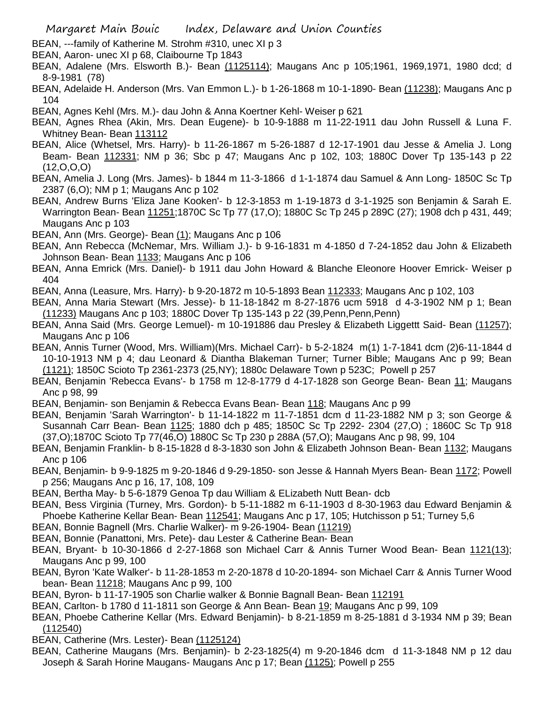- BEAN, ---family of Katherine M. Strohm #310, unec XI p 3
- BEAN, Aaron- unec XI p 68, Claibourne Tp 1843
- BEAN, Adalene (Mrs. Elsworth B.)- Bean (1125114); Maugans Anc p 105;1961, 1969,1971, 1980 dcd; d 8-9-1981 (78)
- BEAN, Adelaide H. Anderson (Mrs. Van Emmon L.)- b 1-26-1868 m 10-1-1890- Bean (11238); Maugans Anc p 104
- BEAN, Agnes Kehl (Mrs. M.)- dau John & Anna Koertner Kehl- Weiser p 621
- BEAN, Agnes Rhea (Akin, Mrs. Dean Eugene)- b 10-9-1888 m 11-22-1911 dau John Russell & Luna F. Whitney Bean- Bean 113112
- BEAN, Alice (Whetsel, Mrs. Harry)- b 11-26-1867 m 5-26-1887 d 12-17-1901 dau Jesse & Amelia J. Long Beam- Bean 112331; NM p 36; Sbc p 47; Maugans Anc p 102, 103; 1880C Dover Tp 135-143 p 22  $(12,0,0,0)$
- BEAN, Amelia J. Long (Mrs. James)- b 1844 m 11-3-1866 d 1-1-1874 dau Samuel & Ann Long- 1850C Sc Tp 2387 (6,O); NM p 1; Maugans Anc p 102
- BEAN, Andrew Burns 'Eliza Jane Kooken'- b 12-3-1853 m 1-19-1873 d 3-1-1925 son Benjamin & Sarah E. Warrington Bean- Bean 11251;1870C Sc Tp 77 (17,O); 1880C Sc Tp 245 p 289C (27); 1908 dch p 431, 449; Maugans Anc p 103
- BEAN, Ann (Mrs. George)- Bean (1); Maugans Anc p 106
- BEAN, Ann Rebecca (McNemar, Mrs. William J.)- b 9-16-1831 m 4-1850 d 7-24-1852 dau John & Elizabeth Johnson Bean- Bean 1133; Maugans Anc p 106
- BEAN, Anna Emrick (Mrs. Daniel)- b 1911 dau John Howard & Blanche Eleonore Hoover Emrick- Weiser p 404
- BEAN, Anna (Leasure, Mrs. Harry)- b 9-20-1872 m 10-5-1893 Bean 112333; Maugans Anc p 102, 103
- BEAN, Anna Maria Stewart (Mrs. Jesse)- b 11-18-1842 m 8-27-1876 ucm 5918 d 4-3-1902 NM p 1; Bean (11233) Maugans Anc p 103; 1880C Dover Tp 135-143 p 22 (39,Penn,Penn,Penn)
- BEAN, Anna Said (Mrs. George Lemuel)- m 10-191886 dau Presley & Elizabeth Liggettt Said- Bean (11257); Maugans Anc p 106
- BEAN, Annis Turner (Wood, Mrs. William)(Mrs. Michael Carr)- b 5-2-1824 m(1) 1-7-1841 dcm (2)6-11-1844 d 10-10-1913 NM p 4; dau Leonard & Diantha Blakeman Turner; Turner Bible; Maugans Anc p 99; Bean (1121); 1850C Scioto Tp 2361-2373 (25,NY); 1880c Delaware Town p 523C; Powell p 257
- BEAN, Benjamin 'Rebecca Evans'- b 1758 m 12-8-1779 d 4-17-1828 son George Bean- Bean 11; Maugans Anc p 98, 99
- BEAN, Benjamin- son Benjamin & Rebecca Evans Bean- Bean 118; Maugans Anc p 99
- BEAN, Benjamin 'Sarah Warrington'- b 11-14-1822 m 11-7-1851 dcm d 11-23-1882 NM p 3; son George & Susannah Carr Bean- Bean 1125; 1880 dch p 485; 1850C Sc Tp 2292- 2304 (27,O) ; 1860C Sc Tp 918 (37,O);1870C Scioto Tp 77(46,O) 1880C Sc Tp 230 p 288A (57,O); Maugans Anc p 98, 99, 104
- BEAN, Benjamin Franklin- b 8-15-1828 d 8-3-1830 son John & Elizabeth Johnson Bean- Bean 1132; Maugans Anc p 106
- BEAN, Benjamin- b 9-9-1825 m 9-20-1846 d 9-29-1850- son Jesse & Hannah Myers Bean- Bean 1172; Powell p 256; Maugans Anc p 16, 17, 108, 109
- BEAN, Bertha May- b 5-6-1879 Genoa Tp dau William & ELizabeth Nutt Bean- dcb
- BEAN, Bess Virginia (Turney, Mrs. Gordon)- b 5-11-1882 m 6-11-1903 d 8-30-1963 dau Edward Benjamin & Phoebe Katherine Kellar Bean- Bean 112541; Maugans Anc p 17, 105; Hutchisson p 51; Turney 5,6
- BEAN, Bonnie Bagnell (Mrs. Charlie Walker)- m 9-26-1904- Bean (11219)
- BEAN, Bonnie (Panattoni, Mrs. Pete)- dau Lester & Catherine Bean- Bean
- BEAN, Bryant- b 10-30-1866 d 2-27-1868 son Michael Carr & Annis Turner Wood Bean- Bean 1121(13); Maugans Anc p 99, 100
- BEAN, Byron 'Kate Walker'- b 11-28-1853 m 2-20-1878 d 10-20-1894- son Michael Carr & Annis Turner Wood bean- Bean 11218; Maugans Anc p 99, 100
- BEAN, Byron- b 11-17-1905 son Charlie walker & Bonnie Bagnall Bean- Bean 112191
- BEAN, Carlton- b 1780 d 11-1811 son George & Ann Bean- Bean 19; Maugans Anc p 99, 109
- BEAN, Phoebe Catherine Kellar (Mrs. Edward Benjamin)- b 8-21-1859 m 8-25-1881 d 3-1934 NM p 39; Bean (112540)
- BEAN, Catherine (Mrs. Lester)- Bean (1125124)
- BEAN, Catherine Maugans (Mrs. Benjamin)- b 2-23-1825(4) m 9-20-1846 dcm d 11-3-1848 NM p 12 dau Joseph & Sarah Horine Maugans- Maugans Anc p 17; Bean (1125); Powell p 255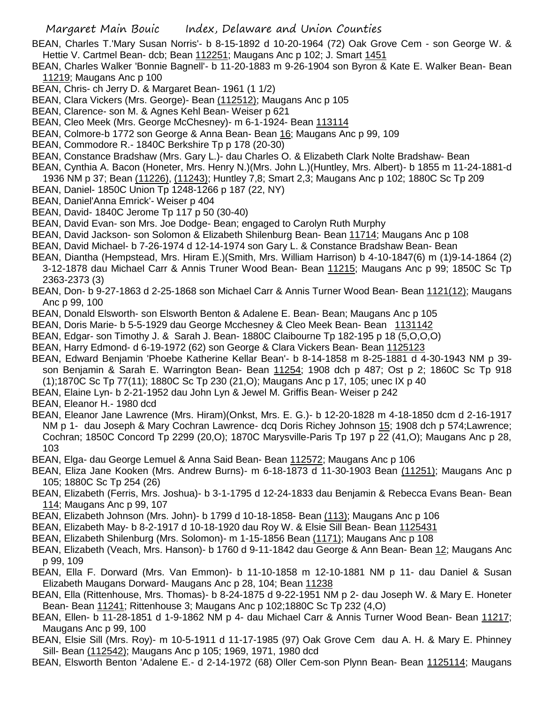BEAN, Charles T.'Mary Susan Norris'- b 8-15-1892 d 10-20-1964 (72) Oak Grove Cem - son George W. & Hettie V. Cartmel Bean- dcb; Bean 112251; Maugans Anc p 102; J. Smart 1451

- BEAN, Charles Walker 'Bonnie Bagnell'- b 11-20-1883 m 9-26-1904 son Byron & Kate E. Walker Bean- Bean 11219; Maugans Anc p 100
- BEAN, Chris- ch Jerry D. & Margaret Bean- 1961 (1 1/2)
- BEAN, Clara Vickers (Mrs. George)- Bean (112512); Maugans Anc p 105
- BEAN, Clarence- son M. & Agnes Kehl Bean- Weiser p 621
- BEAN, Cleo Meek (Mrs. George McChesney)- m 6-1-1924- Bean 113114
- BEAN, Colmore-b 1772 son George & Anna Bean- Bean 16; Maugans Anc p 99, 109
- BEAN, Commodore R.- 1840C Berkshire Tp p 178 (20-30)
- BEAN, Constance Bradshaw (Mrs. Gary L.)- dau Charles O. & Elizabeth Clark Nolte Bradshaw- Bean
- BEAN, Cynthia A. Bacon (Honeter, Mrs. Henry N.)(Mrs. John L.)(Huntley, Mrs. Albert)- b 1855 m 11-24-1881-d
- 1936 NM p 37; Bean (11226), (11243); Huntley 7,8; Smart 2,3; Maugans Anc p 102; 1880C Sc Tp 209
- BEAN, Daniel- 1850C Union Tp 1248-1266 p 187 (22, NY)
- BEAN, Daniel'Anna Emrick'- Weiser p 404
- BEAN, David- 1840C Jerome Tp 117 p 50 (30-40)
- BEAN, David Evan- son Mrs. Joe Dodge- Bean; engaged to Carolyn Ruth Murphy
- BEAN, David Jackson- son Solomon & Elizabeth Shilenburg Bean- Bean 11714; Maugans Anc p 108
- BEAN, David Michael- b 7-26-1974 d 12-14-1974 son Gary L. & Constance Bradshaw Bean- Bean
- BEAN, Diantha (Hempstead, Mrs. Hiram E.)(Smith, Mrs. William Harrison) b 4-10-1847(6) m (1)9-14-1864 (2) 3-12-1878 dau Michael Carr & Annis Truner Wood Bean- Bean 11215; Maugans Anc p 99; 1850C Sc Tp 2363-2373 (3)
- BEAN, Don- b 9-27-1863 d 2-25-1868 son Michael Carr & Annis Turner Wood Bean- Bean 1121(12); Maugans Anc p 99, 100
- BEAN, Donald Elsworth- son Elsworth Benton & Adalene E. Bean- Bean; Maugans Anc p 105
- BEAN, Doris Marie- b 5-5-1929 dau George Mcchesney & Cleo Meek Bean- Bean 1131142
- BEAN, Edgar- son Timothy J. & Sarah J. Bean- 1880C Claibourne Tp 182-195 p 18 (5,O,O,O)
- BEAN, Harry Edmond- d 6-19-1972 (62) son George & Clara Vickers Bean- Bean 1125123
- BEAN, Edward Benjamin 'Phoebe Katherine Kellar Bean'- b 8-14-1858 m 8-25-1881 d 4-30-1943 NM p 39 son Benjamin & Sarah E. Warrington Bean- Bean 11254; 1908 dch p 487; Ost p 2; 1860C Sc Tp 918 (1);1870C Sc Tp 77(11); 1880C Sc Tp 230 (21,O); Maugans Anc p 17, 105; unec IX p 40
- BEAN, Elaine Lyn- b 2-21-1952 dau John Lyn & Jewel M. Griffis Bean- Weiser p 242
- BEAN, Eleanor H.- 1980 dcd
- BEAN, Eleanor Jane Lawrence (Mrs. Hiram)(Onkst, Mrs. E. G.)- b 12-20-1828 m 4-18-1850 dcm d 2-16-1917 NM p 1- dau Joseph & Mary Cochran Lawrence- dcq Doris Richey Johnson 15; 1908 dch p 574;Lawrence; Cochran; 1850C Concord Tp 2299 (20,O); 1870C Marysville-Paris Tp 197 p 22 (41,O); Maugans Anc p 28, 103
- BEAN, Elga- dau George Lemuel & Anna Said Bean- Bean 112572; Maugans Anc p 106
- BEAN, Eliza Jane Kooken (Mrs. Andrew Burns)- m 6-18-1873 d 11-30-1903 Bean (11251); Maugans Anc p 105; 1880C Sc Tp 254 (26)
- BEAN, Elizabeth (Ferris, Mrs. Joshua)- b 3-1-1795 d 12-24-1833 dau Benjamin & Rebecca Evans Bean- Bean 114; Maugans Anc p 99, 107
- BEAN, Elizabeth Johnson (Mrs. John)- b 1799 d 10-18-1858- Bean (113); Maugans Anc p 106
- BEAN, Elizabeth May- b 8-2-1917 d 10-18-1920 dau Roy W. & Elsie Sill Bean- Bean 1125431
- BEAN, Elizabeth Shilenburg (Mrs. Solomon)- m 1-15-1856 Bean (1171); Maugans Anc p 108
- BEAN, Elizabeth (Veach, Mrs. Hanson)- b 1760 d 9-11-1842 dau George & Ann Bean- Bean 12; Maugans Anc p 99, 109
- BEAN, Ella F. Dorward (Mrs. Van Emmon)- b 11-10-1858 m 12-10-1881 NM p 11- dau Daniel & Susan Elizabeth Maugans Dorward- Maugans Anc p 28, 104; Bean 11238
- BEAN, Ella (Rittenhouse, Mrs. Thomas)- b 8-24-1875 d 9-22-1951 NM p 2- dau Joseph W. & Mary E. Honeter Bean- Bean 11241; Rittenhouse 3; Maugans Anc p 102;1880C Sc Tp 232 (4,O)
- BEAN, Ellen- b 11-28-1851 d 1-9-1862 NM p 4- dau Michael Carr & Annis Turner Wood Bean- Bean 11217; Maugans Anc p 99, 100
- BEAN, Elsie Sill (Mrs. Roy)- m 10-5-1911 d 11-17-1985 (97) Oak Grove Cem dau A. H. & Mary E. Phinney Sill- Bean (112542); Maugans Anc p 105; 1969, 1971, 1980 dcd
- BEAN, Elsworth Benton 'Adalene E.- d 2-14-1972 (68) Oller Cem-son Plynn Bean- Bean 1125114; Maugans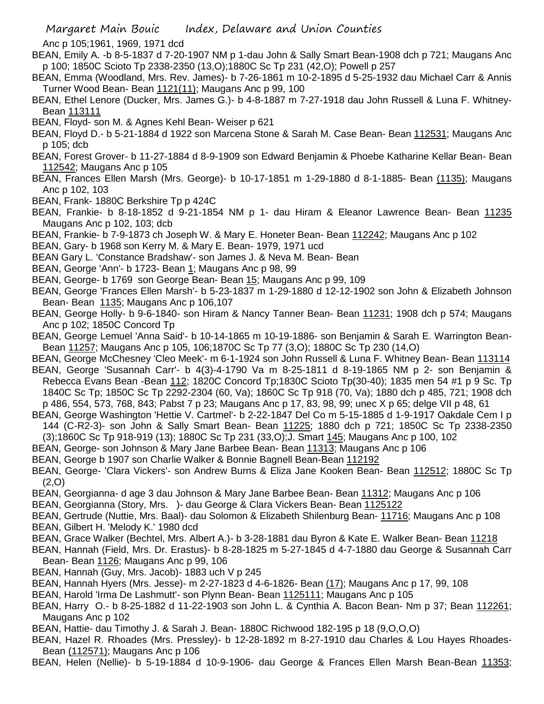Anc p 105;1961, 1969, 1971 dcd

- BEAN, Emily A. -b 8-5-1837 d 7-20-1907 NM p 1-dau John & Sally Smart Bean-1908 dch p 721; Maugans Anc p 100; 1850C Scioto Tp 2338-2350 (13,O);1880C Sc Tp 231 (42,O); Powell p 257
- BEAN, Emma (Woodland, Mrs. Rev. James)- b 7-26-1861 m 10-2-1895 d 5-25-1932 dau Michael Carr & Annis Turner Wood Bean- Bean 1121(11); Maugans Anc p 99, 100
- BEAN, Ethel Lenore (Ducker, Mrs. James G.)- b 4-8-1887 m 7-27-1918 dau John Russell & Luna F. Whitney-Bean 113111
- BEAN, Floyd- son M. & Agnes Kehl Bean- Weiser p 621
- BEAN, Floyd D.- b 5-21-1884 d 1922 son Marcena Stone & Sarah M. Case Bean- Bean 112531; Maugans Anc p 105; dcb
- BEAN, Forest Grover- b 11-27-1884 d 8-9-1909 son Edward Benjamin & Phoebe Katharine Kellar Bean- Bean 112542; Maugans Anc p 105
- BEAN, Frances Ellen Marsh (Mrs. George)- b 10-17-1851 m 1-29-1880 d 8-1-1885- Bean (1135); Maugans Anc p 102, 103
- BEAN, Frank- 1880C Berkshire Tp p 424C
- BEAN, Frankie- b 8-18-1852 d 9-21-1854 NM p 1- dau Hiram & Eleanor Lawrence Bean- Bean 11235 Maugans Anc p 102, 103; dcb
- BEAN, Frankie- b 7-9-1873 ch Joseph W. & Mary E. Honeter Bean- Bean 112242; Maugans Anc p 102
- BEAN, Gary- b 1968 son Kerry M. & Mary E. Bean- 1979, 1971 ucd
- BEAN Gary L. 'Constance Bradshaw'- son James J. & Neva M. Bean- Bean
- BEAN, George 'Ann'- b 1723- Bean 1; Maugans Anc p 98, 99
- BEAN, George- b 1769 son George Bean- Bean 15; Maugans Anc p 99, 109
- BEAN, George 'Frances Ellen Marsh'- b 5-23-1837 m 1-29-1880 d 12-12-1902 son John & Elizabeth Johnson Bean- Bean 1135; Maugans Anc p 106,107
- BEAN, George Holly- b 9-6-1840- son Hiram & Nancy Tanner Bean- Bean 11231; 1908 dch p 574; Maugans Anc p 102; 1850C Concord Tp
- BEAN, George Lemuel 'Anna Said'- b 10-14-1865 m 10-19-1886- son Benjamin & Sarah E. Warrington Bean-Bean 11257; Maugans Anc p 105, 106;1870C Sc Tp 77 (3,O); 1880C Sc Tp 230 (14,O)
- BEAN, George McChesney 'Cleo Meek'- m 6-1-1924 son John Russell & Luna F. Whitney Bean- Bean 113114 BEAN, George 'Susannah Carr'- b 4(3)-4-1790 Va m 8-25-1811 d 8-19-1865 NM p 2- son Benjamin & Rebecca Evans Bean -Bean 112; 1820C Concord Tp;1830C Scioto Tp(30-40); 1835 men 54 #1 p 9 Sc. Tp
- 1840C Sc Tp; 1850C Sc Tp 2292-2304 (60, Va); 1860C Sc Tp 918 (70, Va); 1880 dch p 485, 721; 1908 dch p 486, 554, 573, 768, 843; Pabst 7 p 23; Maugans Anc p 17, 83, 98, 99; unec X p 65; delge VII p 48, 61
- BEAN, George Washington 'Hettie V. Cartmel'- b 2-22-1847 Del Co m 5-15-1885 d 1-9-1917 Oakdale Cem I p 144 (C-R2-3)- son John & Sally Smart Bean- Bean 11225; 1880 dch p 721; 1850C Sc Tp 2338-2350 (3);1860C Sc Tp 918-919 (13); 1880C Sc Tp 231 (33,O);J. Smart 145; Maugans Anc p 100, 102
- BEAN, George- son Johnson & Mary Jane Barbee Bean- Bean 11313; Maugans Anc p 106
- BEAN, George b 1907 son Charlie Walker & Bonnie Bagnell Bean-Bean 112192
- BEAN, George- 'Clara Vickers'- son Andrew Burns & Eliza Jane Kooken Bean- Bean 112512; 1880C Sc Tp (2,O)
- BEAN, Georgianna- d age 3 dau Johnson & Mary Jane Barbee Bean- Bean 11312; Maugans Anc p 106
- BEAN, Georgianna (Story, Mrs. )- dau George & Clara Vickers Bean- Bean 1125122
- BEAN, Gertrude (Nuttie, Mrs. Baal)- dau Solomon & Elizabeth Shilenburg Bean- 11716; Maugans Anc p 108
- BEAN, Gilbert H. 'Melody K.' 1980 dcd
- BEAN, Grace Walker (Bechtel, Mrs. Albert A.)- b 3-28-1881 dau Byron & Kate E. Walker Bean- Bean 11218
- BEAN, Hannah (Field, Mrs. Dr. Erastus)- b 8-28-1825 m 5-27-1845 d 4-7-1880 dau George & Susannah Carr Bean- Bean 1126; Maugans Anc p 99, 106
- BEAN, Hannah (Guy, Mrs. Jacob)- 1883 uch V p 245
- BEAN, Hannah Hyers (Mrs. Jesse)- m 2-27-1823 d 4-6-1826- Bean (17); Maugans Anc p 17, 99, 108
- BEAN, Harold 'Irma De Lashmutt'- son Plynn Bean- Bean 1125111; Maugans Anc p 105
- BEAN, Harry O.- b 8-25-1882 d 11-22-1903 son John L. & Cynthia A. Bacon Bean- Nm p 37; Bean 112261; Maugans Anc p 102
- BEAN, Hattie- dau Timothy J. & Sarah J. Bean- 1880C Richwood 182-195 p 18 (9,O,O,O)
- BEAN, Hazel R. Rhoades (Mrs. Pressley)- b 12-28-1892 m 8-27-1910 dau Charles & Lou Hayes Rhoades-Bean (112571); Maugans Anc p 106

BEAN, Helen (Nellie)- b 5-19-1884 d 10-9-1906- dau George & Frances Ellen Marsh Bean-Bean 11353;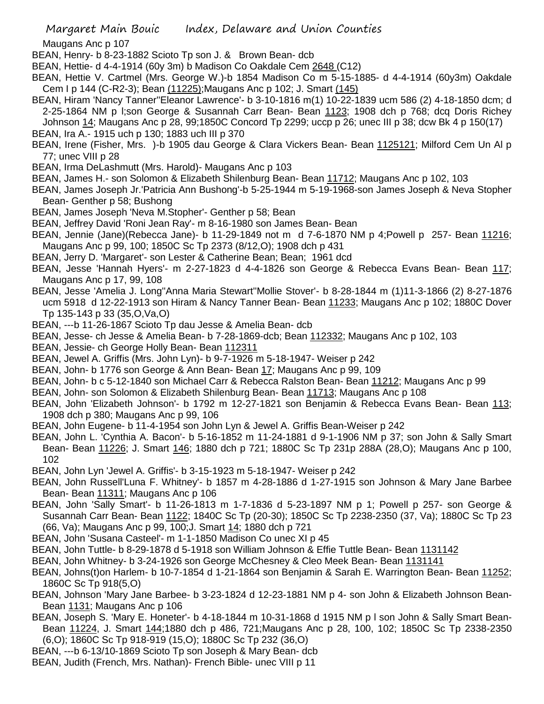Maugans Anc p 107

- BEAN, Henry- b 8-23-1882 Scioto Tp son J. & Brown Bean- dcb
- BEAN, Hettie- d 4-4-1914 (60y 3m) b Madison Co Oakdale Cem 2648 (C12)
- BEAN, Hettie V. Cartmel (Mrs. George W.)-b 1854 Madison Co m 5-15-1885- d 4-4-1914 (60y3m) Oakdale Cem I p 144 (C-R2-3); Bean (11225);Maugans Anc p 102; J. Smart (145)
- BEAN, Hiram 'Nancy Tanner''Eleanor Lawrence'- b 3-10-1816 m(1) 10-22-1839 ucm 586 (2) 4-18-1850 dcm; d 2-25-1864 NM p l;son George & Susannah Carr Bean- Bean 1123; 1908 dch p 768; dcq Doris Richey
- Johnson 14; Maugans Anc p 28, 99;1850C Concord Tp 2299; uccp p 26; unec III p 38; dcw Bk 4 p 150(17) BEAN, Ira A.- 1915 uch p 130; 1883 uch III p 370
- BEAN, Irene (Fisher, Mrs. )-b 1905 dau George & Clara Vickers Bean- Bean 1125121; Milford Cem Un Al p 77; unec VIII p 28
- BEAN, Irma DeLashmutt (Mrs. Harold)- Maugans Anc p 103
- BEAN, James H.- son Solomon & Elizabeth Shilenburg Bean- Bean 11712; Maugans Anc p 102, 103
- BEAN, James Joseph Jr.'Patricia Ann Bushong'-b 5-25-1944 m 5-19-1968-son James Joseph & Neva Stopher Bean- Genther p 58; Bushong
- BEAN, James Joseph 'Neva M.Stopher'- Genther p 58; Bean
- BEAN, Jeffrey David 'Roni Jean Ray'- m 8-16-1980 son James Bean- Bean
- BEAN, Jennie (Jane)(Rebecca Jane)- b 11-29-1849 not m d 7-6-1870 NM p 4;Powell p 257- Bean 11216; Maugans Anc p 99, 100; 1850C Sc Tp 2373 (8/12,O); 1908 dch p 431
- BEAN, Jerry D. 'Margaret'- son Lester & Catherine Bean; Bean; 1961 dcd
- BEAN, Jesse 'Hannah Hyers'- m 2-27-1823 d 4-4-1826 son George & Rebecca Evans Bean- Bean 117; Maugans Anc p 17, 99, 108
- BEAN, Jesse 'Amelia J. Long''Anna Maria Stewart''Mollie Stover'- b 8-28-1844 m (1)11-3-1866 (2) 8-27-1876 ucm 5918 d 12-22-1913 son Hiram & Nancy Tanner Bean- Bean 11233; Maugans Anc p 102; 1880C Dover Tp 135-143 p 33 (35,O,Va,O)
- BEAN, ---b 11-26-1867 Scioto Tp dau Jesse & Amelia Bean- dcb
- BEAN, Jesse- ch Jesse & Amelia Bean- b 7-28-1869-dcb; Bean 112332; Maugans Anc p 102, 103
- BEAN, Jessie- ch George Holly Bean- Bean 112311
- BEAN, Jewel A. Griffis (Mrs. John Lyn)- b 9-7-1926 m 5-18-1947- Weiser p 242
- BEAN, John- b 1776 son George & Ann Bean- Bean 17; Maugans Anc p 99, 109
- BEAN, John- b c 5-12-1840 son Michael Carr & Rebecca Ralston Bean- Bean 11212; Maugans Anc p 99
- BEAN, John- son Solomon & Elizabeth Shilenburg Bean- Bean 11713; Maugans Anc p 108
- BEAN, John 'Elizabeth Johnson'- b 1792 m 12-27-1821 son Benjamin & Rebecca Evans Bean- Bean 113; 1908 dch p 380; Maugans Anc p 99, 106
- BEAN, John Eugene- b 11-4-1954 son John Lyn & Jewel A. Griffis Bean-Weiser p 242
- BEAN, John L. 'Cynthia A. Bacon'- b 5-16-1852 m 11-24-1881 d 9-1-1906 NM p 37; son John & Sally Smart Bean- Bean 11226; J. Smart 146; 1880 dch p 721; 1880C Sc Tp 231p 288A (28,O); Maugans Anc p 100, 102
- BEAN, John Lyn 'Jewel A. Griffis'- b 3-15-1923 m 5-18-1947- Weiser p 242
- BEAN, John Russell'Luna F. Whitney'- b 1857 m 4-28-1886 d 1-27-1915 son Johnson & Mary Jane Barbee Bean- Bean 11311; Maugans Anc p 106
- BEAN, John 'Sally Smart'- b 11-26-1813 m 1-7-1836 d 5-23-1897 NM p 1; Powell p 257- son George & Susannah Carr Bean- Bean 1122; 1840C Sc Tp (20-30); 1850C Sc Tp 2238-2350 (37, Va); 1880C Sc Tp 23 (66, Va); Maugans Anc p 99, 100;J. Smart 14; 1880 dch p 721
- BEAN, John 'Susana Casteel'- m 1-1-1850 Madison Co unec XI p 45
- BEAN, John Tuttle- b 8-29-1878 d 5-1918 son William Johnson & Effie Tuttle Bean- Bean 1131142
- BEAN, John Whitney- b 3-24-1926 son George McChesney & Cleo Meek Bean- Bean 1131141
- BEAN, Johns(t)on Harlem- b 10-7-1854 d 1-21-1864 son Benjamin & Sarah E. Warrington Bean- Bean 11252; 1860C Sc Tp 918(5,O)
- BEAN, Johnson 'Mary Jane Barbee- b 3-23-1824 d 12-23-1881 NM p 4- son John & Elizabeth Johnson Bean-Bean 1131; Maugans Anc p 106
- BEAN, Joseph S. 'Mary E. Honeter'- b 4-18-1844 m 10-31-1868 d 1915 NM p l son John & Sally Smart Bean-Bean 11224, J. Smart 144;1880 dch p 486, 721;Maugans Anc p 28, 100, 102; 1850C Sc Tp 2338-2350 (6,O); 1860C Sc Tp 918-919 (15,O); 1880C Sc Tp 232 (36,O)
- BEAN, ---b 6-13/10-1869 Scioto Tp son Joseph & Mary Bean- dcb
- BEAN, Judith (French, Mrs. Nathan)- French Bible- unec VIII p 11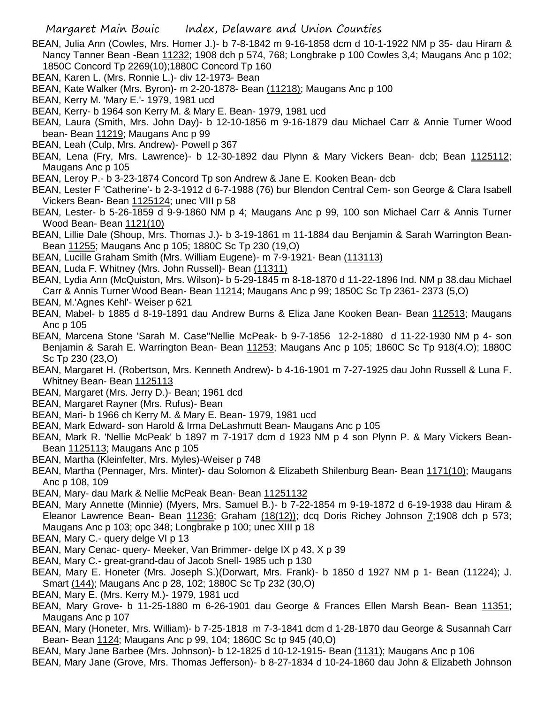- BEAN, Julia Ann (Cowles, Mrs. Homer J.)- b 7-8-1842 m 9-16-1858 dcm d 10-1-1922 NM p 35- dau Hiram & Nancy Tanner Bean -Bean 11232; 1908 dch p 574, 768; Longbrake p 100 Cowles 3,4; Maugans Anc p 102; 1850C Concord Tp 2269(10);1880C Concord Tp 160
- BEAN, Karen L. (Mrs. Ronnie L.)- div 12-1973- Bean
- BEAN, Kate Walker (Mrs. Byron)- m 2-20-1878- Bean (11218); Maugans Anc p 100
- BEAN, Kerry M. 'Mary E.'- 1979, 1981 ucd
- BEAN, Kerry- b 1964 son Kerry M. & Mary E. Bean- 1979, 1981 ucd
- BEAN, Laura (Smith, Mrs. John Day)- b 12-10-1856 m 9-16-1879 dau Michael Carr & Annie Turner Wood bean- Bean 11219; Maugans Anc p 99
- BEAN, Leah (Culp, Mrs. Andrew)- Powell p 367
- BEAN, Lena (Fry, Mrs. Lawrence)- b 12-30-1892 dau Plynn & Mary Vickers Bean- dcb; Bean 1125112; Maugans Anc p 105
- BEAN, Leroy P.- b 3-23-1874 Concord Tp son Andrew & Jane E. Kooken Bean- dcb

BEAN, Lester F 'Catherine'- b 2-3-1912 d 6-7-1988 (76) bur Blendon Central Cem- son George & Clara Isabell Vickers Bean- Bean 1125124; unec VIII p 58

- BEAN, Lester- b 5-26-1859 d 9-9-1860 NM p 4; Maugans Anc p 99, 100 son Michael Carr & Annis Turner Wood Bean- Bean 1121(10)
- BEAN, Lillie Dale (Shoup, Mrs. Thomas J.)- b 3-19-1861 m 11-1884 dau Benjamin & Sarah Warrington Bean-Bean 11255; Maugans Anc p 105; 1880C Sc Tp 230 (19,O)
- BEAN, Lucille Graham Smith (Mrs. William Eugene)- m 7-9-1921- Bean (113113)
- BEAN, Luda F. Whitney (Mrs. John Russell)- Bean (11311)
- BEAN, Lydia Ann (McQuiston, Mrs. Wilson)- b 5-29-1845 m 8-18-1870 d 11-22-1896 Ind. NM p 38.dau Michael Carr & Annis Turner Wood Bean- Bean 11214; Maugans Anc p 99; 1850C Sc Tp 2361- 2373 (5,O)
- BEAN, M.'Agnes Kehl'- Weiser p 621
- BEAN, Mabel- b 1885 d 8-19-1891 dau Andrew Burns & Eliza Jane Kooken Bean- Bean 112513; Maugans Anc p 105
- BEAN, Marcena Stone 'Sarah M. Case''Nellie McPeak- b 9-7-1856 12-2-1880 d 11-22-1930 NM p 4- son Benjamin & Sarah E. Warrington Bean- Bean 11253; Maugans Anc p 105; 1860C Sc Tp 918(4.O); 1880C Sc Tp 230 (23,O)
- BEAN, Margaret H. (Robertson, Mrs. Kenneth Andrew)- b 4-16-1901 m 7-27-1925 dau John Russell & Luna F. Whitney Bean- Bean 1125113
- BEAN, Margaret (Mrs. Jerry D.)- Bean; 1961 dcd
- BEAN, Margaret Rayner (Mrs. Rufus)- Bean
- BEAN, Mari- b 1966 ch Kerry M. & Mary E. Bean- 1979, 1981 ucd
- BEAN, Mark Edward- son Harold & Irma DeLashmutt Bean- Maugans Anc p 105
- BEAN, Mark R. 'Nellie McPeak' b 1897 m 7-1917 dcm d 1923 NM p 4 son Plynn P. & Mary Vickers Bean-Bean 1125113; Maugans Anc p 105
- BEAN, Martha (Kleinfelter, Mrs. Myles)-Weiser p 748
- BEAN, Martha (Pennager, Mrs. Minter)- dau Solomon & Elizabeth Shilenburg Bean- Bean 1171(10); Maugans Anc p 108, 109
- BEAN, Mary- dau Mark & Nellie McPeak Bean- Bean 11251132
- BEAN, Mary Annette (Minnie) (Myers, Mrs. Samuel B.)- b 7-22-1854 m 9-19-1872 d 6-19-1938 dau Hiram & Eleanor Lawrence Bean- Bean  $11236$ ; Graham  $(18(12))$ ; dcq Doris Richey Johnson  $\overline{I}$ ;1908 dch p 573; Maugans Anc p 103; opc 348; Longbrake p 100; unec XIII p 18
- BEAN, Mary C.- query delge VI p 13
- BEAN, Mary Cenac- query- Meeker, Van Brimmer- delge IX p 43, X p 39
- BEAN, Mary C.- great-grand-dau of Jacob Snell- 1985 uch p 130
- BEAN, Mary E. Honeter (Mrs. Joseph S.)(Dorwart, Mrs. Frank)- b 1850 d 1927 NM p 1- Bean (11224); J. Smart (144); Maugans Anc p 28, 102; 1880C Sc Tp 232 (30,O)
- BEAN, Mary E. (Mrs. Kerry M.)- 1979, 1981 ucd
- BEAN, Mary Grove- b 11-25-1880 m 6-26-1901 dau George & Frances Ellen Marsh Bean- Bean 11351; Maugans Anc p 107
- BEAN, Mary (Honeter, Mrs. William)- b 7-25-1818 m 7-3-1841 dcm d 1-28-1870 dau George & Susannah Carr Bean- Bean 1124; Maugans Anc p 99, 104; 1860C Sc tp 945 (40,O)
- BEAN, Mary Jane Barbee (Mrs. Johnson)- b 12-1825 d 10-12-1915- Bean (1131); Maugans Anc p 106
- BEAN, Mary Jane (Grove, Mrs. Thomas Jefferson)- b 8-27-1834 d 10-24-1860 dau John & Elizabeth Johnson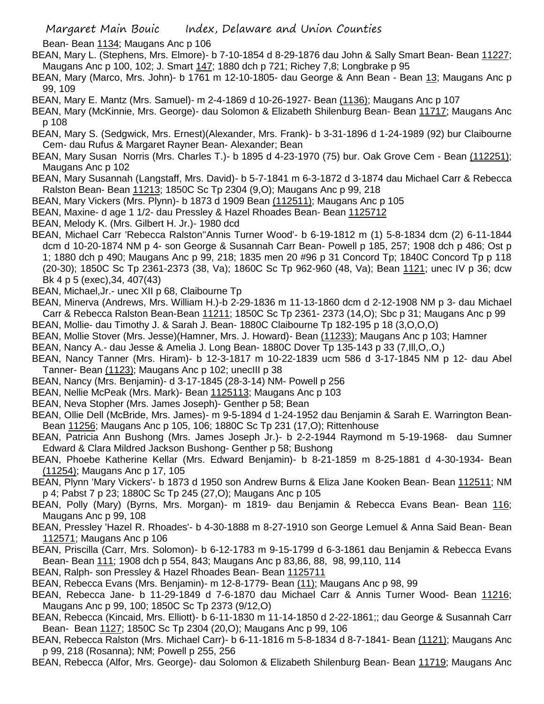Bean- Bean 1134; Maugans Anc p 106

BEAN, Mary L. (Stephens, Mrs. Elmore)- b 7-10-1854 d 8-29-1876 dau John & Sally Smart Bean- Bean 11227; Maugans Anc p 100, 102; J. Smart 147; 1880 dch p 721; Richey 7,8; Longbrake p 95

- BEAN, Mary (Marco, Mrs. John)- b 1761 m 12-10-1805- dau George & Ann Bean Bean 13; Maugans Anc p 99, 109
- BEAN, Mary E. Mantz (Mrs. Samuel)- m 2-4-1869 d 10-26-1927- Bean (1136); Maugans Anc p 107

BEAN, Mary (McKinnie, Mrs. George)- dau Solomon & Elizabeth Shilenburg Bean- Bean 11717; Maugans Anc p 108

- BEAN, Mary S. (Sedgwick, Mrs. Ernest)(Alexander, Mrs. Frank)- b 3-31-1896 d 1-24-1989 (92) bur Claibourne Cem- dau Rufus & Margaret Rayner Bean- Alexander; Bean
- BEAN, Mary Susan Norris (Mrs. Charles T.)- b 1895 d 4-23-1970 (75) bur. Oak Grove Cem Bean (112251); Maugans Anc p 102
- BEAN, Mary Susannah (Langstaff, Mrs. David)- b 5-7-1841 m 6-3-1872 d 3-1874 dau Michael Carr & Rebecca Ralston Bean- Bean 11213; 1850C Sc Tp 2304 (9,O); Maugans Anc p 99, 218
- BEAN, Mary Vickers (Mrs. Plynn)- b 1873 d 1909 Bean (112511); Maugans Anc p 105
- BEAN, Maxine- d age 1 1/2- dau Pressley & Hazel Rhoades Bean- Bean 1125712
- BEAN, Melody K. (Mrs. Gilbert H. Jr.)- 1980 dcd
- BEAN, Michael Carr 'Rebecca Ralston''Annis Turner Wood'- b 6-19-1812 m (1) 5-8-1834 dcm (2) 6-11-1844 dcm d 10-20-1874 NM p 4- son George & Susannah Carr Bean- Powell p 185, 257; 1908 dch p 486; Ost p 1; 1880 dch p 490; Maugans Anc p 99, 218; 1835 men 20 #96 p 31 Concord Tp; 1840C Concord Tp p 118 (20-30); 1850C Sc Tp 2361-2373 (38, Va); 1860C Sc Tp 962-960 (48, Va); Bean 1121; unec IV p 36; dcw Bk 4 p 5 (exec),34, 407(43)
- BEAN, Michael,Jr.- unec XII p 68, Claibourne Tp
- BEAN, Minerva (Andrews, Mrs. William H.)-b 2-29-1836 m 11-13-1860 dcm d 2-12-1908 NM p 3- dau Michael Carr & Rebecca Ralston Bean-Bean 11211; 1850C Sc Tp 2361- 2373 (14,O); Sbc p 31; Maugans Anc p 99
- BEAN, Mollie- dau Timothy J. & Sarah J. Bean- 1880C Claibourne Tp 182-195 p 18 (3,O,O,O)
- BEAN, Mollie Stover (Mrs. Jesse)(Hamner, Mrs. J. Howard)- Bean (11233); Maugans Anc p 103; Hamner
- BEAN, Nancy A.- dau Jesse & Amelia J. Long Bean- 1880C Dover Tp 135-143 p 33 (7,Ill,O,.O,)
- BEAN, Nancy Tanner (Mrs. Hiram)- b 12-3-1817 m 10-22-1839 ucm 586 d 3-17-1845 NM p 12- dau Abel Tanner- Bean (1123); Maugans Anc p 102; unecIII p 38
- BEAN, Nancy (Mrs. Benjamin)- d 3-17-1845 (28-3-14) NM- Powell p 256
- BEAN, Nellie McPeak (Mrs. Mark)- Bean 1125113; Maugans Anc p 103
- BEAN, Neva Stopher (Mrs. James Joseph)- Genther p 58; Bean
- BEAN, Ollie Dell (McBride, Mrs. James)- m 9-5-1894 d 1-24-1952 dau Benjamin & Sarah E. Warrington Bean-Bean 11256; Maugans Anc p 105, 106; 1880C Sc Tp 231 (17,O); Rittenhouse
- BEAN, Patricia Ann Bushong (Mrs. James Joseph Jr.)- b 2-2-1944 Raymond m 5-19-1968- dau Sumner Edward & Clara Mildred Jackson Bushong- Genther p 58; Bushong
- BEAN, Phoebe Katherine Kellar (Mrs. Edward Benjamin)- b 8-21-1859 m 8-25-1881 d 4-30-1934- Bean (11254); Maugans Anc p 17, 105
- BEAN, Plynn 'Mary Vickers'- b 1873 d 1950 son Andrew Burns & Eliza Jane Kooken Bean- Bean 112511; NM p 4; Pabst 7 p 23; 1880C Sc Tp 245 (27,O); Maugans Anc p 105
- BEAN, Polly (Mary) (Byrns, Mrs. Morgan)- m 1819- dau Benjamin & Rebecca Evans Bean- Bean 116; Maugans Anc p 99, 108
- BEAN, Pressley 'Hazel R. Rhoades'- b 4-30-1888 m 8-27-1910 son George Lemuel & Anna Said Bean- Bean 112571; Maugans Anc p 106
- BEAN, Priscilla (Carr, Mrs. Solomon)- b 6-12-1783 m 9-15-1799 d 6-3-1861 dau Benjamin & Rebecca Evans Bean- Bean 111; 1908 dch p 554, 843; Maugans Anc p 83,86, 88, 98, 99,110, 114
- BEAN, Ralph- son Pressley & Hazel Rhoades Bean- Bean 1125711
- BEAN, Rebecca Evans (Mrs. Benjamin)- m 12-8-1779- Bean (11); Maugans Anc p 98, 99
- BEAN, Rebecca Jane- b 11-29-1849 d 7-6-1870 dau Michael Carr & Annis Turner Wood- Bean 11216; Maugans Anc p 99, 100; 1850C Sc Tp 2373 (9/12,O)
- BEAN, Rebecca (Kincaid, Mrs. Elliott)- b 6-11-1830 m 11-14-1850 d 2-22-1861;; dau George & Susannah Carr Bean- Bean 1127; 1850C Sc Tp 2304 (20,O); Maugans Anc p 99, 106
- BEAN, Rebecca Ralston (Mrs. Michael Carr)- b 6-11-1816 m 5-8-1834 d 8-7-1841- Bean (1121); Maugans Anc p 99, 218 (Rosanna); NM; Powell p 255, 256
- BEAN, Rebecca (Alfor, Mrs. George)- dau Solomon & Elizabeth Shilenburg Bean- Bean 11719; Maugans Anc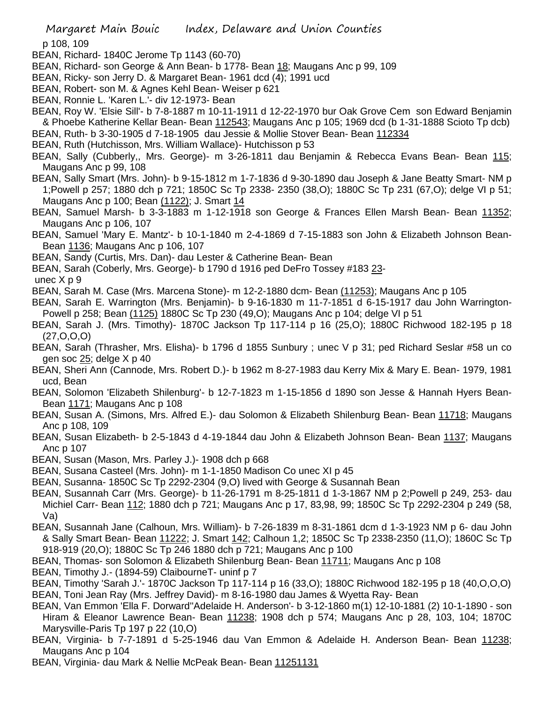p 108, 109

- BEAN, Richard- 1840C Jerome Tp 1143 (60-70)
- BEAN, Richard- son George & Ann Bean- b 1778- Bean 18; Maugans Anc p 99, 109
- BEAN, Ricky- son Jerry D. & Margaret Bean- 1961 dcd (4); 1991 ucd
- BEAN, Robert- son M. & Agnes Kehl Bean- Weiser p 621
- BEAN, Ronnie L. 'Karen L.'- div 12-1973- Bean

BEAN, Roy W. 'Elsie Sill'- b 7-8-1887 m 10-11-1911 d 12-22-1970 bur Oak Grove Cem son Edward Benjamin & Phoebe Katherine Kellar Bean- Bean 112543; Maugans Anc p 105; 1969 dcd (b 1-31-1888 Scioto Tp dcb)

- BEAN, Ruth- b 3-30-1905 d 7-18-1905 dau Jessie & Mollie Stover Bean- Bean 112334
- BEAN, Ruth (Hutchisson, Mrs. William Wallace)- Hutchisson p 53
- BEAN, Sally (Cubberly,, Mrs. George)- m 3-26-1811 dau Benjamin & Rebecca Evans Bean- Bean 115; Maugans Anc p 99, 108
- BEAN, Sally Smart (Mrs. John)- b 9-15-1812 m 1-7-1836 d 9-30-1890 dau Joseph & Jane Beatty Smart- NM p 1;Powell p 257; 1880 dch p 721; 1850C Sc Tp 2338- 2350 (38,O); 1880C Sc Tp 231 (67,O); delge VI p 51; Maugans Anc p 100; Bean (1122); J. Smart 14
- BEAN, Samuel Marsh- b 3-3-1883 m 1-12-1918 son George & Frances Ellen Marsh Bean- Bean 11352; Maugans Anc p 106, 107
- BEAN, Samuel 'Mary E. Mantz'- b 10-1-1840 m 2-4-1869 d 7-15-1883 son John & Elizabeth Johnson Bean-Bean 1136; Maugans Anc p 106, 107
- BEAN, Sandy (Curtis, Mrs. Dan)- dau Lester & Catherine Bean- Bean
- BEAN, Sarah (Coberly, Mrs. George)- b 1790 d 1916 ped DeFro Tossey #183 23-

unec X p 9

- BEAN, Sarah M. Case (Mrs. Marcena Stone)- m 12-2-1880 dcm- Bean (11253); Maugans Anc p 105
- BEAN, Sarah E. Warrington (Mrs. Benjamin)- b 9-16-1830 m 11-7-1851 d 6-15-1917 dau John Warrington-Powell p 258; Bean (1125) 1880C Sc Tp 230 (49,O); Maugans Anc p 104; delge VI p 51
- BEAN, Sarah J. (Mrs. Timothy)- 1870C Jackson Tp 117-114 p 16 (25,O); 1880C Richwood 182-195 p 18 (27,O,O,O)
- BEAN, Sarah (Thrasher, Mrs. Elisha)- b 1796 d 1855 Sunbury ; unec V p 31; ped Richard Seslar #58 un co gen soc 25; delge X p 40
- BEAN, Sheri Ann (Cannode, Mrs. Robert D.)- b 1962 m 8-27-1983 dau Kerry Mix & Mary E. Bean- 1979, 1981 ucd, Bean
- BEAN, Solomon 'Elizabeth Shilenburg'- b 12-7-1823 m 1-15-1856 d 1890 son Jesse & Hannah Hyers Bean-Bean 1171; Maugans Anc p 108
- BEAN, Susan A. (Simons, Mrs. Alfred E.)- dau Solomon & Elizabeth Shilenburg Bean- Bean 11718; Maugans Anc p 108, 109
- BEAN, Susan Elizabeth- b 2-5-1843 d 4-19-1844 dau John & Elizabeth Johnson Bean- Bean 1137; Maugans Anc p 107
- BEAN, Susan (Mason, Mrs. Parley J.)- 1908 dch p 668
- BEAN, Susana Casteel (Mrs. John)- m 1-1-1850 Madison Co unec XI p 45
- BEAN, Susanna- 1850C Sc Tp 2292-2304 (9,O) lived with George & Susannah Bean
- BEAN, Susannah Carr (Mrs. George)- b 11-26-1791 m 8-25-1811 d 1-3-1867 NM p 2;Powell p 249, 253- dau Michiel Carr- Bean 112; 1880 dch p 721; Maugans Anc p 17, 83,98, 99; 1850C Sc Tp 2292-2304 p 249 (58, Va)
- BEAN, Susannah Jane (Calhoun, Mrs. William)- b 7-26-1839 m 8-31-1861 dcm d 1-3-1923 NM p 6- dau John & Sally Smart Bean- Bean 11222; J. Smart 142; Calhoun 1,2; 1850C Sc Tp 2338-2350 (11,O); 1860C Sc Tp 918-919 (20,O); 1880C Sc Tp 246 1880 dch p 721; Maugans Anc p 100
- BEAN, Thomas- son Solomon & Elizabeth Shilenburg Bean- Bean 11711; Maugans Anc p 108
- BEAN, Timothy J.- (1894-59) ClaibourneT- uninf p 7
- BEAN, Timothy 'Sarah J.'- 1870C Jackson Tp 117-114 p 16 (33,O); 1880C Richwood 182-195 p 18 (40,O,O,O) BEAN, Toni Jean Ray (Mrs. Jeffrey David)- m 8-16-1980 dau James & Wyetta Ray- Bean
- BEAN, Van Emmon 'Ella F. Dorward''Adelaide H. Anderson'- b 3-12-1860 m(1) 12-10-1881 (2) 10-1-1890 son Hiram & Eleanor Lawrence Bean- Bean 11238; 1908 dch p 574; Maugans Anc p 28, 103, 104; 1870C Marysville-Paris Tp 197 p 22 (10,O)
- BEAN, Virginia- b 7-7-1891 d 5-25-1946 dau Van Emmon & Adelaide H. Anderson Bean- Bean 11238; Maugans Anc p 104
- BEAN, Virginia- dau Mark & Nellie McPeak Bean- Bean 11251131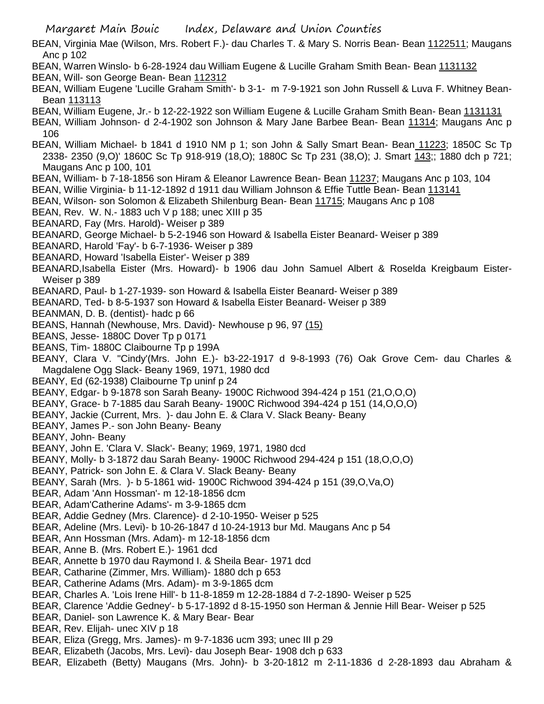BEAN, Virginia Mae (Wilson, Mrs. Robert F.)- dau Charles T. & Mary S. Norris Bean- Bean 1122511; Maugans Anc p 102

- BEAN, Warren Winslo- b 6-28-1924 dau William Eugene & Lucille Graham Smith Bean- Bean 1131132 BEAN, Will- son George Bean- Bean 112312
- BEAN, William Eugene 'Lucille Graham Smith'- b 3-1- m 7-9-1921 son John Russell & Luva F. Whitney Bean-Bean 113113
- BEAN, William Eugene, Jr.- b 12-22-1922 son William Eugene & Lucille Graham Smith Bean- Bean 1131131
- BEAN, William Johnson- d 2-4-1902 son Johnson & Mary Jane Barbee Bean- Bean 11314; Maugans Anc p 106
- BEAN, William Michael- b 1841 d 1910 NM p 1; son John & Sally Smart Bean- Bean 11223; 1850C Sc Tp 2338- 2350 (9,O)' 1860C Sc Tp 918-919 (18,O); 1880C Sc Tp 231 (38,O); J. Smart 143;; 1880 dch p 721; Maugans Anc p 100, 101
- BEAN, William- b 7-18-1856 son Hiram & Eleanor Lawrence Bean- Bean 11237; Maugans Anc p 103, 104
- BEAN, Willie Virginia- b 11-12-1892 d 1911 dau William Johnson & Effie Tuttle Bean- Bean 113141
- BEAN, Wilson- son Solomon & Elizabeth Shilenburg Bean- Bean 11715; Maugans Anc p 108
- BEAN, Rev. W. N.- 1883 uch V p 188; unec XIII p 35
- BEANARD, Fay (Mrs. Harold)- Weiser p 389
- BEANARD, George Michael- b 5-2-1946 son Howard & Isabella Eister Beanard- Weiser p 389
- BEANARD, Harold 'Fay'- b 6-7-1936- Weiser p 389
- BEANARD, Howard 'Isabella Eister'- Weiser p 389
- BEANARD,Isabella Eister (Mrs. Howard)- b 1906 dau John Samuel Albert & Roselda Kreigbaum Eister-Weiser p 389
- BEANARD, Paul- b 1-27-1939- son Howard & Isabella Eister Beanard- Weiser p 389
- BEANARD, Ted- b 8-5-1937 son Howard & Isabella Eister Beanard- Weiser p 389
- BEANMAN, D. B. (dentist)- hadc p 66
- BEANS, Hannah (Newhouse, Mrs. David)- Newhouse p 96, 97 (15)
- BEANS, Jesse- 1880C Dover Tp p 0171
- BEANS, Tim- 1880C Claibourne Tp p 199A
- BEANY, Clara V. "Cindy'(Mrs. John E.)- b3-22-1917 d 9-8-1993 (76) Oak Grove Cem- dau Charles & Magdalene Ogg Slack- Beany 1969, 1971, 1980 dcd
- BEANY, Ed (62-1938) Claibourne Tp uninf p 24
- BEANY, Edgar- b 9-1878 son Sarah Beany- 1900C Richwood 394-424 p 151 (21,O,O,O)
- BEANY, Grace- b 7-1885 dau Sarah Beany- 1900C Richwood 394-424 p 151 (14,O,O,O)
- BEANY, Jackie (Current, Mrs. )- dau John E. & Clara V. Slack Beany- Beany
- BEANY, James P.- son John Beany- Beany
- BEANY, John- Beany
- BEANY, John E. 'Clara V. Slack'- Beany; 1969, 1971, 1980 dcd
- BEANY, Molly- b 3-1872 dau Sarah Beany- 1900C Richwood 294-424 p 151 (18,O,O,O)
- BEANY, Patrick- son John E. & Clara V. Slack Beany- Beany
- BEANY, Sarah (Mrs. )- b 5-1861 wid- 1900C Richwood 394-424 p 151 (39,O,Va,O)
- BEAR, Adam 'Ann Hossman'- m 12-18-1856 dcm
- BEAR, Adam'Catherine Adams'- m 3-9-1865 dcm
- BEAR, Addie Gedney (Mrs. Clarence)- d 2-10-1950- Weiser p 525
- BEAR, Adeline (Mrs. Levi)- b 10-26-1847 d 10-24-1913 bur Md. Maugans Anc p 54
- BEAR, Ann Hossman (Mrs. Adam)- m 12-18-1856 dcm
- BEAR, Anne B. (Mrs. Robert E.)- 1961 dcd
- BEAR, Annette b 1970 dau Raymond I. & Sheila Bear- 1971 dcd
- BEAR, Catharine (Zimmer, Mrs. William)- 1880 dch p 653
- BEAR, Catherine Adams (Mrs. Adam)- m 3-9-1865 dcm
- BEAR, Charles A. 'Lois Irene Hill'- b 11-8-1859 m 12-28-1884 d 7-2-1890- Weiser p 525
- BEAR, Clarence 'Addie Gedney'- b 5-17-1892 d 8-15-1950 son Herman & Jennie Hill Bear- Weiser p 525
- BEAR, Daniel- son Lawrence K. & Mary Bear- Bear
- BEAR, Rev. Elijah- unec XIV p 18
- BEAR, Eliza (Gregg, Mrs. James)- m 9-7-1836 ucm 393; unec III p 29
- BEAR, Elizabeth (Jacobs, Mrs. Levi)- dau Joseph Bear- 1908 dch p 633
- BEAR, Elizabeth (Betty) Maugans (Mrs. John)- b 3-20-1812 m 2-11-1836 d 2-28-1893 dau Abraham &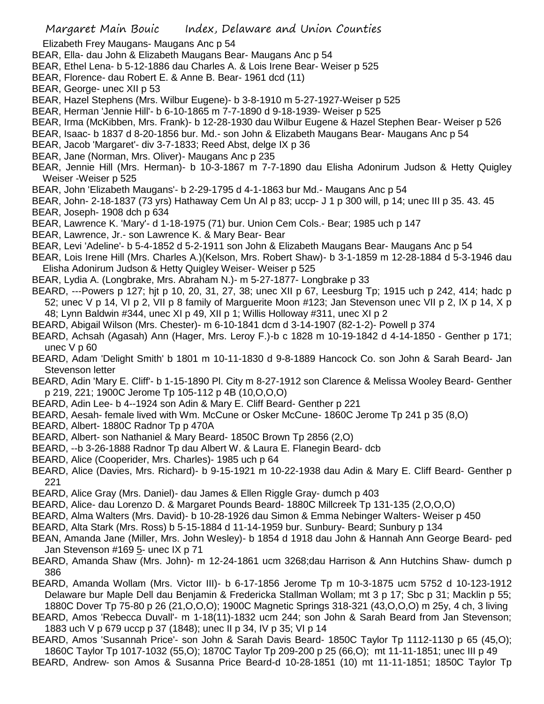Elizabeth Frey Maugans- Maugans Anc p 54

- BEAR, Ella- dau John & Elizabeth Maugans Bear- Maugans Anc p 54
- BEAR, Ethel Lena- b 5-12-1886 dau Charles A. & Lois Irene Bear- Weiser p 525
- BEAR, Florence- dau Robert E. & Anne B. Bear- 1961 dcd (11)
- BEAR, George- unec XII p 53
- BEAR, Hazel Stephens (Mrs. Wilbur Eugene)- b 3-8-1910 m 5-27-1927-Weiser p 525
- BEAR, Herman 'Jennie Hill'- b 6-10-1865 m 7-7-1890 d 9-18-1939- Weiser p 525
- BEAR, Irma (McKibben, Mrs. Frank)- b 12-28-1930 dau Wilbur Eugene & Hazel Stephen Bear- Weiser p 526
- BEAR, Isaac- b 1837 d 8-20-1856 bur. Md.- son John & Elizabeth Maugans Bear- Maugans Anc p 54
- BEAR, Jacob 'Margaret'- div 3-7-1833; Reed Abst, delge IX p 36
- BEAR, Jane (Norman, Mrs. Oliver)- Maugans Anc p 235
- BEAR, Jennie Hill (Mrs. Herman)- b 10-3-1867 m 7-7-1890 dau Elisha Adonirum Judson & Hetty Quigley Weiser -Weiser p 525
- BEAR, John 'Elizabeth Maugans'- b 2-29-1795 d 4-1-1863 bur Md.- Maugans Anc p 54
- BEAR, John- 2-18-1837 (73 yrs) Hathaway Cem Un Al p 83; uccp- J 1 p 300 will, p 14; unec III p 35. 43. 45
- BEAR, Joseph- 1908 dch p 634
- BEAR, Lawrence K. 'Mary'- d 1-18-1975 (71) bur. Union Cem Cols.- Bear; 1985 uch p 147
- BEAR, Lawrence, Jr.- son Lawrence K. & Mary Bear- Bear
- BEAR, Levi 'Adeline'- b 5-4-1852 d 5-2-1911 son John & Elizabeth Maugans Bear- Maugans Anc p 54
- BEAR, Lois Irene Hill (Mrs. Charles A.)(Kelson, Mrs. Robert Shaw)- b 3-1-1859 m 12-28-1884 d 5-3-1946 dau Elisha Adonirum Judson & Hetty Quigley Weiser- Weiser p 525
- BEAR, Lydia A. (Longbrake, Mrs. Abraham N.)- m 5-27-1877- Longbrake p 33
- BEARD, ---Powers p 127; hjt p 10, 20, 31, 27, 38; unec XII p 67, Leesburg Tp; 1915 uch p 242, 414; hadc p 52; unec V p 14, VI p 2, VII p 8 family of Marguerite Moon #123; Jan Stevenson unec VII p 2, IX p 14, X p 48; Lynn Baldwin #344, unec XI p 49, XII p 1; Willis Holloway #311, unec XI p 2
- BEARD, Abigail Wilson (Mrs. Chester)- m 6-10-1841 dcm d 3-14-1907 (82-1-2)- Powell p 374
- BEARD, Achsah (Agasah) Ann (Hager, Mrs. Leroy F.)-b c 1828 m 10-19-1842 d 4-14-1850 Genther p 171; unec V p 60
- BEARD, Adam 'Delight Smith' b 1801 m 10-11-1830 d 9-8-1889 Hancock Co. son John & Sarah Beard- Jan Stevenson letter
- BEARD, Adin 'Mary E. Cliff'- b 1-15-1890 Pl. City m 8-27-1912 son Clarence & Melissa Wooley Beard- Genther p 219, 221; 1900C Jerome Tp 105-112 p 4B (10,O,O,O)
- BEARD, Adin Lee- b 4--1924 son Adin & Mary E. Cliff Beard- Genther p 221
- BEARD, Aesah- female lived with Wm. McCune or Osker McCune- 1860C Jerome Tp 241 p 35 (8,O)
- BEARD, Albert- 1880C Radnor Tp p 470A
- BEARD, Albert- son Nathaniel & Mary Beard- 1850C Brown Tp 2856 (2,O)
- BEARD, --b 3-26-1888 Radnor Tp dau Albert W. & Laura E. Flanegin Beard- dcb
- BEARD, Alice (Cooperider, Mrs. Charles)- 1985 uch p 64
- BEARD, Alice (Davies, Mrs. Richard)- b 9-15-1921 m 10-22-1938 dau Adin & Mary E. Cliff Beard- Genther p 221
- BEARD, Alice Gray (Mrs. Daniel)- dau James & Ellen Riggle Gray- dumch p 403
- BEARD, Alice- dau Lorenzo D. & Margaret Pounds Beard- 1880C Millcreek Tp 131-135 (2,O,O,O)
- BEARD, Alma Walters (Mrs. David)- b 10-28-1926 dau Simon & Emma Nebinger Walters- Weiser p 450
- BEARD, Alta Stark (Mrs. Ross) b 5-15-1884 d 11-14-1959 bur. Sunbury- Beard; Sunbury p 134
- BEAN, Amanda Jane (Miller, Mrs. John Wesley)- b 1854 d 1918 dau John & Hannah Ann George Beard- ped Jan Stevenson #169 5- unec IX p 71
- BEARD, Amanda Shaw (Mrs. John)- m 12-24-1861 ucm 3268;dau Harrison & Ann Hutchins Shaw- dumch p 386
- BEARD, Amanda Wollam (Mrs. Victor III)- b 6-17-1856 Jerome Tp m 10-3-1875 ucm 5752 d 10-123-1912 Delaware bur Maple Dell dau Benjamin & Fredericka Stallman Wollam; mt 3 p 17; Sbc p 31; Macklin p 55; 1880C Dover Tp 75-80 p 26 (21,O,O,O); 1900C Magnetic Springs 318-321 (43,O,O,O) m 25y, 4 ch, 3 living
- BEARD, Amos 'Rebecca Duvall'- m 1-18(11)-1832 ucm 244; son John & Sarah Beard from Jan Stevenson; 1883 uch V p 679 uccp p 37 (1848); unec II p 34, IV p 35; VI p 14
- BEARD, Amos 'Susannah Price'- son John & Sarah Davis Beard- 1850C Taylor Tp 1112-1130 p 65 (45,O); 1860C Taylor Tp 1017-1032 (55,O); 1870C Taylor Tp 209-200 p 25 (66,O); mt 11-11-1851; unec III p 49
- BEARD, Andrew- son Amos & Susanna Price Beard-d 10-28-1851 (10) mt 11-11-1851; 1850C Taylor Tp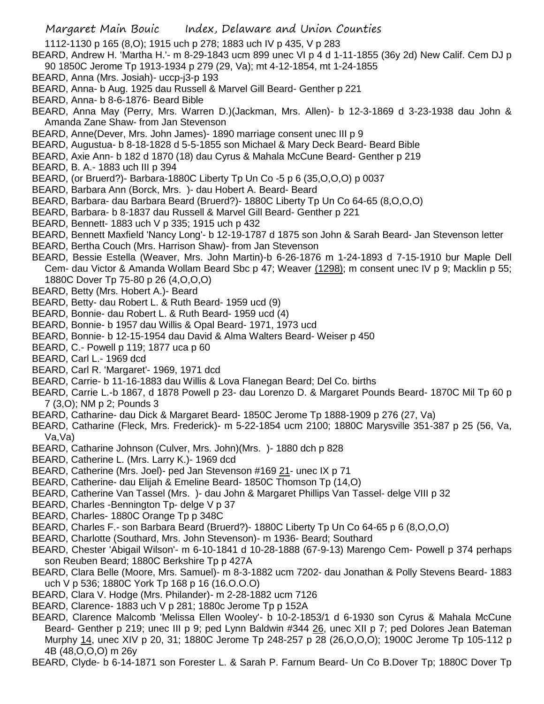1112-1130 p 165 (8,O); 1915 uch p 278; 1883 uch IV p 435, V p 283

- BEARD, Andrew H. 'Martha H.'- m 8-29-1843 ucm 899 unec VI p 4 d 1-11-1855 (36y 2d) New Calif. Cem DJ p 90 1850C Jerome Tp 1913-1934 p 279 (29, Va); mt 4-12-1854, mt 1-24-1855
- BEARD, Anna (Mrs. Josiah)- uccp-j3-p 193
- BEARD, Anna- b Aug. 1925 dau Russell & Marvel Gill Beard- Genther p 221
- BEARD, Anna- b 8-6-1876- Beard Bible
- BEARD, Anna May (Perry, Mrs. Warren D.)(Jackman, Mrs. Allen)- b 12-3-1869 d 3-23-1938 dau John & Amanda Zane Shaw- from Jan Stevenson
- BEARD, Anne(Dever, Mrs. John James)- 1890 marriage consent unec III p 9
- BEARD, Augustua- b 8-18-1828 d 5-5-1855 son Michael & Mary Deck Beard- Beard Bible
- BEARD, Axie Ann- b 182 d 1870 (18) dau Cyrus & Mahala McCune Beard- Genther p 219
- BEARD, B. A.- 1883 uch III p 394
- BEARD, (or Bruerd?)- Barbara-1880C Liberty Tp Un Co -5 p 6 (35,O,O,O) p 0037
- BEARD, Barbara Ann (Borck, Mrs. )- dau Hobert A. Beard- Beard
- BEARD, Barbara- dau Barbara Beard (Bruerd?)- 1880C Liberty Tp Un Co 64-65 (8,O,O,O)
- BEARD, Barbara- b 8-1837 dau Russell & Marvel Gill Beard- Genther p 221
- BEARD, Bennett- 1883 uch V p 335; 1915 uch p 432
- BEARD, Bennett Maxfield 'Nancy Long'- b 12-19-1787 d 1875 son John & Sarah Beard- Jan Stevenson letter
- BEARD, Bertha Couch (Mrs. Harrison Shaw)- from Jan Stevenson
- BEARD, Bessie Estella (Weaver, Mrs. John Martin)-b 6-26-1876 m 1-24-1893 d 7-15-1910 bur Maple Dell Cem- dau Victor & Amanda Wollam Beard Sbc p 47; Weaver (1298); m consent unec IV p 9; Macklin p 55; 1880C Dover Tp 75-80 p 26 (4,O,O,O)
- BEARD, Betty (Mrs. Hobert A.)- Beard
- BEARD, Betty- dau Robert L. & Ruth Beard- 1959 ucd (9)
- BEARD, Bonnie- dau Robert L. & Ruth Beard- 1959 ucd (4)
- BEARD, Bonnie- b 1957 dau Willis & Opal Beard- 1971, 1973 ucd
- BEARD, Bonnie- b 12-15-1954 dau David & Alma Walters Beard- Weiser p 450
- BEARD, C.- Powell p 119; 1877 uca p 60
- BEARD, Carl L.- 1969 dcd
- BEARD, Carl R. 'Margaret'- 1969, 1971 dcd
- BEARD, Carrie- b 11-16-1883 dau Willis & Lova Flanegan Beard; Del Co. births
- BEARD, Carrie L.-b 1867, d 1878 Powell p 23- dau Lorenzo D. & Margaret Pounds Beard- 1870C Mil Tp 60 p 7 (3,O); NM p 2; Pounds 3
- BEARD, Catharine- dau Dick & Margaret Beard- 1850C Jerome Tp 1888-1909 p 276 (27, Va)
- BEARD, Catharine (Fleck, Mrs. Frederick)- m 5-22-1854 ucm 2100; 1880C Marysville 351-387 p 25 (56, Va, Va,Va)
- BEARD, Catharine Johnson (Culver, Mrs. John)(Mrs. )- 1880 dch p 828
- BEARD, Catherine L. (Mrs. Larry K.)- 1969 dcd
- BEARD, Catherine (Mrs. Joel)- ped Jan Stevenson #169 21- unec IX p 71
- BEARD, Catherine- dau Elijah & Emeline Beard- 1850C Thomson Tp (14,O)
- BEARD, Catherine Van Tassel (Mrs. )- dau John & Margaret Phillips Van Tassel- delge VIII p 32
- BEARD, Charles -Bennington Tp- delge V p 37
- BEARD, Charles- 1880C Orange Tp p 348C
- BEARD, Charles F.- son Barbara Beard (Bruerd?)- 1880C Liberty Tp Un Co 64-65 p 6 (8,O,O,O)
- BEARD, Charlotte (Southard, Mrs. John Stevenson)- m 1936- Beard; Southard
- BEARD, Chester 'Abigail Wilson'- m 6-10-1841 d 10-28-1888 (67-9-13) Marengo Cem- Powell p 374 perhaps son Reuben Beard; 1880C Berkshire Tp p 427A
- BEARD, Clara Belle (Moore, Mrs. Samuel)- m 8-3-1882 ucm 7202- dau Jonathan & Polly Stevens Beard- 1883 uch V p 536; 1880C York Tp 168 p 16 (16.O.O.O)
- BEARD, Clara V. Hodge (Mrs. Philander)- m 2-28-1882 ucm 7126
- BEARD, Clarence- 1883 uch V p 281; 1880c Jerome Tp p 152A
- BEARD, Clarence Malcomb 'Melissa Ellen Wooley'- b 10-2-1853/1 d 6-1930 son Cyrus & Mahala McCune Beard- Genther p 219; unec III p 9; ped Lynn Baldwin #344 26, unec XII p 7; ped Dolores Jean Bateman Murphy 14, unec XIV p 20, 31; 1880C Jerome Tp 248-257 p 28 (26,O,O,O); 1900C Jerome Tp 105-112 p 4B (48,O,O,O) m 26y
- BEARD, Clyde- b 6-14-1871 son Forester L. & Sarah P. Farnum Beard- Un Co B.Dover Tp; 1880C Dover Tp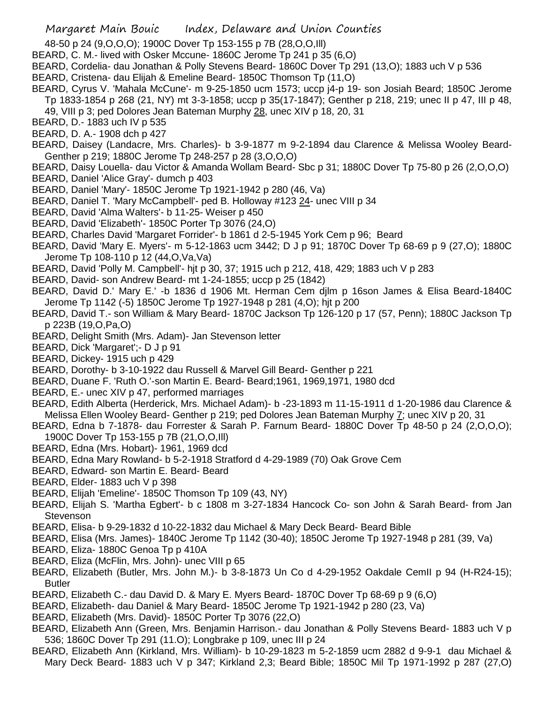- 48-50 p 24 (9,O,O,O); 1900C Dover Tp 153-155 p 7B (28,O,O,Ill)
- BEARD, C. M.- lived with Osker Mccune- 1860C Jerome Tp 241 p 35 (6,O)
- BEARD, Cordelia- dau Jonathan & Polly Stevens Beard- 1860C Dover Tp 291 (13,O); 1883 uch V p 536
- BEARD, Cristena- dau Elijah & Emeline Beard- 1850C Thomson Tp (11,O)
- BEARD, Cyrus V. 'Mahala McCune'- m 9-25-1850 ucm 1573; uccp j4-p 19- son Josiah Beard; 1850C Jerome Tp 1833-1854 p 268 (21, NY) mt 3-3-1858; uccp p 35(17-1847); Genther p 218, 219; unec II p 47, III p 48,
	- 49, VIII p 3; ped Dolores Jean Bateman Murphy 28, unec XIV p 18, 20, 31
- BEARD, D.- 1883 uch IV p 535
- BEARD, D. A.- 1908 dch p 427
- BEARD, Daisey (Landacre, Mrs. Charles)- b 3-9-1877 m 9-2-1894 dau Clarence & Melissa Wooley Beard-Genther p 219; 1880C Jerome Tp 248-257 p 28 (3,O,O,O)
- BEARD, Daisy Louella- dau Victor & Amanda Wollam Beard- Sbc p 31; 1880C Dover Tp 75-80 p 26 (2,O,O,O)
- BEARD, Daniel 'Alice Gray'- dumch p 403
- BEARD, Daniel 'Mary'- 1850C Jerome Tp 1921-1942 p 280 (46, Va)
- BEARD, Daniel T. 'Mary McCampbell'- ped B. Holloway #123 24- unec VIII p 34
- BEARD, David 'Alma Walters'- b 11-25- Weiser p 450
- BEARD, David 'Elizabeth'- 1850C Porter Tp 3076 (24,O)
- BEARD, Charles David 'Margaret Forrider'- b 1861 d 2-5-1945 York Cem p 96; Beard
- BEARD, David 'Mary E. Myers'- m 5-12-1863 ucm 3442; D J p 91; 1870C Dover Tp 68-69 p 9 (27,O); 1880C Jerome Tp 108-110 p 12 (44,O,Va,Va)
- BEARD, David 'Polly M. Campbell'- hjt p 30, 37; 1915 uch p 212, 418, 429; 1883 uch V p 283
- BEARD, David- son Andrew Beard- mt 1-24-1855; uccp p 25 (1842)
- BEARD, David D.' Mary E.' -b 1836 d 1906 Mt. Herman Cem djlm p 16son James & Elisa Beard-1840C Jerome Tp 1142 (-5) 1850C Jerome Tp 1927-1948 p 281 (4,O); hjt p 200
- BEARD, David T.- son William & Mary Beard- 1870C Jackson Tp 126-120 p 17 (57, Penn); 1880C Jackson Tp p 223B (19,O,Pa,O)
- BEARD, Delight Smith (Mrs. Adam)- Jan Stevenson letter
- BEARD, Dick 'Margaret';- D J p 91
- BEARD, Dickey- 1915 uch p 429
- BEARD, Dorothy- b 3-10-1922 dau Russell & Marvel Gill Beard- Genther p 221
- BEARD, Duane F. 'Ruth O.'-son Martin E. Beard- Beard;1961, 1969,1971, 1980 dcd
- BEARD, E.- unec XIV p 47, performed marriages
- BEARD, Edith Alberta (Herderick, Mrs. Michael Adam)- b -23-1893 m 11-15-1911 d 1-20-1986 dau Clarence & Melissa Ellen Wooley Beard- Genther p 219; ped Dolores Jean Bateman Murphy 7; unec XIV p 20, 31
- BEARD, Edna b 7-1878- dau Forrester & Sarah P. Farnum Beard- 1880C Dover Tp 48-50 p 24 (2,O,O,O); 1900C Dover Tp 153-155 p 7B (21,O,O,Ill)
- BEARD, Edna (Mrs. Hobart)- 1961, 1969 dcd
- BEARD, Edna Mary Rowland- b 5-2-1918 Stratford d 4-29-1989 (70) Oak Grove Cem
- BEARD, Edward- son Martin E. Beard- Beard
- BEARD, Elder- 1883 uch V p 398
- BEARD, Elijah 'Emeline'- 1850C Thomson Tp 109 (43, NY)
- BEARD, Elijah S. 'Martha Egbert'- b c 1808 m 3-27-1834 Hancock Co- son John & Sarah Beard- from Jan Stevenson
- BEARD, Elisa- b 9-29-1832 d 10-22-1832 dau Michael & Mary Deck Beard- Beard Bible
- BEARD, Elisa (Mrs. James)- 1840C Jerome Tp 1142 (30-40); 1850C Jerome Tp 1927-1948 p 281 (39, Va)
- BEARD, Eliza- 1880C Genoa Tp p 410A
- BEARD, Eliza (McFlin, Mrs. John)- unec VIII p 65
- BEARD, Elizabeth (Butler, Mrs. John M.)- b 3-8-1873 Un Co d 4-29-1952 Oakdale CemII p 94 (H-R24-15); Butler
- BEARD, Elizabeth C.- dau David D. & Mary E. Myers Beard- 1870C Dover Tp 68-69 p 9 (6,O)
- BEARD, Elizabeth- dau Daniel & Mary Beard- 1850C Jerome Tp 1921-1942 p 280 (23, Va)
- BEARD, Elizabeth (Mrs. David)- 1850C Porter Tp 3076 (22,O)
- BEARD, Elizabeth Ann (Green, Mrs. Benjamin Harrison.- dau Jonathan & Polly Stevens Beard- 1883 uch V p 536; 1860C Dover Tp 291 (11.O); Longbrake p 109, unec III p 24
- BEARD, Elizabeth Ann (Kirkland, Mrs. William)- b 10-29-1823 m 5-2-1859 ucm 2882 d 9-9-1 dau Michael & Mary Deck Beard- 1883 uch V p 347; Kirkland 2,3; Beard Bible; 1850C Mil Tp 1971-1992 p 287 (27,O)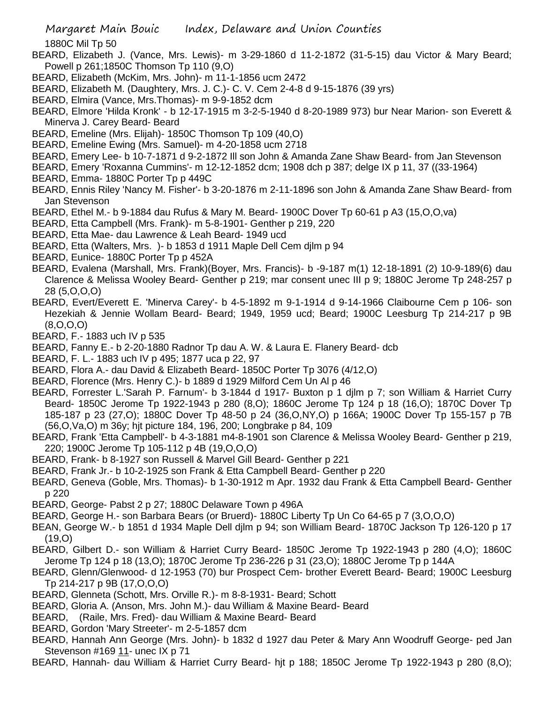1880C Mil Tp 50

- BEARD, Elizabeth J. (Vance, Mrs. Lewis)- m 3-29-1860 d 11-2-1872 (31-5-15) dau Victor & Mary Beard; Powell p 261;1850C Thomson Tp 110 (9,O)
- BEARD, Elizabeth (McKim, Mrs. John)- m 11-1-1856 ucm 2472
- BEARD, Elizabeth M. (Daughtery, Mrs. J. C.)- C. V. Cem 2-4-8 d 9-15-1876 (39 yrs)
- BEARD, Elmira (Vance, Mrs.Thomas)- m 9-9-1852 dcm
- BEARD, Elmore 'Hilda Kronk' b 12-17-1915 m 3-2-5-1940 d 8-20-1989 973) bur Near Marion- son Everett & Minerva J. Carey Beard- Beard
- BEARD, Emeline (Mrs. Elijah)- 1850C Thomson Tp 109 (40,O)
- BEARD, Emeline Ewing (Mrs. Samuel)- m 4-20-1858 ucm 2718
- BEARD, Emery Lee- b 10-7-1871 d 9-2-1872 Ill son John & Amanda Zane Shaw Beard- from Jan Stevenson
- BEARD, Emery 'Roxanna Cummins'- m 12-12-1852 dcm; 1908 dch p 387; delge IX p 11, 37 ((33-1964)
- BEARD, Emma- 1880C Porter Tp p 449C
- BEARD, Ennis Riley 'Nancy M. Fisher'- b 3-20-1876 m 2-11-1896 son John & Amanda Zane Shaw Beard- from Jan Stevenson
- BEARD, Ethel M.- b 9-1884 dau Rufus & Mary M. Beard- 1900C Dover Tp 60-61 p A3 (15,O,O,va)
- BEARD, Etta Campbell (Mrs. Frank)- m 5-8-1901- Genther p 219, 220
- BEARD, Etta Mae- dau Lawrence & Leah Beard- 1949 ucd
- BEARD, Etta (Walters, Mrs. )- b 1853 d 1911 Maple Dell Cem djlm p 94
- BEARD, Eunice- 1880C Porter Tp p 452A
- BEARD, Evalena (Marshall, Mrs. Frank)(Boyer, Mrs. Francis)- b -9-187 m(1) 12-18-1891 (2) 10-9-189(6) dau Clarence & Melissa Wooley Beard- Genther p 219; mar consent unec III p 9; 1880C Jerome Tp 248-257 p 28 (5,O,O,O)
- BEARD, Evert/Everett E. 'Minerva Carey'- b 4-5-1892 m 9-1-1914 d 9-14-1966 Claibourne Cem p 106- son Hezekiah & Jennie Wollam Beard- Beard; 1949, 1959 ucd; Beard; 1900C Leesburg Tp 214-217 p 9B (8,O,O,O)
- BEARD, F.- 1883 uch IV p 535
- BEARD, Fanny E.- b 2-20-1880 Radnor Tp dau A. W. & Laura E. Flanery Beard- dcb
- BEARD, F. L.- 1883 uch IV p 495; 1877 uca p 22, 97
- BEARD, Flora A.- dau David & Elizabeth Beard- 1850C Porter Tp 3076 (4/12,O)
- BEARD, Florence (Mrs. Henry C.)- b 1889 d 1929 Milford Cem Un Al p 46
- BEARD, Forrester L.'Sarah P. Farnum'- b 3-1844 d 1917- Buxton p 1 djlm p 7; son William & Harriet Curry Beard- 1850C Jerome Tp 1922-1943 p 280 (8,O); 1860C Jerome Tp 124 p 18 (16,O); 1870C Dover Tp 185-187 p 23 (27,O); 1880C Dover Tp 48-50 p 24 (36,O,NY,O) p 166A; 1900C Dover Tp 155-157 p 7B (56,O,Va,O) m 36y; hjt picture 184, 196, 200; Longbrake p 84, 109
- BEARD, Frank 'Etta Campbell'- b 4-3-1881 m4-8-1901 son Clarence & Melissa Wooley Beard- Genther p 219, 220; 1900C Jerome Tp 105-112 p 4B (19,O,O,O)
- BEARD, Frank- b 8-1927 son Russell & Marvel Gill Beard- Genther p 221
- BEARD, Frank Jr.- b 10-2-1925 son Frank & Etta Campbell Beard- Genther p 220
- BEARD, Geneva (Goble, Mrs. Thomas)- b 1-30-1912 m Apr. 1932 dau Frank & Etta Campbell Beard- Genther p 220
- BEARD, George- Pabst 2 p 27; 1880C Delaware Town p 496A
- BEARD, George H.- son Barbara Bears (or Bruerd)- 1880C Liberty Tp Un Co 64-65 p 7 (3,O,O,O)
- BEAN, George W.- b 1851 d 1934 Maple Dell djlm p 94; son William Beard- 1870C Jackson Tp 126-120 p 17 (19,O)
- BEARD, Gilbert D.- son William & Harriet Curry Beard- 1850C Jerome Tp 1922-1943 p 280 (4,O); 1860C Jerome Tp 124 p 18 (13,O); 1870C Jerome Tp 236-226 p 31 (23,O); 1880C Jerome Tp p 144A
- BEARD, Glenn/Glenwood- d 12-1953 (70) bur Prospect Cem- brother Everett Beard- Beard; 1900C Leesburg Tp 214-217 p 9B (17,O,O,O)
- BEARD, Glenneta (Schott, Mrs. Orville R.)- m 8-8-1931- Beard; Schott
- BEARD, Gloria A. (Anson, Mrs. John M.)- dau William & Maxine Beard- Beard
- BEARD, (Raile, Mrs. Fred)- dau William & Maxine Beard- Beard
- BEARD, Gordon 'Mary Streeter'- m 2-5-1857 dcm
- BEARD, Hannah Ann George (Mrs. John)- b 1832 d 1927 dau Peter & Mary Ann Woodruff George- ped Jan Stevenson #169 11- unec IX p 71
- BEARD, Hannah- dau William & Harriet Curry Beard- hjt p 188; 1850C Jerome Tp 1922-1943 p 280 (8,O);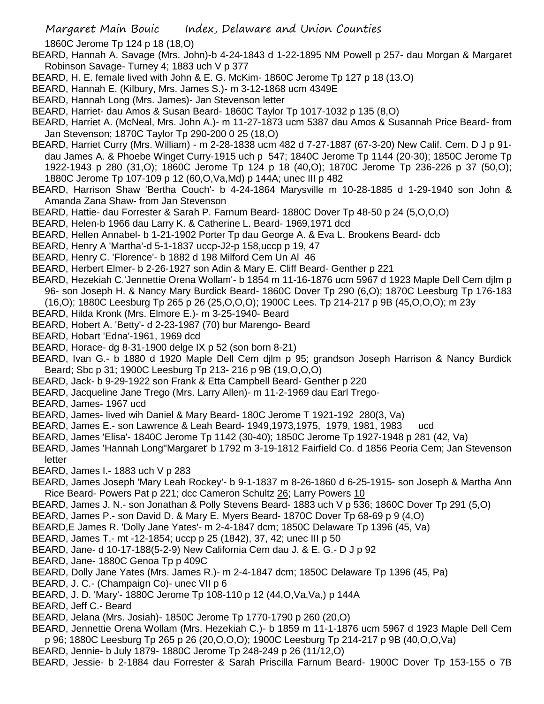1860C Jerome Tp 124 p 18 (18,O)

- BEARD, Hannah A. Savage (Mrs. John)-b 4-24-1843 d 1-22-1895 NM Powell p 257- dau Morgan & Margaret Robinson Savage- Turney 4; 1883 uch V p 377
- BEARD, H. E. female lived with John & E. G. McKim- 1860C Jerome Tp 127 p 18 (13.O)
- BEARD, Hannah E. (Kilbury, Mrs. James S.)- m 3-12-1868 ucm 4349E
- BEARD, Hannah Long (Mrs. James)- Jan Stevenson letter
- BEARD, Harriet- dau Amos & Susan Beard- 1860C Taylor Tp 1017-1032 p 135 (8,O)
- BEARD, Harriet A. (McNeal, Mrs. John A.)- m 11-27-1873 ucm 5387 dau Amos & Susannah Price Beard- from Jan Stevenson; 1870C Taylor Tp 290-200 0 25 (18,O)
- BEARD, Harriet Curry (Mrs. William) m 2-28-1838 ucm 482 d 7-27-1887 (67-3-20) New Calif. Cem. D J p 91 dau James A. & Phoebe Winget Curry-1915 uch p 547; 1840C Jerome Tp 1144 (20-30); 1850C Jerome Tp 1922-1943 p 280 (31,O); 1860C Jerome Tp 124 p 18 (40,O); 1870C Jerome Tp 236-226 p 37 (50,O); 1880C Jerome Tp 107-109 p 12 (60,O,Va,Md) p 144A; unec III p 482
- BEARD, Harrison Shaw 'Bertha Couch'- b 4-24-1864 Marysville m 10-28-1885 d 1-29-1940 son John & Amanda Zana Shaw- from Jan Stevenson
- BEARD, Hattie- dau Forrester & Sarah P. Farnum Beard- 1880C Dover Tp 48-50 p 24 (5,O,O,O)
- BEARD, Helen-b 1966 dau Larry K. & Catherine L. Beard- 1969,1971 dcd
- BEARD, Hellen Annabel- b 1-21-1902 Porter Tp dau George A. & Eva L. Brookens Beard- dcb
- BEARD, Henry A 'Martha'-d 5-1-1837 uccp-J2-p 158,uccp p 19, 47
- BEARD, Henry C. 'Florence'- b 1882 d 198 Milford Cem Un Al 46
- BEARD, Herbert Elmer- b 2-26-1927 son Adin & Mary E. Cliff Beard- Genther p 221
- BEARD, Hezekiah C.'Jennettie Orena Wollam'- b 1854 m 11-16-1876 ucm 5967 d 1923 Maple Dell Cem djlm p 96- son Joseph H. & Nancy Mary Burdick Beard- 1860C Dover Tp 290 (6,O); 1870C Leesburg Tp 176-183
	- (16,O); 1880C Leesburg Tp 265 p 26 (25,O,O,O); 1900C Lees. Tp 214-217 p 9B (45,O,O,O); m 23y
- BEARD, Hilda Kronk (Mrs. Elmore E.)- m 3-25-1940- Beard
- BEARD, Hobert A. 'Betty'- d 2-23-1987 (70) bur Marengo- Beard
- BEARD, Hobart 'Edna'-1961, 1969 dcd
- BEARD, Horace- dg 8-31-1900 delge IX p 52 (son born 8-21)
- BEARD, Ivan G.- b 1880 d 1920 Maple Dell Cem djlm p 95; grandson Joseph Harrison & Nancy Burdick Beard; Sbc p 31; 1900C Leesburg Tp 213- 216 p 9B (19,O,O,O)
- BEARD, Jack- b 9-29-1922 son Frank & Etta Campbell Beard- Genther p 220
- BEARD, Jacqueline Jane Trego (Mrs. Larry Allen)- m 11-2-1969 dau Earl Trego-
- BEARD, James- 1967 ucd
- BEARD, James- lived wih Daniel & Mary Beard- 180C Jerome T 1921-192 280(3, Va)
- BEARD, James E.- son Lawrence & Leah Beard- 1949,1973,1975, 1979, 1981, 1983 ucd
- BEARD, James 'Elisa'- 1840C Jerome Tp 1142 (30-40); 1850C Jerome Tp 1927-1948 p 281 (42, Va)
- BEARD, James 'Hannah Long''Margaret' b 1792 m 3-19-1812 Fairfield Co. d 1856 Peoria Cem; Jan Stevenson letter
- BEARD, James I.- 1883 uch V p 283
- BEARD, James Joseph 'Mary Leah Rockey'- b 9-1-1837 m 8-26-1860 d 6-25-1915- son Joseph & Martha Ann Rice Beard- Powers Pat p 221; dcc Cameron Schultz 26; Larry Powers 10
- BEARD, James J. N.- son Jonathan & Polly Stevens Beard- 1883 uch V p 536; 1860C Dover Tp 291 (5,O)
- BEARD, James P.- son David D. & Mary E. Myers Beard- 1870C Dover Tp 68-69 p 9 (4,O)
- BEARD,E James R. 'Dolly Jane Yates'- m 2-4-1847 dcm; 1850C Delaware Tp 1396 (45, Va)
- BEARD, James T.- mt -12-1854; uccp p 25 (1842), 37, 42; unec III p 50
- BEARD, Jane- d 10-17-188(5-2-9) New California Cem dau J. & E. G.- D J p 92
- BEARD, Jane- 1880C Genoa Tp p 409C
- BEARD, Dolly Jane Yates (Mrs. James R.)- m 2-4-1847 dcm; 1850C Delaware Tp 1396 (45, Pa)
- BEARD, J. C.- (Champaign Co)- unec VII p 6
- BEARD, J. D. 'Mary'- 1880C Jerome Tp 108-110 p 12 (44,O,Va,Va,) p 144A
- BEARD, Jeff C.- Beard
- BEARD, Jelana (Mrs. Josiah)- 1850C Jerome Tp 1770-1790 p 260 (20,O)
- BEARD, Jennettie Orena Wollam (Mrs. Hezekiah C.)- b 1859 m 11-1-1876 ucm 5967 d 1923 Maple Dell Cem p 96; 1880C Leesburg Tp 265 p 26 (20,O,O,O); 1900C Leesburg Tp 214-217 p 9B (40,O,O,Va)
- BEARD, Jennie- b July 1879- 1880C Jerome Tp 248-249 p 26 (11/12,O)
- BEARD, Jessie- b 2-1884 dau Forrester & Sarah Priscilla Farnum Beard- 1900C Dover Tp 153-155 o 7B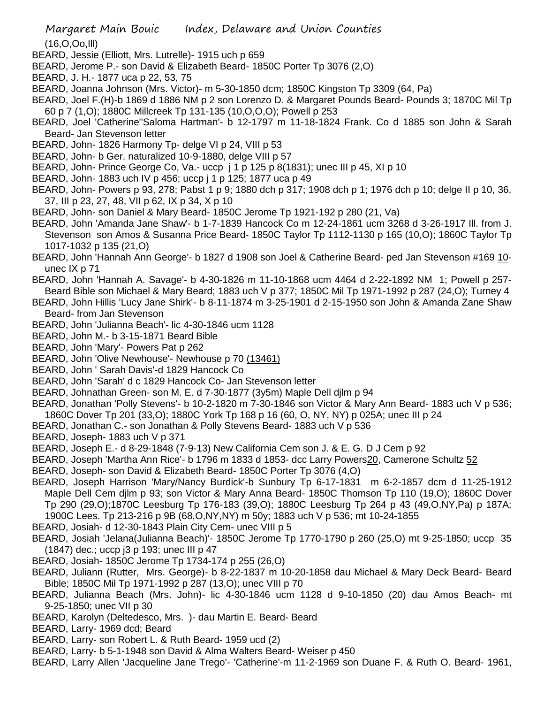(16,O,Oo,Ill)

- BEARD, Jessie (Elliott, Mrs. Lutrelle)- 1915 uch p 659
- BEARD, Jerome P.- son David & Elizabeth Beard- 1850C Porter Tp 3076 (2,O)
- BEARD, J. H.- 1877 uca p 22, 53, 75
- BEARD, Joanna Johnson (Mrs. Victor)- m 5-30-1850 dcm; 1850C Kingston Tp 3309 (64, Pa)
- BEARD, Joel F.(H)-b 1869 d 1886 NM p 2 son Lorenzo D. & Margaret Pounds Beard- Pounds 3; 1870C Mil Tp 60 p 7 (1,O); 1880C Millcreek Tp 131-135 (10,O,O,O); Powell p 253
- BEARD, Joel 'Catherine''Saloma Hartman'- b 12-1797 m 11-18-1824 Frank. Co d 1885 son John & Sarah Beard- Jan Stevenson letter
- BEARD, John- 1826 Harmony Tp- delge VI p 24, VIII p 53
- BEARD, John- b Ger. naturalized 10-9-1880, delge VIII p 57
- BEARD, John- Prince George Co, Va.- uccp j 1 p 125 p 8(1831); unec III p 45, XI p 10
- BEARD, John- 1883 uch IV p 456; uccp j 1 p 125; 1877 uca p 49
- BEARD, John- Powers p 93, 278; Pabst 1 p 9; 1880 dch p 317; 1908 dch p 1; 1976 dch p 10; delge II p 10, 36, 37, III p 23, 27, 48, VII p 62, IX p 34, X p 10
- BEARD, John- son Daniel & Mary Beard- 1850C Jerome Tp 1921-192 p 280 (21, Va)
- BEARD, John 'Amanda Jane Shaw'- b 1-7-1839 Hancock Co m 12-24-1861 ucm 3268 d 3-26-1917 Ill. from J. Stevenson son Amos & Susanna Price Beard- 1850C Taylor Tp 1112-1130 p 165 (10,O); 1860C Taylor Tp 1017-1032 p 135 (21,O)
- BEARD, John 'Hannah Ann George'- b 1827 d 1908 son Joel & Catherine Beard- ped Jan Stevenson #169 10unec IX p 71
- BEARD, John 'Hannah A. Savage'- b 4-30-1826 m 11-10-1868 ucm 4464 d 2-22-1892 NM 1; Powell p 257- Beard Bible son Michael & Mary Beard; 1883 uch V p 377; 1850C Mil Tp 1971-1992 p 287 (24,O); Turney 4
- BEARD, John Hillis 'Lucy Jane Shirk'- b 8-11-1874 m 3-25-1901 d 2-15-1950 son John & Amanda Zane Shaw Beard- from Jan Stevenson
- BEARD, John 'Julianna Beach'- lic 4-30-1846 ucm 1128
- BEARD, John M.- b 3-15-1871 Beard Bible
- BEARD, John 'Mary'- Powers Pat p 262
- BEARD, John 'Olive Newhouse'- Newhouse p 70 (13461)
- BEARD, John ' Sarah Davis'-d 1829 Hancock Co
- BEARD, John 'Sarah' d c 1829 Hancock Co- Jan Stevenson letter
- BEARD, Johnathan Green- son M. E. d 7-30-1877 (3y5m) Maple Dell djlm p 94
- BEARD, Jonathan 'Polly Stevens'- b 10-2-1820 m 7-30-1846 son Victor & Mary Ann Beard- 1883 uch V p 536; 1860C Dover Tp 201 (33,O); 1880C York Tp 168 p 16 (60, O, NY, NY) p 025A; unec III p 24
- BEARD, Jonathan C.- son Jonathan & Polly Stevens Beard- 1883 uch V p 536
- BEARD, Joseph- 1883 uch V p 371
- BEARD, Joseph E.- d 8-29-1848 (7-9-13) New California Cem son J. & E. G. D J Cem p 92
- BEARD, Joseph 'Martha Ann Rice'- b 1796 m 1833 d 1853- dcc Larry Powers20, Camerone Schultz 52
- BEARD, Joseph- son David & Elizabeth Beard- 1850C Porter Tp 3076 (4,O)
- BEARD, Joseph Harrison 'Mary/Nancy Burdick'-b Sunbury Tp 6-17-1831 m 6-2-1857 dcm d 11-25-1912 Maple Dell Cem djlm p 93; son Victor & Mary Anna Beard- 1850C Thomson Tp 110 (19,O); 1860C Dover Tp 290 (29,O);1870C Leesburg Tp 176-183 (39,O); 1880C Leesburg Tp 264 p 43 (49,O,NY,Pa) p 187A; 1900C Lees. Tp 213-216 p 9B (68,O,NY,NY) m 50y; 1883 uch V p 536; mt 10-24-1855
- BEARD, Josiah- d 12-30-1843 Plain City Cem- unec VIII p 5
- BEARD, Josiah 'Jelana(Julianna Beach)'- 1850C Jerome Tp 1770-1790 p 260 (25,O) mt 9-25-1850; uccp 35 (1847) dec.; uccp j3 p 193; unec III p 47
- BEARD, Josiah- 1850C Jerome Tp 1734-174 p 255 (26,O)
- BEARD, Juliann (Rutter, Mrs. George)- b 8-22-1837 m 10-20-1858 dau Michael & Mary Deck Beard- Beard Bible; 1850C Mil Tp 1971-1992 p 287 (13,O); unec VIII p 70
- BEARD, Julianna Beach (Mrs. John)- lic 4-30-1846 ucm 1128 d 9-10-1850 (20) dau Amos Beach- mt 9-25-1850; unec VII p 30
- BEARD, Karolyn (Deltedesco, Mrs. )- dau Martin E. Beard- Beard
- BEARD, Larry- 1969 dcd; Beard
- BEARD, Larry- son Robert L. & Ruth Beard- 1959 ucd (2)
- BEARD, Larry- b 5-1-1948 son David & Alma Walters Beard- Weiser p 450
- BEARD, Larry Allen 'Jacqueline Jane Trego'- 'Catherine'-m 11-2-1969 son Duane F. & Ruth O. Beard- 1961,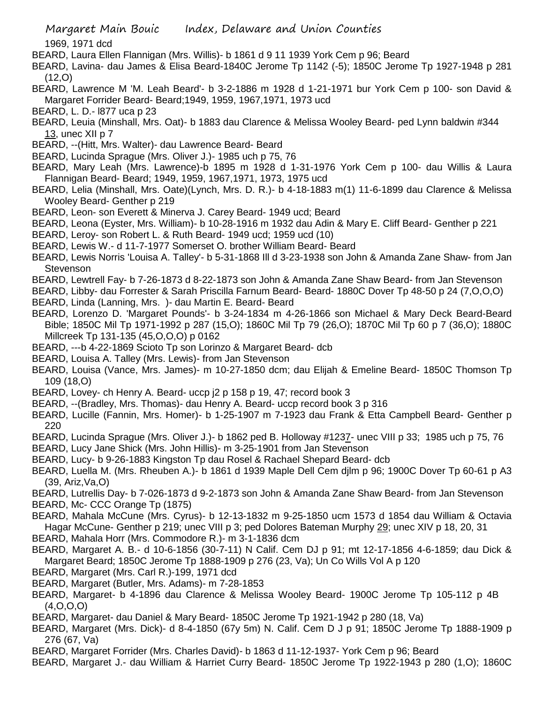1969, 1971 dcd

- BEARD, Laura Ellen Flannigan (Mrs. Willis)- b 1861 d 9 11 1939 York Cem p 96; Beard
- BEARD, Lavina- dau James & Elisa Beard-1840C Jerome Tp 1142 (-5); 1850C Jerome Tp 1927-1948 p 281 (12,O)
- BEARD, Lawrence M 'M. Leah Beard'- b 3-2-1886 m 1928 d 1-21-1971 bur York Cem p 100- son David & Margaret Forrider Beard- Beard;1949, 1959, 1967,1971, 1973 ucd
- BEARD, L. D.- l877 uca p 23
- BEARD, Leuia (Minshall, Mrs. Oat)- b 1883 dau Clarence & Melissa Wooley Beard- ped Lynn baldwin #344 13, unec XII p 7
- BEARD, --(Hitt, Mrs. Walter)- dau Lawrence Beard- Beard
- BEARD, Lucinda Sprague (Mrs. Oliver J.)- 1985 uch p 75, 76
- BEARD, Mary Leah (Mrs. Lawrence)-b 1895 m 1928 d 1-31-1976 York Cem p 100- dau Willis & Laura Flannigan Beard- Beard; 1949, 1959, 1967,1971, 1973, 1975 ucd
- BEARD, Lelia (Minshall, Mrs. Oate)(Lynch, Mrs. D. R.)- b 4-18-1883 m(1) 11-6-1899 dau Clarence & Melissa Wooley Beard- Genther p 219
- BEARD, Leon- son Everett & Minerva J. Carey Beard- 1949 ucd; Beard
- BEARD, Leona (Eyster, Mrs. William)- b 10-28-1916 m 1932 dau Adin & Mary E. Cliff Beard- Genther p 221
- BEARD, Leroy- son Robert L. & Ruth Beard- 1949 ucd; 1959 ucd (10)
- BEARD, Lewis W.- d 11-7-1977 Somerset O. brother William Beard- Beard
- BEARD, Lewis Norris 'Louisa A. Talley'- b 5-31-1868 Ill d 3-23-1938 son John & Amanda Zane Shaw- from Jan **Stevenson**
- BEARD, Lewtrell Fay- b 7-26-1873 d 8-22-1873 son John & Amanda Zane Shaw Beard- from Jan Stevenson
- BEARD, Libby- dau Forrester & Sarah Priscilla Farnum Beard- Beard- 1880C Dover Tp 48-50 p 24 (7,O,O,O)
- BEARD, Linda (Lanning, Mrs. )- dau Martin E. Beard- Beard
- BEARD, Lorenzo D. 'Margaret Pounds'- b 3-24-1834 m 4-26-1866 son Michael & Mary Deck Beard-Beard Bible; 1850C Mil Tp 1971-1992 p 287 (15,O); 1860C Mil Tp 79 (26,O); 1870C Mil Tp 60 p 7 (36,O); 1880C Millcreek Tp 131-135 (45,O,O,O) p 0162
- BEARD, ---b 4-22-1869 Scioto Tp son Lorinzo & Margaret Beard- dcb
- BEARD, Louisa A. Talley (Mrs. Lewis)- from Jan Stevenson
- BEARD, Louisa (Vance, Mrs. James)- m 10-27-1850 dcm; dau Elijah & Emeline Beard- 1850C Thomson Tp 109 (18,O)
- BEARD, Lovey- ch Henry A. Beard- uccp j2 p 158 p 19, 47; record book 3
- BEARD, --(Bradley, Mrs. Thomas)- dau Henry A. Beard- uccp record book 3 p 316
- BEARD, Lucille (Fannin, Mrs. Homer)- b 1-25-1907 m 7-1923 dau Frank & Etta Campbell Beard- Genther p 220
- BEARD, Lucinda Sprague (Mrs. Oliver J.)- b 1862 ped B. Holloway #1237- unec VIII p 33; 1985 uch p 75, 76
- BEARD, Lucy Jane Shick (Mrs. John Hillis)- m 3-25-1901 from Jan Stevenson
- BEARD, Lucy- b 9-26-1883 Kingston Tp dau Rosel & Rachael Shepard Beard- dcb
- BEARD, Luella M. (Mrs. Rheuben A.)- b 1861 d 1939 Maple Dell Cem djlm p 96; 1900C Dover Tp 60-61 p A3 (39, Ariz,Va,O)
- BEARD, Lutrellis Day- b 7-026-1873 d 9-2-1873 son John & Amanda Zane Shaw Beard- from Jan Stevenson
- BEARD, Mc- CCC Orange Tp (1875)
- BEARD, Mahala McCune (Mrs. Cyrus)- b 12-13-1832 m 9-25-1850 ucm 1573 d 1854 dau William & Octavia Hagar McCune- Genther p 219; unec VIII p 3; ped Dolores Bateman Murphy 29; unec XIV p 18, 20, 31
- BEARD, Mahala Horr (Mrs. Commodore R.)- m 3-1-1836 dcm
- BEARD, Margaret A. B.- d 10-6-1856 (30-7-11) N Calif. Cem DJ p 91; mt 12-17-1856 4-6-1859; dau Dick & Margaret Beard; 1850C Jerome Tp 1888-1909 p 276 (23, Va); Un Co Wills Vol A p 120
- BEARD, Margaret (Mrs. Carl R.)-199, 1971 dcd
- BEARD, Margaret (Butler, Mrs. Adams)- m 7-28-1853
- BEARD, Margaret- b 4-1896 dau Clarence & Melissa Wooley Beard- 1900C Jerome Tp 105-112 p 4B (4,O,O,O)
- BEARD, Margaret- dau Daniel & Mary Beard- 1850C Jerome Tp 1921-1942 p 280 (18, Va)
- BEARD, Margaret (Mrs. Dick)- d 8-4-1850 (67y 5m) N. Calif. Cem D J p 91; 1850C Jerome Tp 1888-1909 p 276 (67, Va)
- BEARD, Margaret Forrider (Mrs. Charles David)- b 1863 d 11-12-1937- York Cem p 96; Beard
- BEARD, Margaret J.- dau William & Harriet Curry Beard- 1850C Jerome Tp 1922-1943 p 280 (1,O); 1860C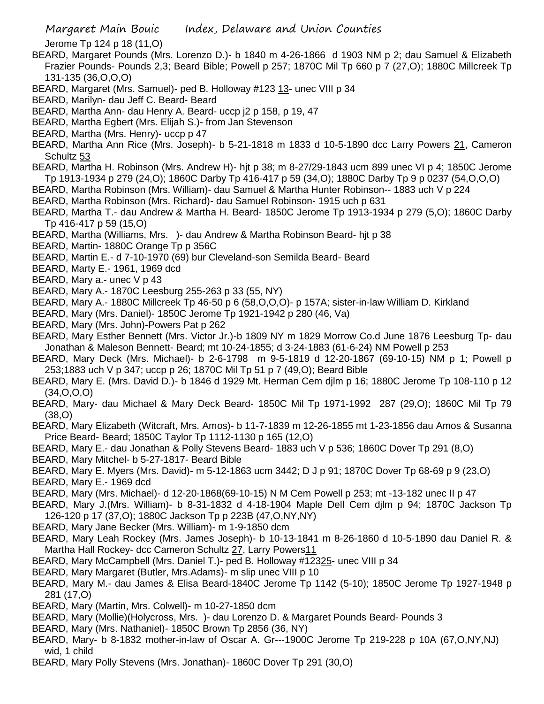Jerome Tp 124 p 18 (11,O)

- BEARD, Margaret Pounds (Mrs. Lorenzo D.)- b 1840 m 4-26-1866 d 1903 NM p 2; dau Samuel & Elizabeth Frazier Pounds- Pounds 2,3; Beard Bible; Powell p 257; 1870C Mil Tp 660 p 7 (27,O); 1880C Millcreek Tp 131-135 (36,O,O,O)
- BEARD, Margaret (Mrs. Samuel)- ped B. Holloway #123 13- unec VIII p 34
- BEARD, Marilyn- dau Jeff C. Beard- Beard
- BEARD, Martha Ann- dau Henry A. Beard- uccp j2 p 158, p 19, 47
- BEARD, Martha Egbert (Mrs. Elijah S.)- from Jan Stevenson
- BEARD, Martha (Mrs. Henry)- uccp p 47
- BEARD, Martha Ann Rice (Mrs. Joseph)- b 5-21-1818 m 1833 d 10-5-1890 dcc Larry Powers 21, Cameron Schultz 53
- BEARD, Martha H. Robinson (Mrs. Andrew H)- hjt p 38; m 8-27/29-1843 ucm 899 unec VI p 4; 1850C Jerome Tp 1913-1934 p 279 (24,O); 1860C Darby Tp 416-417 p 59 (34,O); 1880C Darby Tp 9 p 0237 (54,O,O,O)
- BEARD, Martha Robinson (Mrs. William)- dau Samuel & Martha Hunter Robinson-- 1883 uch V p 224
- BEARD, Martha Robinson (Mrs. Richard)- dau Samuel Robinson- 1915 uch p 631
- BEARD, Martha T.- dau Andrew & Martha H. Beard- 1850C Jerome Tp 1913-1934 p 279 (5,O); 1860C Darby Tp 416-417 p 59 (15,O)
- BEARD, Martha (Williams, Mrs. )- dau Andrew & Martha Robinson Beard- hjt p 38
- BEARD, Martin- 1880C Orange Tp p 356C
- BEARD, Martin E.- d 7-10-1970 (69) bur Cleveland-son Semilda Beard- Beard
- BEARD, Marty E.- 1961, 1969 dcd
- BEARD, Mary a.- unec V p 43
- BEARD, Mary A.- 1870C Leesburg 255-263 p 33 (55, NY)
- BEARD, Mary A.- 1880C Millcreek Tp 46-50 p 6 (58,O,O,O)- p 157A; sister-in-law William D. Kirkland
- BEARD, Mary (Mrs. Daniel)- 1850C Jerome Tp 1921-1942 p 280 (46, Va)
- BEARD, Mary (Mrs. John)-Powers Pat p 262
- BEARD, Mary Esther Bennett (Mrs. Victor Jr.)-b 1809 NY m 1829 Morrow Co.d June 1876 Leesburg Tp- dau Jonathan & Maleson Bennett- Beard; mt 10-24-1855; d 3-24-1883 (61-6-24) NM Powell p 253
- BEARD, Mary Deck (Mrs. Michael)- b 2-6-1798 m 9-5-1819 d 12-20-1867 (69-10-15) NM p 1; Powell p 253;1883 uch V p 347; uccp p 26; 1870C Mil Tp 51 p 7 (49,O); Beard Bible
- BEARD, Mary E. (Mrs. David D.)- b 1846 d 1929 Mt. Herman Cem djlm p 16; 1880C Jerome Tp 108-110 p 12 (34,O,O,O)
- BEARD, Mary- dau Michael & Mary Deck Beard- 1850C Mil Tp 1971-1992 287 (29,O); 1860C Mil Tp 79 (38,O)
- BEARD, Mary Elizabeth (Witcraft, Mrs. Amos)- b 11-7-1839 m 12-26-1855 mt 1-23-1856 dau Amos & Susanna Price Beard- Beard; 1850C Taylor Tp 1112-1130 p 165 (12,O)
- BEARD, Mary E.- dau Jonathan & Polly Stevens Beard- 1883 uch V p 536; 1860C Dover Tp 291 (8,O)
- BEARD, Mary Mitchel- b 5-27-1817- Beard Bible
- BEARD, Mary E. Myers (Mrs. David)- m 5-12-1863 ucm 3442; D J p 91; 1870C Dover Tp 68-69 p 9 (23,O)
- BEARD, Mary E.- 1969 dcd
- BEARD, Mary (Mrs. Michael)- d 12-20-1868(69-10-15) N M Cem Powell p 253; mt -13-182 unec II p 47
- BEARD, Mary J.(Mrs. William)- b 8-31-1832 d 4-18-1904 Maple Dell Cem djlm p 94; 1870C Jackson Tp 126-120 p 17 (37,O); 1880C Jackson Tp p 223B (47,O,NY,NY)
- BEARD, Mary Jane Becker (Mrs. William)- m 1-9-1850 dcm
- BEARD, Mary Leah Rockey (Mrs. James Joseph)- b 10-13-1841 m 8-26-1860 d 10-5-1890 dau Daniel R. & Martha Hall Rockey- dcc Cameron Schultz 27, Larry Powers11
- BEARD, Mary McCampbell (Mrs. Daniel T.)- ped B. Holloway #12325- unec VIII p 34
- BEARD, Mary Margaret (Butler, Mrs.Adams)- m slip unec VIII p 10
- BEARD, Mary M.- dau James & Elisa Beard-1840C Jerome Tp 1142 (5-10); 1850C Jerome Tp 1927-1948 p 281 (17,O)
- BEARD, Mary (Martin, Mrs. Colwell)- m 10-27-1850 dcm
- BEARD, Mary (Mollie)(Holycross, Mrs. )- dau Lorenzo D. & Margaret Pounds Beard- Pounds 3
- BEARD, Mary (Mrs. Nathaniel)- 1850C Brown Tp 2856 (36, NY)
- BEARD, Mary- b 8-1832 mother-in-law of Oscar A. Gr---1900C Jerome Tp 219-228 p 10A (67,O,NY,NJ) wid, 1 child
- BEARD, Mary Polly Stevens (Mrs. Jonathan)- 1860C Dover Tp 291 (30,O)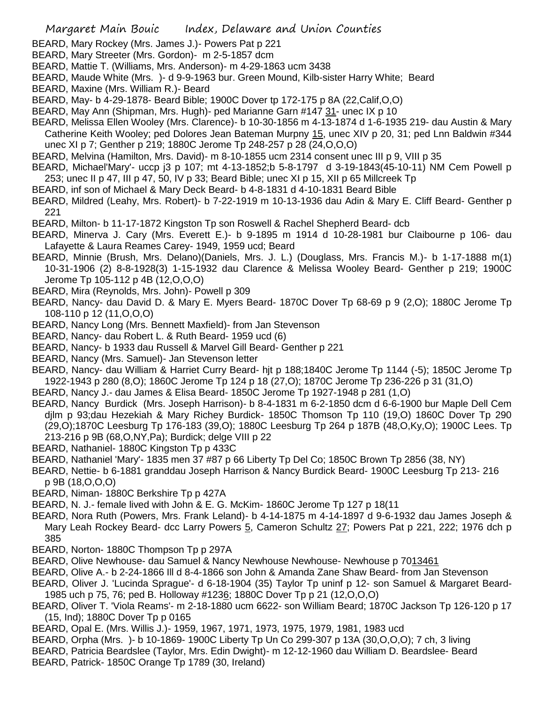- BEARD, Mary Rockey (Mrs. James J.)- Powers Pat p 221
- BEARD, Mary Streeter (Mrs. Gordon)- m 2-5-1857 dcm
- BEARD, Mattie T. (Williams, Mrs. Anderson)- m 4-29-1863 ucm 3438
- BEARD, Maude White (Mrs. )- d 9-9-1963 bur. Green Mound, Kilb-sister Harry White; Beard
- BEARD, Maxine (Mrs. William R.)- Beard
- BEARD, May- b 4-29-1878- Beard Bible; 1900C Dover tp 172-175 p 8A (22,Calif,O,O)
- BEARD, May Ann (Shipman, Mrs. Hugh)- ped Marianne Garn #147 31- unec IX p 10
- BEARD, Melissa Ellen Wooley (Mrs. Clarence)- b 10-30-1856 m 4-13-1874 d 1-6-1935 219- dau Austin & Mary Catherine Keith Wooley; ped Dolores Jean Bateman Murpny 15, unec XIV p 20, 31; ped Lnn Baldwin #344 unec XI p 7; Genther p 219; 1880C Jerome Tp 248-257 p 28 (24,O,O,O)
- BEARD, Melvina (Hamilton, Mrs. David)- m 8-10-1855 ucm 2314 consent unec III p 9, VIII p 35
- BEARD, Michael'Mary'- uccp j3 p 107; mt 4-13-1852;b 5-8-1797 d 3-19-1843(45-10-11) NM Cem Powell p 253; unec II p 47, III p 47, 50, IV p 33; Beard Bible; unec XI p 15, XII p 65 Millcreek Tp
- BEARD, inf son of Michael & Mary Deck Beard- b 4-8-1831 d 4-10-1831 Beard Bible
- BEARD, Mildred (Leahy, Mrs. Robert)- b 7-22-1919 m 10-13-1936 dau Adin & Mary E. Cliff Beard- Genther p 221
- BEARD, Milton- b 11-17-1872 Kingston Tp son Roswell & Rachel Shepherd Beard- dcb
- BEARD, Minerva J. Cary (Mrs. Everett E.)- b 9-1895 m 1914 d 10-28-1981 bur Claibourne p 106- dau Lafayette & Laura Reames Carey- 1949, 1959 ucd; Beard
- BEARD, Minnie (Brush, Mrs. Delano)(Daniels, Mrs. J. L.) (Douglass, Mrs. Francis M.)- b 1-17-1888 m(1) 10-31-1906 (2) 8-8-1928(3) 1-15-1932 dau Clarence & Melissa Wooley Beard- Genther p 219; 1900C Jerome Tp 105-112 p 4B (12,O,O,O)
- BEARD, Mira (Reynolds, Mrs. John)- Powell p 309
- BEARD, Nancy- dau David D. & Mary E. Myers Beard- 1870C Dover Tp 68-69 p 9 (2,O); 1880C Jerome Tp 108-110 p 12 (11,O,O,O)
- BEARD, Nancy Long (Mrs. Bennett Maxfield)- from Jan Stevenson
- BEARD, Nancy- dau Robert L. & Ruth Beard- 1959 ucd (6)
- BEARD, Nancy- b 1933 dau Russell & Marvel Gill Beard- Genther p 221
- BEARD, Nancy (Mrs. Samuel)- Jan Stevenson letter
- BEARD, Nancy- dau William & Harriet Curry Beard- hjt p 188;1840C Jerome Tp 1144 (-5); 1850C Jerome Tp 1922-1943 p 280 (8,O); 1860C Jerome Tp 124 p 18 (27,O); 1870C Jerome Tp 236-226 p 31 (31,O)
- BEARD, Nancy J.- dau James & Elisa Beard- 1850C Jerome Tp 1927-1948 p 281 (1,O)
- BEARD, Nancy Burdick (Mrs. Joseph Harrison)- b 8-4-1831 m 6-2-1850 dcm d 6-6-1900 bur Maple Dell Cem djlm p 93;dau Hezekiah & Mary Richey Burdick- 1850C Thomson Tp 110 (19,O) 1860C Dover Tp 290 (29,O);1870C Leesburg Tp 176-183 (39,O); 1880C Leesburg Tp 264 p 187B (48,O,Ky,O); 1900C Lees. Tp 213-216 p 9B (68,O,NY,Pa); Burdick; delge VIII p 22
- BEARD, Nathaniel- 1880C Kingston Tp p 433C
- BEARD, Nathaniel 'Mary'- 1835 men 37 #87 p 66 Liberty Tp Del Co; 1850C Brown Tp 2856 (38, NY)
- BEARD, Nettie- b 6-1881 granddau Joseph Harrison & Nancy Burdick Beard- 1900C Leesburg Tp 213- 216 p 9B (18,O,O,O)
- BEARD, Niman- 1880C Berkshire Tp p 427A
- BEARD, N. J.- female lived with John & E. G. McKim- 1860C Jerome Tp 127 p 18(11
- BEARD, Nora Ruth (Powers, Mrs. Frank Leland)- b 4-14-1875 m 4-14-1897 d 9-6-1932 dau James Joseph & Mary Leah Rockey Beard- dcc Larry Powers 5, Cameron Schultz 27; Powers Pat p 221, 222; 1976 dch p 385
- BEARD, Norton- 1880C Thompson Tp p 297A
- BEARD, Olive Newhouse- dau Samuel & Nancy Newhouse Newhouse- Newhouse p 7013461
- BEARD, Olive A.- b 2-24-1866 Ill d 8-4-1866 son John & Amanda Zane Shaw Beard- from Jan Stevenson
- BEARD, Oliver J. 'Lucinda Sprague'- d 6-18-1904 (35) Taylor Tp uninf p 12- son Samuel & Margaret Beard-1985 uch p 75, 76; ped B. Holloway #1236; 1880C Dover Tp p 21 (12,O,O,O)
- BEARD, Oliver T. 'Viola Reams'- m 2-18-1880 ucm 6622- son William Beard; 1870C Jackson Tp 126-120 p 17 (15, Ind); 1880C Dover Tp p 0165
- BEARD, Opal E. (Mrs. Willis J.)- 1959, 1967, 1971, 1973, 1975, 1979, 1981, 1983 ucd
- BEARD, Orpha (Mrs. )- b 10-1869- 1900C Liberty Tp Un Co 299-307 p 13A (30,O,O,O); 7 ch, 3 living
- BEARD, Patricia Beardslee (Taylor, Mrs. Edin Dwight)- m 12-12-1960 dau William D. Beardslee- Beard
- BEARD, Patrick- 1850C Orange Tp 1789 (30, Ireland)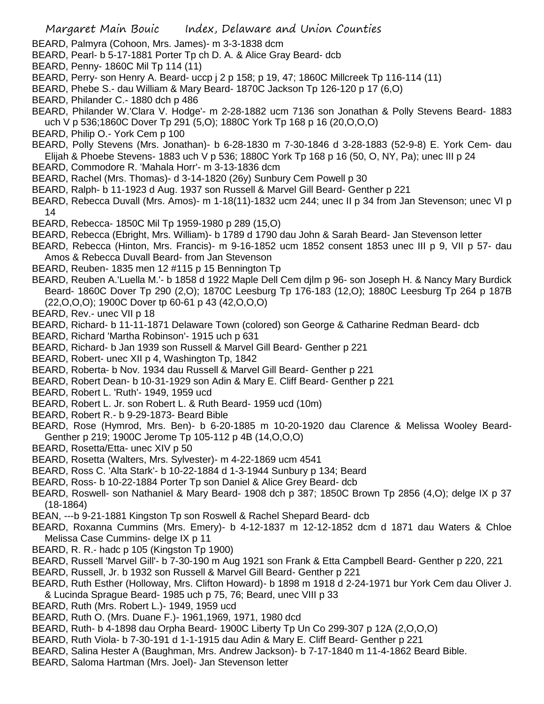BEARD, Palmyra (Cohoon, Mrs. James)- m 3-3-1838 dcm

- BEARD, Pearl- b 5-17-1881 Porter Tp ch D. A. & Alice Gray Beard- dcb
- BEARD, Penny- 1860C Mil Tp 114 (11)
- BEARD, Perry- son Henry A. Beard- uccp j 2 p 158; p 19, 47; 1860C Millcreek Tp 116-114 (11)
- BEARD, Phebe S.- dau William & Mary Beard- 1870C Jackson Tp 126-120 p 17 (6,O)
- BEARD, Philander C.- 1880 dch p 486
- BEARD, Philander W.'Clara V. Hodge'- m 2-28-1882 ucm 7136 son Jonathan & Polly Stevens Beard- 1883 uch V p 536;1860C Dover Tp 291 (5,O); 1880C York Tp 168 p 16 (20,O,O,O)
- BEARD, Philip O.- York Cem p 100
- BEARD, Polly Stevens (Mrs. Jonathan)- b 6-28-1830 m 7-30-1846 d 3-28-1883 (52-9-8) E. York Cem- dau Elijah & Phoebe Stevens- 1883 uch V p 536; 1880C York Tp 168 p 16 (50, O, NY, Pa); unec III p 24
- BEARD, Commodore R. 'Mahala Horr'- m 3-13-1836 dcm
- BEARD, Rachel (Mrs. Thomas)- d 3-14-1820 (26y) Sunbury Cem Powell p 30
- BEARD, Ralph- b 11-1923 d Aug. 1937 son Russell & Marvel Gill Beard- Genther p 221
- BEARD, Rebecca Duvall (Mrs. Amos)- m 1-18(11)-1832 ucm 244; unec II p 34 from Jan Stevenson; unec VI p 14
- BEARD, Rebecca- 1850C Mil Tp 1959-1980 p 289 (15,O)
- BEARD, Rebecca (Ebright, Mrs. William)- b 1789 d 1790 dau John & Sarah Beard- Jan Stevenson letter
- BEARD, Rebecca (Hinton, Mrs. Francis)- m 9-16-1852 ucm 1852 consent 1853 unec III p 9, VII p 57- dau Amos & Rebecca Duvall Beard- from Jan Stevenson
- BEARD, Reuben- 1835 men 12 #115 p 15 Bennington Tp
- BEARD, Reuben A.'Luella M.'- b 1858 d 1922 Maple Dell Cem djlm p 96- son Joseph H. & Nancy Mary Burdick Beard- 1860C Dover Tp 290 (2,O); 1870C Leesburg Tp 176-183 (12,O); 1880C Leesburg Tp 264 p 187B (22,O,O,O); 1900C Dover tp 60-61 p 43 (42,O,O,O)
- BEARD, Rev.- unec VII p 18
- BEARD, Richard- b 11-11-1871 Delaware Town (colored) son George & Catharine Redman Beard- dcb
- BEARD, Richard 'Martha Robinson'- 1915 uch p 631
- BEARD, Richard- b Jan 1939 son Russell & Marvel Gill Beard- Genther p 221
- BEARD, Robert- unec XII p 4, Washington Tp, 1842
- BEARD, Roberta- b Nov. 1934 dau Russell & Marvel Gill Beard- Genther p 221
- BEARD, Robert Dean- b 10-31-1929 son Adin & Mary E. Cliff Beard- Genther p 221
- BEARD, Robert L. 'Ruth'- 1949, 1959 ucd
- BEARD, Robert L. Jr. son Robert L. & Ruth Beard- 1959 ucd (10m)
- BEARD, Robert R.- b 9-29-1873- Beard Bible
- BEARD, Rose (Hymrod, Mrs. Ben)- b 6-20-1885 m 10-20-1920 dau Clarence & Melissa Wooley Beard-Genther p 219; 1900C Jerome Tp 105-112 p 4B (14,O,O,O)
- BEARD, Rosetta/Etta- unec XIV p 50
- BEARD, Rosetta (Walters, Mrs. Sylvester)- m 4-22-1869 ucm 4541
- BEARD, Ross C. 'Alta Stark'- b 10-22-1884 d 1-3-1944 Sunbury p 134; Beard
- BEARD, Ross- b 10-22-1884 Porter Tp son Daniel & Alice Grey Beard- dcb
- BEARD, Roswell- son Nathaniel & Mary Beard- 1908 dch p 387; 1850C Brown Tp 2856 (4,O); delge IX p 37 (18-1864)
- BEAN, ---b 9-21-1881 Kingston Tp son Roswell & Rachel Shepard Beard- dcb
- BEARD, Roxanna Cummins (Mrs. Emery)- b 4-12-1837 m 12-12-1852 dcm d 1871 dau Waters & Chloe Melissa Case Cummins- delge IX p 11
- BEARD, R. R.- hadc p 105 (Kingston Tp 1900)
- BEARD, Russell 'Marvel Gill'- b 7-30-190 m Aug 1921 son Frank & Etta Campbell Beard- Genther p 220, 221
- BEARD, Russell, Jr. b 1932 son Russell & Marvel Gill Beard- Genther p 221
- BEARD, Ruth Esther (Holloway, Mrs. Clifton Howard)- b 1898 m 1918 d 2-24-1971 bur York Cem dau Oliver J.
- & Lucinda Sprague Beard- 1985 uch p 75, 76; Beard, unec VIII p 33
- BEARD, Ruth (Mrs. Robert L.)- 1949, 1959 ucd
- BEARD, Ruth O. (Mrs. Duane F.)- 1961,1969, 1971, 1980 dcd
- BEARD, Ruth- b 4-1898 dau Orpha Beard- 1900C Liberty Tp Un Co 299-307 p 12A (2,O,O,O)
- BEARD, Ruth Viola- b 7-30-191 d 1-1-1915 dau Adin & Mary E. Cliff Beard- Genther p 221
- BEARD, Salina Hester A (Baughman, Mrs. Andrew Jackson)- b 7-17-1840 m 11-4-1862 Beard Bible.
- BEARD, Saloma Hartman (Mrs. Joel)- Jan Stevenson letter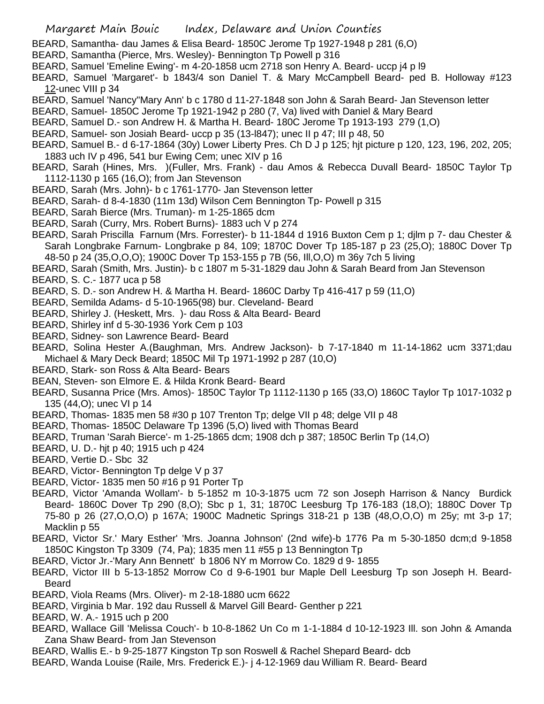- BEARD, Samantha- dau James & Elisa Beard- 1850C Jerome Tp 1927-1948 p 281 (6,O)
- BEARD, Samantha (Pierce, Mrs. Wesley)- Bennington Tp Powell p 316
- BEARD, Samuel 'Emeline Ewing'- m 4-20-1858 ucm 2718 son Henry A. Beard- uccp j4 p l9
- BEARD, Samuel 'Margaret'- b 1843/4 son Daniel T. & Mary McCampbell Beard- ped B. Holloway #123 12-unec VIII p 34
- BEARD, Samuel 'Nancy''Mary Ann' b c 1780 d 11-27-1848 son John & Sarah Beard- Jan Stevenson letter
- BEARD, Samuel- 1850C Jerome Tp 1921-1942 p 280 (7, Va) lived with Daniel & Mary Beard
- BEARD, Samuel D.- son Andrew H. & Martha H. Beard- 180C Jerome Tp 1913-193 279 (1,O)
- BEARD, Samuel- son Josiah Beard- uccp p 35 (13-l847); unec II p 47; III p 48, 50
- BEARD, Samuel B.- d 6-17-1864 (30y) Lower Liberty Pres. Ch D J p 125; hjt picture p 120, 123, 196, 202, 205; 1883 uch IV p 496, 541 bur Ewing Cem; unec XIV p 16
- BEARD, Sarah (Hines, Mrs. )(Fuller, Mrs. Frank) dau Amos & Rebecca Duvall Beard- 1850C Taylor Tp 1112-1130 p 165 (16,O); from Jan Stevenson
- BEARD, Sarah (Mrs. John)- b c 1761-1770- Jan Stevenson letter
- BEARD, Sarah- d 8-4-1830 (11m 13d) Wilson Cem Bennington Tp- Powell p 315
- BEARD, Sarah Bierce (Mrs. Truman)- m 1-25-1865 dcm
- BEARD, Sarah (Curry, Mrs. Robert Burns)- 1883 uch V p 274
- BEARD, Sarah Priscilla Farnum (Mrs. Forrester)- b 11-1844 d 1916 Buxton Cem p 1; djlm p 7- dau Chester & Sarah Longbrake Farnum- Longbrake p 84, 109; 1870C Dover Tp 185-187 p 23 (25,O); 1880C Dover Tp 48-50 p 24 (35,O,O,O); 1900C Dover Tp 153-155 p 7B (56, Ill,O,O) m 36y 7ch 5 living
- BEARD, Sarah (Smith, Mrs. Justin)- b c 1807 m 5-31-1829 dau John & Sarah Beard from Jan Stevenson
- BEARD, S. C.- 1877 uca p 58
- BEARD, S. D.- son Andrew H. & Martha H. Beard- 1860C Darby Tp 416-417 p 59 (11,O)
- BEARD, Semilda Adams- d 5-10-1965(98) bur. Cleveland- Beard
- BEARD, Shirley J. (Heskett, Mrs. )- dau Ross & Alta Beard- Beard
- BEARD, Shirley inf d 5-30-1936 York Cem p 103
- BEARD, Sidney- son Lawrence Beard- Beard
- BEARD, Solina Hester A.(Baughman, Mrs. Andrew Jackson)- b 7-17-1840 m 11-14-1862 ucm 3371;dau Michael & Mary Deck Beard; 1850C Mil Tp 1971-1992 p 287 (10,O)
- BEARD, Stark- son Ross & Alta Beard- Bears
- BEAN, Steven- son Elmore E. & Hilda Kronk Beard- Beard
- BEARD, Susanna Price (Mrs. Amos)- 1850C Taylor Tp 1112-1130 p 165 (33,O) 1860C Taylor Tp 1017-1032 p 135 (44,O); unec VI p 14
- BEARD, Thomas- 1835 men 58 #30 p 107 Trenton Tp; delge VII p 48; delge VII p 48
- BEARD, Thomas- 1850C Delaware Tp 1396 (5,O) lived with Thomas Beard
- BEARD, Truman 'Sarah Bierce'- m 1-25-1865 dcm; 1908 dch p 387; 1850C Berlin Tp (14,O)
- BEARD, U. D.- hjt p 40; 1915 uch p 424
- BEARD, Vertie D.- Sbc 32
- BEARD, Victor- Bennington Tp delge V p 37
- BEARD, Victor- 1835 men 50 #16 p 91 Porter Tp
- BEARD, Victor 'Amanda Wollam'- b 5-1852 m 10-3-1875 ucm 72 son Joseph Harrison & Nancy Burdick Beard- 1860C Dover Tp 290 (8,O); Sbc p 1, 31; 1870C Leesburg Tp 176-183 (18,O); 1880C Dover Tp 75-80 p 26 (27,O,O,O) p 167A; 1900C Madnetic Springs 318-21 p 13B (48,O,O,O) m 25y; mt 3-p 17; Macklin p 55
- BEARD, Victor Sr.' Mary Esther' 'Mrs. Joanna Johnson' (2nd wife)-b 1776 Pa m 5-30-1850 dcm;d 9-1858 1850C Kingston Tp 3309 (74, Pa); 1835 men 11 #55 p 13 Bennington Tp
- BEARD, Victor Jr.-'Mary Ann Bennett' b 1806 NY m Morrow Co. 1829 d 9- 1855
- BEARD, Victor III b 5-13-1852 Morrow Co d 9-6-1901 bur Maple Dell Leesburg Tp son Joseph H. Beard-Beard
- BEARD, Viola Reams (Mrs. Oliver)- m 2-18-1880 ucm 6622
- BEARD, Virginia b Mar. 192 dau Russell & Marvel Gill Beard- Genther p 221
- BEARD, W. A.- 1915 uch p 200
- BEARD, Wallace Gill 'Melissa Couch'- b 10-8-1862 Un Co m 1-1-1884 d 10-12-1923 Ill. son John & Amanda Zana Shaw Beard- from Jan Stevenson
- BEARD, Wallis E.- b 9-25-1877 Kingston Tp son Roswell & Rachel Shepard Beard- dcb
- BEARD, Wanda Louise (Raile, Mrs. Frederick E.)- j 4-12-1969 dau William R. Beard- Beard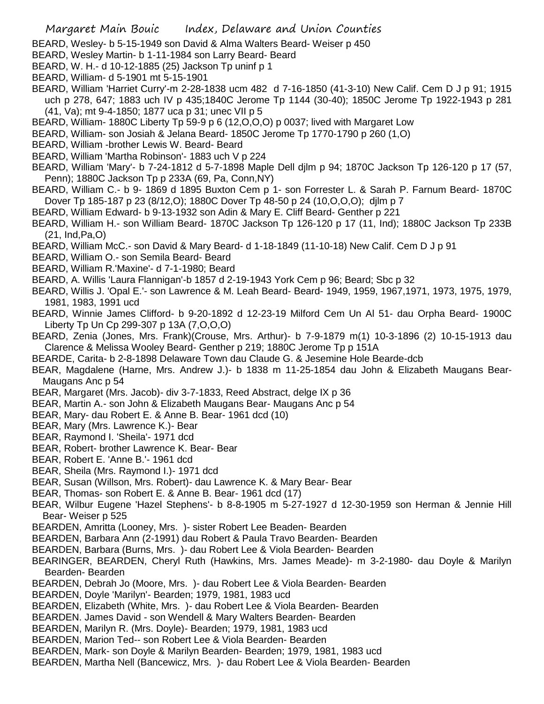BEARD, Wesley- b 5-15-1949 son David & Alma Walters Beard- Weiser p 450

- BEARD, Wesley Martin- b 1-11-1984 son Larry Beard- Beard
- BEARD, W. H.- d 10-12-1885 (25) Jackson Tp uninf p 1
- BEARD, William- d 5-1901 mt 5-15-1901
- BEARD, William 'Harriet Curry'-m 2-28-1838 ucm 482 d 7-16-1850 (41-3-10) New Calif. Cem D J p 91; 1915 uch p 278, 647; 1883 uch IV p 435;1840C Jerome Tp 1144 (30-40); 1850C Jerome Tp 1922-1943 p 281 (41, Va); mt 9-4-1850; 1877 uca p 31; unec VII p 5
- BEARD, William- 1880C Liberty Tp 59-9 p 6 (12,O,O,O) p 0037; lived with Margaret Low
- BEARD, William- son Josiah & Jelana Beard- 1850C Jerome Tp 1770-1790 p 260 (1,O)
- BEARD, William -brother Lewis W. Beard- Beard
- BEARD, William 'Martha Robinson'- 1883 uch V p 224
- BEARD, William 'Mary'- b 7-24-1812 d 5-7-1898 Maple Dell djlm p 94; 1870C Jackson Tp 126-120 p 17 (57, Penn); 1880C Jackson Tp p 233A (69, Pa, Conn,NY)
- BEARD, William C.- b 9- 1869 d 1895 Buxton Cem p 1- son Forrester L. & Sarah P. Farnum Beard- 1870C Dover Tp 185-187 p 23 (8/12,O); 1880C Dover Tp 48-50 p 24 (10,O,O,O); djlm p 7
- BEARD, William Edward- b 9-13-1932 son Adin & Mary E. Cliff Beard- Genther p 221
- BEARD, William H.- son William Beard- 1870C Jackson Tp 126-120 p 17 (11, Ind); 1880C Jackson Tp 233B (21, Ind,Pa,O)
- BEARD, William McC.- son David & Mary Beard- d 1-18-1849 (11-10-18) New Calif. Cem D J p 91
- BEARD, William O.- son Semila Beard- Beard
- BEARD, William R.'Maxine'- d 7-1-1980; Beard
- BEARD, A. Willis 'Laura Flannigan'-b 1857 d 2-19-1943 York Cem p 96; Beard; Sbc p 32
- BEARD, Willis J. 'Opal E.'- son Lawrence & M. Leah Beard- Beard- 1949, 1959, 1967,1971, 1973, 1975, 1979, 1981, 1983, 1991 ucd
- BEARD, Winnie James Clifford- b 9-20-1892 d 12-23-19 Milford Cem Un Al 51- dau Orpha Beard- 1900C Liberty Tp Un Cp 299-307 p 13A (7,O,O,O)
- BEARD, Zenia (Jones, Mrs. Frank)(Crouse, Mrs. Arthur)- b 7-9-1879 m(1) 10-3-1896 (2) 10-15-1913 dau Clarence & Melissa Wooley Beard- Genther p 219; 1880C Jerome Tp p 151A
- BEARDE, Carita- b 2-8-1898 Delaware Town dau Claude G. & Jesemine Hole Bearde-dcb
- BEAR, Magdalene (Harne, Mrs. Andrew J.)- b 1838 m 11-25-1854 dau John & Elizabeth Maugans Bear-Maugans Anc p 54
- BEAR, Margaret (Mrs. Jacob)- div 3-7-1833, Reed Abstract, delge IX p 36
- BEAR, Martin A.- son John & Elizabeth Maugans Bear- Maugans Anc p 54
- BEAR, Mary- dau Robert E. & Anne B. Bear- 1961 dcd (10)
- BEAR, Mary (Mrs. Lawrence K.)- Bear
- BEAR, Raymond I. 'Sheila'- 1971 dcd
- BEAR, Robert- brother Lawrence K. Bear- Bear
- BEAR, Robert E. 'Anne B.'- 1961 dcd
- BEAR, Sheila (Mrs. Raymond I.)- 1971 dcd
- BEAR, Susan (Willson, Mrs. Robert)- dau Lawrence K. & Mary Bear- Bear
- BEAR, Thomas- son Robert E. & Anne B. Bear- 1961 dcd (17)
- BEAR, Wilbur Eugene 'Hazel Stephens'- b 8-8-1905 m 5-27-1927 d 12-30-1959 son Herman & Jennie Hill Bear- Weiser p 525
- BEARDEN, Amritta (Looney, Mrs. )- sister Robert Lee Beaden- Bearden
- BEARDEN, Barbara Ann (2-1991) dau Robert & Paula Travo Bearden- Bearden
- BEARDEN, Barbara (Burns, Mrs. )- dau Robert Lee & Viola Bearden- Bearden
- BEARINGER, BEARDEN, Cheryl Ruth (Hawkins, Mrs. James Meade)- m 3-2-1980- dau Doyle & Marilyn Bearden- Bearden
- BEARDEN, Debrah Jo (Moore, Mrs. )- dau Robert Lee & Viola Bearden- Bearden
- BEARDEN, Doyle 'Marilyn'- Bearden; 1979, 1981, 1983 ucd
- BEARDEN, Elizabeth (White, Mrs. )- dau Robert Lee & Viola Bearden- Bearden
- BEARDEN. James David son Wendell & Mary Walters Bearden- Bearden
- BEARDEN, Marilyn R. (Mrs. Doyle)- Bearden; 1979, 1981, 1983 ucd
- BEARDEN, Marion Ted-- son Robert Lee & Viola Bearden- Bearden
- BEARDEN, Mark- son Doyle & Marilyn Bearden- Bearden; 1979, 1981, 1983 ucd
- BEARDEN, Martha Nell (Bancewicz, Mrs. )- dau Robert Lee & Viola Bearden- Bearden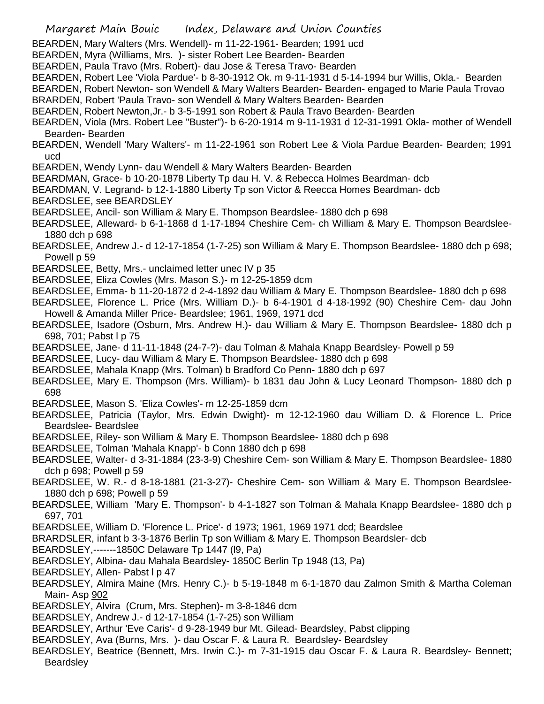- BEARDEN, Mary Walters (Mrs. Wendell)- m 11-22-1961- Bearden; 1991 ucd
- BEARDEN, Myra (Williams, Mrs. )- sister Robert Lee Bearden- Bearden
- BEARDEN, Paula Travo (Mrs. Robert)- dau Jose & Teresa Travo- Bearden
- BEARDEN, Robert Lee 'Viola Pardue'- b 8-30-1912 Ok. m 9-11-1931 d 5-14-1994 bur Willis, Okla.- Bearden
- BEARDEN, Robert Newton- son Wendell & Mary Walters Bearden- Bearden- engaged to Marie Paula Trovao BRARDEN, Robert 'Paula Travo- son Wendell & Mary Walters Bearden- Bearden
- BEARDEN, Robert Newton,Jr.- b 3-5-1991 son Robert & Paula Travo Bearden- Bearden
- BEARDEN, Viola (Mrs. Robert Lee "Buster")- b 6-20-1914 m 9-11-1931 d 12-31-1991 Okla- mother of Wendell Bearden- Bearden
- BEARDEN, Wendell 'Mary Walters'- m 11-22-1961 son Robert Lee & Viola Pardue Bearden- Bearden; 1991 ucd
- BEARDEN, Wendy Lynn- dau Wendell & Mary Walters Bearden- Bearden
- BEARDMAN, Grace- b 10-20-1878 Liberty Tp dau H. V. & Rebecca Holmes Beardman- dcb
- BEARDMAN, V. Legrand- b 12-1-1880 Liberty Tp son Victor & Reecca Homes Beardman- dcb
- BEARDSLEE, see BEARDSLEY
- BEARDSLEE, Ancil- son William & Mary E. Thompson Beardslee- 1880 dch p 698
- BEARDSLEE, Alleward- b 6-1-1868 d 1-17-1894 Cheshire Cem- ch William & Mary E. Thompson Beardslee-1880 dch p 698
- BEARDSLEE, Andrew J.- d 12-17-1854 (1-7-25) son William & Mary E. Thompson Beardslee- 1880 dch p 698; Powell p 59
- BEARDSLEE, Betty, Mrs.- unclaimed letter unec IV p 35
- BEARDSLEE, Eliza Cowles (Mrs. Mason S.)- m 12-25-1859 dcm
- BEARDSLEE, Emma- b 11-20-1872 d 2-4-1892 dau William & Mary E. Thompson Beardslee- 1880 dch p 698
- BEARDSLEE, Florence L. Price (Mrs. William D.)- b 6-4-1901 d 4-18-1992 (90) Cheshire Cem- dau John Howell & Amanda Miller Price- Beardslee; 1961, 1969, 1971 dcd
- BEARDSLEE, Isadore (Osburn, Mrs. Andrew H.)- dau William & Mary E. Thompson Beardslee- 1880 dch p 698, 701; Pabst l p 75
- BEARDSLEE, Jane- d 11-11-1848 (24-7-?)- dau Tolman & Mahala Knapp Beardsley- Powell p 59
- BEARDSLEE, Lucy- dau William & Mary E. Thompson Beardslee- 1880 dch p 698
- BEARDSLEE, Mahala Knapp (Mrs. Tolman) b Bradford Co Penn- 1880 dch p 697
- BEARDSLEE, Mary E. Thompson (Mrs. William)- b 1831 dau John & Lucy Leonard Thompson- 1880 dch p 698
- BEARDSLEE, Mason S. 'Eliza Cowles'- m 12-25-1859 dcm
- BEARDSLEE, Patricia (Taylor, Mrs. Edwin Dwight)- m 12-12-1960 dau William D. & Florence L. Price Beardslee- Beardslee
- BEARDSLEE, Riley- son William & Mary E. Thompson Beardslee- 1880 dch p 698
- BEARDSLEE, Tolman 'Mahala Knapp'- b Conn 1880 dch p 698
- BEARDSLEE, Walter- d 3-31-1884 (23-3-9) Cheshire Cem- son William & Mary E. Thompson Beardslee- 1880 dch p 698; Powell p 59
- BEARDSLEE, W. R.- d 8-18-1881 (21-3-27)- Cheshire Cem- son William & Mary E. Thompson Beardslee-1880 dch p 698; Powell p 59
- BEARDSLEE, William 'Mary E. Thompson'- b 4-1-1827 son Tolman & Mahala Knapp Beardslee- 1880 dch p 697, 701
- BEARDSLEE, William D. 'Florence L. Price'- d 1973; 1961, 1969 1971 dcd; Beardslee
- BRARDSLER, infant b 3-3-1876 Berlin Tp son William & Mary E. Thompson Beardsler- dcb
- BEARDSLEY,-------1850C Delaware Tp 1447 (l9, Pa)
- BEARDSLEY, Albina- dau Mahala Beardsley- 1850C Berlin Tp 1948 (13, Pa)
- BEARDSLEY, Allen- Pabst I p 47
- BEARDSLEY, Almira Maine (Mrs. Henry C.)- b 5-19-1848 m 6-1-1870 dau Zalmon Smith & Martha Coleman Main- Asp 902
- BEARDSLEY, Alvira (Crum, Mrs. Stephen)- m 3-8-1846 dcm
- BEARDSLEY, Andrew J.- d 12-17-1854 (1-7-25) son William
- BEARDSLEY, Arthur 'Eve Caris'- d 9-28-1949 bur Mt. Gilead- Beardsley, Pabst clipping
- BEARDSLEY, Ava (Burns, Mrs. )- dau Oscar F. & Laura R. Beardsley- Beardsley
- BEARDSLEY, Beatrice (Bennett, Mrs. Irwin C.)- m 7-31-1915 dau Oscar F. & Laura R. Beardsley- Bennett; **Beardsley**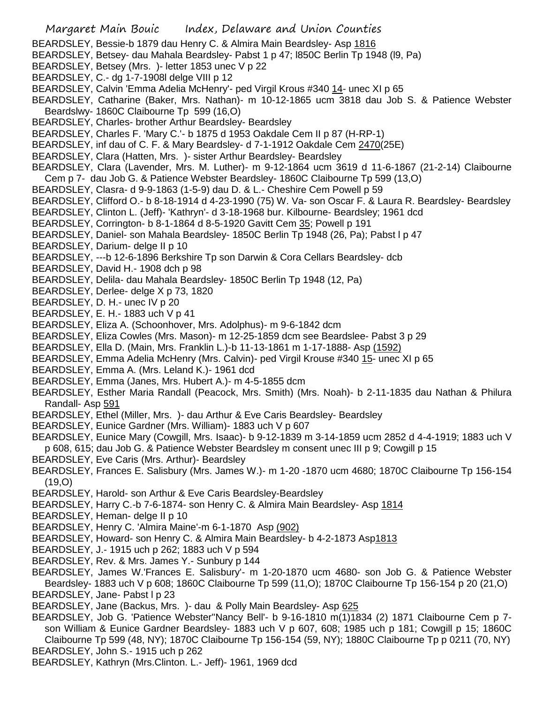- Margaret Main Bouic Index, Delaware and Union Counties BEARDSLEY, Bessie-b 1879 dau Henry C. & Almira Main Beardsley- Asp 1816 BEARDSLEY, Betsey- dau Mahala Beardsley- Pabst 1 p 47; l850C Berlin Tp 1948 (l9, Pa) BEARDSLEY, Betsey (Mrs. )- letter 1853 unec V p 22 BEARDSLEY, C.- dg 1-7-1908l delge VIII p 12 BEARDSLEY, Calvin 'Emma Adelia McHenry'- ped Virgil Krous #340 14- unec XI p 65 BEARDSLEY, Catharine (Baker, Mrs. Nathan)- m 10-12-1865 ucm 3818 dau Job S. & Patience Webster Beardslwy- 1860C Claibourne Tp 599 (16,O) BEARDSLEY, Charles- brother Arthur Beardsley- Beardsley BEARDSLEY, Charles F. 'Mary C.'- b 1875 d 1953 Oakdale Cem II p 87 (H-RP-1) BEARDSLEY, inf dau of C. F. & Mary Beardsley- d 7-1-1912 Oakdale Cem 2470(25E) BEARDSLEY, Clara (Hatten, Mrs. )- sister Arthur Beardsley- Beardsley BEARDSLEY, Clara (Lavender, Mrs. M. Luther)- m 9-12-1864 ucm 3619 d 11-6-1867 (21-2-14) Claibourne Cem p 7- dau Job G. & Patience Webster Beardsley- 1860C Claibourne Tp 599 (13,O) BEARDSLEY, Clasra- d 9-9-1863 (1-5-9) dau D. & L.- Cheshire Cem Powell p 59 BEARDSLEY, Clifford O.- b 8-18-1914 d 4-23-1990 (75) W. Va- son Oscar F. & Laura R. Beardsley- Beardsley BEARDSLEY, Clinton L. (Jeff)- 'Kathryn'- d 3-18-1968 bur. Kilbourne- Beardsley; 1961 dcd BEARDSLEY, Corrington- b 8-1-1864 d 8-5-1920 Gavitt Cem 35; Powell p 191 BEARDSLEY, Daniel- son Mahala Beardsley- 1850C Berlin Tp 1948 (26, Pa); Pabst l p 47 BEARDSLEY, Darium- delge II p 10 BEARDSLEY, ---b 12-6-1896 Berkshire Tp son Darwin & Cora Cellars Beardsley- dcb BEARDSLEY, David H.- 1908 dch p 98 BEARDSLEY, Delila- dau Mahala Beardsley- 1850C Berlin Tp 1948 (12, Pa) BEARDSLEY, Derlee- delge X p 73, 1820 BEARDSLEY, D. H.- unec IV p 20 BEARDSLEY, E. H.- 1883 uch V p 41 BEARDSLEY, Eliza A. (Schoonhover, Mrs. Adolphus)- m 9-6-1842 dcm BEARDSLEY, Eliza Cowles (Mrs. Mason)- m 12-25-1859 dcm see Beardslee- Pabst 3 p 29 BEARDSLEY, Ella D. (Main, Mrs. Franklin L.)-b 11-13-1861 m 1-17-1888- Asp (1592) BEARDSLEY, Emma Adelia McHenry (Mrs. Calvin)- ped Virgil Krouse #340 15- unec XI p 65 BEARDSLEY, Emma A. (Mrs. Leland K.)- 1961 dcd BEARDSLEY, Emma (Janes, Mrs. Hubert A.)- m 4-5-1855 dcm BEARDSLEY, Esther Maria Randall (Peacock, Mrs. Smith) (Mrs. Noah)- b 2-11-1835 dau Nathan & Philura Randall- Asp 591 BEARDSLEY, Ethel (Miller, Mrs. )- dau Arthur & Eve Caris Beardsley- Beardsley BEARDSLEY, Eunice Gardner (Mrs. William)- 1883 uch V p 607 BEARDSLEY, Eunice Mary (Cowgill, Mrs. Isaac)- b 9-12-1839 m 3-14-1859 ucm 2852 d 4-4-1919; 1883 uch V p 608, 615; dau Job G. & Patience Webster Beardsley m consent unec III p 9; Cowgill p 15 BEARDSLEY, Eve Caris (Mrs. Arthur)- Beardsley BEARDSLEY, Frances E. Salisbury (Mrs. James W.)- m 1-20 -1870 ucm 4680; 1870C Claibourne Tp 156-154 (19,O) BEARDSLEY, Harold- son Arthur & Eve Caris Beardsley-Beardsley BEARDSLEY, Harry C.-b 7-6-1874- son Henry C. & Almira Main Beardsley- Asp 1814 BEARDSLEY, Heman- delge II p 10 BEARDSLEY, Henry C. 'Almira Maine'-m 6-1-1870 Asp (902) BEARDSLEY, Howard- son Henry C. & Almira Main Beardsley- b 4-2-1873 Asp1813 BEARDSLEY, J.- 1915 uch p 262; 1883 uch V p 594
- BEARDSLEY, Rev. & Mrs. James Y.- Sunbury p 144
- BEARDSLEY, James W.'Frances E. Salisbury'- m 1-20-1870 ucm 4680- son Job G. & Patience Webster Beardsley- 1883 uch V p 608; 1860C Claibourne Tp 599 (11,O); 1870C Claibourne Tp 156-154 p 20 (21,O) BEARDSLEY, Jane- Pabst I p 23
- BEARDSLEY, Jane (Backus, Mrs.) dau & Polly Main Beardsley- Asp 625
- BEARDSLEY, Job G. 'Patience Webster''Nancy Bell'- b 9-16-1810 m(1)1834 (2) 1871 Claibourne Cem p 7son William & Eunice Gardner Beardsley- 1883 uch V p 607, 608; 1985 uch p 181; Cowgill p 15; 1860C Claibourne Tp 599 (48, NY); 1870C Claibourne Tp 156-154 (59, NY); 1880C Claibourne Tp p 0211 (70, NY) BEARDSLEY, John S.- 1915 uch p 262
- BEARDSLEY, Kathryn (Mrs.Clinton. L.- Jeff)- 1961, 1969 dcd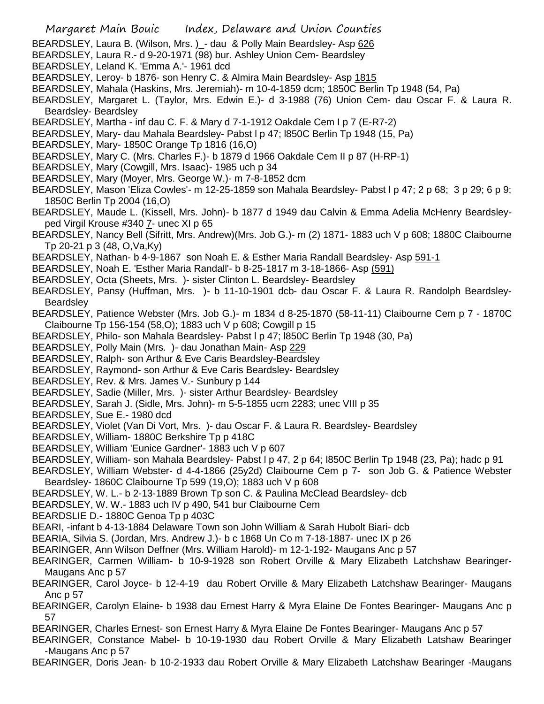- Margaret Main Bouic Index, Delaware and Union Counties
- BEARDSLEY, Laura B. (Wilson, Mrs. )\_- dau & Polly Main Beardsley- Asp 626
- BEARDSLEY, Laura R.- d 9-20-1971 (98) bur. Ashley Union Cem- Beardsley
- BEARDSLEY, Leland K. 'Emma A.'- 1961 dcd
- BEARDSLEY, Leroy- b 1876- son Henry C. & Almira Main Beardsley- Asp 1815
- BEARDSLEY, Mahala (Haskins, Mrs. Jeremiah)- m 10-4-1859 dcm; 1850C Berlin Tp 1948 (54, Pa)
- BEARDSLEY, Margaret L. (Taylor, Mrs. Edwin E.)- d 3-1988 (76) Union Cem- dau Oscar F. & Laura R. Beardsley- Beardsley
- BEARDSLEY, Martha inf dau C. F. & Mary d 7-1-1912 Oakdale Cem I p 7 (E-R7-2)
- BEARDSLEY, Mary- dau Mahala Beardsley- Pabst l p 47; l850C Berlin Tp 1948 (15, Pa)
- BEARDSLEY, Mary- 1850C Orange Tp 1816 (16,O)
- BEARDSLEY, Mary C. (Mrs. Charles F.)- b 1879 d 1966 Oakdale Cem II p 87 (H-RP-1)
- BEARDSLEY, Mary (Cowgill, Mrs. Isaac)- 1985 uch p 34
- BEARDSLEY, Mary (Moyer, Mrs. George W.)- m 7-8-1852 dcm
- BEARDSLEY, Mason 'Eliza Cowles'- m 12-25-1859 son Mahala Beardsley- Pabst l p 47; 2 p 68; 3 p 29; 6 p 9; 1850C Berlin Tp 2004 (16,O)
- BEARDSLEY, Maude L. (Kissell, Mrs. John)- b 1877 d 1949 dau Calvin & Emma Adelia McHenry Beardsleyped Virgil Krouse #340 7- unec XI p 65
- BEARDSLEY, Nancy Bell (Sifritt, Mrs. Andrew)(Mrs. Job G.)- m (2) 1871- 1883 uch V p 608; 1880C Claibourne Tp 20-21 p 3 (48, O,Va,Ky)
- BEARDSLEY, Nathan- b 4-9-1867 son Noah E. & Esther Maria Randall Beardsley- Asp 591-1
- BEARDSLEY, Noah E. 'Esther Maria Randall'- b 8-25-1817 m 3-18-1866- Asp (591)
- BEARDSLEY, Octa (Sheets, Mrs. )- sister Clinton L. Beardsley- Beardsley
- BEARDSLEY, Pansy (Huffman, Mrs. )- b 11-10-1901 dcb- dau Oscar F. & Laura R. Randolph Beardsley-Beardsley
- BEARDSLEY, Patience Webster (Mrs. Job G.)- m 1834 d 8-25-1870 (58-11-11) Claibourne Cem p 7 1870C Claibourne Tp 156-154 (58,O); 1883 uch V p 608; Cowgill p 15
- BEARDSLEY, Philo- son Mahala Beardsley- Pabst l p 47; l850C Berlin Tp 1948 (30, Pa)
- BEARDSLEY, Polly Main (Mrs. )- dau Jonathan Main- Asp 229
- BEARDSLEY, Ralph- son Arthur & Eve Caris Beardsley-Beardsley
- BEARDSLEY, Raymond- son Arthur & Eve Caris Beardsley- Beardsley
- BEARDSLEY, Rev. & Mrs. James V.- Sunbury p 144
- BEARDSLEY, Sadie (Miller, Mrs. )- sister Arthur Beardsley- Beardsley
- BEARDSLEY, Sarah J. (Sidle, Mrs. John)- m 5-5-1855 ucm 2283; unec VIII p 35
- BEARDSLEY, Sue E.- 1980 dcd
- BEARDSLEY, Violet (Van Di Vort, Mrs. )- dau Oscar F. & Laura R. Beardsley- Beardsley
- BEARDSLEY, William- 1880C Berkshire Tp p 418C
- BEARDSLEY, William 'Eunice Gardner'- 1883 uch V p 607
- BEARDSLEY, William- son Mahala Beardsley- Pabst I p 47, 2 p 64; l850C Berlin Tp 1948 (23, Pa); hadc p 91
- BEARDSLEY, William Webster- d 4-4-1866 (25y2d) Claibourne Cem p 7- son Job G. & Patience Webster Beardsley- 1860C Claibourne Tp 599 (19,O); 1883 uch V p 608
- BEARDSLEY, W. L.- b 2-13-1889 Brown Tp son C. & Paulina McClead Beardsley- dcb
- BEARDSLEY, W. W.- 1883 uch IV p 490, 541 bur Claibourne Cem
- BEARDSLIE D.- 1880C Genoa Tp p 403C
- BEARI, -infant b 4-13-1884 Delaware Town son John William & Sarah Hubolt Biari- dcb
- BEARIA, Silvia S. (Jordan, Mrs. Andrew J.)- b c 1868 Un Co m 7-18-1887- unec IX p 26
- BEARINGER, Ann Wilson Deffner (Mrs. William Harold)- m 12-1-192- Maugans Anc p 57
- BEARINGER, Carmen William- b 10-9-1928 son Robert Orville & Mary Elizabeth Latchshaw Bearinger-Maugans Anc p 57
- BEARINGER, Carol Joyce- b 12-4-19 dau Robert Orville & Mary Elizabeth Latchshaw Bearinger- Maugans Anc p 57
- BEARINGER, Carolyn Elaine- b 1938 dau Ernest Harry & Myra Elaine De Fontes Bearinger- Maugans Anc p 57
- BEARINGER, Charles Ernest- son Ernest Harry & Myra Elaine De Fontes Bearinger- Maugans Anc p 57
- BEARINGER, Constance Mabel- b 10-19-1930 dau Robert Orville & Mary Elizabeth Latshaw Bearinger -Maugans Anc p 57
- BEARINGER, Doris Jean- b 10-2-1933 dau Robert Orville & Mary Elizabeth Latchshaw Bearinger -Maugans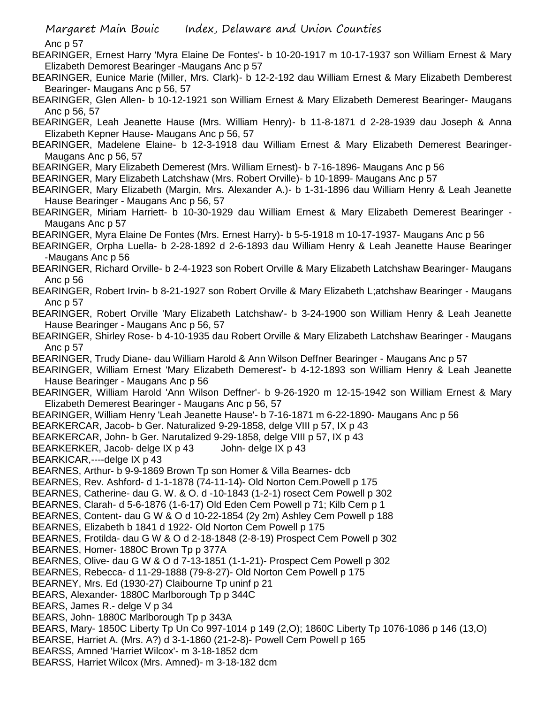Anc p 57

BEARINGER, Ernest Harry 'Myra Elaine De Fontes'- b 10-20-1917 m 10-17-1937 son William Ernest & Mary Elizabeth Demorest Bearinger -Maugans Anc p 57

BEARINGER, Eunice Marie (Miller, Mrs. Clark)- b 12-2-192 dau William Ernest & Mary Elizabeth Demberest Bearinger- Maugans Anc p 56, 57

BEARINGER, Glen Allen- b 10-12-1921 son William Ernest & Mary Elizabeth Demerest Bearinger- Maugans Anc p 56, 57

BEARINGER, Leah Jeanette Hause (Mrs. William Henry)- b 11-8-1871 d 2-28-1939 dau Joseph & Anna Elizabeth Kepner Hause- Maugans Anc p 56, 57

BEARINGER, Madelene Elaine- b 12-3-1918 dau William Ernest & Mary Elizabeth Demerest Bearinger-Maugans Anc p 56, 57

BEARINGER, Mary Elizabeth Demerest (Mrs. William Ernest)- b 7-16-1896- Maugans Anc p 56

BEARINGER, Mary Elizabeth Latchshaw (Mrs. Robert Orville)- b 10-1899- Maugans Anc p 57

BEARINGER, Mary Elizabeth (Margin, Mrs. Alexander A.)- b 1-31-1896 dau William Henry & Leah Jeanette Hause Bearinger - Maugans Anc p 56, 57

BEARINGER, Miriam Harriett- b 10-30-1929 dau William Ernest & Mary Elizabeth Demerest Bearinger - Maugans Anc p 57

BEARINGER, Myra Elaine De Fontes (Mrs. Ernest Harry)- b 5-5-1918 m 10-17-1937- Maugans Anc p 56

BEARINGER, Orpha Luella- b 2-28-1892 d 2-6-1893 dau William Henry & Leah Jeanette Hause Bearinger -Maugans Anc p 56

BEARINGER, Richard Orville- b 2-4-1923 son Robert Orville & Mary Elizabeth Latchshaw Bearinger- Maugans Anc p 56

BEARINGER, Robert Irvin- b 8-21-1927 son Robert Orville & Mary Elizabeth L;atchshaw Bearinger - Maugans Anc p 57

BEARINGER, Robert Orville 'Mary Elizabeth Latchshaw'- b 3-24-1900 son William Henry & Leah Jeanette Hause Bearinger - Maugans Anc p 56, 57

BEARINGER, Shirley Rose- b 4-10-1935 dau Robert Orville & Mary Elizabeth Latchshaw Bearinger - Maugans Anc p 57

BEARINGER, Trudy Diane- dau William Harold & Ann Wilson Deffner Bearinger - Maugans Anc p 57

BEARINGER, William Ernest 'Mary Elizabeth Demerest'- b 4-12-1893 son William Henry & Leah Jeanette Hause Bearinger - Maugans Anc p 56

BEARINGER, William Harold 'Ann Wilson Deffner'- b 9-26-1920 m 12-15-1942 son William Ernest & Mary Elizabeth Demerest Bearinger - Maugans Anc p 56, 57

BEARINGER, William Henry 'Leah Jeanette Hause'- b 7-16-1871 m 6-22-1890- Maugans Anc p 56

BEARKERCAR, Jacob- b Ger. Naturalized 9-29-1858, delge VIII p 57, IX p 43

BEARKERCAR, John- b Ger. Narutalized 9-29-1858, delge VIII p 57, IX p 43

BEARKERKER, Jacob- delge IX p 43 John- delge IX p 43

BEARKICAR,----delge IX p 43

BEARNES, Arthur- b 9-9-1869 Brown Tp son Homer & Villa Bearnes- dcb

BEARNES, Rev. Ashford- d 1-1-1878 (74-11-14)- Old Norton Cem.Powell p 175

BEARNES, Catherine- dau G. W. & O. d -10-1843 (1-2-1) rosect Cem Powell p 302

BEARNES, Clarah- d 5-6-1876 (1-6-17) Old Eden Cem Powell p 71; Kilb Cem p 1

BEARNES, Content- dau G W & O d 10-22-1854 (2y 2m) Ashley Cem Powell p 188

BEARNES, Elizabeth b 1841 d 1922- Old Norton Cem Powell p 175

BEARNES, Frotilda- dau G W & O d 2-18-1848 (2-8-19) Prospect Cem Powell p 302

BEARNES, Homer- 1880C Brown Tp p 377A

BEARNES, Olive- dau G W & O d 7-13-1851 (1-1-21)- Prospect Cem Powell p 302

BEARNES, Rebecca- d 11-29-1888 (79-8-27)- Old Norton Cem Powell p 175

BEARNEY, Mrs. Ed (1930-27) Claibourne Tp uninf p 21

BEARS, Alexander- 1880C Marlborough Tp p 344C

BEARS, James R.- delge V p 34

BEARS, John- 1880C Marlborough Tp p 343A

BEARS, Mary- 1850C Liberty Tp Un Co 997-1014 p 149 (2,O); 1860C Liberty Tp 1076-1086 p 146 (13,O)

BEARSE, Harriet A. (Mrs. A?) d 3-1-1860 (21-2-8)- Powell Cem Powell p 165

BEARSS, Amned 'Harriet Wilcox'- m 3-18-1852 dcm

BEARSS, Harriet Wilcox (Mrs. Amned)- m 3-18-182 dcm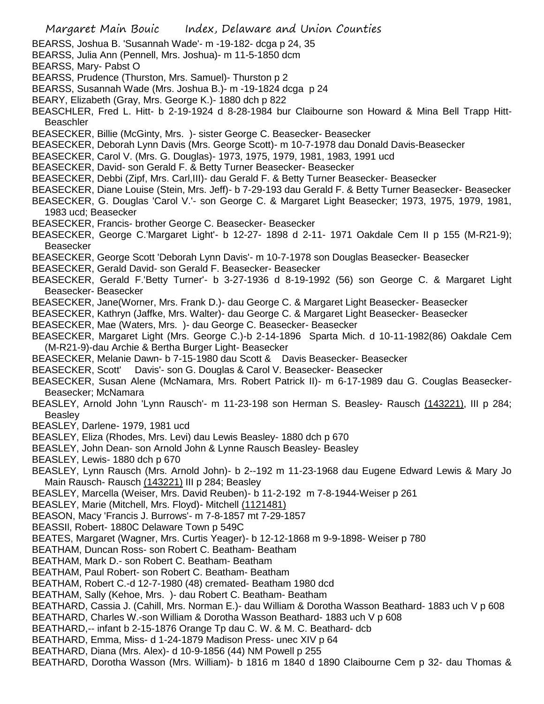Margaret Main Bouic Index, Delaware and Union Counties BEARSS, Joshua B. 'Susannah Wade'- m -19-182- dcga p 24, 35 BEARSS, Julia Ann (Pennell, Mrs. Joshua)- m 11-5-1850 dcm BEARSS, Mary- Pabst O BEARSS, Prudence (Thurston, Mrs. Samuel)- Thurston p 2 BEARSS, Susannah Wade (Mrs. Joshua B.)- m -19-1824 dcga p 24 BEARY, Elizabeth (Gray, Mrs. George K.)- 1880 dch p 822 BEASCHLER, Fred L. Hitt- b 2-19-1924 d 8-28-1984 bur Claibourne son Howard & Mina Bell Trapp Hitt-**Beaschler** BEASECKER, Billie (McGinty, Mrs. )- sister George C. Beasecker- Beasecker BEASECKER, Deborah Lynn Davis (Mrs. George Scott)- m 10-7-1978 dau Donald Davis-Beasecker BEASECKER, Carol V. (Mrs. G. Douglas)- 1973, 1975, 1979, 1981, 1983, 1991 ucd BEASECKER, David- son Gerald F. & Betty Turner Beasecker- Beasecker BEASECKER, Debbi (Zipf, Mrs. Carl,III)- dau Gerald F. & Betty Turner Beasecker- Beasecker BEASECKER, Diane Louise (Stein, Mrs. Jeff)- b 7-29-193 dau Gerald F. & Betty Turner Beasecker- Beasecker BEASECKER, G. Douglas 'Carol V.'- son George C. & Margaret Light Beasecker; 1973, 1975, 1979, 1981, 1983 ucd; Beasecker BEASECKER, Francis- brother George C. Beasecker- Beasecker BEASECKER, George C.'Margaret Light'- b 12-27- 1898 d 2-11- 1971 Oakdale Cem II p 155 (M-R21-9); Beasecker BEASECKER, George Scott 'Deborah Lynn Davis'- m 10-7-1978 son Douglas Beasecker- Beasecker BEASECKER, Gerald David- son Gerald F. Beasecker- Beasecker BEASECKER, Gerald F.'Betty Turner'- b 3-27-1936 d 8-19-1992 (56) son George C. & Margaret Light Beasecker- Beasecker BEASECKER, Jane(Worner, Mrs. Frank D.)- dau George C. & Margaret Light Beasecker- Beasecker BEASECKER, Kathryn (Jaffke, Mrs. Walter)- dau George C. & Margaret Light Beasecker- Beasecker BEASECKER, Mae (Waters, Mrs. )- dau George C. Beasecker- Beasecker BEASECKER, Margaret Light (Mrs. George C.)-b 2-14-1896 Sparta Mich. d 10-11-1982(86) Oakdale Cem (M-R21-9)-dau Archie & Bertha Burger Light- Beasecker BEASECKER, Melanie Dawn- b 7-15-1980 dau Scott & Davis Beasecker- Beasecker BEASECKER, Scott' Davis'- son G. Douglas & Carol V. Beasecker- Beasecker BEASECKER, Susan Alene (McNamara, Mrs. Robert Patrick II)- m 6-17-1989 dau G. Couglas Beasecker-Beasecker; McNamara BEASLEY, Arnold John 'Lynn Rausch'- m 11-23-198 son Herman S. Beasley- Rausch (143221), III p 284; **Beasley** BEASLEY, Darlene- 1979, 1981 ucd BEASLEY, Eliza (Rhodes, Mrs. Levi) dau Lewis Beasley- 1880 dch p 670 BEASLEY, John Dean- son Arnold John & Lynne Rausch Beasley- Beasley BEASLEY, Lewis- 1880 dch p 670 BEASLEY, Lynn Rausch (Mrs. Arnold John)- b 2--192 m 11-23-1968 dau Eugene Edward Lewis & Mary Jo Main Rausch- Rausch (143221) III p 284; Beasley BEASLEY, Marcella (Weiser, Mrs. David Reuben)- b 11-2-192 m 7-8-1944-Weiser p 261 BEASLEY, Marie (Mitchell, Mrs. Floyd)- Mitchell (1121481) BEASON, Macy 'Francis J. Burrows'- m 7-8-1857 mt 7-29-1857 BEASSIl, Robert- 1880C Delaware Town p 549C BEATES, Margaret (Wagner, Mrs. Curtis Yeager)- b 12-12-1868 m 9-9-1898- Weiser p 780 BEATHAM, Duncan Ross- son Robert C. Beatham- Beatham BEATHAM, Mark D.- son Robert C. Beatham- Beatham BEATHAM, Paul Robert- son Robert C. Beatham- Beatham BEATHAM, Robert C.-d 12-7-1980 (48) cremated- Beatham 1980 dcd BEATHAM, Sally (Kehoe, Mrs. )- dau Robert C. Beatham- Beatham BEATHARD, Cassia J. (Cahill, Mrs. Norman E.)- dau William & Dorotha Wasson Beathard- 1883 uch V p 608 BEATHARD, Charles W.-son William & Dorotha Wasson Beathard- 1883 uch V p 608 BEATHARD,-- infant b 2-15-1876 Orange Tp dau C. W. & M. C. Beathard- dcb BEATHARD, Emma, Miss- d 1-24-1879 Madison Press- unec XIV p 64 BEATHARD, Diana (Mrs. Alex)- d 10-9-1856 (44) NM Powell p 255 BEATHARD, Dorotha Wasson (Mrs. William)- b 1816 m 1840 d 1890 Claibourne Cem p 32- dau Thomas &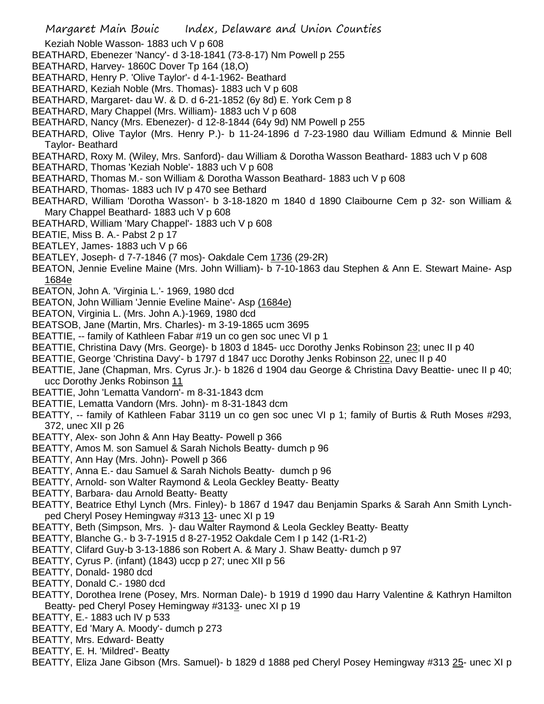Keziah Noble Wasson- 1883 uch V p 608

- BEATHARD, Ebenezer 'Nancy'- d 3-18-1841 (73-8-17) Nm Powell p 255
- BEATHARD, Harvey- 1860C Dover Tp 164 (18,O)
- BEATHARD, Henry P. 'Olive Taylor'- d 4-1-1962- Beathard
- BEATHARD, Keziah Noble (Mrs. Thomas)- 1883 uch V p 608
- BEATHARD, Margaret- dau W. & D. d 6-21-1852 (6y 8d) E. York Cem p 8
- BEATHARD, Mary Chappel (Mrs. William)- 1883 uch V p 608
- BEATHARD, Nancy (Mrs. Ebenezer)- d 12-8-1844 (64y 9d) NM Powell p 255
- BEATHARD, Olive Taylor (Mrs. Henry P.)- b 11-24-1896 d 7-23-1980 dau William Edmund & Minnie Bell Taylor- Beathard
- BEATHARD, Roxy M. (Wiley, Mrs. Sanford)- dau William & Dorotha Wasson Beathard- 1883 uch V p 608
- BEATHARD, Thomas 'Keziah Noble'- 1883 uch V p 608
- BEATHARD, Thomas M.- son William & Dorotha Wasson Beathard- 1883 uch V p 608
- BEATHARD, Thomas- 1883 uch IV p 470 see Bethard
- BEATHARD, William 'Dorotha Wasson'- b 3-18-1820 m 1840 d 1890 Claibourne Cem p 32- son William & Mary Chappel Beathard- 1883 uch V p 608
- BEATHARD, William 'Mary Chappel'- 1883 uch V p 608
- BEATIE, Miss B. A.- Pabst 2 p 17
- BEATLEY, James- 1883 uch V p 66
- BEATLEY, Joseph- d 7-7-1846 (7 mos)- Oakdale Cem 1736 (29-2R)
- BEATON, Jennie Eveline Maine (Mrs. John William)- b 7-10-1863 dau Stephen & Ann E. Stewart Maine- Asp 1684e
- BEATON, John A. 'Virginia L.'- 1969, 1980 dcd
- BEATON, John William 'Jennie Eveline Maine'- Asp (1684e)
- BEATON, Virginia L. (Mrs. John A.)-1969, 1980 dcd
- BEATSOB, Jane (Martin, Mrs. Charles)- m 3-19-1865 ucm 3695
- BEATTIE, -- family of Kathleen Fabar #19 un co gen soc unec VI p 1
- BEATTIE, Christina Davy (Mrs. George)- b 1803 d 1845- ucc Dorothy Jenks Robinson 23; unec II p 40
- BEATTIE, George 'Christina Davy'- b 1797 d 1847 ucc Dorothy Jenks Robinson 22, unec II p 40
- BEATTIE, Jane (Chapman, Mrs. Cyrus Jr.)- b 1826 d 1904 dau George & Christina Davy Beattie- unec II p 40; ucc Dorothy Jenks Robinson 11
- BEATTIE, John 'Lematta Vandorn'- m 8-31-1843 dcm
- BEATTIE, Lematta Vandorn (Mrs. John)- m 8-31-1843 dcm
- BEATTY, -- family of Kathleen Fabar 3119 un co gen soc unec VI p 1; family of Burtis & Ruth Moses #293, 372, unec XII p 26
- BEATTY, Alex- son John & Ann Hay Beatty- Powell p 366
- BEATTY, Amos M. son Samuel & Sarah Nichols Beatty- dumch p 96
- BEATTY, Ann Hay (Mrs. John)- Powell p 366
- BEATTY, Anna E.- dau Samuel & Sarah Nichols Beatty- dumch p 96
- BEATTY, Arnold- son Walter Raymond & Leola Geckley Beatty- Beatty
- BEATTY, Barbara- dau Arnold Beatty- Beatty
- BEATTY, Beatrice Ethyl Lynch (Mrs. Finley)- b 1867 d 1947 dau Benjamin Sparks & Sarah Ann Smith Lynchped Cheryl Posey Hemingway #313 13- unec XI p 19
- BEATTY, Beth (Simpson, Mrs. )- dau Walter Raymond & Leola Geckley Beatty- Beatty
- BEATTY, Blanche G.- b 3-7-1915 d 8-27-1952 Oakdale Cem I p 142 (1-R1-2)
- BEATTY, Clifard Guy-b 3-13-1886 son Robert A. & Mary J. Shaw Beatty- dumch p 97
- BEATTY, Cyrus P. (infant) (1843) uccp p 27; unec XII p 56
- BEATTY, Donald- 1980 dcd
- BEATTY, Donald C.- 1980 dcd
- BEATTY, Dorothea Irene (Posey, Mrs. Norman Dale)- b 1919 d 1990 dau Harry Valentine & Kathryn Hamilton Beatty- ped Cheryl Posey Hemingway #3133- unec XI p 19
- BEATTY, E.- 1883 uch IV p 533
- BEATTY, Ed 'Mary A. Moody'- dumch p 273
- BEATTY, Mrs. Edward- Beatty
- BEATTY, E. H. 'Mildred'- Beatty
- BEATTY, Eliza Jane Gibson (Mrs. Samuel)- b 1829 d 1888 ped Cheryl Posey Hemingway #313 25- unec XI p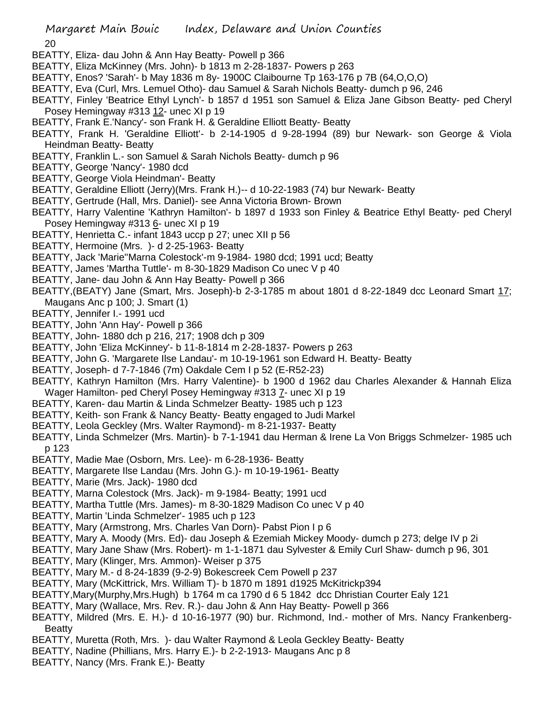20

- BEATTY, Eliza- dau John & Ann Hay Beatty- Powell p 366
- BEATTY, Eliza McKinney (Mrs. John)- b 1813 m 2-28-1837- Powers p 263
- BEATTY, Enos? 'Sarah'- b May 1836 m 8y- 1900C Claibourne Tp 163-176 p 7B (64,O,O,O)
- BEATTY, Eva (Curl, Mrs. Lemuel Otho)- dau Samuel & Sarah Nichols Beatty- dumch p 96, 246
- BEATTY, Finley 'Beatrice Ethyl Lynch'- b 1857 d 1951 son Samuel & Eliza Jane Gibson Beatty- ped Cheryl Posey Hemingway #313 12- unec XI p 19
- BEATTY, Frank E.'Nancy'- son Frank H. & Geraldine Elliott Beatty- Beatty
- BEATTY, Frank H. 'Geraldine Elliott'- b 2-14-1905 d 9-28-1994 (89) bur Newark- son George & Viola Heindman Beatty- Beatty
- BEATTY, Franklin L.- son Samuel & Sarah Nichols Beatty- dumch p 96
- BEATTY, George 'Nancy'- 1980 dcd
- BEATTY, George Viola Heindman'- Beatty
- BEATTY, Geraldine Elliott (Jerry)(Mrs. Frank H.)-- d 10-22-1983 (74) bur Newark- Beatty
- BEATTY, Gertrude (Hall, Mrs. Daniel)- see Anna Victoria Brown- Brown
- BEATTY, Harry Valentine 'Kathryn Hamilton'- b 1897 d 1933 son Finley & Beatrice Ethyl Beatty- ped Cheryl Posey Hemingway #313 6- unec XI p 19
- BEATTY, Henrietta C.- infant 1843 uccp p 27; unec XII p 56
- BEATTY, Hermoine (Mrs. )- d 2-25-1963- Beatty
- BEATTY, Jack 'Marie''Marna Colestock'-m 9-1984- 1980 dcd; 1991 ucd; Beatty
- BEATTY, James 'Martha Tuttle'- m 8-30-1829 Madison Co unec V p 40
- BEATTY, Jane- dau John & Ann Hay Beatty- Powell p 366
- BEATTY,(BEATY) Jane (Smart, Mrs. Joseph)-b 2-3-1785 m about 1801 d 8-22-1849 dcc Leonard Smart 17; Maugans Anc p 100; J. Smart (1)
- BEATTY, Jennifer I.- 1991 ucd
- BEATTY, John 'Ann Hay'- Powell p 366
- BEATTY, John- 1880 dch p 216, 217; 1908 dch p 309
- BEATTY, John 'Eliza McKinney'- b 11-8-1814 m 2-28-1837- Powers p 263
- BEATTY, John G. 'Margarete Ilse Landau'- m 10-19-1961 son Edward H. Beatty- Beatty
- BEATTY, Joseph- d 7-7-1846 (7m) Oakdale Cem I p 52 (E-R52-23)
- BEATTY, Kathryn Hamilton (Mrs. Harry Valentine)- b 1900 d 1962 dau Charles Alexander & Hannah Eliza Wager Hamilton- ped Cheryl Posey Hemingway #313 7- unec XI p 19
- BEATTY, Karen- dau Martin & Linda Schmelzer Beatty- 1985 uch p 123
- BEATTY, Keith- son Frank & Nancy Beatty- Beatty engaged to Judi Markel
- BEATTY, Leola Geckley (Mrs. Walter Raymond)- m 8-21-1937- Beatty
- BEATTY, Linda Schmelzer (Mrs. Martin)- b 7-1-1941 dau Herman & Irene La Von Briggs Schmelzer- 1985 uch p 123
- BEATTY, Madie Mae (Osborn, Mrs. Lee)- m 6-28-1936- Beatty
- BEATTY, Margarete Ilse Landau (Mrs. John G.)- m 10-19-1961- Beatty
- BEATTY, Marie (Mrs. Jack)- 1980 dcd
- BEATTY, Marna Colestock (Mrs. Jack)- m 9-1984- Beatty; 1991 ucd
- BEATTY, Martha Tuttle (Mrs. James)- m 8-30-1829 Madison Co unec V p 40
- BEATTY, Martin 'Linda Schmelzer'- 1985 uch p 123
- BEATTY, Mary (Armstrong, Mrs. Charles Van Dorn)- Pabst Pion I p 6
- BEATTY, Mary A. Moody (Mrs. Ed)- dau Joseph & Ezemiah Mickey Moody- dumch p 273; delge IV p 2i
- BEATTY, Mary Jane Shaw (Mrs. Robert)- m 1-1-1871 dau Sylvester & Emily Curl Shaw- dumch p 96, 301
- BEATTY, Mary (Klinger, Mrs. Ammon)- Weiser p 375
- BEATTY, Mary M.- d 8-24-1839 (9-2-9) Bokescreek Cem Powell p 237
- BEATTY, Mary (McKittrick, Mrs. William T)- b 1870 m 1891 d1925 McKitrickp394
- BEATTY,Mary(Murphy,Mrs.Hugh) b 1764 m ca 1790 d 6 5 1842 dcc Dhristian Courter Ealy 121
- BEATTY, Mary (Wallace, Mrs. Rev. R.)- dau John & Ann Hay Beatty- Powell p 366
- BEATTY, Mildred (Mrs. E. H.)- d 10-16-1977 (90) bur. Richmond, Ind.- mother of Mrs. Nancy Frankenberg-Beatty
- BEATTY, Muretta (Roth, Mrs. )- dau Walter Raymond & Leola Geckley Beatty- Beatty
- BEATTY, Nadine (Phillians, Mrs. Harry E.)- b 2-2-1913- Maugans Anc p 8
- BEATTY, Nancy (Mrs. Frank E.)- Beatty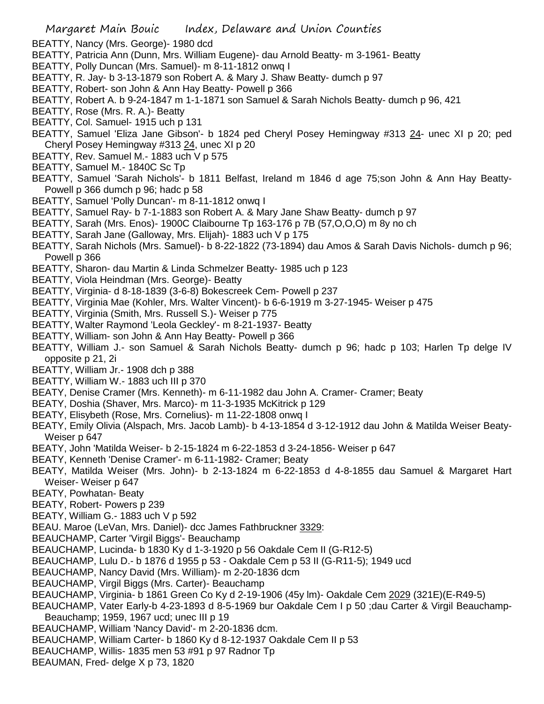- BEATTY, Nancy (Mrs. George)- 1980 dcd
- BEATTY, Patricia Ann (Dunn, Mrs. William Eugene)- dau Arnold Beatty- m 3-1961- Beatty
- BEATTY, Polly Duncan (Mrs. Samuel)- m 8-11-1812 onwq I
- BEATTY, R. Jay- b 3-13-1879 son Robert A. & Mary J. Shaw Beatty- dumch p 97
- BEATTY, Robert- son John & Ann Hay Beatty- Powell p 366
- BEATTY, Robert A. b 9-24-1847 m 1-1-1871 son Samuel & Sarah Nichols Beatty- dumch p 96, 421
- BEATTY, Rose (Mrs. R. A.)- Beatty
- BEATTY, Col. Samuel- 1915 uch p 131
- BEATTY, Samuel 'Eliza Jane Gibson'- b 1824 ped Cheryl Posey Hemingway #313 24- unec XI p 20; ped Cheryl Posey Hemingway #313 24, unec XI p 20
- BEATTY, Rev. Samuel M.- 1883 uch V p 575
- BEATTY, Samuel M.- 1840C Sc Tp
- BEATTY, Samuel 'Sarah Nichols'- b 1811 Belfast, Ireland m 1846 d age 75;son John & Ann Hay Beatty-Powell p 366 dumch p 96; hadc p 58
- BEATTY, Samuel 'Polly Duncan'- m 8-11-1812 onwq I
- BEATTY, Samuel Ray- b 7-1-1883 son Robert A. & Mary Jane Shaw Beatty- dumch p 97
- BEATTY, Sarah (Mrs. Enos)- 1900C Claibourne Tp 163-176 p 7B (57,O,O,O) m 8y no ch
- BEATTY, Sarah Jane (Galloway, Mrs. Elijah)- 1883 uch V p 175
- BEATTY, Sarah Nichols (Mrs. Samuel)- b 8-22-1822 (73-1894) dau Amos & Sarah Davis Nichols- dumch p 96; Powell p 366
- BEATTY, Sharon- dau Martin & Linda Schmelzer Beatty- 1985 uch p 123
- BEATTY, Viola Heindman (Mrs. George)- Beatty
- BEATTY, Virginia- d 8-18-1839 (3-6-8) Bokescreek Cem- Powell p 237
- BEATTY, Virginia Mae (Kohler, Mrs. Walter Vincent)- b 6-6-1919 m 3-27-1945- Weiser p 475
- BEATTY, Virginia (Smith, Mrs. Russell S.)- Weiser p 775
- BEATTY, Walter Raymond 'Leola Geckley'- m 8-21-1937- Beatty
- BEATTY, William- son John & Ann Hay Beatty- Powell p 366
- BEATTY, William J.- son Samuel & Sarah Nichols Beatty- dumch p 96; hadc p 103; Harlen Tp delge IV opposite p 21, 2i
- BEATTY, William Jr.- 1908 dch p 388
- BEATTY, William W.- 1883 uch III p 370
- BEATY, Denise Cramer (Mrs. Kenneth)- m 6-11-1982 dau John A. Cramer- Cramer; Beaty
- BEATY, Doshia (Shaver, Mrs. Marco)- m 11-3-1935 McKitrick p 129
- BEATY, Elisybeth (Rose, Mrs. Cornelius)- m 11-22-1808 onwq I
- BEATY, Emily Olivia (Alspach, Mrs. Jacob Lamb)- b 4-13-1854 d 3-12-1912 dau John & Matilda Weiser Beaty-Weiser p 647
- BEATY, John 'Matilda Weiser- b 2-15-1824 m 6-22-1853 d 3-24-1856- Weiser p 647
- BEATY, Kenneth 'Denise Cramer'- m 6-11-1982- Cramer; Beaty
- BEATY, Matilda Weiser (Mrs. John)- b 2-13-1824 m 6-22-1853 d 4-8-1855 dau Samuel & Margaret Hart Weiser- Weiser p 647
- BEATY, Powhatan- Beaty
- BEATY, Robert- Powers p 239
- BEATY, William G.- 1883 uch V p 592
- BEAU. Maroe (LeVan, Mrs. Daniel)- dcc James Fathbruckner 3329:
- BEAUCHAMP, Carter 'Virgil Biggs'- Beauchamp
- BEAUCHAMP, Lucinda- b 1830 Ky d 1-3-1920 p 56 Oakdale Cem II (G-R12-5)
- BEAUCHAMP, Lulu D.- b 1876 d 1955 p 53 Oakdale Cem p 53 II (G-R11-5); 1949 ucd
- BEAUCHAMP, Nancy David (Mrs. William)- m 2-20-1836 dcm
- BEAUCHAMP, Virgil Biggs (Mrs. Carter)- Beauchamp
- BEAUCHAMP, Virginia- b 1861 Green Co Ky d 2-19-1906 (45y lm)- Oakdale Cem 2029 (321E)(E-R49-5)
- BEAUCHAMP, Vater Early-b 4-23-1893 d 8-5-1969 bur Oakdale Cem I p 50 ;dau Carter & Virgil Beauchamp-Beauchamp; 1959, 1967 ucd; unec III p 19
- BEAUCHAMP, William 'Nancy David'- m 2-20-1836 dcm.
- BEAUCHAMP, William Carter- b 1860 Ky d 8-12-1937 Oakdale Cem II p 53
- BEAUCHAMP, Willis- 1835 men 53 #91 p 97 Radnor Tp
- BEAUMAN, Fred- delge X p 73, 1820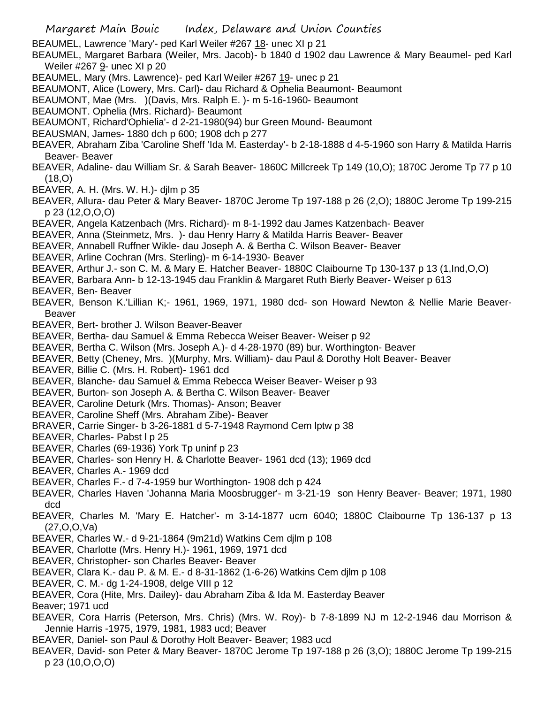BEAUMEL, Lawrence 'Mary'- ped Karl Weiler #267 18- unec XI p 21

BEAUMEL, Margaret Barbara (Weiler, Mrs. Jacob)- b 1840 d 1902 dau Lawrence & Mary Beaumel- ped Karl Weiler #267 9- unec XI p 20

- BEAUMEL, Mary (Mrs. Lawrence)- ped Karl Weiler #267 19- unec p 21
- BEAUMONT, Alice (Lowery, Mrs. Carl)- dau Richard & Ophelia Beaumont- Beaumont
- BEAUMONT, Mae (Mrs. )(Davis, Mrs. Ralph E. )- m 5-16-1960- Beaumont
- BEAUMONT. Ophelia (Mrs. Richard)- Beaumont
- BEAUMONT, Richard'Ophielia'- d 2-21-1980(94) bur Green Mound- Beaumont
- BEAUSMAN, James- 1880 dch p 600; 1908 dch p 277
- BEAVER, Abraham Ziba 'Caroline Sheff 'Ida M. Easterday'- b 2-18-1888 d 4-5-1960 son Harry & Matilda Harris Beaver- Beaver
- BEAVER, Adaline- dau William Sr. & Sarah Beaver- 1860C Millcreek Tp 149 (10,O); 1870C Jerome Tp 77 p 10 (18,O)
- BEAVER, A. H. (Mrs. W. H.)- djlm p 35
- BEAVER, Allura- dau Peter & Mary Beaver- 1870C Jerome Tp 197-188 p 26 (2,O); 1880C Jerome Tp 199-215 p 23 (12,O,O,O)
- BEAVER, Angela Katzenbach (Mrs. Richard)- m 8-1-1992 dau James Katzenbach- Beaver
- BEAVER, Anna (Steinmetz, Mrs. )- dau Henry Harry & Matilda Harris Beaver- Beaver
- BEAVER, Annabell Ruffner Wikle- dau Joseph A. & Bertha C. Wilson Beaver- Beaver
- BEAVER, Arline Cochran (Mrs. Sterling)- m 6-14-1930- Beaver
- BEAVER, Arthur J.- son C. M. & Mary E. Hatcher Beaver- 1880C Claibourne Tp 130-137 p 13 (1,Ind,O,O)
- BEAVER, Barbara Ann- b 12-13-1945 dau Franklin & Margaret Ruth Bierly Beaver- Weiser p 613
- BEAVER, Ben- Beaver
- BEAVER, Benson K.'Lillian K;- 1961, 1969, 1971, 1980 dcd- son Howard Newton & Nellie Marie Beaver-Beaver
- BEAVER, Bert- brother J. Wilson Beaver-Beaver
- BEAVER, Bertha- dau Samuel & Emma Rebecca Weiser Beaver- Weiser p 92
- BEAVER, Bertha C. Wilson (Mrs. Joseph A.)- d 4-28-1970 (89) bur. Worthington- Beaver
- BEAVER, Betty (Cheney, Mrs. )(Murphy, Mrs. William)- dau Paul & Dorothy Holt Beaver- Beaver
- BEAVER, Billie C. (Mrs. H. Robert)- 1961 dcd
- BEAVER, Blanche- dau Samuel & Emma Rebecca Weiser Beaver- Weiser p 93
- BEAVER, Burton- son Joseph A. & Bertha C. Wilson Beaver- Beaver
- BEAVER, Caroline Deturk (Mrs. Thomas)- Anson; Beaver
- BEAVER, Caroline Sheff (Mrs. Abraham Zibe)- Beaver
- BRAVER, Carrie Singer- b 3-26-1881 d 5-7-1948 Raymond Cem lptw p 38
- BEAVER, Charles- Pabst I p 25
- BEAVER, Charles (69-1936) York Tp uninf p 23
- BEAVER, Charles- son Henry H. & Charlotte Beaver- 1961 dcd (13); 1969 dcd
- BEAVER, Charles A.- 1969 dcd
- BEAVER, Charles F.- d 7-4-1959 bur Worthington- 1908 dch p 424
- BEAVER, Charles Haven 'Johanna Maria Moosbrugger'- m 3-21-19 son Henry Beaver- Beaver; 1971, 1980 dcd
- BEAVER, Charles M. 'Mary E. Hatcher'- m 3-14-1877 ucm 6040; 1880C Claibourne Tp 136-137 p 13 (27,O,O,Va)
- BEAVER, Charles W.- d 9-21-1864 (9m21d) Watkins Cem djlm p 108
- BEAVER, Charlotte (Mrs. Henry H.)- 1961, 1969, 1971 dcd
- BEAVER, Christopher- son Charles Beaver- Beaver
- BEAVER, Clara K.- dau P. & M. E.- d 8-31-1862 (1-6-26) Watkins Cem djlm p 108
- BEAVER, C. M.- dg 1-24-1908, delge VIII p 12
- BEAVER, Cora (Hite, Mrs. Dailey)- dau Abraham Ziba & Ida M. Easterday Beaver
- Beaver; 1971 ucd
- BEAVER, Cora Harris (Peterson, Mrs. Chris) (Mrs. W. Roy)- b 7-8-1899 NJ m 12-2-1946 dau Morrison & Jennie Harris -1975, 1979, 1981, 1983 ucd; Beaver
- BEAVER, Daniel- son Paul & Dorothy Holt Beaver- Beaver; 1983 ucd
- BEAVER, David- son Peter & Mary Beaver- 1870C Jerome Tp 197-188 p 26 (3,O); 1880C Jerome Tp 199-215 p 23 (10,O,O,O)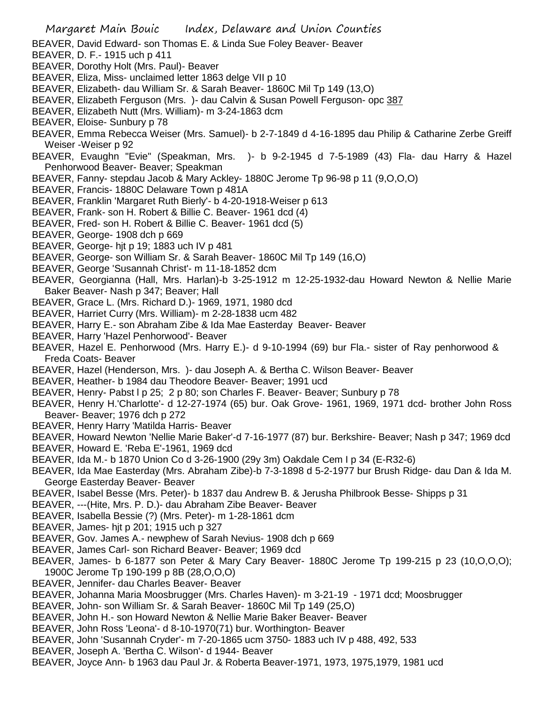- BEAVER, David Edward- son Thomas E. & Linda Sue Foley Beaver- Beaver
- BEAVER, D. F.- 1915 uch p 411
- BEAVER, Dorothy Holt (Mrs. Paul)- Beaver
- BEAVER, Eliza, Miss- unclaimed letter 1863 delge VII p 10
- BEAVER, Elizabeth- dau William Sr. & Sarah Beaver- 1860C Mil Tp 149 (13,O)
- BEAVER, Elizabeth Ferguson (Mrs. )- dau Calvin & Susan Powell Ferguson- opc 387
- BEAVER, Elizabeth Nutt (Mrs. William)- m 3-24-1863 dcm
- BEAVER, Eloise- Sunbury p 78
- BEAVER, Emma Rebecca Weiser (Mrs. Samuel)- b 2-7-1849 d 4-16-1895 dau Philip & Catharine Zerbe Greiff Weiser -Weiser p 92
- BEAVER, Evaughn "Evie" (Speakman, Mrs. )- b 9-2-1945 d 7-5-1989 (43) Fla- dau Harry & Hazel Penhorwood Beaver- Beaver; Speakman
- BEAVER, Fanny- stepdau Jacob & Mary Ackley- 1880C Jerome Tp 96-98 p 11 (9,O,O,O)
- BEAVER, Francis- 1880C Delaware Town p 481A
- BEAVER, Franklin 'Margaret Ruth Bierly'- b 4-20-1918-Weiser p 613
- BEAVER, Frank- son H. Robert & Billie C. Beaver- 1961 dcd (4)
- BEAVER, Fred- son H. Robert & Billie C. Beaver- 1961 dcd (5)
- BEAVER, George- 1908 dch p 669
- BEAVER, George- hjt p 19; 1883 uch IV p 481
- BEAVER, George- son William Sr. & Sarah Beaver- 1860C Mil Tp 149 (16,O)
- BEAVER, George 'Susannah Christ'- m 11-18-1852 dcm
- BEAVER, Georgianna (Hall, Mrs. Harlan)-b 3-25-1912 m 12-25-1932-dau Howard Newton & Nellie Marie Baker Beaver- Nash p 347; Beaver; Hall
- BEAVER, Grace L. (Mrs. Richard D.)- 1969, 1971, 1980 dcd
- BEAVER, Harriet Curry (Mrs. William)- m 2-28-1838 ucm 482
- BEAVER, Harry E.- son Abraham Zibe & Ida Mae Easterday Beaver- Beaver
- BEAVER, Harry 'Hazel Penhorwood'- Beaver
- BEAVER, Hazel E. Penhorwood (Mrs. Harry E.)- d 9-10-1994 (69) bur Fla.- sister of Ray penhorwood & Freda Coats- Beaver
- BEAVER, Hazel (Henderson, Mrs. )- dau Joseph A. & Bertha C. Wilson Beaver- Beaver
- BEAVER, Heather- b 1984 dau Theodore Beaver- Beaver; 1991 ucd
- BEAVER, Henry- Pabst l p 25; 2 p 80; son Charles F. Beaver- Beaver; Sunbury p 78
- BEAVER, Henry H.'Charlotte'- d 12-27-1974 (65) bur. Oak Grove- 1961, 1969, 1971 dcd- brother John Ross Beaver- Beaver; 1976 dch p 272
- BEAVER, Henry Harry 'Matilda Harris- Beaver
- BEAVER, Howard Newton 'Nellie Marie Baker'-d 7-16-1977 (87) bur. Berkshire- Beaver; Nash p 347; 1969 dcd
- BEAVER, Howard E. 'Reba E'-1961, 1969 dcd
- BEAVER, Ida M.- b 1870 Union Co d 3-26-1900 (29y 3m) Oakdale Cem I p 34 (E-R32-6)
- BEAVER, Ida Mae Easterday (Mrs. Abraham Zibe)-b 7-3-1898 d 5-2-1977 bur Brush Ridge- dau Dan & Ida M. George Easterday Beaver- Beaver
- BEAVER, Isabel Besse (Mrs. Peter)- b 1837 dau Andrew B. & Jerusha Philbrook Besse- Shipps p 31
- BEAVER, ---(Hite, Mrs. P. D.)- dau Abraham Zibe Beaver- Beaver
- BEAVER, Isabella Bessie (?) (Mrs. Peter)- m 1-28-1861 dcm
- BEAVER, James- hjt p 201; 1915 uch p 327
- BEAVER, Gov. James A.- newphew of Sarah Nevius- 1908 dch p 669
- BEAVER, James Carl- son Richard Beaver- Beaver; 1969 dcd
- BEAVER, James- b 6-1877 son Peter & Mary Cary Beaver- 1880C Jerome Tp 199-215 p 23 (10,O,O,O); 1900C Jerome Tp 190-199 p 8B (28,O,O,O)
- BEAVER, Jennifer- dau Charles Beaver- Beaver
- BEAVER, Johanna Maria Moosbrugger (Mrs. Charles Haven)- m 3-21-19 1971 dcd; Moosbrugger
- BEAVER, John- son William Sr. & Sarah Beaver- 1860C Mil Tp 149 (25,O)
- BEAVER, John H.- son Howard Newton & Nellie Marie Baker Beaver- Beaver
- BEAVER, John Ross 'Leona'- d 8-10-1970(71) bur. Worthington- Beaver
- BEAVER, John 'Susannah Cryder'- m 7-20-1865 ucm 3750- 1883 uch IV p 488, 492, 533
- BEAVER, Joseph A. 'Bertha C. Wilson'- d 1944- Beaver
- BEAVER, Joyce Ann- b 1963 dau Paul Jr. & Roberta Beaver-1971, 1973, 1975,1979, 1981 ucd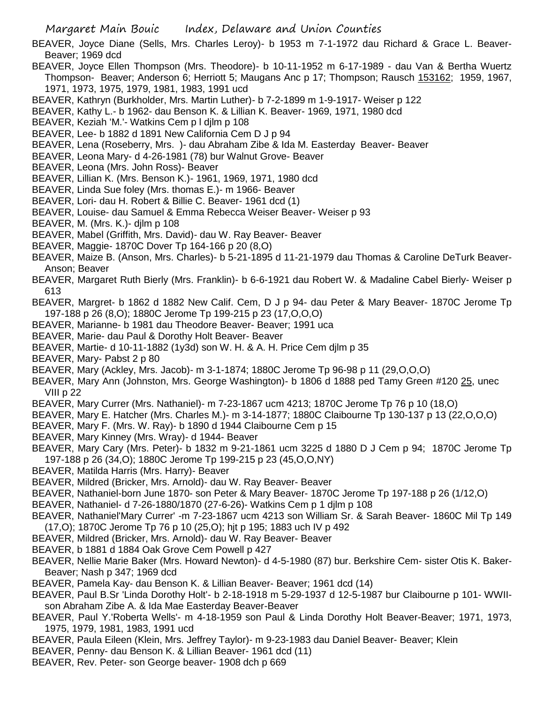- BEAVER, Joyce Diane (Sells, Mrs. Charles Leroy)- b 1953 m 7-1-1972 dau Richard & Grace L. Beaver-Beaver; 1969 dcd
- BEAVER, Joyce Ellen Thompson (Mrs. Theodore)- b 10-11-1952 m 6-17-1989 dau Van & Bertha Wuertz Thompson- Beaver; Anderson 6; Herriott 5; Maugans Anc p 17; Thompson; Rausch 153162; 1959, 1967, 1971, 1973, 1975, 1979, 1981, 1983, 1991 ucd
- BEAVER, Kathryn (Burkholder, Mrs. Martin Luther)- b 7-2-1899 m 1-9-1917- Weiser p 122
- BEAVER, Kathy L.- b 1962- dau Benson K. & Lillian K. Beaver- 1969, 1971, 1980 dcd
- BEAVER, Keziah 'M.'- Watkins Cem p l djlm p 108
- BEAVER, Lee- b 1882 d 1891 New California Cem D J p 94
- BEAVER, Lena (Roseberry, Mrs. )- dau Abraham Zibe & Ida M. Easterday Beaver- Beaver
- BEAVER, Leona Mary- d 4-26-1981 (78) bur Walnut Grove- Beaver
- BEAVER, Leona (Mrs. John Ross)- Beaver
- BEAVER, Lillian K. (Mrs. Benson K.)- 1961, 1969, 1971, 1980 dcd
- BEAVER, Linda Sue foley (Mrs. thomas E.)- m 1966- Beaver
- BEAVER, Lori- dau H. Robert & Billie C. Beaver- 1961 dcd (1)
- BEAVER, Louise- dau Samuel & Emma Rebecca Weiser Beaver- Weiser p 93
- BEAVER, M. (Mrs. K.)- djlm p 108
- BEAVER, Mabel (Griffith, Mrs. David)- dau W. Ray Beaver- Beaver
- BEAVER, Maggie- 1870C Dover Tp 164-166 p 20 (8,O)
- BEAVER, Maize B. (Anson, Mrs. Charles)- b 5-21-1895 d 11-21-1979 dau Thomas & Caroline DeTurk Beaver-Anson; Beaver
- BEAVER, Margaret Ruth Bierly (Mrs. Franklin)- b 6-6-1921 dau Robert W. & Madaline Cabel Bierly- Weiser p 613
- BEAVER, Margret- b 1862 d 1882 New Calif. Cem, D J p 94- dau Peter & Mary Beaver- 1870C Jerome Tp 197-188 p 26 (8,O); 1880C Jerome Tp 199-215 p 23 (17,O,O,O)
- BEAVER, Marianne- b 1981 dau Theodore Beaver- Beaver; 1991 uca
- BEAVER, Marie- dau Paul & Dorothy Holt Beaver- Beaver
- BEAVER, Martie- d 10-11-1882 (1y3d) son W. H. & A. H. Price Cem djlm p 35
- BEAVER, Mary- Pabst 2 p 80
- BEAVER, Mary (Ackley, Mrs. Jacob)- m 3-1-1874; 1880C Jerome Tp 96-98 p 11 (29,O,O,O)
- BEAVER, Mary Ann (Johnston, Mrs. George Washington)- b 1806 d 1888 ped Tamy Green #120 25, unec VIII p 22
- BEAVER, Mary Currer (Mrs. Nathaniel)- m 7-23-1867 ucm 4213; 1870C Jerome Tp 76 p 10 (18,O)
- BEAVER, Mary E. Hatcher (Mrs. Charles M.)- m 3-14-1877; 1880C Claibourne Tp 130-137 p 13 (22,O,O,O)
- BEAVER, Mary F. (Mrs. W. Ray)- b 1890 d 1944 Claibourne Cem p 15
- BEAVER, Mary Kinney (Mrs. Wray)- d 1944- Beaver
- BEAVER, Mary Cary (Mrs. Peter)- b 1832 m 9-21-1861 ucm 3225 d 1880 D J Cem p 94; 1870C Jerome Tp 197-188 p 26 (34,O); 1880C Jerome Tp 199-215 p 23 (45,O,O,NY)
- BEAVER, Matilda Harris (Mrs. Harry)- Beaver
- BEAVER, Mildred (Bricker, Mrs. Arnold)- dau W. Ray Beaver- Beaver
- BEAVER, Nathaniel-born June 1870- son Peter & Mary Beaver- 1870C Jerome Tp 197-188 p 26 (1/12,O)
- BEAVER, Nathaniel- d 7-26-1880/1870 (27-6-26)- Watkins Cem p 1 djlm p 108
- BEAVER, Nathaniel'Mary Currer' -m 7-23-1867 ucm 4213 son William Sr. & Sarah Beaver- 1860C Mil Tp 149 (17,O); 1870C Jerome Tp 76 p 10 (25,O); hjt p 195; 1883 uch IV p 492
- BEAVER, Mildred (Bricker, Mrs. Arnold)- dau W. Ray Beaver- Beaver
- BEAVER, b 1881 d 1884 Oak Grove Cem Powell p 427
- BEAVER, Nellie Marie Baker (Mrs. Howard Newton)- d 4-5-1980 (87) bur. Berkshire Cem- sister Otis K. Baker-Beaver; Nash p 347; 1969 dcd
- BEAVER, Pamela Kay- dau Benson K. & Lillian Beaver- Beaver; 1961 dcd (14)
- BEAVER, Paul B.Sr 'Linda Dorothy Holt'- b 2-18-1918 m 5-29-1937 d 12-5-1987 bur Claibourne p 101- WWIIson Abraham Zibe A. & Ida Mae Easterday Beaver-Beaver
- BEAVER, Paul Y.'Roberta Wells'- m 4-18-1959 son Paul & Linda Dorothy Holt Beaver-Beaver; 1971, 1973, 1975, 1979, 1981, 1983, 1991 ucd
- BEAVER, Paula Eileen (Klein, Mrs. Jeffrey Taylor)- m 9-23-1983 dau Daniel Beaver- Beaver; Klein
- BEAVER, Penny- dau Benson K. & Lillian Beaver- 1961 dcd (11)
- BEAVER, Rev. Peter- son George beaver- 1908 dch p 669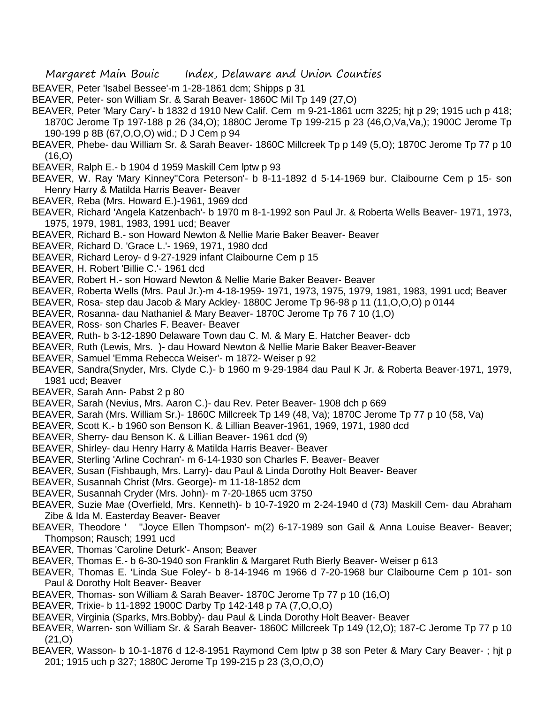- BEAVER, Peter 'Isabel Bessee'-m 1-28-1861 dcm; Shipps p 31
- BEAVER, Peter- son William Sr. & Sarah Beaver- 1860C Mil Tp 149 (27,O)
- BEAVER, Peter 'Mary Cary'- b 1832 d 1910 New Calif. Cem m 9-21-1861 ucm 3225; hjt p 29; 1915 uch p 418; 1870C Jerome Tp 197-188 p 26 (34,O); 1880C Jerome Tp 199-215 p 23 (46,O,Va,Va,); 1900C Jerome Tp 190-199 p 8B (67,O,O,O) wid.; D J Cem p 94
- BEAVER, Phebe- dau William Sr. & Sarah Beaver- 1860C Millcreek Tp p 149 (5,O); 1870C Jerome Tp 77 p 10  $(16, 0)$
- BEAVER, Ralph E.- b 1904 d 1959 Maskill Cem lptw p 93
- BEAVER, W. Ray 'Mary Kinney''Cora Peterson'- b 8-11-1892 d 5-14-1969 bur. Claibourne Cem p 15- son Henry Harry & Matilda Harris Beaver- Beaver
- BEAVER, Reba (Mrs. Howard E.)-1961, 1969 dcd
- BEAVER, Richard 'Angela Katzenbach'- b 1970 m 8-1-1992 son Paul Jr. & Roberta Wells Beaver- 1971, 1973, 1975, 1979, 1981, 1983, 1991 ucd; Beaver
- BEAVER, Richard B.- son Howard Newton & Nellie Marie Baker Beaver- Beaver
- BEAVER, Richard D. 'Grace L.'- 1969, 1971, 1980 dcd
- BEAVER, Richard Leroy- d 9-27-1929 infant Claibourne Cem p 15
- BEAVER, H. Robert 'Billie C.'- 1961 dcd
- BEAVER, Robert H.- son Howard Newton & Nellie Marie Baker Beaver- Beaver
- BEAVER, Roberta Wells (Mrs. Paul Jr.)-m 4-18-1959- 1971, 1973, 1975, 1979, 1981, 1983, 1991 ucd; Beaver
- BEAVER, Rosa- step dau Jacob & Mary Ackley- 1880C Jerome Tp 96-98 p 11 (11,O,O,O) p 0144
- BEAVER, Rosanna- dau Nathaniel & Mary Beaver- 1870C Jerome Tp 76 7 10 (1,O)
- BEAVER, Ross- son Charles F. Beaver- Beaver
- BEAVER, Ruth- b 3-12-1890 Delaware Town dau C. M. & Mary E. Hatcher Beaver- dcb
- BEAVER, Ruth (Lewis, Mrs. )- dau Howard Newton & Nellie Marie Baker Beaver-Beaver
- BEAVER, Samuel 'Emma Rebecca Weiser'- m 1872- Weiser p 92
- BEAVER, Sandra(Snyder, Mrs. Clyde C.)- b 1960 m 9-29-1984 dau Paul K Jr. & Roberta Beaver-1971, 1979, 1981 ucd; Beaver
- BEAVER, Sarah Ann- Pabst 2 p 80
- BEAVER, Sarah (Nevius, Mrs. Aaron C.)- dau Rev. Peter Beaver- 1908 dch p 669
- BEAVER, Sarah (Mrs. William Sr.)- 1860C Millcreek Tp 149 (48, Va); 1870C Jerome Tp 77 p 10 (58, Va)
- BEAVER, Scott K.- b 1960 son Benson K. & Lillian Beaver-1961, 1969, 1971, 1980 dcd
- BEAVER, Sherry- dau Benson K. & Lillian Beaver- 1961 dcd (9)
- BEAVER, Shirley- dau Henry Harry & Matilda Harris Beaver- Beaver
- BEAVER, Sterling 'Arline Cochran'- m 6-14-1930 son Charles F. Beaver- Beaver
- BEAVER, Susan (Fishbaugh, Mrs. Larry)- dau Paul & Linda Dorothy Holt Beaver- Beaver
- BEAVER, Susannah Christ (Mrs. George)- m 11-18-1852 dcm
- BEAVER, Susannah Cryder (Mrs. John)- m 7-20-1865 ucm 3750
- BEAVER, Suzie Mae (Overfield, Mrs. Kenneth)- b 10-7-1920 m 2-24-1940 d (73) Maskill Cem- dau Abraham Zibe & Ida M. Easterday Beaver- Beaver
- BEAVER, Theodore ' ''Joyce Ellen Thompson'- m(2) 6-17-1989 son Gail & Anna Louise Beaver- Beaver; Thompson; Rausch; 1991 ucd
- BEAVER, Thomas 'Caroline Deturk'- Anson; Beaver
- BEAVER, Thomas E.- b 6-30-1940 son Franklin & Margaret Ruth Bierly Beaver- Weiser p 613
- BEAVER, Thomas E. 'Linda Sue Foley'- b 8-14-1946 m 1966 d 7-20-1968 bur Claibourne Cem p 101- son Paul & Dorothy Holt Beaver- Beaver
- BEAVER, Thomas- son William & Sarah Beaver- 1870C Jerome Tp 77 p 10 (16,O)
- BEAVER, Trixie- b 11-1892 1900C Darby Tp 142-148 p 7A (7,O,O,O)
- BEAVER, Virginia (Sparks, Mrs.Bobby)- dau Paul & Linda Dorothy Holt Beaver- Beaver
- BEAVER, Warren- son William Sr. & Sarah Beaver- 1860C Millcreek Tp 149 (12,O); 187-C Jerome Tp 77 p 10 (21,O)
- BEAVER, Wasson- b 10-1-1876 d 12-8-1951 Raymond Cem lptw p 38 son Peter & Mary Cary Beaver- ; hjt p 201; 1915 uch p 327; 1880C Jerome Tp 199-215 p 23 (3,O,O,O)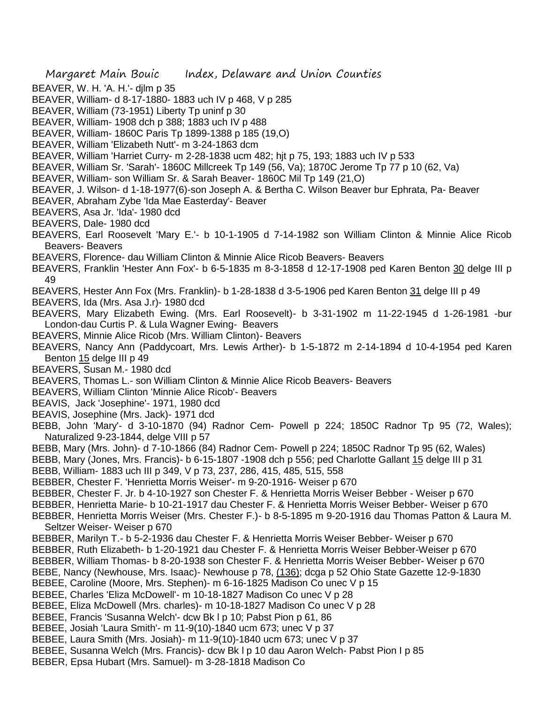- BEAVER, W. H. 'A. H.'- djlm p 35
- BEAVER, William- d 8-17-1880- 1883 uch IV p 468, V p 285
- BEAVER, William (73-1951) Liberty Tp uninf p 30
- BEAVER, William- 1908 dch p 388; 1883 uch IV p 488
- BEAVER, William- 1860C Paris Tp 1899-1388 p 185 (19,O)
- BEAVER, William 'Elizabeth Nutt'- m 3-24-1863 dcm
- BEAVER, William 'Harriet Curry- m 2-28-1838 ucm 482; hjt p 75, 193; 1883 uch IV p 533
- BEAVER, William Sr. 'Sarah'- 1860C Millcreek Tp 149 (56, Va); 1870C Jerome Tp 77 p 10 (62, Va)
- BEAVER, William- son William Sr. & Sarah Beaver- 1860C Mil Tp 149 (21,O)
- BEAVER, J. Wilson- d 1-18-1977(6)-son Joseph A. & Bertha C. Wilson Beaver bur Ephrata, Pa- Beaver
- BEAVER, Abraham Zybe 'Ida Mae Easterday'- Beaver
- BEAVERS, Asa Jr. 'Ida'- 1980 dcd
- BEAVERS, Dale- 1980 dcd
- BEAVERS, Earl Roosevelt 'Mary E.'- b 10-1-1905 d 7-14-1982 son William Clinton & Minnie Alice Ricob Beavers- Beavers
- BEAVERS, Florence- dau William Clinton & Minnie Alice Ricob Beavers- Beavers
- BEAVERS, Franklin 'Hester Ann Fox'- b 6-5-1835 m 8-3-1858 d 12-17-1908 ped Karen Benton 30 delge III p 49
- BEAVERS, Hester Ann Fox (Mrs. Franklin)- b 1-28-1838 d 3-5-1906 ped Karen Benton 31 delge III p 49
- BEAVERS, Ida (Mrs. Asa J.r)- 1980 dcd
- BEAVERS, Mary Elizabeth Ewing. (Mrs. Earl Roosevelt)- b 3-31-1902 m 11-22-1945 d 1-26-1981 -bur London-dau Curtis P. & Lula Wagner Ewing- Beavers
- BEAVERS, Minnie Alice Ricob (Mrs. William Clinton)- Beavers
- BEAVERS, Nancy Ann (Paddycoart, Mrs. Lewis Arther)- b 1-5-1872 m 2-14-1894 d 10-4-1954 ped Karen Benton 15 delge III p 49
- BEAVERS, Susan M.- 1980 dcd
- BEAVERS, Thomas L.- son William Clinton & Minnie Alice Ricob Beavers- Beavers
- BEAVERS, William Clinton 'Minnie Alice Ricob'- Beavers
- BEAVIS, Jack 'Josephine'- 1971, 1980 dcd
- BEAVIS, Josephine (Mrs. Jack)- 1971 dcd
- BEBB, John 'Mary'- d 3-10-1870 (94) Radnor Cem- Powell p 224; 1850C Radnor Tp 95 (72, Wales); Naturalized 9-23-1844, delge VIII p 57
- BEBB, Mary (Mrs. John)- d 7-10-1866 (84) Radnor Cem- Powell p 224; 1850C Radnor Tp 95 (62, Wales)
- BEBB, Mary (Jones, Mrs. Francis)- b 6-15-1807 -1908 dch p 556; ped Charlotte Gallant 15 delge III p 31
- BEBB, William- 1883 uch III p 349, V p 73, 237, 286, 415, 485, 515, 558
- BEBBER, Chester F. 'Henrietta Morris Weiser'- m 9-20-1916- Weiser p 670
- BEBBER, Chester F. Jr. b 4-10-1927 son Chester F. & Henrietta Morris Weiser Bebber Weiser p 670
- BEBBER, Henrietta Marie- b 10-21-1917 dau Chester F. & Henrietta Morris Weiser Bebber- Weiser p 670
- BEBBER, Henrietta Morris Weiser (Mrs. Chester F.)- b 8-5-1895 m 9-20-1916 dau Thomas Patton & Laura M. Seltzer Weiser- Weiser p 670
- BEBBER, Marilyn T.- b 5-2-1936 dau Chester F. & Henrietta Morris Weiser Bebber- Weiser p 670
- BEBBER, Ruth Elizabeth- b 1-20-1921 dau Chester F. & Henrietta Morris Weiser Bebber-Weiser p 670
- BEBBER, William Thomas- b 8-20-1938 son Chester F. & Henrietta Morris Weiser Bebber- Weiser p 670
- BEBE, Nancy (Newhouse, Mrs. Isaac)- Newhouse p 78, (136); dcga p 52 Ohio State Gazette 12-9-1830
- BEBEE, Caroline (Moore, Mrs. Stephen)- m 6-16-1825 Madison Co unec V p 15
- BEBEE, Charles 'Eliza McDowell'- m 10-18-1827 Madison Co unec V p 28
- BEBEE, Eliza McDowell (Mrs. charles)- m 10-18-1827 Madison Co unec V p 28
- BEBEE, Francis 'Susanna Welch'- dcw Bk l p 10; Pabst Pion p 61, 86
- BEBEE, Josiah 'Laura Smith'- m 11-9(10)-1840 ucm 673; unec V p 37
- BEBEE, Laura Smith (Mrs. Josiah)- m 11-9(10)-1840 ucm 673; unec V p 37
- BEBEE, Susanna Welch (Mrs. Francis)- dcw Bk l p 10 dau Aaron Welch- Pabst Pion I p 85
- BEBER, Epsa Hubart (Mrs. Samuel)- m 3-28-1818 Madison Co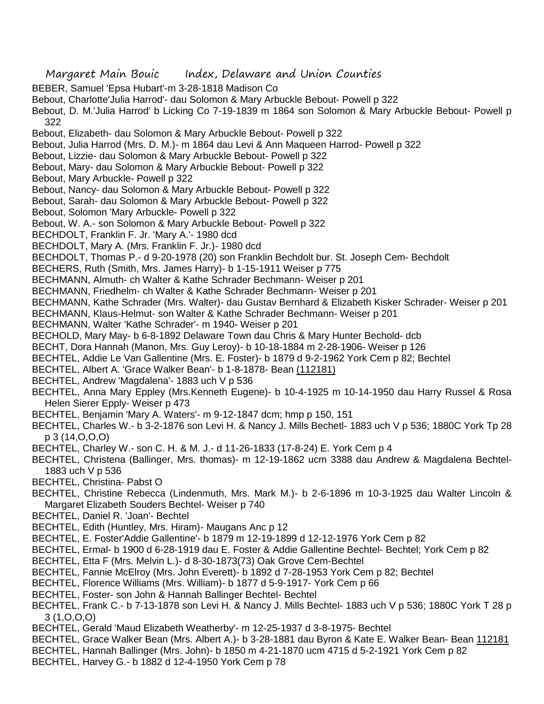- Margaret Main Bouic Index, Delaware and Union Counties
- BEBER, Samuel 'Epsa Hubart'-m 3-28-1818 Madison Co
- Bebout, Charlotte'Julia Harrod'- dau Solomon & Mary Arbuckle Bebout- Powell p 322
- Bebout, D. M.'Julia Harrod' b Licking Co 7-19-1839 m 1864 son Solomon & Mary Arbuckle Bebout- Powell p 322
- Bebout, Elizabeth- dau Solomon & Mary Arbuckle Bebout- Powell p 322
- Bebout, Julia Harrod (Mrs. D. M.)- m 1864 dau Levi & Ann Maqueen Harrod- Powell p 322
- Bebout, Lizzie- dau Solomon & Mary Arbuckle Bebout- Powell p 322
- Bebout, Mary- dau Solomon & Mary Arbuckle Bebout- Powell p 322
- Bebout, Mary Arbuckle- Powell p 322
- Bebout, Nancy- dau Solomon & Mary Arbuckle Bebout- Powell p 322
- Bebout, Sarah- dau Solomon & Mary Arbuckle Bebout- Powell p 322
- Bebout, Solomon 'Mary Arbuckle- Powell p 322
- Bebout, W. A.- son Solomon & Mary Arbuckle Bebout- Powell p 322
- BECHDOLT, Franklin F. Jr. 'Mary A.'- 1980 dcd
- BECHDOLT, Mary A. (Mrs. Franklin F. Jr.)- 1980 dcd
- BECHDOLT, Thomas P.- d 9-20-1978 (20) son Franklin Bechdolt bur. St. Joseph Cem- Bechdolt
- BECHERS, Ruth (Smith, Mrs. James Harry)- b 1-15-1911 Weiser p 775
- BECHMANN, Almuth- ch Walter & Kathe Schrader Bechmann- Weiser p 201
- BECHMANN, Friedhelm- ch Walter & Kathe Schrader Bechmann- Weiser p 201
- BECHMANN, Kathe Schrader (Mrs. Walter)- dau Gustav Bernhard & Elizabeth Kisker Schrader- Weiser p 201
- BECHMANN, Klaus-Helmut- son Walter & Kathe Schrader Bechmann- Weiser p 201
- BECHMANN, Walter 'Kathe Schrader'- m 1940- Weiser p 201
- BECHOLD, Mary May- b 6-8-1892 Delaware Town dau Chris & Mary Hunter Bechold- dcb
- BECHT, Dora Hannah (Manon, Mrs. Guy Leroy)- b 10-18-1884 m 2-28-1906- Weiser p 126
- BECHTEL, Addie Le Van Gallentine (Mrs. E. Foster)- b 1879 d 9-2-1962 York Cem p 82; Bechtel
- BECHTEL, Albert A. 'Grace Walker Bean'- b 1-8-1878- Bean (112181)
- BECHTEL, Andrew 'Magdalena'- 1883 uch V p 536
- BECHTEL, Anna Mary Eppley (Mrs.Kenneth Eugene)- b 10-4-1925 m 10-14-1950 dau Harry Russel & Rosa Helen Sierer Epply- Weiser p 473
- BECHTEL, Benjamin 'Mary A. Waters'- m 9-12-1847 dcm; hmp p 150, 151
- BECHTEL, Charles W.- b 3-2-1876 son Levi H. & Nancy J. Mills Bechetl- 1883 uch V p 536; 1880C York Tp 28 p 3 (14,O,O,O)
- BECHTEL, Charley W.- son C. H. & M. J.- d 11-26-1833 (17-8-24) E. York Cem p 4
- BECHTEL, Christena (Ballinger, Mrs. thomas)- m 12-19-1862 ucm 3388 dau Andrew & Magdalena Bechtel-1883 uch V p 536
- BECHTEL, Christina- Pabst O
- BECHTEL, Christine Rebecca (Lindenmuth, Mrs. Mark M.)- b 2-6-1896 m 10-3-1925 dau Walter Lincoln & Margaret Elizabeth Souders Bechtel- Weiser p 740
- BECHTEL, Daniel R. 'Joan'- Bechtel
- BECHTEL, Edith (Huntley, Mrs. Hiram)- Maugans Anc p 12
- BECHTEL, E. Foster'Addie Gallentine'- b 1879 m 12-19-1899 d 12-12-1976 York Cem p 82
- BECHTEL, Ermal- b 1900 d 6-28-1919 dau E. Foster & Addie Gallentine Bechtel- Bechtel; York Cem p 82
- BECHTEL, Etta F (Mrs. Melvin L.)- d 8-30-1873(73) Oak Grove Cem-Bechtel
- BECHTEL, Fannie McElroy (Mrs. John Everett)- b 1892 d 7-28-1953 York Cem p 82; Bechtel
- BECHTEL, Florence Williams (Mrs. William)- b 1877 d 5-9-1917- York Cem p 66
- BECHTEL, Foster- son John & Hannah Ballinger Bechtel- Bechtel
- BECHTEL, Frank C.- b 7-13-1878 son Levi H. & Nancy J. Mills Bechtel- 1883 uch V p 536; 1880C York T 28 p 3 (1,O,O,O)
- BECHTEL, Gerald 'Maud Elizabeth Weatherby'- m 12-25-1937 d 3-8-1975- Bechtel
- BECHTEL, Grace Walker Bean (Mrs. Albert A.)- b 3-28-1881 dau Byron & Kate E. Walker Bean- Bean 112181
- BECHTEL, Hannah Ballinger (Mrs. John)- b 1850 m 4-21-1870 ucm 4715 d 5-2-1921 York Cem p 82
- BECHTEL, Harvey G.- b 1882 d 12-4-1950 York Cem p 78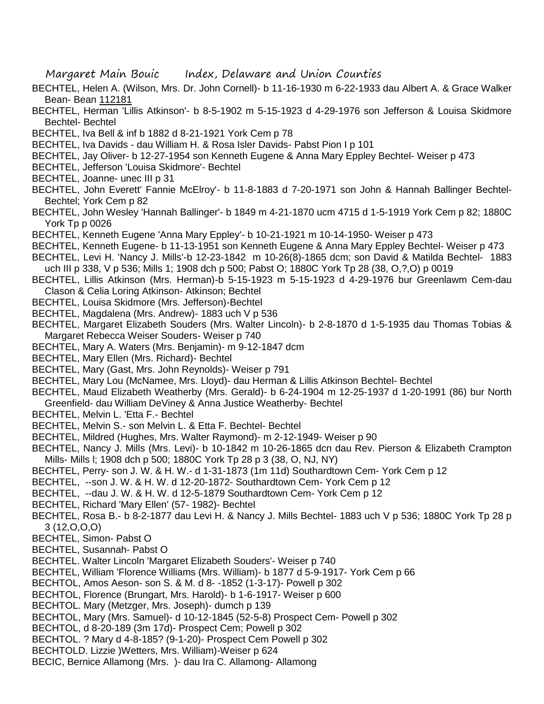- BECHTEL, Helen A. (Wilson, Mrs. Dr. John Cornell)- b 11-16-1930 m 6-22-1933 dau Albert A. & Grace Walker Bean- Bean 112181
- BECHTEL, Herman 'Lillis Atkinson'- b 8-5-1902 m 5-15-1923 d 4-29-1976 son Jefferson & Louisa Skidmore Bechtel- Bechtel
- BECHTEL, Iva Bell & inf b 1882 d 8-21-1921 York Cem p 78
- BECHTEL, Iva Davids dau William H. & Rosa Isler Davids- Pabst Pion I p 101
- BECHTEL, Jay Oliver- b 12-27-1954 son Kenneth Eugene & Anna Mary Eppley Bechtel- Weiser p 473
- BECHTEL, Jefferson 'Louisa Skidmore'- Bechtel
- BECHTEL, Joanne- unec III p 31
- BECHTEL, John Everett' Fannie McElroy'- b 11-8-1883 d 7-20-1971 son John & Hannah Ballinger Bechtel-Bechtel; York Cem p 82
- BECHTEL, John Wesley 'Hannah Ballinger'- b 1849 m 4-21-1870 ucm 4715 d 1-5-1919 York Cem p 82; 1880C York Tp p 0026
- BECHTEL, Kenneth Eugene 'Anna Mary Eppley'- b 10-21-1921 m 10-14-1950- Weiser p 473
- BECHTEL, Kenneth Eugene- b 11-13-1951 son Kenneth Eugene & Anna Mary Eppley Bechtel- Weiser p 473
- BECHTEL, Levi H. 'Nancy J. Mills'-b 12-23-1842 m 10-26(8)-1865 dcm; son David & Matilda Bechtel- 1883 uch III p 338, V p 536; Mills 1; 1908 dch p 500; Pabst O; 1880C York Tp 28 (38, O,?,O) p 0019
- BECHTEL, Lillis Atkinson (Mrs. Herman)-b 5-15-1923 m 5-15-1923 d 4-29-1976 bur Greenlawm Cem-dau Clason & Celia Loring Atkinson- Atkinson; Bechtel
- BECHTEL, Louisa Skidmore (Mrs. Jefferson)-Bechtel
- BECHTEL, Magdalena (Mrs. Andrew)- 1883 uch V p 536
- BECHTEL, Margaret Elizabeth Souders (Mrs. Walter Lincoln)- b 2-8-1870 d 1-5-1935 dau Thomas Tobias & Margaret Rebecca Weiser Souders- Weiser p 740
- BECHTEL, Mary A. Waters (Mrs. Benjamin)- m 9-12-1847 dcm
- BECHTEL, Mary Ellen (Mrs. Richard)- Bechtel
- BECHTEL, Mary (Gast, Mrs. John Reynolds)- Weiser p 791
- BECHTEL, Mary Lou (McNamee, Mrs. Lloyd)- dau Herman & Lillis Atkinson Bechtel- Bechtel
- BECHTEL, Maud Elizabeth Weatherby (Mrs. Gerald)- b 6-24-1904 m 12-25-1937 d 1-20-1991 (86) bur North Greenfield- dau William DeViney & Anna Justice Weatherby- Bechtel
- BECHTEL, Melvin L. 'Etta F.- Bechtel
- BECHTEL, Melvin S.- son Melvin L. & Etta F. Bechtel- Bechtel
- BECHTEL, Mildred (Hughes, Mrs. Walter Raymond)- m 2-12-1949- Weiser p 90
- BECHTEL, Nancy J. Mills (Mrs. Levi)- b 10-1842 m 10-26-1865 dcn dau Rev. Pierson & Elizabeth Crampton Mills- Mills l; 1908 dch p 500; 1880C York Tp 28 p 3 (38, O, NJ, NY)
- BECHTEL, Perry- son J. W. & H. W.- d 1-31-1873 (1m 11d) Southardtown Cem- York Cem p 12
- BECHTEL, --son J. W. & H. W. d 12-20-1872- Southardtown Cem- York Cem p 12
- BECHTEL, --dau J. W. & H. W. d 12-5-1879 Southardtown Cem- York Cem p 12
- BECHTEL, Richard 'Mary Ellen' (57- 1982)- Bechtel
- BECHTEL, Rosa B.- b 8-2-1877 dau Levi H. & Nancy J. Mills Bechtel- 1883 uch V p 536; 1880C York Tp 28 p 3 (12,O,O,O)
- BECHTEL, Simon- Pabst O
- BECHTEL, Susannah- Pabst O
- BECHTEL. Walter Lincoln 'Margaret Elizabeth Souders'- Weiser p 740
- BECHTEL, William 'Florence Williams (Mrs. William)- b 1877 d 5-9-1917- York Cem p 66
- BECHTOL, Amos Aeson- son S. & M. d 8- -1852 (1-3-17)- Powell p 302
- BECHTOL, Florence (Brungart, Mrs. Harold)- b 1-6-1917- Weiser p 600
- BECHTOL. Mary (Metzger, Mrs. Joseph)- dumch p 139
- BECHTOL, Mary (Mrs. Samuel)- d 10-12-1845 (52-5-8) Prospect Cem- Powell p 302
- BECHTOL, d 8-20-189 (3m 17d)- Prospect Cem; Powell p 302
- BECHTOL. ? Mary d 4-8-185? (9-1-20)- Prospect Cem Powell p 302
- BECHTOLD. Lizzie )Wetters, Mrs. William)-Weiser p 624
- BECIC, Bernice Allamong (Mrs. )- dau Ira C. Allamong- Allamong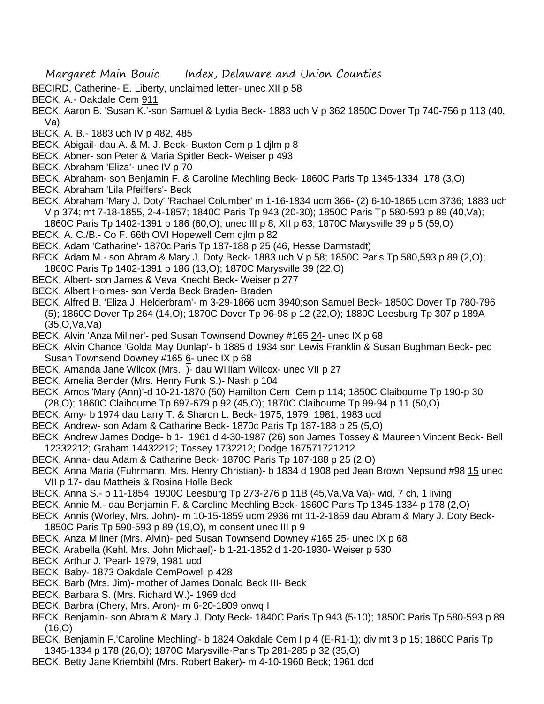- BECIRD, Catherine- E. Liberty, unclaimed letter- unec XII p 58
- BECK, A.- Oakdale Cem 911
- BECK, Aaron B. 'Susan K.'-son Samuel & Lydia Beck- 1883 uch V p 362 1850C Dover Tp 740-756 p 113 (40, Va)
- BECK, A. B.- 1883 uch IV p 482, 485
- BECK, Abigail- dau A. & M. J. Beck- Buxton Cem p 1 djlm p 8
- BECK, Abner- son Peter & Maria Spitler Beck- Weiser p 493
- BECK, Abraham 'Eliza'- unec IV p 70
- BECK, Abraham- son Benjamin F. & Caroline Mechling Beck- 1860C Paris Tp 1345-1334 178 (3,O)
- BECK, Abraham 'Lila Pfeiffers'- Beck
- BECK, Abraham 'Mary J. Doty' 'Rachael Columber' m 1-16-1834 ucm 366- (2) 6-10-1865 ucm 3736; 1883 uch V p 374; mt 7-18-1855, 2-4-1857; 1840C Paris Tp 943 (20-30); 1850C Paris Tp 580-593 p 89 (40,Va);
- 1860C Paris Tp 1402-1391 p 186 (60,O); unec III p 8, XII p 63; 1870C Marysville 39 p 5 (59,O)
- BECK, A. C./B.- Co F. 66th OVI Hopewell Cem djlm p 82
- BECK, Adam 'Catharine'- 1870c Paris Tp 187-188 p 25 (46, Hesse Darmstadt)
- BECK, Adam M.- son Abram & Mary J. Doty Beck- 1883 uch V p 58; 1850C Paris Tp 580,593 p 89 (2,O); 1860C Paris Tp 1402-1391 p 186 (13,O); 1870C Marysville 39 (22,O)
- BECK, Albert- son James & Veva Knecht Beck- Weiser p 277
- BECK, Albert Holmes- son Verda Beck Braden- Braden
- BECK, Alfred B. 'Eliza J. Helderbram'- m 3-29-1866 ucm 3940;son Samuel Beck- 1850C Dover Tp 780-796 (5); 1860C Dover Tp 264 (14,O); 1870C Dover Tp 96-98 p 12 (22,O); 1880C Leesburg Tp 307 p 189A (35,O,Va,Va)
- BECK, Alvin 'Anza Miliner'- ped Susan Townsend Downey #165 24- unec IX p 68
- BECK, Alvin Chance 'Golda May Dunlap'- b 1885 d 1934 son Lewis Franklin & Susan Bughman Beck- ped Susan Townsend Downey #165 6- unec IX p 68
- BECK, Amanda Jane Wilcox (Mrs. )- dau William Wilcox- unec VII p 27
- BECK, Amelia Bender (Mrs. Henry Funk S.)- Nash p 104
- BECK, Amos 'Mary (Ann)'-d 10-21-1870 (50) Hamilton Cem Cem p 114; 1850C Claibourne Tp 190-p 30 (28,O); 1860C Claibourne Tp 697-679 p 92 (45,O); 1870C Claibourne Tp 99-94 p 11 (50,O)
- BECK, Amy- b 1974 dau Larry T. & Sharon L. Beck- 1975, 1979, 1981, 1983 ucd
- BECK, Andrew- son Adam & Catharine Beck- 1870c Paris Tp 187-188 p 25 (5,O)
- BECK, Andrew James Dodge- b 1- 1961 d 4-30-1987 (26) son James Tossey & Maureen Vincent Beck- Bell 12332212; Graham 14432212; Tossey 1732212; Dodge 167571721212
- BECK, Anna- dau Adam & Catharine Beck- 1870C Paris Tp 187-188 p 25 (2,O)
- BECK, Anna Maria (Fuhrmann, Mrs. Henry Christian)- b 1834 d 1908 ped Jean Brown Nepsund #98 15 unec VII p 17- dau Mattheis & Rosina Holle Beck
- BECK, Anna S.- b 11-1854 1900C Leesburg Tp 273-276 p 11B (45,Va,Va,Va)- wid, 7 ch, 1 living
- BECK, Annie M.- dau Benjamin F. & Caroline Mechling Beck- 1860C Paris Tp 1345-1334 p 178 (2,O)
- BECK, Annis (Worley, Mrs. John)- m 10-15-1859 ucm 2936 mt 11-2-1859 dau Abram & Mary J. Doty Beck-1850C Paris Tp 590-593 p 89 (19,O), m consent unec III p 9
- BECK, Anza Miliner (Mrs. Alvin)- ped Susan Townsend Downey #165 25- unec IX p 68
- BECK, Arabella (Kehl, Mrs. John Michael)- b 1-21-1852 d 1-20-1930- Weiser p 530
- BECK, Arthur J. 'Pearl- 1979, 1981 ucd
- BECK, Baby- 1873 Oakdale CemPowell p 428
- BECK, Barb (Mrs. Jim)- mother of James Donald Beck III- Beck
- BECK, Barbara S. (Mrs. Richard W.)- 1969 dcd
- BECK, Barbra (Chery, Mrs. Aron)- m 6-20-1809 onwq I
- BECK, Benjamin- son Abram & Mary J. Doty Beck- 1840C Paris Tp 943 (5-10); 1850C Paris Tp 580-593 p 89  $(16, 0)$
- BECK, Benjamin F.'Caroline Mechling'- b 1824 Oakdale Cem I p 4 (E-R1-1); div mt 3 p 15; 1860C Paris Tp 1345-1334 p 178 (26,O); 1870C Marysville-Paris Tp 281-285 p 32 (35,O)
- BECK, Betty Jane Kriembihl (Mrs. Robert Baker)- m 4-10-1960 Beck; 1961 dcd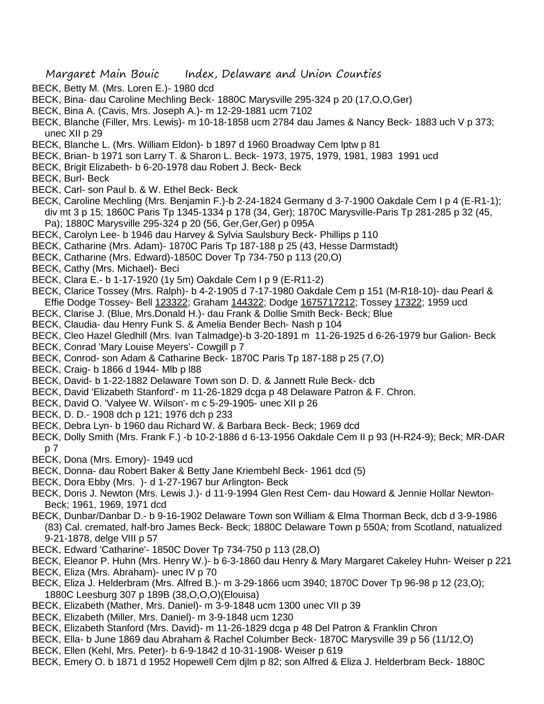- BECK, Betty M. (Mrs. Loren E.)- 1980 dcd
- BECK, Bina- dau Caroline Mechling Beck- 1880C Marysville 295-324 p 20 (17,O,O,Ger)
- BECK, Bina A. (Cavis, Mrs. Joseph A.)- m 12-29-1881 ucm 7102
- BECK, Blanche (Filler, Mrs. Lewis)- m 10-18-1858 ucm 2784 dau James & Nancy Beck- 1883 uch V p 373; unec XII p 29
- BECK, Blanche L. (Mrs. William Eldon)- b 1897 d 1960 Broadway Cem lptw p 81
- BECK, Brian- b 1971 son Larry T. & Sharon L. Beck- 1973, 1975, 1979, 1981, 1983 1991 ucd
- BECK, Brigit Elizabeth- b 6-20-1978 dau Robert J. Beck- Beck
- BECK, Burl- Beck
- BECK, Carl- son Paul b. & W. Ethel Beck- Beck
- BECK, Caroline Mechling (Mrs. Benjamin F.)-b 2-24-1824 Germany d 3-7-1900 Oakdale Cem I p 4 (E-R1-1); div mt 3 p 15; 1860C Paris Tp 1345-1334 p 178 (34, Ger); 1870C Marysville-Paris Tp 281-285 p 32 (45, Pa); 1880C Marysville 295-324 p 20 (56, Ger,Ger,Ger) p 095A
- BECK, Carolyn Lee- b 1946 dau Harvey & Sylvia Saulsbury Beck- Phillips p 110
- BECK, Catharine (Mrs. Adam)- 1870C Paris Tp 187-188 p 25 (43, Hesse Darmstadt)
- BECK, Catharine (Mrs. Edward)-1850C Dover Tp 734-750 p 113 (20,O)
- BECK, Cathy (Mrs. Michael)- Beci
- BECK, Clara E.- b 1-17-1920 (1y 5m) Oakdale Cem I p 9 (E-R11-2)
- BECK, Clarice Tossey (Mrs. Ralph)- b 4-2-1905 d 7-17-1980 Oakdale Cem p 151 (M-R18-10)- dau Pearl & Effie Dodge Tossey- Bell 123322; Graham 144322; Dodge 1675717212; Tossey 17322; 1959 ucd
- BECK, Clarise J. (Blue, Mrs.Donald H.)- dau Frank & Dollie Smith Beck- Beck; Blue
- BECK, Claudia- dau Henry Funk S. & Amelia Bender Bech- Nash p 104
- BECK, Cleo Hazel Gledhill (Mrs. Ivan Talmadge)-b 3-20-1891 m 11-26-1925 d 6-26-1979 bur Galion- Beck
- BECK, Conrad 'Mary Louise Meyers'- Cowgill p 7
- BECK, Conrod- son Adam & Catharine Beck- 1870C Paris Tp 187-188 p 25 (7,O)
- BECK, Craig- b 1866 d 1944- Mlb p l88
- BECK, David- b 1-22-1882 Delaware Town son D. D. & Jannett Rule Beck- dcb
- BECK, David 'Elizabeth Stanford'- m 11-26-1829 dcga p 48 Delaware Patron & F. Chron.
- BECK, David O. 'Valyee W. Wilson'- m c 5-29-1905- unec XII p 26
- BECK, D. D.- 1908 dch p 121; 1976 dch p 233
- BECK, Debra Lyn- b 1960 dau Richard W. & Barbara Beck- Beck; 1969 dcd
- BECK, Dolly Smith (Mrs. Frank F.) -b 10-2-1886 d 6-13-1956 Oakdale Cem II p 93 (H-R24-9); Beck; MR-DAR p 7
- BECK, Dona (Mrs. Emory)- 1949 ucd
- BECK, Donna- dau Robert Baker & Betty Jane Kriembehl Beck- 1961 dcd (5)
- BECK, Dora Ebby (Mrs. )- d 1-27-1967 bur Arlington- Beck
- BECK, Doris J. Newton (Mrs. Lewis J.)- d 11-9-1994 Glen Rest Cem- dau Howard & Jennie Hollar Newton-Beck; 1961, 1969, 1971 dcd
- BECK, Dunbar/Danbar D.- b 9-16-1902 Delaware Town son William & Elma Thorman Beck, dcb d 3-9-1986 (83) Cal. cremated, half-bro James Beck- Beck; 1880C Delaware Town p 550A; from Scotland, natualized 9-21-1878, delge VIII p 57
- BECK, Edward 'Catharine'- 1850C Dover Tp 734-750 p 113 (28,O)
- BECK, Eleanor P. Huhn (Mrs. Henry W.)- b 6-3-1860 dau Henry & Mary Margaret Cakeley Huhn- Weiser p 221
- BECK, Eliza (Mrs. Abraham)- unec IV p 70
- BECK, Eliza J. Helderbram (Mrs. Alfred B.)- m 3-29-1866 ucm 3940; 1870C Dover Tp 96-98 p 12 (23,O); 1880C Leesburg 307 p 189B (38,O,O,O)(Elouisa)
- BECK, Elizabeth (Mather, Mrs. Daniel)- m 3-9-1848 ucm 1300 unec VII p 39
- BECK, Elizabeth (Miller, Mrs. Daniel)- m 3-9-1848 ucm 1230
- BECK, Elizabeth Stanford (Mrs. David)- m 11-26-1829 dcga p 48 Del Patron & Franklin Chron
- BECK, Ella- b June 1869 dau Abraham & Rachel Columber Beck- 1870C Marysville 39 p 56 (11/12,O)
- BECK, Ellen (Kehl, Mrs. Peter)- b 6-9-1842 d 10-31-1908- Weiser p 619
- BECK, Emery O. b 1871 d 1952 Hopewell Cem djlm p 82; son Alfred & Eliza J. Helderbram Beck- 1880C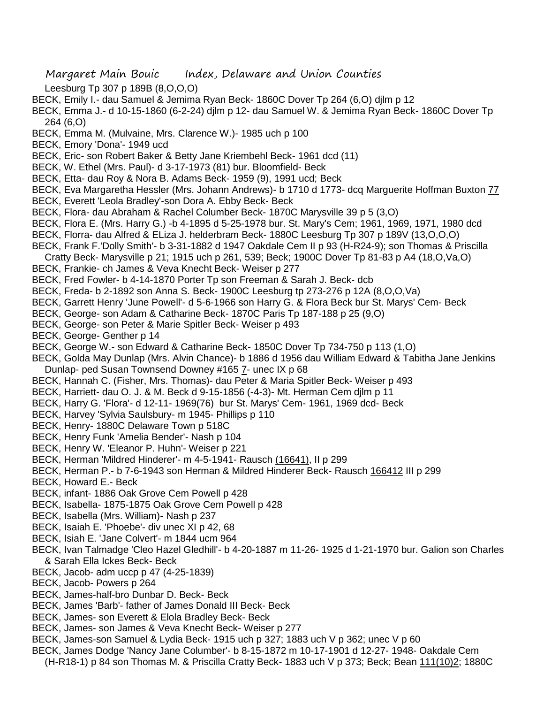- Leesburg Tp 307 p 189B (8,O,O,O)
- BECK, Emily I.- dau Samuel & Jemima Ryan Beck- 1860C Dover Tp 264 (6,O) djlm p 12
- BECK, Emma J.- d 10-15-1860 (6-2-24) djlm p 12- dau Samuel W. & Jemima Ryan Beck- 1860C Dover Tp 264 (6,O)
- BECK, Emma M. (Mulvaine, Mrs. Clarence W.)- 1985 uch p 100
- BECK, Emory 'Dona'- 1949 ucd
- BECK, Eric- son Robert Baker & Betty Jane Kriembehl Beck- 1961 dcd (11)
- BECK, W. Ethel (Mrs. Paul)- d 3-17-1973 (81) bur. Bloomfield- Beck
- BECK, Etta- dau Roy & Nora B. Adams Beck- 1959 (9), 1991 ucd; Beck
- BECK, Eva Margaretha Hessler (Mrs. Johann Andrews)- b 1710 d 1773- dcq Marguerite Hoffman Buxton 77
- BECK, Everett 'Leola Bradley'-son Dora A. Ebby Beck- Beck
- BECK, Flora- dau Abraham & Rachel Columber Beck- 1870C Marysville 39 p 5 (3,O)
- BECK, Flora E. (Mrs. Harry G.) -b 4-1895 d 5-25-1978 bur. St. Mary's Cem; 1961, 1969, 1971, 1980 dcd
- BECK, Florra- dau Alfred & ELiza J. helderbram Beck- 1880C Leesburg Tp 307 p 189V (13,O,O,O)
- BECK, Frank F.'Dolly Smith'- b 3-31-1882 d 1947 Oakdale Cem II p 93 (H-R24-9); son Thomas & Priscilla
- Cratty Beck- Marysville p 21; 1915 uch p 261, 539; Beck; 1900C Dover Tp 81-83 p A4 (18,O,Va,O)
- BECK, Frankie- ch James & Veva Knecht Beck- Weiser p 277
- BECK, Fred Fowler- b 4-14-1870 Porter Tp son Freeman & Sarah J. Beck- dcb
- BECK, Freda- b 2-1892 son Anna S. Beck- 1900C Leesburg tp 273-276 p 12A (8,O,O,Va)
- BECK, Garrett Henry 'June Powell'- d 5-6-1966 son Harry G. & Flora Beck bur St. Marys' Cem- Beck
- BECK, George- son Adam & Catharine Beck- 1870C Paris Tp 187-188 p 25 (9,O)
- BECK, George- son Peter & Marie Spitler Beck- Weiser p 493
- BECK, George- Genther p 14
- BECK, George W.- son Edward & Catharine Beck- 1850C Dover Tp 734-750 p 113 (1,O)
- BECK, Golda May Dunlap (Mrs. Alvin Chance)- b 1886 d 1956 dau William Edward & Tabitha Jane Jenkins Dunlap- ped Susan Townsend Downey #165 7- unec IX p 68
- BECK, Hannah C. (Fisher, Mrs. Thomas)- dau Peter & Maria Spitler Beck- Weiser p 493
- BECK, Harriett- dau O. J. & M. Beck d 9-15-1856 (-4-3)- Mt. Herman Cem djlm p 11
- BECK, Harry G. 'Flora'- d 12-11- 1969(76) bur St. Marys' Cem- 1961, 1969 dcd- Beck
- BECK, Harvey 'Sylvia Saulsbury- m 1945- Phillips p 110
- BECK, Henry- 1880C Delaware Town p 518C
- BECK, Henry Funk 'Amelia Bender'- Nash p 104
- BECK, Henry W. 'Eleanor P. Huhn'- Weiser p 221
- BECK, Herman 'Mildred Hinderer'- m 4-5-1941- Rausch (16641), II p 299
- BECK, Herman P.- b 7-6-1943 son Herman & Mildred Hinderer Beck- Rausch 166412 III p 299
- BECK, Howard E.- Beck
- BECK, infant- 1886 Oak Grove Cem Powell p 428
- BECK, Isabella- 1875-1875 Oak Grove Cem Powell p 428
- BECK, Isabella (Mrs. William)- Nash p 237
- BECK, Isaiah E. 'Phoebe'- div unec XI p 42, 68
- BECK, Isiah E. 'Jane Colvert'- m 1844 ucm 964
- BECK, Ivan Talmadge 'Cleo Hazel Gledhill'- b 4-20-1887 m 11-26- 1925 d 1-21-1970 bur. Galion son Charles & Sarah Ella Ickes Beck- Beck
- BECK, Jacob- adm uccp p 47 (4-25-1839)
- BECK, Jacob- Powers p 264
- BECK, James-half-bro Dunbar D. Beck- Beck
- BECK, James 'Barb'- father of James Donald III Beck- Beck
- BECK, James- son Everett & Elola Bradley Beck- Beck
- BECK, James- son James & Veva Knecht Beck- Weiser p 277
- BECK, James-son Samuel & Lydia Beck- 1915 uch p 327; 1883 uch V p 362; unec V p 60
- BECK, James Dodge 'Nancy Jane Columber'- b 8-15-1872 m 10-17-1901 d 12-27- 1948- Oakdale Cem
- (H-R18-1) p 84 son Thomas M. & Priscilla Cratty Beck- 1883 uch V p 373; Beck; Bean 111(10)2; 1880C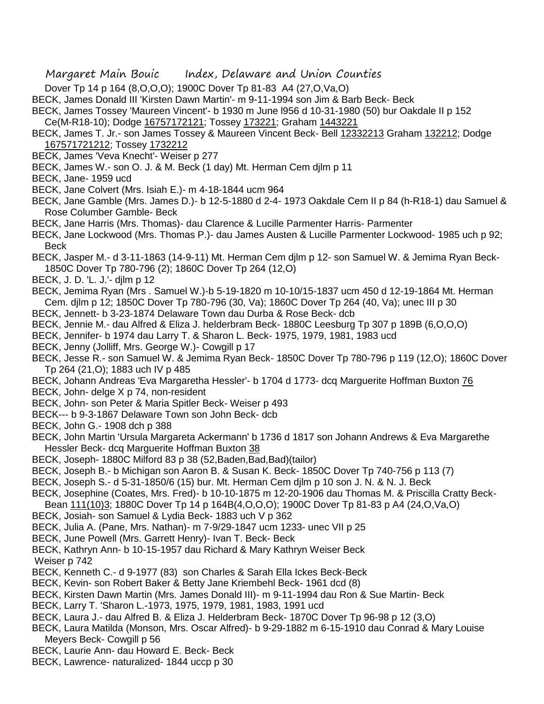- Dover Tp 14 p 164 (8,O,O,O); 1900C Dover Tp 81-83 A4 (27,O,Va,O)
- BECK, James Donald III 'Kirsten Dawn Martin'- m 9-11-1994 son Jim & Barb Beck- Beck
- BECK, James Tossey 'Maureen Vincent'- b 1930 m June l956 d 10-31-1980 (50) bur Oakdale II p 152
- Ce(M-R18-10); Dodge 16757172121; Tossey 173221; Graham 1443221
- BECK, James T. Jr.- son James Tossey & Maureen Vincent Beck- Bell 12332213 Graham 132212; Dodge 167571721212; Tossey 1732212
- BECK, James 'Veva Knecht'- Weiser p 277
- BECK, James W.- son O. J. & M. Beck (1 day) Mt. Herman Cem djlm p 11
- BECK, Jane- 1959 ucd
- BECK, Jane Colvert (Mrs. Isiah E.)- m 4-18-1844 ucm 964
- BECK, Jane Gamble (Mrs. James D.)- b 12-5-1880 d 2-4- 1973 Oakdale Cem II p 84 (h-R18-1) dau Samuel & Rose Columber Gamble- Beck
- BECK, Jane Harris (Mrs. Thomas)- dau Clarence & Lucille Parmenter Harris- Parmenter
- BECK, Jane Lockwood (Mrs. Thomas P.)- dau James Austen & Lucille Parmenter Lockwood- 1985 uch p 92; Beck
- BECK, Jasper M.- d 3-11-1863 (14-9-11) Mt. Herman Cem djlm p 12- son Samuel W. & Jemima Ryan Beck-1850C Dover Tp 780-796 (2); 1860C Dover Tp 264 (12,O)
- BECK, J. D. 'L. J.'- djlm p 12
- BECK, Jemima Ryan (Mrs . Samuel W.)-b 5-19-1820 m 10-10/15-1837 ucm 450 d 12-19-1864 Mt. Herman Cem. djlm p 12; 1850C Dover Tp 780-796 (30, Va); 1860C Dover Tp 264 (40, Va); unec III p 30
- BECK, Jennett- b 3-23-1874 Delaware Town dau Durba & Rose Beck- dcb
- BECK, Jennie M.- dau Alfred & Eliza J. helderbram Beck- 1880C Leesburg Tp 307 p 189B (6,O,O,O)
- BECK, Jennifer- b 1974 dau Larry T. & Sharon L. Beck- 1975, 1979, 1981, 1983 ucd
- BECK, Jenny (Jolliff, Mrs. George W.)- Cowgill p 17
- BECK, Jesse R.- son Samuel W. & Jemima Ryan Beck- 1850C Dover Tp 780-796 p 119 (12,O); 1860C Dover Tp 264 (21,O); 1883 uch IV p 485
- BECK, Johann Andreas 'Eva Margaretha Hessler'- b 1704 d 1773- dcq Marguerite Hoffman Buxton 76
- BECK, John- delge X p 74, non-resident
- BECK, John- son Peter & Maria Spitler Beck- Weiser p 493
- BECK--- b 9-3-1867 Delaware Town son John Beck- dcb
- BECK, John G.- 1908 dch p 388
- BECK, John Martin 'Ursula Margareta Ackermann' b 1736 d 1817 son Johann Andrews & Eva Margarethe Hessler Beck- dcq Marguerite Hoffman Buxton 38
- BECK, Joseph- 1880C Milford 83 p 38 (52, Baden, Bad, Bad) (tailor)
- BECK, Joseph B.- b Michigan son Aaron B. & Susan K. Beck- 1850C Dover Tp 740-756 p 113 (7)
- BECK, Joseph S.- d 5-31-1850/6 (15) bur. Mt. Herman Cem djlm p 10 son J. N. & N. J. Beck
- BECK, Josephine (Coates, Mrs. Fred)- b 10-10-1875 m 12-20-1906 dau Thomas M. & Priscilla Cratty Beck-
- Bean 111(10)3; 1880C Dover Tp 14 p 164B(4,O,O,O); 1900C Dover Tp 81-83 p A4 (24,O,Va,O)
- BECK, Josiah- son Samuel & Lydia Beck- 1883 uch V p 362
- BECK, Julia A. (Pane, Mrs. Nathan)- m 7-9/29-1847 ucm 1233- unec VII p 25
- BECK, June Powell (Mrs. Garrett Henry)- Ivan T. Beck- Beck
- BECK, Kathryn Ann- b 10-15-1957 dau Richard & Mary Kathryn Weiser Beck
- Weiser p 742
- BECK, Kenneth C.- d 9-1977 (83) son Charles & Sarah Ella Ickes Beck-Beck
- BECK, Kevin- son Robert Baker & Betty Jane Kriembehl Beck- 1961 dcd (8)
- BECK, Kirsten Dawn Martin (Mrs. James Donald III)- m 9-11-1994 dau Ron & Sue Martin- Beck
- BECK, Larry T. 'Sharon L.-1973, 1975, 1979, 1981, 1983, 1991 ucd
- BECK, Laura J.- dau Alfred B. & Eliza J. Helderbram Beck- 1870C Dover Tp 96-98 p 12 (3,O)
- BECK, Laura Matilda (Monson, Mrs. Oscar Alfred)- b 9-29-1882 m 6-15-1910 dau Conrad & Mary Louise Meyers Beck- Cowgill p 56
- BECK, Laurie Ann- dau Howard E. Beck- Beck
- BECK, Lawrence- naturalized- 1844 uccp p 30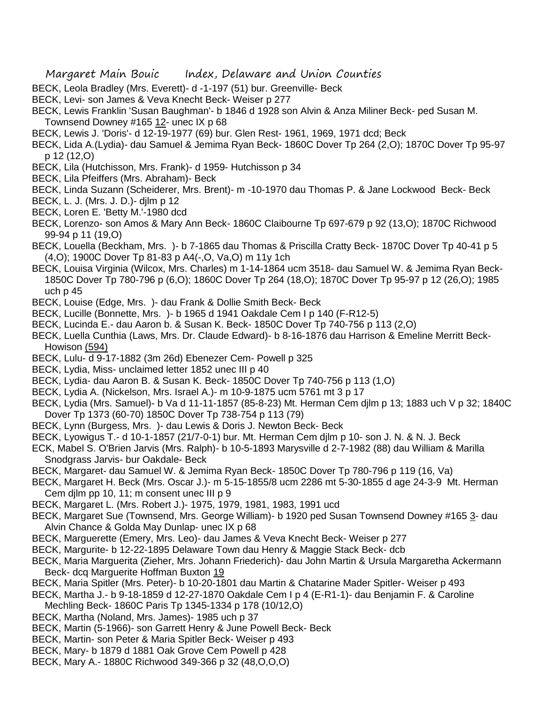- BECK, Leola Bradley (Mrs. Everett)- d -1-197 (51) bur. Greenville- Beck
- BECK, Levi- son James & Veva Knecht Beck- Weiser p 277
- BECK, Lewis Franklin 'Susan Baughman'- b 1846 d 1928 son Alvin & Anza Miliner Beck- ped Susan M.
- Townsend Downey #165 12- unec IX p 68
- BECK, Lewis J. 'Doris'- d 12-19-1977 (69) bur. Glen Rest- 1961, 1969, 1971 dcd; Beck
- BECK, Lida A.(Lydia)- dau Samuel & Jemima Ryan Beck- 1860C Dover Tp 264 (2,O); 1870C Dover Tp 95-97 p 12 (12,O)
- BECK, Lila (Hutchisson, Mrs. Frank)- d 1959- Hutchisson p 34
- BECK, Lila Pfeiffers (Mrs. Abraham)- Beck
- BECK, Linda Suzann (Scheiderer, Mrs. Brent)- m -10-1970 dau Thomas P. & Jane Lockwood Beck- Beck
- BECK, L. J. (Mrs. J. D.)- djlm p 12
- BECK, Loren E. 'Betty M.'-1980 dcd
- BECK, Lorenzo- son Amos & Mary Ann Beck- 1860C Claibourne Tp 697-679 p 92 (13,O); 1870C Richwood 99-94 p 11 (19,O)
- BECK, Louella (Beckham, Mrs. )- b 7-1865 dau Thomas & Priscilla Cratty Beck- 1870C Dover Tp 40-41 p 5 (4,O); 1900C Dover Tp 81-83 p A4(-,O, Va,O) m 11y 1ch
- BECK, Louisa Virginia (Wilcox, Mrs. Charles) m 1-14-1864 ucm 3518- dau Samuel W. & Jemima Ryan Beck-1850C Dover Tp 780-796 p (6,O); 1860C Dover Tp 264 (18,O); 1870C Dover Tp 95-97 p 12 (26,O); 1985 uch p 45
- BECK, Louise (Edge, Mrs. )- dau Frank & Dollie Smith Beck- Beck
- BECK, Lucille (Bonnette, Mrs. )- b 1965 d 1941 Oakdale Cem I p 140 (F-R12-5)
- BECK, Lucinda E.- dau Aaron b. & Susan K. Beck- 1850C Dover Tp 740-756 p 113 (2,O)
- BECK, Luella Cunthia (Laws, Mrs. Dr. Claude Edward)- b 8-16-1876 dau Harrison & Emeline Merritt Beck-Howison (594)
- BECK, Lulu- d 9-17-1882 (3m 26d) Ebenezer Cem- Powell p 325
- BECK, Lydia, Miss- unclaimed letter 1852 unec III p 40
- BECK, Lydia- dau Aaron B. & Susan K. Beck- 1850C Dover Tp 740-756 p 113 (1,O)
- BECK, Lydia A. (Nickelson, Mrs. Israel A.)- m 10-9-1875 ucm 5761 mt 3 p 17
- BECK, Lydia (Mrs. Samuel)- b Va d 11-11-1857 (85-8-23) Mt. Herman Cem djlm p 13; 1883 uch V p 32; 1840C Dover Tp 1373 (60-70) 1850C Dover Tp 738-754 p 113 (79)
- BECK, Lynn (Burgess, Mrs. )- dau Lewis & Doris J. Newton Beck- Beck
- BECK, Lyowigus T.- d 10-1-1857 (21/7-0-1) bur. Mt. Herman Cem djlm p 10- son J. N. & N. J. Beck
- ECK, Mabel S. O'Brien Jarvis (Mrs. Ralph)- b 10-5-1893 Marysville d 2-7-1982 (88) dau William & Marilla Snodgrass Jarvis- bur Oakdale- Beck
- BECK, Margaret- dau Samuel W. & Jemima Ryan Beck- 1850C Dover Tp 780-796 p 119 (16, Va)
- BECK, Margaret H. Beck (Mrs. Oscar J.)- m 5-15-1855/8 ucm 2286 mt 5-30-1855 d age 24-3-9 Mt. Herman Cem djlm pp 10, 11; m consent unec III p 9
- BECK, Margaret L. (Mrs. Robert J.)- 1975, 1979, 1981, 1983, 1991 ucd
- BECK, Margaret Sue (Townsend, Mrs. George William)- b 1920 ped Susan Townsend Downey #165 3- dau Alvin Chance & Golda May Dunlap- unec IX p 68
- BECK, Marguerette (Emery, Mrs. Leo)- dau James & Veva Knecht Beck- Weiser p 277
- BECK, Margurite- b 12-22-1895 Delaware Town dau Henry & Maggie Stack Beck- dcb
- BECK, Maria Marguerita (Zieher, Mrs. Johann Friederich)- dau John Martin & Ursula Margaretha Ackermann Beck- dcq Marguerite Hoffman Buxton 19
- BECK, Maria Spitler (Mrs. Peter)- b 10-20-1801 dau Martin & Chatarine Mader Spitler- Weiser p 493
- BECK, Martha J.- b 9-18-1859 d 12-27-1870 Oakdale Cem I p 4 (E-R1-1)- dau Benjamin F. & Caroline Mechling Beck- 1860C Paris Tp 1345-1334 p 178 (10/12,O)
- BECK, Martha (Noland, Mrs. James)- 1985 uch p 37
- BECK, Martin (5-1966)- son Garrett Henry & June Powell Beck- Beck
- BECK, Martin- son Peter & Maria Spitler Beck- Weiser p 493
- BECK, Mary- b 1879 d 1881 Oak Grove Cem Powell p 428
- BECK, Mary A.- 1880C Richwood 349-366 p 32 (48,O,O,O)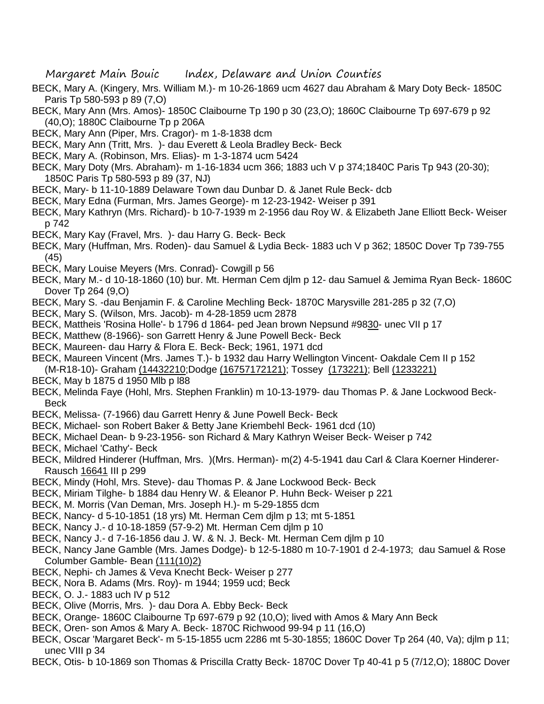- BECK, Mary A. (Kingery, Mrs. William M.)- m 10-26-1869 ucm 4627 dau Abraham & Mary Doty Beck- 1850C Paris Tp 580-593 p 89 (7,O)
- BECK, Mary Ann (Mrs. Amos)- 1850C Claibourne Tp 190 p 30 (23,O); 1860C Claibourne Tp 697-679 p 92 (40,O); 1880C Claibourne Tp p 206A
- BECK, Mary Ann (Piper, Mrs. Cragor)- m 1-8-1838 dcm
- BECK, Mary Ann (Tritt, Mrs. )- dau Everett & Leola Bradley Beck- Beck
- BECK, Mary A. (Robinson, Mrs. Elias)- m 1-3-1874 ucm 5424
- BECK, Mary Doty (Mrs. Abraham)- m 1-16-1834 ucm 366; 1883 uch V p 374;1840C Paris Tp 943 (20-30); 1850C Paris Tp 580-593 p 89 (37, NJ)
- BECK, Mary- b 11-10-1889 Delaware Town dau Dunbar D. & Janet Rule Beck- dcb
- BECK, Mary Edna (Furman, Mrs. James George)- m 12-23-1942- Weiser p 391
- BECK, Mary Kathryn (Mrs. Richard)- b 10-7-1939 m 2-1956 dau Roy W. & Elizabeth Jane Elliott Beck- Weiser p 742
- BECK, Mary Kay (Fravel, Mrs. )- dau Harry G. Beck- Beck
- BECK, Mary (Huffman, Mrs. Roden)- dau Samuel & Lydia Beck- 1883 uch V p 362; 1850C Dover Tp 739-755 (45)
- BECK, Mary Louise Meyers (Mrs. Conrad)- Cowgill p 56
- BECK, Mary M.- d 10-18-1860 (10) bur. Mt. Herman Cem djlm p 12- dau Samuel & Jemima Ryan Beck- 1860C Dover Tp 264 (9,O)
- BECK, Mary S. -dau Benjamin F. & Caroline Mechling Beck- 1870C Marysville 281-285 p 32 (7,O)
- BECK, Mary S. (Wilson, Mrs. Jacob)- m 4-28-1859 ucm 2878
- BECK, Mattheis 'Rosina Holle'- b 1796 d 1864- ped Jean brown Nepsund #9830- unec VII p 17
- BECK, Matthew (8-1966)- son Garrett Henry & June Powell Beck- Beck
- BECK, Maureen- dau Harry & Flora E. Beck- Beck; 1961, 1971 dcd
- BECK, Maureen Vincent (Mrs. James T.)- b 1932 dau Harry Wellington Vincent- Oakdale Cem II p 152 (M-R18-10)- Graham (14432210;Dodge (16757172121); Tossey (173221); Bell (1233221)
- BECK, May b 1875 d 1950 Mlb p l88
- BECK, Melinda Faye (Hohl, Mrs. Stephen Franklin) m 10-13-1979- dau Thomas P. & Jane Lockwood Beck-Beck
- BECK, Melissa- (7-1966) dau Garrett Henry & June Powell Beck- Beck
- BECK, Michael- son Robert Baker & Betty Jane Kriembehl Beck- 1961 dcd (10)
- BECK, Michael Dean- b 9-23-1956- son Richard & Mary Kathryn Weiser Beck- Weiser p 742
- BECK, Michael 'Cathy'- Beck
- BECK, Mildred Hinderer (Huffman, Mrs. )(Mrs. Herman)- m(2) 4-5-1941 dau Carl & Clara Koerner Hinderer-Rausch 16641 III p 299
- BECK, Mindy (Hohl, Mrs. Steve)- dau Thomas P. & Jane Lockwood Beck- Beck
- BECK, Miriam Tilghe- b 1884 dau Henry W. & Eleanor P. Huhn Beck- Weiser p 221
- BECK, M. Morris (Van Deman, Mrs. Joseph H.)- m 5-29-1855 dcm
- BECK, Nancy- d 5-10-1851 (18 yrs) Mt. Herman Cem djlm p 13; mt 5-1851
- BECK, Nancy J.- d 10-18-1859 (57-9-2) Mt. Herman Cem djlm p 10
- BECK, Nancy J.- d 7-16-1856 dau J. W. & N. J. Beck- Mt. Herman Cem djlm p 10
- BECK, Nancy Jane Gamble (Mrs. James Dodge)- b 12-5-1880 m 10-7-1901 d 2-4-1973; dau Samuel & Rose Columber Gamble- Bean (111(10)2)
- BECK, Nephi- ch James & Veva Knecht Beck- Weiser p 277
- BECK, Nora B. Adams (Mrs. Roy)- m 1944; 1959 ucd; Beck
- BECK, O. J.- 1883 uch IV p 512
- BECK, Olive (Morris, Mrs. )- dau Dora A. Ebby Beck- Beck
- BECK, Orange- 1860C Claibourne Tp 697-679 p 92 (10,O); lived with Amos & Mary Ann Beck
- BECK, Oren- son Amos & Mary A. Beck- 1870C Richwood 99-94 p 11 (16,O)
- BECK, Oscar 'Margaret Beck'- m 5-15-1855 ucm 2286 mt 5-30-1855; 1860C Dover Tp 264 (40, Va); djlm p 11; unec VIII p 34
- BECK, Otis- b 10-1869 son Thomas & Priscilla Cratty Beck- 1870C Dover Tp 40-41 p 5 (7/12,O); 1880C Dover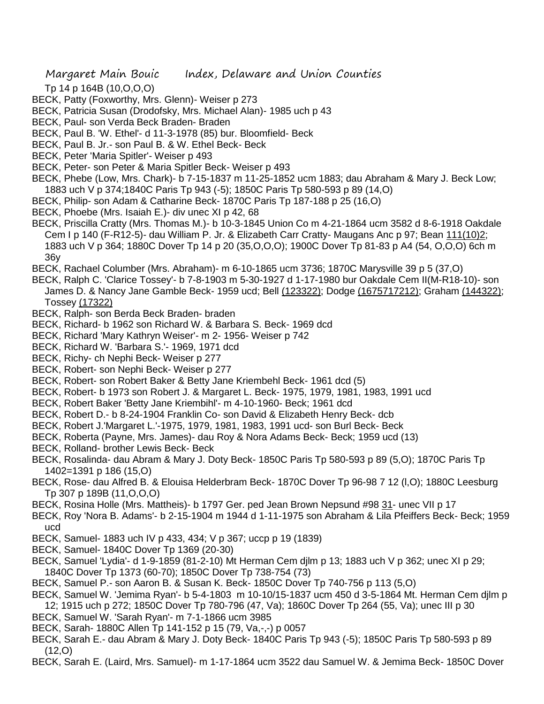- Tp 14 p 164B (10,O,O,O)
- BECK, Patty (Foxworthy, Mrs. Glenn)- Weiser p 273
- BECK, Patricia Susan (Drodofsky, Mrs. Michael Alan)- 1985 uch p 43
- BECK, Paul- son Verda Beck Braden- Braden
- BECK, Paul B. 'W. Ethel'- d 11-3-1978 (85) bur. Bloomfield- Beck
- BECK, Paul B. Jr.- son Paul B. & W. Ethel Beck- Beck
- BECK, Peter 'Maria Spitler'- Weiser p 493
- BECK, Peter- son Peter & Maria Spitler Beck- Weiser p 493
- BECK, Phebe (Low, Mrs. Chark)- b 7-15-1837 m 11-25-1852 ucm 1883; dau Abraham & Mary J. Beck Low; 1883 uch V p 374;1840C Paris Tp 943 (-5); 1850C Paris Tp 580-593 p 89 (14,O)
- BECK, Philip- son Adam & Catharine Beck- 1870C Paris Tp 187-188 p 25 (16,O)
- BECK, Phoebe (Mrs. Isaiah E.)- div unec XI p 42, 68
- BECK, Priscilla Cratty (Mrs. Thomas M.)- b 10-3-1845 Union Co m 4-21-1864 ucm 3582 d 8-6-1918 Oakdale Cem I p 140 (F-R12-5)- dau William P. Jr. & Elizabeth Carr Cratty- Maugans Anc p 97; Bean 111(10)2; 1883 uch V p 364; 1880C Dover Tp 14 p 20 (35,O,O,O); 1900C Dover Tp 81-83 p A4 (54, O,O,O) 6ch m 36y
- BECK, Rachael Columber (Mrs. Abraham)- m 6-10-1865 ucm 3736; 1870C Marysville 39 p 5 (37,O)
- BECK, Ralph C. 'Clarice Tossey'- b 7-8-1903 m 5-30-1927 d 1-17-1980 bur Oakdale Cem II(M-R18-10)- son James D. & Nancy Jane Gamble Beck- 1959 ucd; Bell (123322); Dodge (1675717212); Graham (144322); Tossey (17322)
- BECK, Ralph- son Berda Beck Braden- braden
- BECK, Richard- b 1962 son Richard W. & Barbara S. Beck- 1969 dcd
- BECK, Richard 'Mary Kathryn Weiser'- m 2- 1956- Weiser p 742
- BECK, Richard W. 'Barbara S.'- 1969, 1971 dcd
- BECK, Richy- ch Nephi Beck- Weiser p 277
- BECK, Robert- son Nephi Beck- Weiser p 277
- BECK, Robert- son Robert Baker & Betty Jane Kriembehl Beck- 1961 dcd (5)
- BECK, Robert- b 1973 son Robert J. & Margaret L. Beck- 1975, 1979, 1981, 1983, 1991 ucd
- BECK, Robert Baker 'Betty Jane Kriembihl'- m 4-10-1960- Beck; 1961 dcd
- BECK, Robert D.- b 8-24-1904 Franklin Co- son David & Elizabeth Henry Beck- dcb
- BECK, Robert J.'Margaret L.'-1975, 1979, 1981, 1983, 1991 ucd- son Burl Beck- Beck
- BECK, Roberta (Payne, Mrs. James)- dau Roy & Nora Adams Beck- Beck; 1959 ucd (13)
- BECK, Rolland- brother Lewis Beck- Beck
- BECK, Rosalinda- dau Abram & Mary J. Doty Beck- 1850C Paris Tp 580-593 p 89 (5,O); 1870C Paris Tp 1402=1391 p 186 (15,O)
- BECK, Rose- dau Alfred B. & Elouisa Helderbram Beck- 1870C Dover Tp 96-98 7 12 (l,O); 1880C Leesburg Tp 307 p 189B (11,O,O,O)
- BECK, Rosina Holle (Mrs. Mattheis)- b 1797 Ger. ped Jean Brown Nepsund #98 31- unec VII p 17
- BECK, Roy 'Nora B. Adams'- b 2-15-1904 m 1944 d 1-11-1975 son Abraham & Lila Pfeiffers Beck- Beck; 1959 ucd
- BECK, Samuel- 1883 uch IV p 433, 434; V p 367; uccp p 19 (1839)
- BECK, Samuel- 1840C Dover Tp 1369 (20-30)
- BECK, Samuel 'Lydia'- d 1-9-1859 (81-2-10) Mt Herman Cem djlm p 13; 1883 uch V p 362; unec XI p 29; 1840C Dover Tp 1373 (60-70); 1850C Dover Tp 738-754 (73)
- BECK, Samuel P.- son Aaron B. & Susan K. Beck- 1850C Dover Tp 740-756 p 113 (5,O)
- BECK, Samuel W. 'Jemima Ryan'- b 5-4-1803 m 10-10/15-1837 ucm 450 d 3-5-1864 Mt. Herman Cem djlm p
- 12; 1915 uch p 272; 1850C Dover Tp 780-796 (47, Va); 1860C Dover Tp 264 (55, Va); unec III p 30
- BECK, Samuel W. 'Sarah Ryan'- m 7-1-1866 ucm 3985
- BECK, Sarah- 1880C Allen Tp 141-152 p 15 (79, Va,-,-) p 0057
- BECK, Sarah E.- dau Abram & Mary J. Doty Beck- 1840C Paris Tp 943 (-5); 1850C Paris Tp 580-593 p 89 (12,O)
- BECK, Sarah E. (Laird, Mrs. Samuel)- m 1-17-1864 ucm 3522 dau Samuel W. & Jemima Beck- 1850C Dover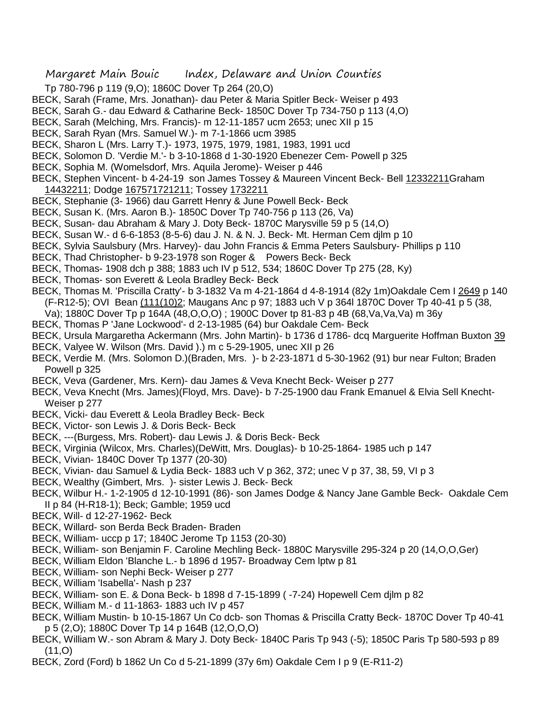- Margaret Main Bouic Index, Delaware and Union Counties
- Tp 780-796 p 119 (9,O); 1860C Dover Tp 264 (20,O)
- BECK, Sarah (Frame, Mrs. Jonathan)- dau Peter & Maria Spitler Beck- Weiser p 493
- BECK, Sarah G.- dau Edward & Catharine Beck- 1850C Dover Tp 734-750 p 113 (4,O)
- BECK, Sarah (Melching, Mrs. Francis)- m 12-11-1857 ucm 2653; unec XII p 15
- BECK, Sarah Ryan (Mrs. Samuel W.)- m 7-1-1866 ucm 3985
- BECK, Sharon L (Mrs. Larry T.)- 1973, 1975, 1979, 1981, 1983, 1991 ucd
- BECK, Solomon D. 'Verdie M.'- b 3-10-1868 d 1-30-1920 Ebenezer Cem- Powell p 325
- BECK, Sophia M. (Womelsdorf, Mrs. Aquila Jerome)- Weiser p 446
- BECK, Stephen Vincent- b 4-24-19 son James Tossey & Maureen Vincent Beck- Bell 12332211Graham 14432211; Dodge 167571721211; Tossey 1732211
- BECK, Stephanie (3- 1966) dau Garrett Henry & June Powell Beck- Beck
- BECK, Susan K. (Mrs. Aaron B.)- 1850C Dover Tp 740-756 p 113 (26, Va)
- BECK, Susan- dau Abraham & Mary J. Doty Beck- 1870C Marysville 59 p 5 (14,O)
- BECK, Susan W.- d 6-6-1853 (8-5-6) dau J. N. & N. J. Beck- Mt. Herman Cem djlm p 10
- BECK, Sylvia Saulsbury (Mrs. Harvey)- dau John Francis & Emma Peters Saulsbury- Phillips p 110
- BECK, Thad Christopher- b 9-23-1978 son Roger & Powers Beck- Beck
- BECK, Thomas- 1908 dch p 388; 1883 uch IV p 512, 534; 1860C Dover Tp 275 (28, Ky)
- BECK, Thomas- son Everett & Leola Bradley Beck- Beck
- BECK, Thomas M. 'Priscilla Cratty'- b 3-1832 Va m 4-21-1864 d 4-8-1914 (82y 1m)Oakdale Cem I 2649 p 140 (F-R12-5); OVI Bean (111(10)2; Maugans Anc p 97; 1883 uch V p 364l 1870C Dover Tp 40-41 p 5 (38,
- Va); 1880C Dover Tp p 164A (48,O,O,O) ; 1900C Dover tp 81-83 p 4B (68,Va,Va,Va) m 36y
- BECK, Thomas P 'Jane Lockwood'- d 2-13-1985 (64) bur Oakdale Cem- Beck
- BECK, Ursula Margaretha Ackermann (Mrs. John Martin)- b 1736 d 1786- dcq Marguerite Hoffman Buxton 39
- BECK, Valyee W. Wilson (Mrs. David ).) m c 5-29-1905, unec XII p 26
- BECK, Verdie M. (Mrs. Solomon D.)(Braden, Mrs. )- b 2-23-1871 d 5-30-1962 (91) bur near Fulton; Braden Powell p 325
- BECK, Veva (Gardener, Mrs. Kern)- dau James & Veva Knecht Beck- Weiser p 277
- BECK, Veva Knecht (Mrs. James)(Floyd, Mrs. Dave)- b 7-25-1900 dau Frank Emanuel & Elvia Sell Knecht-Weiser p 277
- BECK, Vicki- dau Everett & Leola Bradley Beck- Beck
- BECK, Victor- son Lewis J. & Doris Beck- Beck
- BECK, ---(Burgess, Mrs. Robert)- dau Lewis J. & Doris Beck- Beck
- BECK, Virginia (Wilcox, Mrs. Charles)(DeWitt, Mrs. Douglas)- b 10-25-1864- 1985 uch p 147
- BECK, Vivian- 1840C Dover Tp 1377 (20-30)
- BECK, Vivian- dau Samuel & Lydia Beck- 1883 uch V p 362, 372; unec V p 37, 38, 59, VI p 3
- BECK, Wealthy (Gimbert, Mrs. )- sister Lewis J. Beck- Beck
- BECK, Wilbur H.- 1-2-1905 d 12-10-1991 (86)- son James Dodge & Nancy Jane Gamble Beck- Oakdale Cem II p 84 (H-R18-1); Beck; Gamble; 1959 ucd
- BECK, Will- d 12-27-1962- Beck
- BECK, Willard- son Berda Beck Braden- Braden
- BECK, William- uccp p 17; 1840C Jerome Tp 1153 (20-30)
- BECK, William- son Benjamin F. Caroline Mechling Beck- 1880C Marysville 295-324 p 20 (14,O,O,Ger)
- BECK, William Eldon 'Blanche L.- b 1896 d 1957- Broadway Cem lptw p 81
- BECK, William- son Nephi Beck- Weiser p 277
- BECK, William 'Isabella'- Nash p 237
- BECK, William- son E. & Dona Beck- b 1898 d 7-15-1899 ( -7-24) Hopewell Cem djlm p 82
- BECK, William M.- d 11-1863- 1883 uch IV p 457
- BECK, William Mustin- b 10-15-1867 Un Co dcb- son Thomas & Priscilla Cratty Beck- 1870C Dover Tp 40-41 p 5 (2,O); 1880C Dover Tp 14 p 164B (12,O,O,O)
- BECK, William W.- son Abram & Mary J. Doty Beck- 1840C Paris Tp 943 (-5); 1850C Paris Tp 580-593 p 89 (11,O)
- BECK, Zord (Ford) b 1862 Un Co d 5-21-1899 (37y 6m) Oakdale Cem I p 9 (E-R11-2)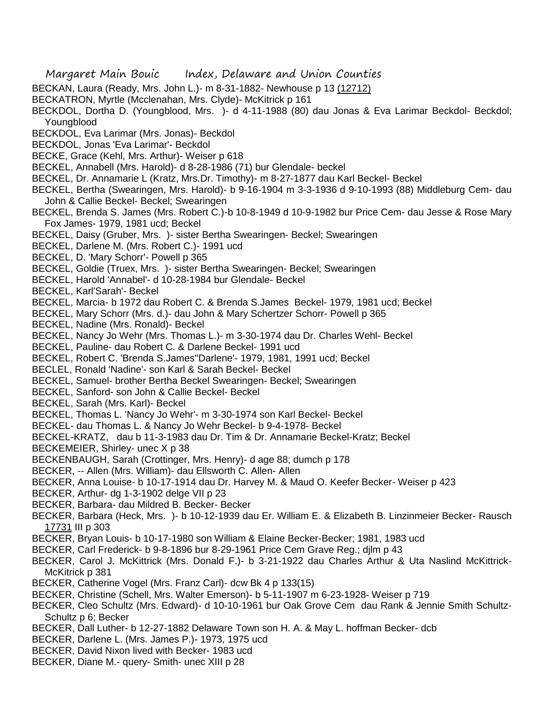- BECKAN, Laura (Ready, Mrs. John L.)- m 8-31-1882- Newhouse p 13 (12712)
- BECKATRON, Myrtle (Mcclenahan, Mrs. Clyde)- McKitrick p 161
- BECKDOL, Dortha D. (Youngblood, Mrs. )- d 4-11-1988 (80) dau Jonas & Eva Larimar Beckdol- Beckdol; Youngblood
- BECKDOL, Eva Larimar (Mrs. Jonas)- Beckdol
- BECKDOL, Jonas 'Eva Larimar'- Beckdol
- BECKE, Grace (Kehl, Mrs. Arthur)- Weiser p 618
- BECKEL, Annabell (Mrs. Harold)- d 8-28-1986 (71) bur Glendale- beckel
- BECKEL, Dr. Annamarie L (Kratz, Mrs.Dr. Timothy)- m 8-27-1877 dau Karl Beckel- Beckel
- BECKEL, Bertha (Swearingen, Mrs. Harold)- b 9-16-1904 m 3-3-1936 d 9-10-1993 (88) Middleburg Cem- dau John & Callie Beckel- Beckel; Swearingen
- BECKEL, Brenda S. James (Mrs. Robert C.)-b 10-8-1949 d 10-9-1982 bur Price Cem- dau Jesse & Rose Mary Fox James- 1979, 1981 ucd; Beckel
- BECKEL, Daisy (Gruber, Mrs. )- sister Bertha Swearingen- Beckel; Swearingen
- BECKEL, Darlene M. (Mrs. Robert C.)- 1991 ucd
- BECKEL, D. 'Mary Schorr'- Powell p 365
- BECKEL, Goldie (Truex, Mrs. )- sister Bertha Swearingen- Beckel; Swearingen
- BECKEL, Harold 'Annabel'- d 10-28-1984 bur Glendale- Beckel
- BECKEL, Karl'Sarah'- Beckel
- BECKEL, Marcia- b 1972 dau Robert C. & Brenda S.James Beckel- 1979, 1981 ucd; Beckel
- BECKEL, Mary Schorr (Mrs. d.)- dau John & Mary Schertzer Schorr- Powell p 365
- BECKEL, Nadine (Mrs. Ronald)- Beckel
- BECKEL, Nancy Jo Wehr (Mrs. Thomas L.)- m 3-30-1974 dau Dr. Charles Wehl- Beckel
- BECKEL, Pauline- dau Robert C. & Darlene Beckel- 1991 ucd
- BECKEL, Robert C. 'Brenda S.James''Darlene'- 1979, 1981, 1991 ucd; Beckel
- BECLEL, Ronald 'Nadine'- son Karl & Sarah Beckel- Beckel
- BECKEL, Samuel- brother Bertha Beckel Swearingen- Beckel; Swearingen
- BECKEL, Sanford- son John & Callie Beckel- Beckel
- BECKEL, Sarah (Mrs. Karl)- Beckel
- BECKEL, Thomas L. 'Nancy Jo Wehr'- m 3-30-1974 son Karl Beckel- Beckel
- BECKEL- dau Thomas L. & Nancy Jo Wehr Beckel- b 9-4-1978- Beckel
- BECKEL-KRATZ, dau b 11-3-1983 dau Dr. Tim & Dr. Annamarie Beckel-Kratz; Beckel
- BECKEMEIER, Shirley- unec X p 38
- BECKENBAUGH, Sarah (Crottinger, Mrs. Henry)- d age 88; dumch p 178
- BECKER, -- Allen (Mrs. William)- dau Ellsworth C. Allen- Allen
- BECKER, Anna Louise- b 10-17-1914 dau Dr. Harvey M. & Maud O. Keefer Becker- Weiser p 423
- BECKER, Arthur- dg 1-3-1902 delge VII p 23
- BECKER, Barbara- dau Mildred B. Becker- Becker
- BECKER, Barbara (Heck, Mrs. )- b 10-12-1939 dau Er. William E. & Elizabeth B. Linzinmeier Becker- Rausch 17731 III p 303
- BECKER, Bryan Louis- b 10-17-1980 son William & Elaine Becker-Becker; 1981, 1983 ucd
- BECKER, Carl Frederick- b 9-8-1896 bur 8-29-1961 Price Cem Grave Reg.; djlm p 43
- BECKER, Carol J. McKittrick (Mrs. Donald F.)- b 3-21-1922 dau Charles Arthur & Uta Naslind McKittrick-McKitrick p 381
- BECKER, Catherine Vogel (Mrs. Franz Carl)- dcw Bk 4 p 133(15)
- BECKER, Christine (Schell, Mrs. Walter Emerson)- b 5-11-1907 m 6-23-1928- Weiser p 719
- BECKER, Cleo Schultz (Mrs. Edward)- d 10-10-1961 bur Oak Grove Cem dau Rank & Jennie Smith Schultz-Schultz p 6; Becker
- BECKER, Dall Luther- b 12-27-1882 Delaware Town son H. A. & May L. hoffman Becker- dcb
- BECKER, Darlene L. (Mrs. James P.)- 1973, 1975 ucd
- BECKER, David Nixon lived with Becker- 1983 ucd
- BECKER, Diane M.- query- Smith- unec XIII p 28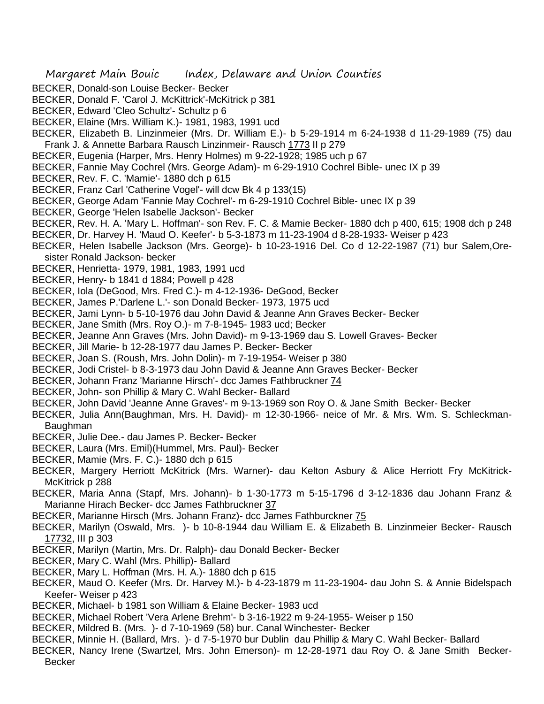- BECKER, Donald-son Louise Becker- Becker
- BECKER, Donald F. 'Carol J. McKittrick'-McKitrick p 381
- BECKER, Edward 'Cleo Schultz'- Schultz p 6
- BECKER, Elaine (Mrs. William K.)- 1981, 1983, 1991 ucd
- BECKER, Elizabeth B. Linzinmeier (Mrs. Dr. William E.)- b 5-29-1914 m 6-24-1938 d 11-29-1989 (75) dau Frank J. & Annette Barbara Rausch Linzinmeir- Rausch 1773 II p 279
- BECKER, Eugenia (Harper, Mrs. Henry Holmes) m 9-22-1928; 1985 uch p 67
- BECKER, Fannie May Cochrel (Mrs. George Adam)- m 6-29-1910 Cochrel Bible- unec IX p 39
- BECKER, Rev. F. C. 'Mamie'- 1880 dch p 615
- BECKER, Franz Carl 'Catherine Vogel'- will dcw Bk 4 p 133(15)
- BECKER, George Adam 'Fannie May Cochrel'- m 6-29-1910 Cochrel Bible- unec IX p 39
- BECKER, George 'Helen Isabelle Jackson'- Becker
- BECKER, Rev. H. A. 'Mary L. Hoffman'- son Rev. F. C. & Mamie Becker- 1880 dch p 400, 615; 1908 dch p 248
- BECKER, Dr. Harvey H. 'Maud O. Keefer'- b 5-3-1873 m 11-23-1904 d 8-28-1933- Weiser p 423
- BECKER, Helen Isabelle Jackson (Mrs. George)- b 10-23-1916 Del. Co d 12-22-1987 (71) bur Salem,Oresister Ronald Jackson- becker
- BECKER, Henrietta- 1979, 1981, 1983, 1991 ucd
- BECKER, Henry- b 1841 d 1884; Powell p 428
- BECKER, Iola (DeGood, Mrs. Fred C.)- m 4-12-1936- DeGood, Becker
- BECKER, James P.'Darlene L.'- son Donald Becker- 1973, 1975 ucd
- BECKER, Jami Lynn- b 5-10-1976 dau John David & Jeanne Ann Graves Becker- Becker
- BECKER, Jane Smith (Mrs. Roy O.)- m 7-8-1945- 1983 ucd; Becker
- BECKER, Jeanne Ann Graves (Mrs. John David)- m 9-13-1969 dau S. Lowell Graves- Becker
- BECKER, Jill Marie- b 12-28-1977 dau James P. Becker- Becker
- BECKER, Joan S. (Roush, Mrs. John Dolin)- m 7-19-1954- Weiser p 380
- BECKER, Jodi Cristel- b 8-3-1973 dau John David & Jeanne Ann Graves Becker- Becker
- BECKER, Johann Franz 'Marianne Hirsch'- dcc James Fathbruckner 74
- BECKER, John- son Phillip & Mary C. Wahl Becker- Ballard
- BECKER, John David 'Jeanne Anne Graves'- m 9-13-1969 son Roy O. & Jane Smith Becker- Becker
- BECKER, Julia Ann(Baughman, Mrs. H. David)- m 12-30-1966- neice of Mr. & Mrs. Wm. S. Schleckman-Baughman
- BECKER, Julie Dee.- dau James P. Becker- Becker
- BECKER, Laura (Mrs. Emil)(Hummel, Mrs. Paul)- Becker
- BECKER, Mamie (Mrs. F. C.)- 1880 dch p 615
- BECKER, Margery Herriott McKitrick (Mrs. Warner)- dau Kelton Asbury & Alice Herriott Fry McKitrick-McKitrick p 288
- BECKER, Maria Anna (Stapf, Mrs. Johann)- b 1-30-1773 m 5-15-1796 d 3-12-1836 dau Johann Franz & Marianne Hirach Becker- dcc James Fathbruckner 37
- BECKER, Marianne Hirsch (Mrs. Johann Franz)- dcc James Fathburckner 75
- BECKER, Marilyn (Oswald, Mrs. )- b 10-8-1944 dau William E. & Elizabeth B. Linzinmeier Becker- Rausch 17732, III p 303
- BECKER, Marilyn (Martin, Mrs. Dr. Ralph)- dau Donald Becker- Becker
- BECKER, Mary C. Wahl (Mrs. Phillip)- Ballard
- BECKER, Mary L. Hoffman (Mrs. H. A.)- 1880 dch p 615
- BECKER, Maud O. Keefer (Mrs. Dr. Harvey M.)- b 4-23-1879 m 11-23-1904- dau John S. & Annie Bidelspach Keefer- Weiser p 423
- BECKER, Michael- b 1981 son William & Elaine Becker- 1983 ucd
- BECKER, Michael Robert 'Vera Arlene Brehm'- b 3-16-1922 m 9-24-1955- Weiser p 150
- BECKER, Mildred B. (Mrs. )- d 7-10-1969 (58) bur. Canal Winchester- Becker
- BECKER, Minnie H. (Ballard, Mrs. )- d 7-5-1970 bur Dublin dau Phillip & Mary C. Wahl Becker- Ballard
- BECKER, Nancy Irene (Swartzel, Mrs. John Emerson)- m 12-28-1971 dau Roy O. & Jane Smith Becker-Becker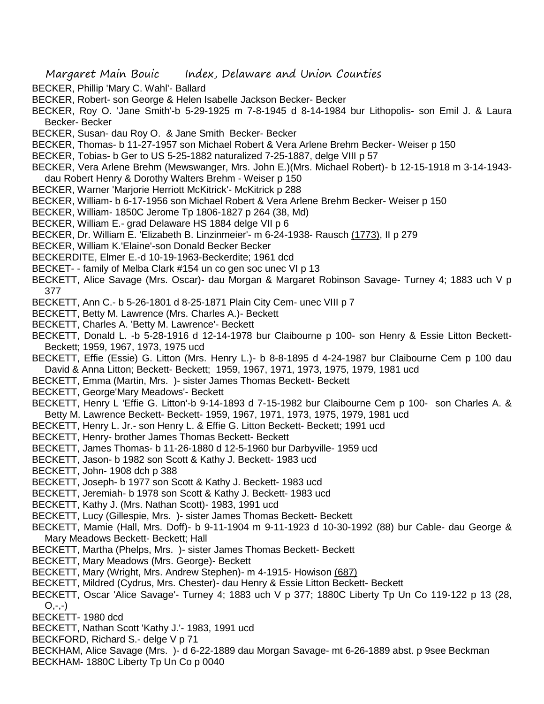- BECKER, Phillip 'Mary C. Wahl'- Ballard
- BECKER, Robert- son George & Helen Isabelle Jackson Becker- Becker
- BECKER, Roy O. 'Jane Smith'-b 5-29-1925 m 7-8-1945 d 8-14-1984 bur Lithopolis- son Emil J. & Laura Becker- Becker
- BECKER, Susan- dau Roy O. & Jane Smith Becker- Becker
- BECKER, Thomas- b 11-27-1957 son Michael Robert & Vera Arlene Brehm Becker- Weiser p 150
- BECKER, Tobias- b Ger to US 5-25-1882 naturalized 7-25-1887, delge VIII p 57
- BECKER, Vera Arlene Brehm (Mewswanger, Mrs. John E.)(Mrs. Michael Robert)- b 12-15-1918 m 3-14-1943 dau Robert Henry & Dorothy Walters Brehm - Weiser p 150
- BECKER, Warner 'Marjorie Herriott McKitrick'- McKitrick p 288
- BECKER, William- b 6-17-1956 son Michael Robert & Vera Arlene Brehm Becker- Weiser p 150
- BECKER, William- 1850C Jerome Tp 1806-1827 p 264 (38, Md)
- BECKER, William E.- grad Delaware HS 1884 delge VII p 6
- BECKER, Dr. William E. 'Elizabeth B. Linzinmeier'- m 6-24-1938- Rausch (1773), Il p 279
- BECKER, William K.'Elaine'-son Donald Becker Becker
- BECKERDITE, Elmer E.-d 10-19-1963-Beckerdite; 1961 dcd
- BECKET- family of Melba Clark #154 un co gen soc unec VI p 13
- BECKETT, Alice Savage (Mrs. Oscar)- dau Morgan & Margaret Robinson Savage- Turney 4; 1883 uch V p 377
- BECKETT, Ann C.- b 5-26-1801 d 8-25-1871 Plain City Cem- unec VIII p 7
- BECKETT, Betty M. Lawrence (Mrs. Charles A.)- Beckett
- BECKETT, Charles A. 'Betty M. Lawrence'- Beckett
- BECKETT, Donald L. -b 5-28-1916 d 12-14-1978 bur Claibourne p 100- son Henry & Essie Litton Beckett-Beckett; 1959, 1967, 1973, 1975 ucd
- BECKETT, Effie (Essie) G. Litton (Mrs. Henry L.)- b 8-8-1895 d 4-24-1987 bur Claibourne Cem p 100 dau David & Anna Litton; Beckett- Beckett; 1959, 1967, 1971, 1973, 1975, 1979, 1981 ucd
- BECKETT, Emma (Martin, Mrs. )- sister James Thomas Beckett- Beckett
- BECKETT, George'Mary Meadows'- Beckett
- BECKETT, Henry L 'Effie G. Litton'-b 9-14-1893 d 7-15-1982 bur Claibourne Cem p 100- son Charles A. & Betty M. Lawrence Beckett- Beckett- 1959, 1967, 1971, 1973, 1975, 1979, 1981 ucd
- BECKETT, Henry L. Jr.- son Henry L. & Effie G. Litton Beckett- Beckett; 1991 ucd
- BECKETT, Henry- brother James Thomas Beckett- Beckett
- BECKETT, James Thomas- b 11-26-1880 d 12-5-1960 bur Darbyville- 1959 ucd
- BECKETT, Jason- b 1982 son Scott & Kathy J. Beckett- 1983 ucd
- BECKETT, John- 1908 dch p 388
- BECKETT, Joseph- b 1977 son Scott & Kathy J. Beckett- 1983 ucd
- BECKETT, Jeremiah- b 1978 son Scott & Kathy J. Beckett- 1983 ucd
- BECKETT, Kathy J. (Mrs. Nathan Scott)- 1983, 1991 ucd
- BECKETT, Lucy (Gillespie, Mrs. )- sister James Thomas Beckett- Beckett
- BECKETT, Mamie (Hall, Mrs. Doff)- b 9-11-1904 m 9-11-1923 d 10-30-1992 (88) bur Cable- dau George & Mary Meadows Beckett- Beckett; Hall
- BECKETT, Martha (Phelps, Mrs. )- sister James Thomas Beckett- Beckett
- BECKETT, Mary Meadows (Mrs. George)- Beckett
- BECKETT, Mary (Wright, Mrs. Andrew Stephen)- m 4-1915- Howison (687)
- BECKETT, Mildred (Cydrus, Mrs. Chester)- dau Henry & Essie Litton Beckett- Beckett
- BECKETT, Oscar 'Alice Savage'- Turney 4; 1883 uch V p 377; 1880C Liberty Tp Un Co 119-122 p 13 (28,  $O, -,-)$
- BECKETT- 1980 dcd
- BECKETT, Nathan Scott 'Kathy J.'- 1983, 1991 ucd
- BECKFORD, Richard S.- delge V p 71
- BECKHAM, Alice Savage (Mrs. )- d 6-22-1889 dau Morgan Savage- mt 6-26-1889 abst. p 9see Beckman
- BECKHAM- 1880C Liberty Tp Un Co p 0040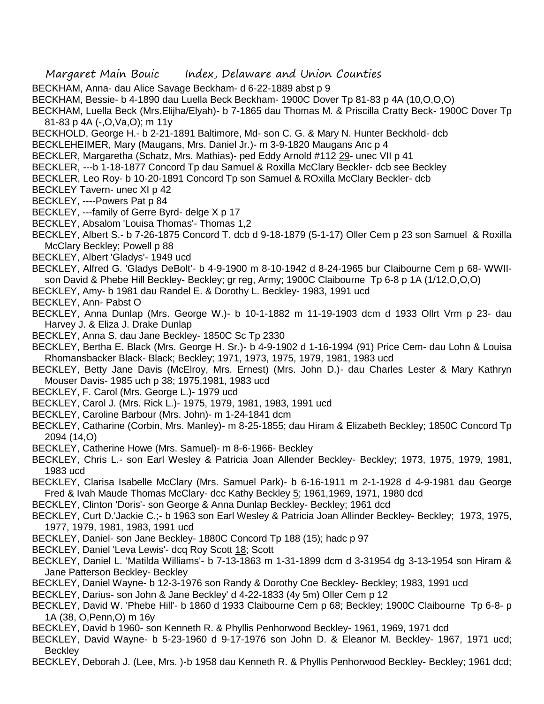- BECKHAM, Anna- dau Alice Savage Beckham- d 6-22-1889 abst p 9
- BECKHAM, Bessie- b 4-1890 dau Luella Beck Beckham- 1900C Dover Tp 81-83 p 4A (10,O,O,O)
- BECKHAM, Luella Beck (Mrs.Elijha/Elyah)- b 7-1865 dau Thomas M. & Priscilla Cratty Beck- 1900C Dover Tp 81-83 p 4A (-,O,Va,O); m 11y
- BECKHOLD, George H.- b 2-21-1891 Baltimore, Md- son C. G. & Mary N. Hunter Beckhold- dcb
- BECKLEHEIMER, Mary (Maugans, Mrs. Daniel Jr.)- m 3-9-1820 Maugans Anc p 4
- BECKLER, Margaretha (Schatz, Mrs. Mathias)- ped Eddy Arnold #112 29- unec VII p 41
- BECKLER, ---b 1-18-1877 Concord Tp dau Samuel & Roxilla McClary Beckler- dcb see Beckley
- BECKLER, Leo Roy- b 10-20-1891 Concord Tp son Samuel & ROxilla McClary Beckler- dcb
- BECKLEY Tavern- unec XI p 42
- BECKLEY, ----Powers Pat p 84
- BECKLEY, ---family of Gerre Byrd- delge X p 17
- BECKLEY, Absalom 'Louisa Thomas'- Thomas 1,2
- BECKLEY, Albert S.- b 7-26-1875 Concord T. dcb d 9-18-1879 (5-1-17) Oller Cem p 23 son Samuel & Roxilla McClary Beckley: Powell p 88
- BECKLEY, Albert 'Gladys'- 1949 ucd
- BECKLEY, Alfred G. 'Gladys DeBolt'- b 4-9-1900 m 8-10-1942 d 8-24-1965 bur Claibourne Cem p 68- WWIIson David & Phebe Hill Beckley- Beckley; gr reg, Army; 1900C Claibourne Tp 6-8 p 1A (1/12,O,O,O)
- BECKLEY, Amy- b 1981 dau Randel E. & Dorothy L. Beckley- 1983, 1991 ucd
- BECKLEY, Ann- Pabst O
- BECKLEY, Anna Dunlap (Mrs. George W.)- b 10-1-1882 m 11-19-1903 dcm d 1933 Ollrt Vrm p 23- dau Harvey J. & Eliza J. Drake Dunlap
- BECKLEY, Anna S. dau Jane Beckley- 1850C Sc Tp 2330
- BECKLEY, Bertha E. Black (Mrs. George H. Sr.)- b 4-9-1902 d 1-16-1994 (91) Price Cem- dau Lohn & Louisa Rhomansbacker Black- Black; Beckley; 1971, 1973, 1975, 1979, 1981, 1983 ucd
- BECKLEY, Betty Jane Davis (McElroy, Mrs. Ernest) (Mrs. John D.)- dau Charles Lester & Mary Kathryn Mouser Davis- 1985 uch p 38; 1975,1981, 1983 ucd
- BECKLEY, F. Carol (Mrs. George L.)- 1979 ucd
- BECKLEY, Carol J. (Mrs. Rick L.)- 1975, 1979, 1981, 1983, 1991 ucd
- BECKLEY, Caroline Barbour (Mrs. John)- m 1-24-1841 dcm
- BECKLEY, Catharine (Corbin, Mrs. Manley)- m 8-25-1855; dau Hiram & Elizabeth Beckley; 1850C Concord Tp 2094 (14,O)
- BECKLEY, Catherine Howe (Mrs. Samuel)- m 8-6-1966- Beckley
- BECKLEY, Chris L.- son Earl Wesley & Patricia Joan Allender Beckley- Beckley; 1973, 1975, 1979, 1981, 1983 ucd
- BECKLEY, Clarisa Isabelle McClary (Mrs. Samuel Park)- b 6-16-1911 m 2-1-1928 d 4-9-1981 dau George Fred & Ivah Maude Thomas McClary- dcc Kathy Beckley 5; 1961, 1969, 1971, 1980 dcd
- BECKLEY, Clinton 'Doris'- son George & Anna Dunlap Beckley- Beckley; 1961 dcd
- BECKLEY, Curt D.'Jackie C.;- b 1963 son Earl Wesley & Patricia Joan Allinder Beckley- Beckley; 1973, 1975, 1977, 1979, 1981, 1983, 1991 ucd
- BECKLEY, Daniel- son Jane Beckley- 1880C Concord Tp 188 (15); hadc p 97
- BECKLEY, Daniel 'Leva Lewis'- dcq Roy Scott 18; Scott
- BECKLEY, Daniel L. 'Matilda Williams'- b 7-13-1863 m 1-31-1899 dcm d 3-31954 dg 3-13-1954 son Hiram & Jane Patterson Beckley- Beckley
- BECKLEY, Daniel Wayne- b 12-3-1976 son Randy & Dorothy Coe Beckley- Beckley; 1983, 1991 ucd
- BECKLEY, Darius- son John & Jane Beckley' d 4-22-1833 (4y 5m) Oller Cem p 12
- BECKLEY, David W. 'Phebe Hill'- b 1860 d 1933 Claibourne Cem p 68; Beckley; 1900C Claibourne Tp 6-8- p 1A (38, O,Penn,O) m 16y
- BECKLEY, David b 1960- son Kenneth R. & Phyllis Penhorwood Beckley- 1961, 1969, 1971 dcd
- BECKLEY, David Wayne- b 5-23-1960 d 9-17-1976 son John D. & Eleanor M. Beckley- 1967, 1971 ucd; **Beckley**
- BECKLEY, Deborah J. (Lee, Mrs. )-b 1958 dau Kenneth R. & Phyllis Penhorwood Beckley- Beckley; 1961 dcd;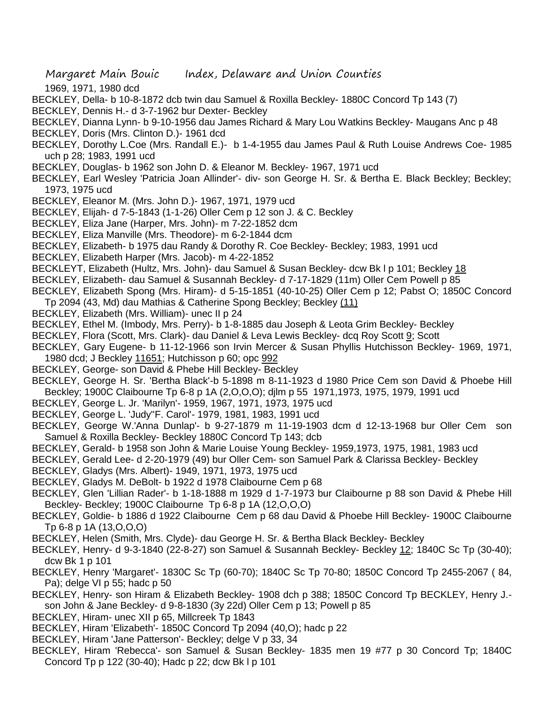1969, 1971, 1980 dcd

- BECKLEY, Della- b 10-8-1872 dcb twin dau Samuel & Roxilla Beckley- 1880C Concord Tp 143 (7)
- BECKLEY, Dennis H.- d 3-7-1962 bur Dexter- Beckley
- BECKLEY, Dianna Lynn- b 9-10-1956 dau James Richard & Mary Lou Watkins Beckley- Maugans Anc p 48
- BECKLEY, Doris (Mrs. Clinton D.)- 1961 dcd
- BECKLEY, Dorothy L.Coe (Mrs. Randall E.)- b 1-4-1955 dau James Paul & Ruth Louise Andrews Coe- 1985 uch p 28; 1983, 1991 ucd
- BECKLEY, Douglas- b 1962 son John D. & Eleanor M. Beckley- 1967, 1971 ucd
- BECKLEY, Earl Wesley 'Patricia Joan Allinder'- div- son George H. Sr. & Bertha E. Black Beckley; Beckley; 1973, 1975 ucd
- BECKLEY, Eleanor M. (Mrs. John D.)- 1967, 1971, 1979 ucd
- BECKLEY, Elijah- d 7-5-1843 (1-1-26) Oller Cem p 12 son J. & C. Beckley
- BECKLEY, Eliza Jane (Harper, Mrs. John)- m 7-22-1852 dcm
- BECKLEY, Eliza Manville (Mrs. Theodore)- m 6-2-1844 dcm
- BECKLEY, Elizabeth- b 1975 dau Randy & Dorothy R. Coe Beckley- Beckley; 1983, 1991 ucd
- BECKLEY, Elizabeth Harper (Mrs. Jacob)- m 4-22-1852
- BECKLEYT, Elizabeth (Hultz, Mrs. John)- dau Samuel & Susan Beckley- dcw Bk I p 101; Beckley 18
- BECKLEY, Elizabeth- dau Samuel & Susannah Beckley- d 7-17-1829 (11m) Oller Cem Powell p 85
- BECKLEY, Elizabeth Spong (Mrs. Hiram)- d 5-15-1851 (40-10-25) Oller Cem p 12; Pabst O; 1850C Concord Tp 2094 (43, Md) dau Mathias & Catherine Spong Beckley; Beckley (11)
- BECKLEY, Elizabeth (Mrs. William)- unec II p 24
- BECKLEY, Ethel M. (Imbody, Mrs. Perry)- b 1-8-1885 dau Joseph & Leota Grim Beckley- Beckley
- BECKLEY, Flora (Scott, Mrs. Clark)- dau Daniel & Leva Lewis Beckley- dcq Roy Scott 9; Scott
- BECKLEY, Gary Eugene- b 11-12-1966 son Irvin Mercer & Susan Phyllis Hutchisson Beckley- 1969, 1971, 1980 dcd; J Beckley 11651; Hutchisson p 60; opc 992
- BECKLEY, George- son David & Phebe Hill Beckley- Beckley
- BECKLEY, George H. Sr. 'Bertha Black'-b 5-1898 m 8-11-1923 d 1980 Price Cem son David & Phoebe Hill Beckley; 1900C Claibourne Tp 6-8 p 1A (2,O,O,O); djlm p 55 1971,1973, 1975, 1979, 1991 ucd
- BECKLEY, George L. Jr. 'Marilyn'- 1959, 1967, 1971, 1973, 1975 ucd
- BECKLEY, George L. 'Judy''F. Carol'- 1979, 1981, 1983, 1991 ucd
- BECKLEY, George W.'Anna Dunlap'- b 9-27-1879 m 11-19-1903 dcm d 12-13-1968 bur Oller Cem son Samuel & Roxilla Beckley- Beckley 1880C Concord Tp 143; dcb
- BECKLEY, Gerald- b 1958 son John & Marie Louise Young Beckley- 1959,1973, 1975, 1981, 1983 ucd
- BECKLEY, Gerald Lee- d 2-20-1979 (49) bur Oller Cem- son Samuel Park & Clarissa Beckley- Beckley
- BECKLEY, Gladys (Mrs. Albert)- 1949, 1971, 1973, 1975 ucd
- BECKLEY, Gladys M. DeBolt- b 1922 d 1978 Claibourne Cem p 68
- BECKLEY, Glen 'Lillian Rader'- b 1-18-1888 m 1929 d 1-7-1973 bur Claibourne p 88 son David & Phebe Hill Beckley- Beckley; 1900C Claibourne Tp 6-8 p 1A (12,O,O,O)
- BECKLEY, Goldie- b 1886 d 1922 Claibourne Cem p 68 dau David & Phoebe Hill Beckley- 1900C Claibourne Tp 6-8 p 1A (13,O,O,O)
- BECKLEY, Helen (Smith, Mrs. Clyde)- dau George H. Sr. & Bertha Black Beckley- Beckley
- BECKLEY, Henry- d 9-3-1840 (22-8-27) son Samuel & Susannah Beckley- Beckley 12; 1840C Sc Tp (30-40); dcw Bk 1 p 101
- BECKLEY, Henry 'Margaret'- 1830C Sc Tp (60-70); 1840C Sc Tp 70-80; 1850C Concord Tp 2455-2067 ( 84, Pa); delge VI p 55; hadc p 50
- BECKLEY, Henry- son Hiram & Elizabeth Beckley- 1908 dch p 388; 1850C Concord Tp BECKLEY, Henry J. son John & Jane Beckley- d 9-8-1830 (3y 22d) Oller Cem p 13; Powell p 85
- BECKLEY, Hiram- unec XII p 65, Millcreek Tp 1843
- BECKLEY, Hiram 'Elizabeth'- 1850C Concord Tp 2094 (40,O); hadc p 22
- BECKLEY, Hiram 'Jane Patterson'- Beckley; delge V p 33, 34
- BECKLEY, Hiram 'Rebecca'- son Samuel & Susan Beckley- 1835 men 19 #77 p 30 Concord Tp; 1840C Concord Tp p 122 (30-40); Hadc p 22; dcw Bk l p 101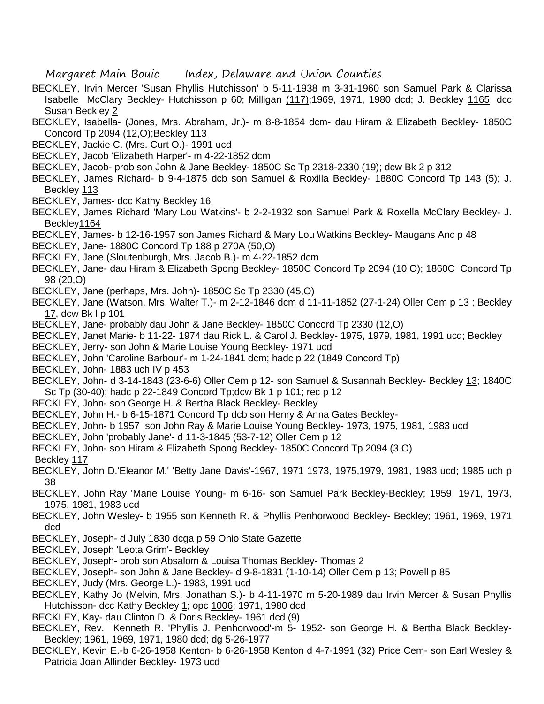- BECKLEY, Irvin Mercer 'Susan Phyllis Hutchisson' b 5-11-1938 m 3-31-1960 son Samuel Park & Clarissa Isabelle McClary Beckley- Hutchisson p 60; Milligan (117);1969, 1971, 1980 dcd; J. Beckley 1165; dcc Susan Beckley 2
- BECKLEY, Isabella- (Jones, Mrs. Abraham, Jr.)- m 8-8-1854 dcm- dau Hiram & Elizabeth Beckley- 1850C Concord Tp 2094 (12,O);Beckley 113
- BECKLEY, Jackie C. (Mrs. Curt O.)- 1991 ucd
- BECKLEY, Jacob 'Elizabeth Harper'- m 4-22-1852 dcm
- BECKLEY, Jacob- prob son John & Jane Beckley- 1850C Sc Tp 2318-2330 (19); dcw Bk 2 p 312
- BECKLEY, James Richard- b 9-4-1875 dcb son Samuel & Roxilla Beckley- 1880C Concord Tp 143 (5); J. Beckley 113
- BECKLEY, James- dcc Kathy Beckley 16
- BECKLEY, James Richard 'Mary Lou Watkins'- b 2-2-1932 son Samuel Park & Roxella McClary Beckley- J. Beckley1164
- BECKLEY, James- b 12-16-1957 son James Richard & Mary Lou Watkins Beckley- Maugans Anc p 48
- BECKLEY, Jane- 1880C Concord Tp 188 p 270A (50,O)
- BECKLEY, Jane (Sloutenburgh, Mrs. Jacob B.)- m 4-22-1852 dcm
- BECKLEY, Jane- dau Hiram & Elizabeth Spong Beckley- 1850C Concord Tp 2094 (10,O); 1860C Concord Tp 98 (20,O)
- BECKLEY, Jane (perhaps, Mrs. John)- 1850C Sc Tp 2330 (45,O)
- BECKLEY, Jane (Watson, Mrs. Walter T.)- m 2-12-1846 dcm d 11-11-1852 (27-1-24) Oller Cem p 13 ; Beckley 17, dcw Bk l p 101
- BECKLEY, Jane- probably dau John & Jane Beckley- 1850C Concord Tp 2330 (12,O)
- BECKLEY, Janet Marie- b 11-22- 1974 dau Rick L. & Carol J. Beckley- 1975, 1979, 1981, 1991 ucd; Beckley
- BECKLEY, Jerry- son John & Marie Louise Young Beckley- 1971 ucd
- BECKLEY, John 'Caroline Barbour'- m 1-24-1841 dcm; hadc p 22 (1849 Concord Tp)
- BECKLEY, John- 1883 uch IV p 453
- BECKLEY, John- d 3-14-1843 (23-6-6) Oller Cem p 12- son Samuel & Susannah Beckley- Beckley 13; 1840C Sc Tp (30-40); hadc p 22-1849 Concord Tp;dcw Bk 1 p 101; rec p 12
- BECKLEY, John- son George H. & Bertha Black Beckley- Beckley
- BECKLEY, John H.- b 6-15-1871 Concord Tp dcb son Henry & Anna Gates Beckley-
- BECKLEY, John- b 1957 son John Ray & Marie Louise Young Beckley- 1973, 1975, 1981, 1983 ucd
- BECKLEY, John 'probably Jane'- d 11-3-1845 (53-7-12) Oller Cem p 12
- BECKLEY, John- son Hiram & Elizabeth Spong Beckley- 1850C Concord Tp 2094 (3,O)

Beckley 117

- BECKLEY, John D.'Eleanor M.' 'Betty Jane Davis'-1967, 1971 1973, 1975,1979, 1981, 1983 ucd; 1985 uch p 38
- BECKLEY, John Ray 'Marie Louise Young- m 6-16- son Samuel Park Beckley-Beckley; 1959, 1971, 1973, 1975, 1981, 1983 ucd
- BECKLEY, John Wesley- b 1955 son Kenneth R. & Phyllis Penhorwood Beckley- Beckley; 1961, 1969, 1971 dcd
- BECKLEY, Joseph- d July 1830 dcga p 59 Ohio State Gazette
- BECKLEY, Joseph 'Leota Grim'- Beckley
- BECKLEY, Joseph- prob son Absalom & Louisa Thomas Beckley- Thomas 2
- BECKLEY, Joseph- son John & Jane Beckley- d 9-8-1831 (1-10-14) Oller Cem p 13; Powell p 85
- BECKLEY, Judy (Mrs. George L.)- 1983, 1991 ucd
- BECKLEY, Kathy Jo (Melvin, Mrs. Jonathan S.)- b 4-11-1970 m 5-20-1989 dau Irvin Mercer & Susan Phyllis Hutchisson- dcc Kathy Beckley 1; opc 1006; 1971, 1980 dcd
- BECKLEY, Kay- dau Clinton D. & Doris Beckley- 1961 dcd (9)
- BECKLEY, Rev. Kenneth R. 'Phyllis J. Penhorwood'-m 5- 1952- son George H. & Bertha Black Beckley-Beckley; 1961, 1969, 1971, 1980 dcd; dg 5-26-1977
- BECKLEY, Kevin E.-b 6-26-1958 Kenton- b 6-26-1958 Kenton d 4-7-1991 (32) Price Cem- son Earl Wesley & Patricia Joan Allinder Beckley- 1973 ucd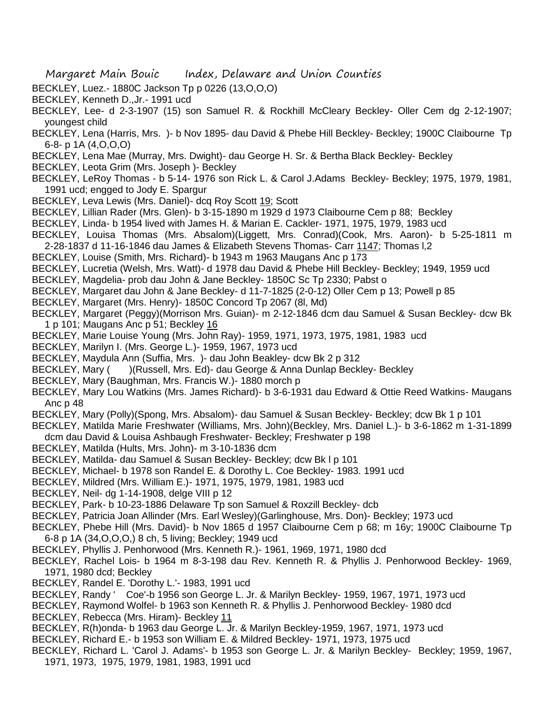- BECKLEY, Luez.- 1880C Jackson Tp p 0226 (13,O,O,O)
- BECKLEY, Kenneth D.,Jr.- 1991 ucd
- BECKLEY, Lee- d 2-3-1907 (15) son Samuel R. & Rockhill McCleary Beckley- Oller Cem dg 2-12-1907; youngest child
- BECKLEY, Lena (Harris, Mrs. )- b Nov 1895- dau David & Phebe Hill Beckley- Beckley; 1900C Claibourne Tp 6-8- p 1A (4,O,O,O)
- BECKLEY, Lena Mae (Murray, Mrs. Dwight)- dau George H. Sr. & Bertha Black Beckley- Beckley
- BECKLEY, Leota Grim (Mrs. Joseph )- Beckley
- BECKLEY, LeRoy Thomas b 5-14- 1976 son Rick L. & Carol J.Adams Beckley- Beckley; 1975, 1979, 1981, 1991 ucd; engged to Jody E. Spargur
- BECKLEY, Leva Lewis (Mrs. Daniel)- dcq Roy Scott 19; Scott
- BECKLEY, Lillian Rader (Mrs. Glen)- b 3-15-1890 m 1929 d 1973 Claibourne Cem p 88; Beckley
- BECKLEY, Linda- b 1954 lived with James H. & Marian E. Cackler- 1971, 1975, 1979, 1983 ucd
- BECKLEY, Louisa Thomas (Mrs. Absalom)(Liggett, Mrs. Conrad)(Cook, Mrs. Aaron)- b 5-25-1811 m 2-28-1837 d 11-16-1846 dau James & Elizabeth Stevens Thomas- Carr 1147; Thomas l,2
- BECKLEY, Louise (Smith, Mrs. Richard)- b 1943 m 1963 Maugans Anc p 173
- BECKLEY, Lucretia (Welsh, Mrs. Watt)- d 1978 dau David & Phebe Hill Beckley- Beckley; 1949, 1959 ucd
- BECKLEY, Magdelia- prob dau John & Jane Beckley- 1850C Sc Tp 2330; Pabst o
- BECKLEY, Margaret dau John & Jane Beckley- d 11-7-1825 (2-0-12) Oller Cem p 13; Powell p 85
- BECKLEY, Margaret (Mrs. Henry)- 1850C Concord Tp 2067 (8l, Md)
- BECKLEY, Margaret (Peggy)(Morrison Mrs. Guian)- m 2-12-1846 dcm dau Samuel & Susan Beckley- dcw Bk 1 p 101; Maugans Anc p 51; Beckley 16
- BECKLEY, Marie Louise Young (Mrs. John Ray)- 1959, 1971, 1973, 1975, 1981, 1983 ucd
- BECKLEY, Marilyn I. (Mrs. George L.)- 1959, 1967, 1973 ucd
- BECKLEY, Maydula Ann (Suffia, Mrs. )- dau John Beakley- dcw Bk 2 p 312
- BECKLEY, Mary () (Russell, Mrs. Ed)- dau George & Anna Dunlap Beckley- Beckley
- BECKLEY, Mary (Baughman, Mrs. Francis W.)- 1880 morch p
- BECKLEY, Mary Lou Watkins (Mrs. James Richard)- b 3-6-1931 dau Edward & Ottie Reed Watkins- Maugans Anc p 48
- BECKLEY, Mary (Polly)(Spong, Mrs. Absalom)- dau Samuel & Susan Beckley- Beckley; dcw Bk 1 p 101
- BECKLEY, Matilda Marie Freshwater (Williams, Mrs. John)(Beckley, Mrs. Daniel L.)- b 3-6-1862 m 1-31-1899 dcm dau David & Louisa Ashbaugh Freshwater- Beckley; Freshwater p 198
- BECKLEY, Matilda (Hults, Mrs. John)- m 3-10-1836 dcm
- BECKLEY, Matilda- dau Samuel & Susan Beckley- Beckley; dcw Bk l p 101
- BECKLEY, Michael- b 1978 son Randel E. & Dorothy L. Coe Beckley- 1983. 1991 ucd
- BECKLEY, Mildred (Mrs. William E.)- 1971, 1975, 1979, 1981, 1983 ucd
- BECKLEY, Neil- dg 1-14-1908, delge VIII p 12
- BECKLEY, Park- b 10-23-1886 Delaware Tp son Samuel & Roxzill Beckley- dcb
- BECKLEY, Patricia Joan Allinder (Mrs. Earl Wesley)(Garlinghouse, Mrs. Don)- Beckley; 1973 ucd
- BECKLEY, Phebe Hill (Mrs. David)- b Nov 1865 d 1957 Claibourne Cem p 68; m 16y; 1900C Claibourne Tp 6-8 p 1A (34,O,O,O,) 8 ch, 5 living; Beckley; 1949 ucd
- BECKLEY, Phyllis J. Penhorwood (Mrs. Kenneth R.)- 1961, 1969, 1971, 1980 dcd
- BECKLEY, Rachel Lois- b 1964 m 8-3-198 dau Rev. Kenneth R. & Phyllis J. Penhorwood Beckley- 1969, 1971, 1980 dcd; Beckley
- BECKLEY, Randel E. 'Dorothy L.'- 1983, 1991 ucd
- BECKLEY, Randy ' Coe'-b 1956 son George L. Jr. & Marilyn Beckley- 1959, 1967, 1971, 1973 ucd
- BECKLEY, Raymond Wolfel- b 1963 son Kenneth R. & Phyllis J. Penhorwood Beckley- 1980 dcd BECKLEY, Rebecca (Mrs. Hiram)- Beckley 11
- BECKLEY, R(h)onda- b 1963 dau George L. Jr. & Marilyn Beckley-1959, 1967, 1971, 1973 ucd
- BECKLEY, Richard E.- b 1953 son William E. & Mildred Beckley- 1971, 1973, 1975 ucd
- BECKLEY, Richard L. 'Carol J. Adams'- b 1953 son George L. Jr. & Marilyn Beckley- Beckley; 1959, 1967, 1971, 1973, 1975, 1979, 1981, 1983, 1991 ucd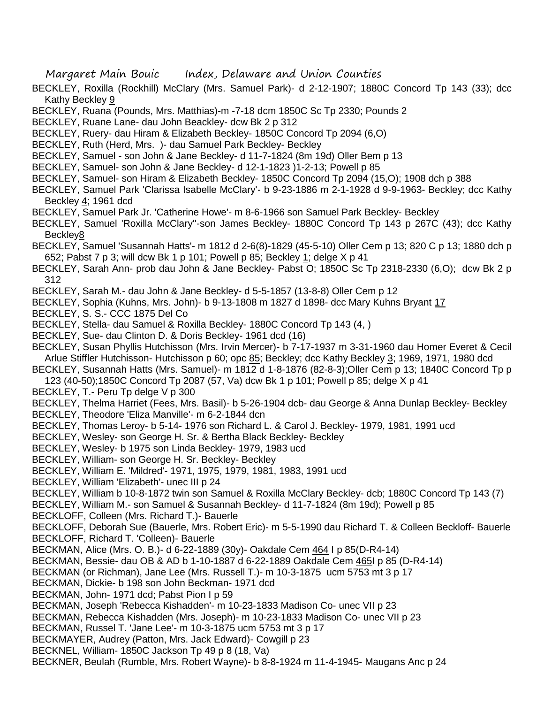- BECKLEY, Roxilla (Rockhill) McClary (Mrs. Samuel Park)- d 2-12-1907; 1880C Concord Tp 143 (33); dcc Kathy Beckley 9
- BECKLEY, Ruana (Pounds, Mrs. Matthias)-m -7-18 dcm 1850C Sc Tp 2330; Pounds 2
- BECKLEY, Ruane Lane- dau John Beackley- dcw Bk 2 p 312
- BECKLEY, Ruery- dau Hiram & Elizabeth Beckley- 1850C Concord Tp 2094 (6,O)
- BECKLEY, Ruth (Herd, Mrs. )- dau Samuel Park Beckley- Beckley
- BECKLEY, Samuel son John & Jane Beckley- d 11-7-1824 (8m 19d) Oller Bem p 13
- BECKLEY, Samuel- son John & Jane Beckley- d 12-1-1823 )1-2-13; Powell p 85
- BECKLEY, Samuel- son Hiram & Elizabeth Beckley- 1850C Concord Tp 2094 (15,O); 1908 dch p 388
- BECKLEY, Samuel Park 'Clarissa Isabelle McClary'- b 9-23-1886 m 2-1-1928 d 9-9-1963- Beckley; dcc Kathy Beckley 4; 1961 dcd
- BECKLEY, Samuel Park Jr. 'Catherine Howe'- m 8-6-1966 son Samuel Park Beckley- Beckley
- BECKLEY, Samuel 'Roxilla McClary''-son James Beckley- 1880C Concord Tp 143 p 267C (43); dcc Kathy Beckley8
- BECKLEY, Samuel 'Susannah Hatts'- m 1812 d 2-6(8)-1829 (45-5-10) Oller Cem p 13; 820 C p 13; 1880 dch p 652; Pabst 7 p 3; will dcw Bk 1 p 101; Powell p 85; Beckley 1; delge X p 41
- BECKLEY, Sarah Ann- prob dau John & Jane Beckley- Pabst O; 1850C Sc Tp 2318-2330 (6,O); dcw Bk 2 p 312
- BECKLEY, Sarah M.- dau John & Jane Beckley- d 5-5-1857 (13-8-8) Oller Cem p 12
- BECKLEY, Sophia (Kuhns, Mrs. John)- b 9-13-1808 m 1827 d 1898- dcc Mary Kuhns Bryant 17
- BECKLEY, S. S.- CCC 1875 Del Co
- BECKLEY, Stella- dau Samuel & Roxilla Beckley- 1880C Concord Tp 143 (4, )
- BECKLEY, Sue- dau Clinton D. & Doris Beckley- 1961 dcd (16)
- BECKLEY, Susan Phyllis Hutchisson (Mrs. Irvin Mercer)- b 7-17-1937 m 3-31-1960 dau Homer Everet & Cecil Arlue Stiffler Hutchisson- Hutchisson p 60; opc 85; Beckley; dcc Kathy Beckley 3; 1969, 1971, 1980 dcd
- BECKLEY, Susannah Hatts (Mrs. Samuel)- m 1812 d 1-8-1876 (82-8-3);Oller Cem p 13; 1840C Concord Tp p 123 (40-50);1850C Concord Tp 2087 (57, Va) dcw Bk 1 p 101; Powell p 85; delge X p 41
- BECKLEY, T.- Peru Tp delge V p 300

BECKLEY, Thelma Harriet (Fees, Mrs. Basil)- b 5-26-1904 dcb- dau George & Anna Dunlap Beckley- Beckley

- BECKLEY, Theodore 'Eliza Manville'- m 6-2-1844 dcn
- BECKLEY, Thomas Leroy- b 5-14- 1976 son Richard L. & Carol J. Beckley- 1979, 1981, 1991 ucd
- BECKLEY, Wesley- son George H. Sr. & Bertha Black Beckley- Beckley
- BECKLEY, Wesley- b 1975 son Linda Beckley- 1979, 1983 ucd
- BECKLEY, William- son George H. Sr. Beckley- Beckley
- BECKLEY, William E. 'Mildred'- 1971, 1975, 1979, 1981, 1983, 1991 ucd
- BECKLEY, William 'Elizabeth'- unec III p 24
- BECKLEY, William b 10-8-1872 twin son Samuel & Roxilla McClary Beckley- dcb; 1880C Concord Tp 143 (7)
- BECKLEY, William M.- son Samuel & Susannah Beckley- d 11-7-1824 (8m 19d); Powell p 85
- BECKLOFF, Colleen (Mrs. Richard T.)- Bauerle
- BECKLOFF, Deborah Sue (Bauerle, Mrs. Robert Eric)- m 5-5-1990 dau Richard T. & Colleen Beckloff- Bauerle BECKLOFF, Richard T. 'Colleen)- Bauerle
- BECKMAN, Alice (Mrs. O. B.)- d 6-22-1889 (30y)- Oakdale Cem 464 I p 85(D-R4-14)
- BECKMAN, Bessie- dau OB & AD b 1-10-1887 d 6-22-1889 Oakdale Cem 465I p 85 (D-R4-14)
- BECKMAN (or Richman), Jane Lee (Mrs. Russell T.)- m 10-3-1875 ucm 5753 mt 3 p 17
- BECKMAN, Dickie- b 198 son John Beckman- 1971 dcd
- BECKMAN, John- 1971 dcd; Pabst Pion I p 59
- BECKMAN, Joseph 'Rebecca Kishadden'- m 10-23-1833 Madison Co- unec VII p 23
- BECKMAN, Rebecca Kishadden (Mrs. Joseph)- m 10-23-1833 Madison Co- unec VII p 23
- BECKMAN, Russel T. 'Jane Lee'- m 10-3-1875 ucm 5753 mt 3 p 17
- BECKMAYER, Audrey (Patton, Mrs. Jack Edward)- Cowgill p 23
- BECKNEL, William- 1850C Jackson Tp 49 p 8 (18, Va)
- BECKNER, Beulah (Rumble, Mrs. Robert Wayne)- b 8-8-1924 m 11-4-1945- Maugans Anc p 24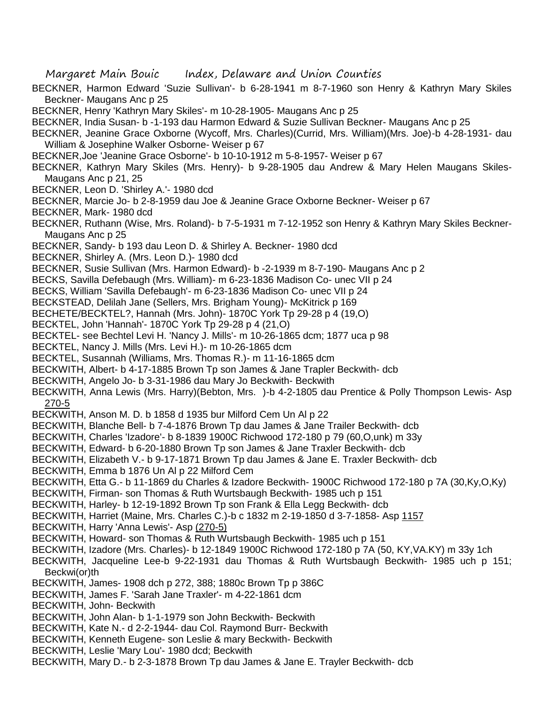- BECKNER, Harmon Edward 'Suzie Sullivan'- b 6-28-1941 m 8-7-1960 son Henry & Kathryn Mary Skiles Beckner- Maugans Anc p 25
- BECKNER, Henry 'Kathryn Mary Skiles'- m 10-28-1905- Maugans Anc p 25
- BECKNER, India Susan- b -1-193 dau Harmon Edward & Suzie Sullivan Beckner- Maugans Anc p 25
- BECKNER, Jeanine Grace Oxborne (Wycoff, Mrs. Charles)(Currid, Mrs. William)(Mrs. Joe)-b 4-28-1931- dau William & Josephine Walker Osborne- Weiser p 67
- BECKNER,Joe 'Jeanine Grace Osborne'- b 10-10-1912 m 5-8-1957- Weiser p 67
- BECKNER, Kathryn Mary Skiles (Mrs. Henry)- b 9-28-1905 dau Andrew & Mary Helen Maugans Skiles-Maugans Anc p 21, 25
- BECKNER, Leon D. 'Shirley A.'- 1980 dcd
- BECKNER, Marcie Jo- b 2-8-1959 dau Joe & Jeanine Grace Oxborne Beckner- Weiser p 67
- BECKNER, Mark- 1980 dcd
- BECKNER, Ruthann (Wise, Mrs. Roland)- b 7-5-1931 m 7-12-1952 son Henry & Kathryn Mary Skiles Beckner-Maugans Anc p 25
- BECKNER, Sandy- b 193 dau Leon D. & Shirley A. Beckner- 1980 dcd
- BECKNER, Shirley A. (Mrs. Leon D.)- 1980 dcd
- BECKNER, Susie Sullivan (Mrs. Harmon Edward)- b -2-1939 m 8-7-190- Maugans Anc p 2
- BECKS, Savilla Defebaugh (Mrs. William)- m 6-23-1836 Madison Co- unec VII p 24
- BECKS, William 'Savilla Defebaugh'- m 6-23-1836 Madison Co- unec VII p 24
- BECKSTEAD, Delilah Jane (Sellers, Mrs. Brigham Young)- McKitrick p 169
- BECHETE/BECKTEL?, Hannah (Mrs. John)- 1870C York Tp 29-28 p 4 (19,O)
- BECKTEL, John 'Hannah'- 1870C York Tp 29-28 p 4 (21,O)
- BECKTEL- see Bechtel Levi H. 'Nancy J. Mills'- m 10-26-1865 dcm; 1877 uca p 98
- BECKTEL, Nancy J. Mills (Mrs. Levi H.)- m 10-26-1865 dcm
- BECKTEL, Susannah (Williams, Mrs. Thomas R.)- m 11-16-1865 dcm
- BECKWITH, Albert- b 4-17-1885 Brown Tp son James & Jane Trapler Beckwith- dcb
- BECKWITH, Angelo Jo- b 3-31-1986 dau Mary Jo Beckwith- Beckwith
- BECKWITH, Anna Lewis (Mrs. Harry)(Bebton, Mrs. )-b 4-2-1805 dau Prentice & Polly Thompson Lewis- Asp 270-5
- BECKWITH, Anson M. D. b 1858 d 1935 bur Milford Cem Un Al p 22
- BECKWITH, Blanche Bell- b 7-4-1876 Brown Tp dau James & Jane Trailer Beckwith- dcb
- BECKWITH, Charles 'Izadore'- b 8-1839 1900C Richwood 172-180 p 79 (60,O,unk) m 33y
- BECKWITH, Edward- b 6-20-1880 Brown Tp son James & Jane Traxler Beckwith- dcb
- BECKWITH, Elizabeth V.- b 9-17-1871 Brown Tp dau James & Jane E. Traxler Beckwith- dcb
- BECKWITH, Emma b 1876 Un Al p 22 Milford Cem
- BECKWITH, Etta G.- b 11-1869 du Charles & Izadore Beckwith- 1900C Richwood 172-180 p 7A (30,Ky,O,Ky)
- BECKWITH, Firman- son Thomas & Ruth Wurtsbaugh Beckwith- 1985 uch p 151
- BECKWITH, Harley- b 12-19-1892 Brown Tp son Frank & Ella Legg Beckwith- dcb
- BECKWITH, Harriet (Maine, Mrs. Charles C.)-b c 1832 m 2-19-1850 d 3-7-1858- Asp 1157
- BECKWITH, Harry 'Anna Lewis'- Asp (270-5)
- BECKWITH, Howard- son Thomas & Ruth Wurtsbaugh Beckwith- 1985 uch p 151
- BECKWITH, Izadore (Mrs. Charles)- b 12-1849 1900C Richwood 172-180 p 7A (50, KY,VA.KY) m 33y 1ch
- BECKWITH, Jacqueline Lee-b 9-22-1931 dau Thomas & Ruth Wurtsbaugh Beckwith- 1985 uch p 151; Beckwi(or)th
- BECKWITH, James- 1908 dch p 272, 388; 1880c Brown Tp p 386C
- BECKWITH, James F. 'Sarah Jane Traxler'- m 4-22-1861 dcm
- BECKWITH, John- Beckwith
- BECKWITH, John Alan- b 1-1-1979 son John Beckwith- Beckwith
- BECKWITH, Kate N.- d 2-2-1944- dau Col. Raymond Burr- Beckwith
- BECKWITH, Kenneth Eugene- son Leslie & mary Beckwith- Beckwith
- BECKWITH, Leslie 'Mary Lou'- 1980 dcd; Beckwith
- BECKWITH, Mary D.- b 2-3-1878 Brown Tp dau James & Jane E. Trayler Beckwith- dcb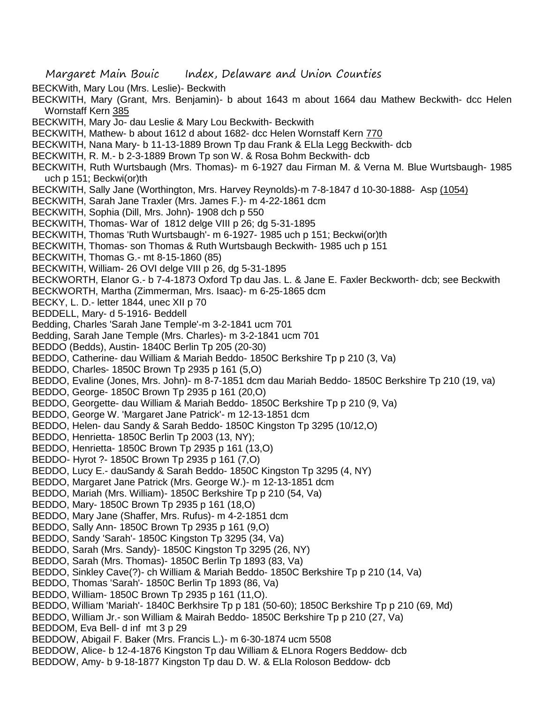- Margaret Main Bouic Index, Delaware and Union Counties
- BECKWith, Mary Lou (Mrs. Leslie)- Beckwith
- BECKWITH, Mary (Grant, Mrs. Benjamin)- b about 1643 m about 1664 dau Mathew Beckwith- dcc Helen Wornstaff Kern 385
- BECKWITH, Mary Jo- dau Leslie & Mary Lou Beckwith- Beckwith
- BECKWITH, Mathew- b about 1612 d about 1682- dcc Helen Wornstaff Kern 770
- BECKWITH, Nana Mary- b 11-13-1889 Brown Tp dau Frank & ELla Legg Beckwith- dcb
- BECKWITH, R. M.- b 2-3-1889 Brown Tp son W. & Rosa Bohm Beckwith- dcb
- BECKWITH, Ruth Wurtsbaugh (Mrs. Thomas)- m 6-1927 dau Firman M. & Verna M. Blue Wurtsbaugh- 1985 uch p 151; Beckwi(or)th
- BECKWITH, Sally Jane (Worthington, Mrs. Harvey Reynolds)-m 7-8-1847 d 10-30-1888- Asp (1054)
- BECKWITH, Sarah Jane Traxler (Mrs. James F.)- m 4-22-1861 dcm
- BECKWITH, Sophia (Dill, Mrs. John)- 1908 dch p 550
- BECKWITH, Thomas- War of 1812 delge VIII p 26; dg 5-31-1895
- BECKWITH, Thomas 'Ruth Wurtsbaugh'- m 6-1927- 1985 uch p 151; Beckwi(or)th
- BECKWITH, Thomas- son Thomas & Ruth Wurtsbaugh Beckwith- 1985 uch p 151
- BECKWITH, Thomas G.- mt 8-15-1860 (85)
- BECKWITH, William- 26 OVI delge VIII p 26, dg 5-31-1895
- BECKWORTH, Elanor G.- b 7-4-1873 Oxford Tp dau Jas. L. & Jane E. Faxler Beckworth- dcb; see Beckwith
- BECKWORTH, Martha (Zimmerman, Mrs. Isaac)- m 6-25-1865 dcm
- BECKY, L. D.- letter 1844, unec XII p 70
- BEDDELL, Mary- d 5-1916- Beddell
- Bedding, Charles 'Sarah Jane Temple'-m 3-2-1841 ucm 701
- Bedding, Sarah Jane Temple (Mrs. Charles)- m 3-2-1841 ucm 701
- BEDDO (Bedds), Austin- 1840C Berlin Tp 205 (20-30)
- BEDDO, Catherine- dau William & Mariah Beddo- 1850C Berkshire Tp p 210 (3, Va)
- BEDDO, Charles- 1850C Brown Tp 2935 p 161 (5,O)
- BEDDO, Evaline (Jones, Mrs. John)- m 8-7-1851 dcm dau Mariah Beddo- 1850C Berkshire Tp 210 (19, va)
- BEDDO, George- 1850C Brown Tp 2935 p 161 (20,O)
- BEDDO, Georgette- dau William & Mariah Beddo- 1850C Berkshire Tp p 210 (9, Va)
- BEDDO, George W. 'Margaret Jane Patrick'- m 12-13-1851 dcm
- BEDDO, Helen- dau Sandy & Sarah Beddo- 1850C Kingston Tp 3295 (10/12,O)
- BEDDO, Henrietta- 1850C Berlin Tp 2003 (13, NY);
- BEDDO, Henrietta- 1850C Brown Tp 2935 p 161 (13,O)
- BEDDO- Hyrot ?- 1850C Brown Tp 2935 p 161 (7,O)
- BEDDO, Lucy E.- dauSandy & Sarah Beddo- 1850C Kingston Tp 3295 (4, NY)
- BEDDO, Margaret Jane Patrick (Mrs. George W.)- m 12-13-1851 dcm
- BEDDO, Mariah (Mrs. William)- 1850C Berkshire Tp p 210 (54, Va)
- BEDDO, Mary- 1850C Brown Tp 2935 p 161 (18,O)
- BEDDO, Mary Jane (Shaffer, Mrs. Rufus)- m 4-2-1851 dcm
- BEDDO, Sally Ann- 1850C Brown Tp 2935 p 161 (9,O)
- BEDDO, Sandy 'Sarah'- 1850C Kingston Tp 3295 (34, Va)
- BEDDO, Sarah (Mrs. Sandy)- 1850C Kingston Tp 3295 (26, NY)
- BEDDO, Sarah (Mrs. Thomas)- 1850C Berlin Tp 1893 (83, Va)
- BEDDO, Sinkley Cave(?)- ch William & Mariah Beddo- 1850C Berkshire Tp p 210 (14, Va)
- BEDDO, Thomas 'Sarah'- 1850C Berlin Tp 1893 (86, Va)
- BEDDO, William- 1850C Brown Tp 2935 p 161 (11,O).
- BEDDO, William 'Mariah'- 1840C Berkhsire Tp p 181 (50-60); 1850C Berkshire Tp p 210 (69, Md)
- BEDDO, William Jr.- son William & Mairah Beddo- 1850C Berkshire Tp p 210 (27, Va)
- BEDDOM, Eva Bell- d inf mt 3 p 29
- BEDDOW, Abigail F. Baker (Mrs. Francis L.)- m 6-30-1874 ucm 5508
- BEDDOW, Alice- b 12-4-1876 Kingston Tp dau William & ELnora Rogers Beddow- dcb
- BEDDOW, Amy- b 9-18-1877 Kingston Tp dau D. W. & ELla Roloson Beddow- dcb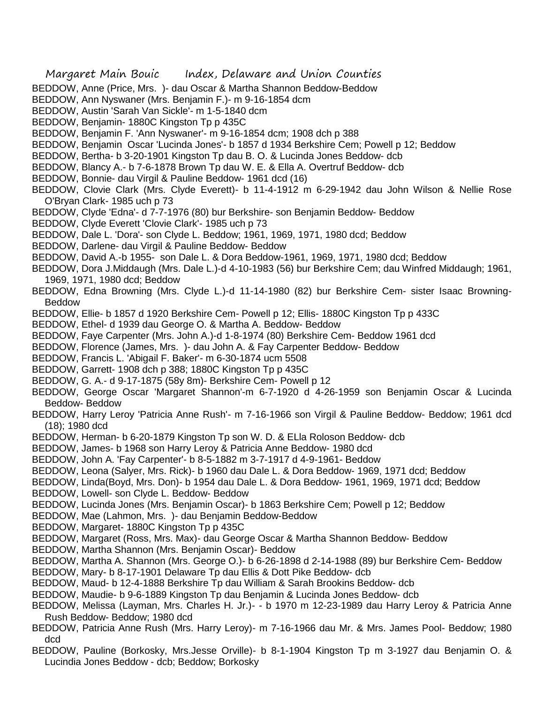- BEDDOW, Anne (Price, Mrs. )- dau Oscar & Martha Shannon Beddow-Beddow
- BEDDOW, Ann Nyswaner (Mrs. Benjamin F.)- m 9-16-1854 dcm
- BEDDOW, Austin 'Sarah Van Sickle'- m 1-5-1840 dcm
- BEDDOW, Benjamin- 1880C Kingston Tp p 435C
- BEDDOW, Benjamin F. 'Ann Nyswaner'- m 9-16-1854 dcm; 1908 dch p 388
- BEDDOW, Benjamin Oscar 'Lucinda Jones'- b 1857 d 1934 Berkshire Cem; Powell p 12; Beddow
- BEDDOW, Bertha- b 3-20-1901 Kingston Tp dau B. O. & Lucinda Jones Beddow- dcb
- BEDDOW, Blancy A.- b 7-6-1878 Brown Tp dau W. E. & Ella A. Overtruf Beddow- dcb
- BEDDOW, Bonnie- dau Virgil & Pauline Beddow- 1961 dcd (16)
- BEDDOW, Clovie Clark (Mrs. Clyde Everett)- b 11-4-1912 m 6-29-1942 dau John Wilson & Nellie Rose O'Bryan Clark- 1985 uch p 73
- BEDDOW, Clyde 'Edna'- d 7-7-1976 (80) bur Berkshire- son Benjamin Beddow- Beddow
- BEDDOW, Clyde Everett 'Clovie Clark'- 1985 uch p 73
- BEDDOW, Dale L. 'Dora'- son Clyde L. Beddow; 1961, 1969, 1971, 1980 dcd; Beddow
- BEDDOW, Darlene- dau Virgil & Pauline Beddow- Beddow
- BEDDOW, David A.-b 1955- son Dale L. & Dora Beddow-1961, 1969, 1971, 1980 dcd; Beddow
- BEDDOW, Dora J.Middaugh (Mrs. Dale L.)-d 4-10-1983 (56) bur Berkshire Cem; dau Winfred Middaugh; 1961, 1969, 1971, 1980 dcd; Beddow
- BEDDOW, Edna Browning (Mrs. Clyde L.)-d 11-14-1980 (82) bur Berkshire Cem- sister Isaac Browning-Beddow
- BEDDOW, Ellie- b 1857 d 1920 Berkshire Cem- Powell p 12; Ellis- 1880C Kingston Tp p 433C
- BEDDOW, Ethel- d 1939 dau George O. & Martha A. Beddow- Beddow
- BEDDOW, Faye Carpenter (Mrs. John A.)-d 1-8-1974 (80) Berkshire Cem- Beddow 1961 dcd
- BEDDOW, Florence (James, Mrs. )- dau John A. & Fay Carpenter Beddow- Beddow
- BEDDOW, Francis L. 'Abigail F. Baker'- m 6-30-1874 ucm 5508
- BEDDOW, Garrett- 1908 dch p 388; 1880C Kingston Tp p 435C
- BEDDOW, G. A.- d 9-17-1875 (58y 8m)- Berkshire Cem- Powell p 12
- BEDDOW, George Oscar 'Margaret Shannon'-m 6-7-1920 d 4-26-1959 son Benjamin Oscar & Lucinda Beddow- Beddow
- BEDDOW, Harry Leroy 'Patricia Anne Rush'- m 7-16-1966 son Virgil & Pauline Beddow- Beddow; 1961 dcd (18); 1980 dcd
- BEDDOW, Herman- b 6-20-1879 Kingston Tp son W. D. & ELla Roloson Beddow- dcb
- BEDDOW, James- b 1968 son Harry Leroy & Patricia Anne Beddow- 1980 dcd
- BEDDOW, John A. 'Fay Carpenter'- b 8-5-1882 m 3-7-1917 d 4-9-1961- Beddow
- BEDDOW, Leona (Salyer, Mrs. Rick)- b 1960 dau Dale L. & Dora Beddow- 1969, 1971 dcd; Beddow
- BEDDOW, Linda(Boyd, Mrs. Don)- b 1954 dau Dale L. & Dora Beddow- 1961, 1969, 1971 dcd; Beddow
- BEDDOW, Lowell- son Clyde L. Beddow- Beddow
- BEDDOW, Lucinda Jones (Mrs. Benjamin Oscar)- b 1863 Berkshire Cem; Powell p 12; Beddow
- BEDDOW, Mae (Lahmon, Mrs. )- dau Benjamin Beddow-Beddow
- BEDDOW, Margaret- 1880C Kingston Tp p 435C
- BEDDOW, Margaret (Ross, Mrs. Max)- dau George Oscar & Martha Shannon Beddow- Beddow
- BEDDOW, Martha Shannon (Mrs. Benjamin Oscar)- Beddow
- BEDDOW, Martha A. Shannon (Mrs. George O.)- b 6-26-1898 d 2-14-1988 (89) bur Berkshire Cem- Beddow
- BEDDOW, Mary- b 8-17-1901 Delaware Tp dau Ellis & Dott Pike Beddow- dcb
- BEDDOW, Maud- b 12-4-1888 Berkshire Tp dau William & Sarah Brookins Beddow- dcb
- BEDDOW, Maudie- b 9-6-1889 Kingston Tp dau Benjamin & Lucinda Jones Beddow- dcb
- BEDDOW, Melissa (Layman, Mrs. Charles H. Jr.)- b 1970 m 12-23-1989 dau Harry Leroy & Patricia Anne Rush Beddow- Beddow; 1980 dcd
- BEDDOW, Patricia Anne Rush (Mrs. Harry Leroy)- m 7-16-1966 dau Mr. & Mrs. James Pool- Beddow; 1980 dcd
- BEDDOW, Pauline (Borkosky, Mrs.Jesse Orville)- b 8-1-1904 Kingston Tp m 3-1927 dau Benjamin O. & Lucindia Jones Beddow - dcb; Beddow; Borkosky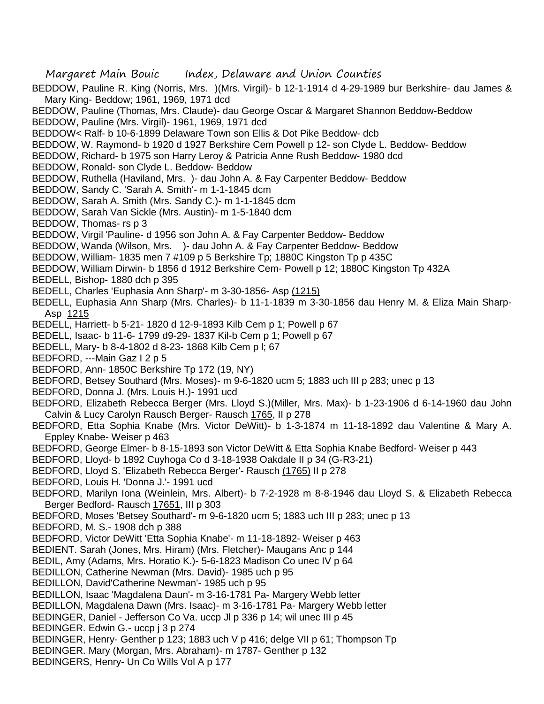- BEDDOW, Pauline R. King (Norris, Mrs. )(Mrs. Virgil)- b 12-1-1914 d 4-29-1989 bur Berkshire- dau James & Mary King- Beddow; 1961, 1969, 1971 dcd
- BEDDOW, Pauline (Thomas, Mrs. Claude)- dau George Oscar & Margaret Shannon Beddow-Beddow
- BEDDOW, Pauline (Mrs. Virgil)- 1961, 1969, 1971 dcd
- BEDDOW< Ralf- b 10-6-1899 Delaware Town son Ellis & Dot Pike Beddow- dcb
- BEDDOW, W. Raymond- b 1920 d 1927 Berkshire Cem Powell p 12- son Clyde L. Beddow- Beddow
- BEDDOW, Richard- b 1975 son Harry Leroy & Patricia Anne Rush Beddow- 1980 dcd
- BEDDOW, Ronald- son Clyde L. Beddow- Beddow
- BEDDOW, Ruthella (Haviland, Mrs. )- dau John A. & Fay Carpenter Beddow- Beddow
- BEDDOW, Sandy C. 'Sarah A. Smith'- m 1-1-1845 dcm
- BEDDOW, Sarah A. Smith (Mrs. Sandy C.)- m 1-1-1845 dcm
- BEDDOW, Sarah Van Sickle (Mrs. Austin)- m 1-5-1840 dcm
- BEDDOW, Thomas- rs p 3
- BEDDOW, Virgil 'Pauline- d 1956 son John A. & Fay Carpenter Beddow- Beddow
- BEDDOW, Wanda (Wilson, Mrs. )- dau John A. & Fay Carpenter Beddow- Beddow
- BEDDOW, William- 1835 men 7 #109 p 5 Berkshire Tp; 1880C Kingston Tp p 435C
- BEDDOW, William Dirwin- b 1856 d 1912 Berkshire Cem- Powell p 12; 1880C Kingston Tp 432A
- BEDELL, Bishop- 1880 dch p 395
- BEDELL, Charles 'Euphasia Ann Sharp'- m 3-30-1856- Asp (1215)
- BEDELL, Euphasia Ann Sharp (Mrs. Charles)- b 11-1-1839 m 3-30-1856 dau Henry M. & Eliza Main Sharp-Asp 1215
- BEDELL, Harriett- b 5-21- 1820 d 12-9-1893 Kilb Cem p 1; Powell p 67
- BEDELL, Isaac- b 11-6- 1799 d9-29- 1837 Kil-b Cem p 1; Powell p 67
- BEDELL, Mary- b 8-4-1802 d 8-23- 1868 Kilb Cem p l; 67
- BEDFORD, ---Main Gaz I 2 p 5
- BEDFORD, Ann- 1850C Berkshire Tp 172 (19, NY)
- BEDFORD, Betsey Southard (Mrs. Moses)- m 9-6-1820 ucm 5; 1883 uch III p 283; unec p 13
- BEDFORD, Donna J. (Mrs. Louis H.)- 1991 ucd
- BEDFORD, Elizabeth Rebecca Berger (Mrs. Lloyd S.)(Miller, Mrs. Max)- b 1-23-1906 d 6-14-1960 dau John Calvin & Lucy Carolyn Rausch Berger- Rausch 1765, II p 278
- BEDFORD, Etta Sophia Knabe (Mrs. Victor DeWitt)- b 1-3-1874 m 11-18-1892 dau Valentine & Mary A. Eppley Knabe- Weiser p 463
- BEDFORD, George Elmer- b 8-15-1893 son Victor DeWitt & Etta Sophia Knabe Bedford- Weiser p 443
- BEDFORD, Lloyd- b 1892 Cuyhoga Co d 3-18-1938 Oakdale II p 34 (G-R3-21)
- BEDFORD, Lloyd S. 'Elizabeth Rebecca Berger'- Rausch (1765) II p 278
- BEDFORD, Louis H. 'Donna J.'- 1991 ucd
- BEDFORD, Marilyn Iona (Weinlein, Mrs. Albert)- b 7-2-1928 m 8-8-1946 dau Lloyd S. & Elizabeth Rebecca Berger Bedford- Rausch 17651, III p 303
- BEDFORD, Moses 'Betsey Southard'- m 9-6-1820 ucm 5; 1883 uch III p 283; unec p 13
- BEDFORD, M. S.- 1908 dch p 388
- BEDFORD, Victor DeWitt 'Etta Sophia Knabe'- m 11-18-1892- Weiser p 463
- BEDIENT. Sarah (Jones, Mrs. Hiram) (Mrs. Fletcher)- Maugans Anc p 144
- BEDIL, Amy (Adams, Mrs. Horatio K.)- 5-6-1823 Madison Co unec IV p 64
- BEDILLON, Catherine Newman (Mrs. David)- 1985 uch p 95
- BEDILLON, David'Catherine Newman'- 1985 uch p 95
- BEDILLON, Isaac 'Magdalena Daun'- m 3-16-1781 Pa- Margery Webb letter
- BEDILLON, Magdalena Dawn (Mrs. Isaac)- m 3-16-1781 Pa- Margery Webb letter
- BEDINGER, Daniel Jefferson Co Va. uccp Jl p 336 p 14; wil unec III p 45
- BEDINGER. Edwin G.- uccp j 3 p 274
- BEDINGER, Henry- Genther p 123; 1883 uch V p 416; delge VII p 61; Thompson Tp
- BEDINGER. Mary (Morgan, Mrs. Abraham)- m 1787- Genther p 132
- BEDINGERS, Henry- Un Co Wills Vol A p 177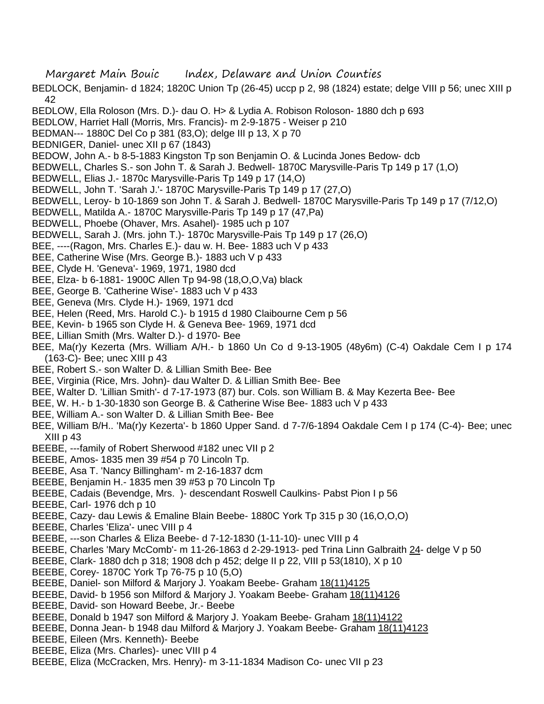- Margaret Main Bouic Index, Delaware and Union Counties
- BEDLOCK, Benjamin- d 1824; 1820C Union Tp (26-45) uccp p 2, 98 (1824) estate; delge VIII p 56; unec XIII p 42
- BEDLOW, Ella Roloson (Mrs. D.)- dau O. H> & Lydia A. Robison Roloson- 1880 dch p 693
- BEDLOW, Harriet Hall (Morris, Mrs. Francis)- m 2-9-1875 Weiser p 210
- BEDMAN--- 1880C Del Co p 381 (83,O); delge III p 13, X p 70
- BEDNIGER, Daniel- unec XII p 67 (1843)
- BEDOW, John A.- b 8-5-1883 Kingston Tp son Benjamin O. & Lucinda Jones Bedow- dcb
- BEDWELL, Charles S.- son John T. & Sarah J. Bedwell- 1870C Marysville-Paris Tp 149 p 17 (1,O)
- BEDWELL, Elias J.- 1870c Marysville-Paris Tp 149 p 17 (14,O)
- BEDWELL, John T. 'Sarah J.'- 1870C Marysville-Paris Tp 149 p 17 (27,O)
- BEDWELL, Leroy- b 10-1869 son John T. & Sarah J. Bedwell- 1870C Marysville-Paris Tp 149 p 17 (7/12,O)
- BEDWELL, Matilda A.- 1870C Marysville-Paris Tp 149 p 17 (47,Pa)
- BEDWELL, Phoebe (Ohaver, Mrs. Asahel)- 1985 uch p 107
- BEDWELL, Sarah J. (Mrs. john T.)- 1870c Marysville-Pais Tp 149 p 17 (26,O)
- BEE, ----(Ragon, Mrs. Charles E.)- dau w. H. Bee- 1883 uch V p 433
- BEE, Catherine Wise (Mrs. George B.)- 1883 uch V p 433
- BEE, Clyde H. 'Geneva'- 1969, 1971, 1980 dcd
- BEE, Elza- b 6-1881- 1900C Allen Tp 94-98 (18,O,O,Va) black
- BEE, George B. 'Catherine Wise'- 1883 uch V p 433
- BEE, Geneva (Mrs. Clyde H.)- 1969, 1971 dcd
- BEE, Helen (Reed, Mrs. Harold C.)- b 1915 d 1980 Claibourne Cem p 56
- BEE, Kevin- b 1965 son Clyde H. & Geneva Bee- 1969, 1971 dcd
- BEE, Lillian Smith (Mrs. Walter D.)- d 1970- Bee
- BEE, Ma(r)y Kezerta (Mrs. William A/H.- b 1860 Un Co d 9-13-1905 (48y6m) (C-4) Oakdale Cem I p 174 (163-C)- Bee; unec XIII p 43
- BEE, Robert S.- son Walter D. & Lillian Smith Bee- Bee
- BEE, Virginia (Rice, Mrs. John)- dau Walter D. & Lillian Smith Bee- Bee
- BEE, Walter D. 'Lillian Smith'- d 7-17-1973 (87) bur. Cols. son William B. & May Kezerta Bee- Bee
- BEE, W. H.- b 1-30-1830 son George B. & Catherine Wise Bee- 1883 uch V p 433
- BEE, William A.- son Walter D. & Lillian Smith Bee- Bee
- BEE, William B/H.. 'Ma(r)y Kezerta'- b 1860 Upper Sand. d 7-7/6-1894 Oakdale Cem I p 174 (C-4)- Bee; unec XIII p 43
- BEEBE, ---family of Robert Sherwood #182 unec VII p 2
- BEEBE, Amos- 1835 men 39 #54 p 70 Lincoln Tp.
- BEEBE, Asa T. 'Nancy Billingham'- m 2-16-1837 dcm
- BEEBE, Benjamin H.- 1835 men 39 #53 p 70 Lincoln Tp
- BEEBE, Cadais (Bevendge, Mrs. )- descendant Roswell Caulkins- Pabst Pion I p 56
- BEEBE, Carl- 1976 dch p 10
- BEEBE, Cazy- dau Lewis & Emaline Blain Beebe- 1880C York Tp 315 p 30 (16,O,O,O)
- BEEBE, Charles 'Eliza'- unec VIII p 4
- BEEBE, ---son Charles & Eliza Beebe- d 7-12-1830 (1-11-10)- unec VIII p 4
- BEEBE, Charles 'Mary McComb'- m 11-26-1863 d 2-29-1913- ped Trina Linn Galbraith 24- delge V p 50
- BEEBE, Clark- 1880 dch p 318; 1908 dch p 452; delge II p 22, VIII p 53(1810), X p 10
- BEEBE, Corey- 1870C York Tp 76-75 p 10 (5,O)
- BEEBE, Daniel- son Milford & Marjory J. Yoakam Beebe- Graham 18(11)4125
- BEEBE, David- b 1956 son Milford & Marjory J. Yoakam Beebe- Graham 18(11)4126
- BEEBE, David- son Howard Beebe, Jr.- Beebe
- BEEBE, Donald b 1947 son Milford & Marjory J. Yoakam Beebe- Graham 18(11)4122
- BEEBE, Donna Jean- b 1948 dau Milford & Marjory J. Yoakam Beebe- Graham 18(11)4123
- BEEBE, Eileen (Mrs. Kenneth)- Beebe
- BEEBE, Eliza (Mrs. Charles)- unec VIII p 4
- BEEBE, Eliza (McCracken, Mrs. Henry)- m 3-11-1834 Madison Co- unec VII p 23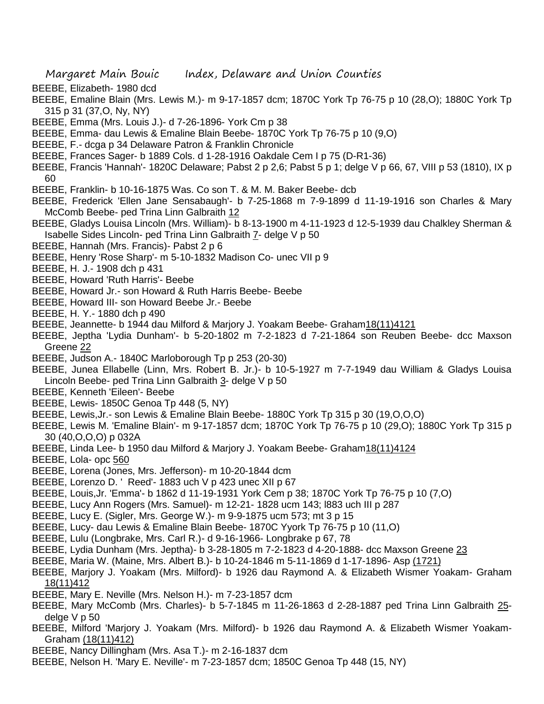- BEEBE, Elizabeth- 1980 dcd
- BEEBE, Emaline Blain (Mrs. Lewis M.)- m 9-17-1857 dcm; 1870C York Tp 76-75 p 10 (28,O); 1880C York Tp 315 p 31 (37,O, Ny, NY)
- BEEBE, Emma (Mrs. Louis J.)- d 7-26-1896- York Cm p 38
- BEEBE, Emma- dau Lewis & Emaline Blain Beebe- 1870C York Tp 76-75 p 10 (9,O)
- BEEBE, F.- dcga p 34 Delaware Patron & Franklin Chronicle
- BEEBE, Frances Sager- b 1889 Cols. d 1-28-1916 Oakdale Cem I p 75 (D-R1-36)
- BEEBE, Francis 'Hannah'- 1820C Delaware; Pabst 2 p 2,6; Pabst 5 p 1; delge V p 66, 67, VIII p 53 (1810), IX p 60
- BEEBE, Franklin- b 10-16-1875 Was. Co son T. & M. M. Baker Beebe- dcb
- BEEBE, Frederick 'Ellen Jane Sensabaugh'- b 7-25-1868 m 7-9-1899 d 11-19-1916 son Charles & Mary McComb Beebe- ped Trina Linn Galbraith 12
- BEEBE, Gladys Louisa Lincoln (Mrs. William)- b 8-13-1900 m 4-11-1923 d 12-5-1939 dau Chalkley Sherman & Isabelle Sides Lincoln- ped Trina Linn Galbraith 7- delge V p 50
- BEEBE, Hannah (Mrs. Francis)- Pabst 2 p 6
- BEEBE, Henry 'Rose Sharp'- m 5-10-1832 Madison Co- unec VII p 9
- BEEBE, H. J.- 1908 dch p 431
- BEEBE, Howard 'Ruth Harris'- Beebe
- BEEBE, Howard Jr.- son Howard & Ruth Harris Beebe- Beebe
- BEEBE, Howard III- son Howard Beebe Jr.- Beebe
- BEEBE, H. Y.- 1880 dch p 490
- BEEBE, Jeannette- b 1944 dau Milford & Marjory J. Yoakam Beebe- Graham18(11)4121
- BEEBE, Jeptha 'Lydia Dunham'- b 5-20-1802 m 7-2-1823 d 7-21-1864 son Reuben Beebe- dcc Maxson Greene 22
- BEEBE, Judson A.- 1840C Marloborough Tp p 253 (20-30)
- BEEBE, Junea Ellabelle (Linn, Mrs. Robert B. Jr.)- b 10-5-1927 m 7-7-1949 dau William & Gladys Louisa Lincoln Beebe- ped Trina Linn Galbraith 3- delge V p 50
- BEEBE, Kenneth 'Eileen'- Beebe
- BEEBE, Lewis- 1850C Genoa Tp 448 (5, NY)
- BEEBE, Lewis,Jr.- son Lewis & Emaline Blain Beebe- 1880C York Tp 315 p 30 (19,O,O,O)
- BEEBE, Lewis M. 'Emaline Blain'- m 9-17-1857 dcm; 1870C York Tp 76-75 p 10 (29,O); 1880C York Tp 315 p 30 (40,O,O,O) p 032A
- BEEBE, Linda Lee- b 1950 dau Milford & Marjory J. Yoakam Beebe- Graham18(11)4124
- BEEBE, Lola- opc 560
- BEEBE, Lorena (Jones, Mrs. Jefferson)- m 10-20-1844 dcm
- BEEBE, Lorenzo D. ' Reed'- 1883 uch V p 423 unec XII p 67
- BEEBE, Louis,Jr. 'Emma'- b 1862 d 11-19-1931 York Cem p 38; 1870C York Tp 76-75 p 10 (7,O)
- BEEBE, Lucy Ann Rogers (Mrs. Samuel)- m 12-21- 1828 ucm 143; l883 uch III p 287
- BEEBE, Lucy E. (Sigler, Mrs. George W.)- m 9-9-1875 ucm 573; mt 3 p 15
- BEEBE, Lucy- dau Lewis & Emaline Blain Beebe- 1870C Yyork Tp 76-75 p 10 (11,O)
- BEEBE, Lulu (Longbrake, Mrs. Carl R.)- d 9-16-1966- Longbrake p 67, 78
- BEEBE, Lydia Dunham (Mrs. Jeptha)- b 3-28-1805 m 7-2-1823 d 4-20-1888- dcc Maxson Greene 23
- BEEBE, Maria W. (Maine, Mrs. Albert B.)- b 10-24-1846 m 5-11-1869 d 1-17-1896- Asp (1721)
- BEEBE, Marjory J. Yoakam (Mrs. Milford)- b 1926 dau Raymond A. & Elizabeth Wismer Yoakam- Graham 18(11)412
- BEEBE, Mary E. Neville (Mrs. Nelson H.)- m 7-23-1857 dcm
- BEEBE, Mary McComb (Mrs. Charles)- b 5-7-1845 m 11-26-1863 d 2-28-1887 ped Trina Linn Galbraith 25delge V p 50
- BEEBE, Milford 'Marjory J. Yoakam (Mrs. Milford)- b 1926 dau Raymond A. & Elizabeth Wismer Yoakam-Graham (18(11)412)
- BEEBE, Nancy Dillingham (Mrs. Asa T.)- m 2-16-1837 dcm
- BEEBE, Nelson H. 'Mary E. Neville'- m 7-23-1857 dcm; 1850C Genoa Tp 448 (15, NY)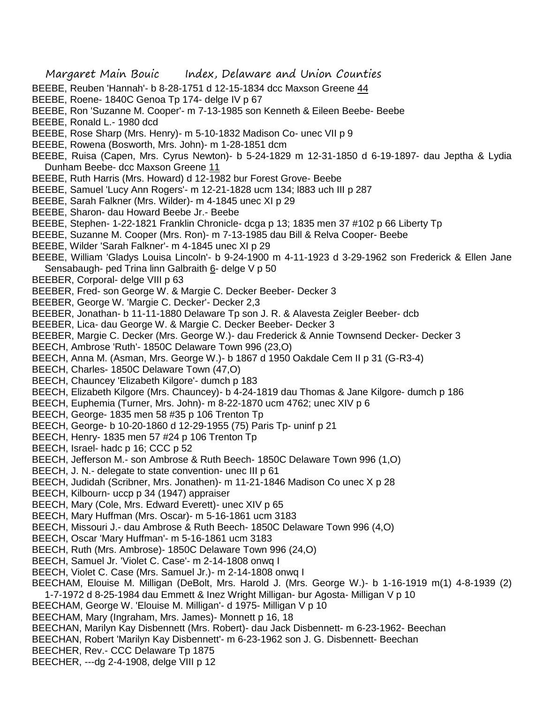- Margaret Main Bouic Index, Delaware and Union Counties
- BEEBE, Reuben 'Hannah'- b 8-28-1751 d 12-15-1834 dcc Maxson Greene 44
- BEEBE, Roene- 1840C Genoa Tp 174- delge IV p 67
- BEEBE, Ron 'Suzanne M. Cooper'- m 7-13-1985 son Kenneth & Eileen Beebe- Beebe
- BEEBE, Ronald L.- 1980 dcd
- BEEBE, Rose Sharp (Mrs. Henry)- m 5-10-1832 Madison Co- unec VII p 9
- BEEBE, Rowena (Bosworth, Mrs. John)- m 1-28-1851 dcm
- BEEBE, Ruisa (Capen, Mrs. Cyrus Newton)- b 5-24-1829 m 12-31-1850 d 6-19-1897- dau Jeptha & Lydia Dunham Beebe- dcc Maxson Greene 11
- BEEBE, Ruth Harris (Mrs. Howard) d 12-1982 bur Forest Grove- Beebe
- BEEBE, Samuel 'Lucy Ann Rogers'- m 12-21-1828 ucm 134; l883 uch III p 287
- BEEBE, Sarah Falkner (Mrs. Wilder)- m 4-1845 unec XI p 29
- BEEBE, Sharon- dau Howard Beebe Jr.- Beebe
- BEEBE, Stephen- 1-22-1821 Franklin Chronicle- dcga p 13; 1835 men 37 #102 p 66 Liberty Tp
- BEEBE, Suzanne M. Cooper (Mrs. Ron)- m 7-13-1985 dau Bill & Relva Cooper- Beebe
- BEEBE, Wilder 'Sarah Falkner'- m 4-1845 unec XI p 29
- BEEBE, William 'Gladys Louisa Lincoln'- b 9-24-1900 m 4-11-1923 d 3-29-1962 son Frederick & Ellen Jane Sensabaugh- ped Trina linn Galbraith 6- delge V p 50
- BEEBER, Corporal- delge VIII p 63
- BEEBER, Fred- son George W. & Margie C. Decker Beeber- Decker 3
- BEEBER, George W. 'Margie C. Decker'- Decker 2,3
- BEEBER, Jonathan- b 11-11-1880 Delaware Tp son J. R. & Alavesta Zeigler Beeber- dcb
- BEEBER, Lica- dau George W. & Margie C. Decker Beeber- Decker 3
- BEEBER, Margie C. Decker (Mrs. George W.)- dau Frederick & Annie Townsend Decker- Decker 3
- BEECH, Ambrose 'Ruth'- 1850C Delaware Town 996 (23,O)
- BEECH, Anna M. (Asman, Mrs. George W.)- b 1867 d 1950 Oakdale Cem II p 31 (G-R3-4)
- BEECH, Charles- 1850C Delaware Town (47,O)
- BEECH, Chauncey 'Elizabeth Kilgore'- dumch p 183
- BEECH, Elizabeth Kilgore (Mrs. Chauncey)- b 4-24-1819 dau Thomas & Jane Kilgore- dumch p 186
- BEECH, Euphemia (Turner, Mrs. John)- m 8-22-1870 ucm 4762; unec XIV p 6
- BEECH, George- 1835 men 58 #35 p 106 Trenton Tp
- BEECH, George- b 10-20-1860 d 12-29-1955 (75) Paris Tp- uninf p 21
- BEECH, Henry- 1835 men 57 #24 p 106 Trenton Tp
- BEECH, Israel- hadc p 16; CCC p 52
- BEECH, Jefferson M.- son Ambrose & Ruth Beech- 1850C Delaware Town 996 (1,O)
- BEECH, J. N.- delegate to state convention- unec III p 61
- BEECH, Judidah (Scribner, Mrs. Jonathen)- m 11-21-1846 Madison Co unec X p 28
- BEECH, Kilbourn- uccp p 34 (1947) appraiser
- BEECH, Mary (Cole, Mrs. Edward Everett)- unec XIV p 65
- BEECH, Mary Huffman (Mrs. Oscar)- m 5-16-1861 ucm 3183
- BEECH, Missouri J.- dau Ambrose & Ruth Beech- 1850C Delaware Town 996 (4,O)
- BEECH, Oscar 'Mary Huffman'- m 5-16-1861 ucm 3183
- BEECH, Ruth (Mrs. Ambrose)- 1850C Delaware Town 996 (24,O)
- BEECH, Samuel Jr. 'Violet C. Case'- m 2-14-1808 onwq I
- BEECH, Violet C. Case (Mrs. Samuel Jr.)- m 2-14-1808 onwq I
- BEECHAM, Elouise M. Milligan (DeBolt, Mrs. Harold J. (Mrs. George W.)- b 1-16-1919 m(1) 4-8-1939 (2)
- 1-7-1972 d 8-25-1984 dau Emmett & Inez Wright Milligan- bur Agosta- Milligan V p 10
- BEECHAM, George W. 'Elouise M. Milligan'- d 1975- Milligan V p 10
- BEECHAM, Mary (Ingraham, Mrs. James)- Monnett p 16, 18
- BEECHAN, Marilyn Kay Disbennett (Mrs. Robert)- dau Jack Disbennett- m 6-23-1962- Beechan
- BEECHAN, Robert 'Marilyn Kay Disbennett'- m 6-23-1962 son J. G. Disbennett- Beechan
- BEECHER, Rev.- CCC Delaware Tp 1875
- BEECHER, ---dg 2-4-1908, delge VIII p 12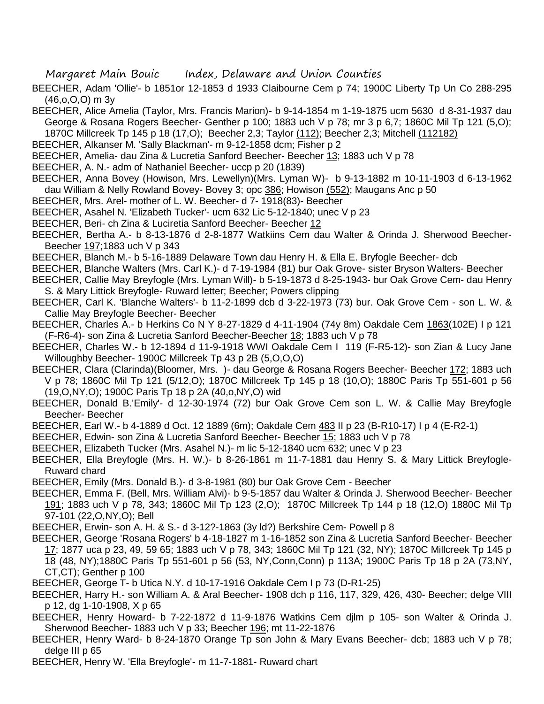- BEECHER, Adam 'Ollie'- b 1851or 12-1853 d 1933 Claibourne Cem p 74; 1900C Liberty Tp Un Co 288-295 (46,o,O,O) m 3y
- BEECHER, Alice Amelia (Taylor, Mrs. Francis Marion)- b 9-14-1854 m 1-19-1875 ucm 5630 d 8-31-1937 dau George & Rosana Rogers Beecher- Genther p 100; 1883 uch V p 78; mr 3 p 6,7; 1860C Mil Tp 121 (5,O); 1870C Millcreek Tp 145 p 18 (17,O); Beecher 2,3; Taylor (112); Beecher 2,3; Mitchell (112182)
- BEECHER, Alkanser M. 'Sally Blackman'- m 9-12-1858 dcm; Fisher p 2
- BEECHER, Amelia- dau Zina & Lucretia Sanford Beecher- Beecher 13; 1883 uch V p 78
- BEECHER, A. N.- adm of Nathaniel Beecher- uccp p 20 (1839)
- BEECHER, Anna Bovey (Howison, Mrs. Lewellyn)(Mrs. Lyman W)- b 9-13-1882 m 10-11-1903 d 6-13-1962 dau William & Nelly Rowland Bovey- Bovey 3; opc 386; Howison (552); Maugans Anc p 50
- BEECHER, Mrs. Arel- mother of L. W. Beecher- d 7- 1918(83)- Beecher
- BEECHER, Asahel N. 'Elizabeth Tucker'- ucm 632 Lic 5-12-1840; unec V p 23
- BEECHER, Beri- ch Zina & Luciretia Sanford Beecher- Beecher 12
- BEECHER, Bertha A.- b 8-13-1876 d 2-8-1877 Watkiins Cem dau Walter & Orinda J. Sherwood Beecher-Beecher 197;1883 uch V p 343
- BEECHER, Blanch M.- b 5-16-1889 Delaware Town dau Henry H. & Ella E. Bryfogle Beecher- dcb
- BEECHER, Blanche Walters (Mrs. Carl K.)- d 7-19-1984 (81) bur Oak Grove- sister Bryson Walters- Beecher
- BEECHER, Callie May Breyfogle (Mrs. Lyman Will)- b 5-19-1873 d 8-25-1943- bur Oak Grove Cem- dau Henry S. & Mary Littick Breyfogle- Ruward letter; Beecher; Powers clipping
- BEECHER, Carl K. 'Blanche Walters'- b 11-2-1899 dcb d 3-22-1973 (73) bur. Oak Grove Cem son L. W. & Callie May Breyfogle Beecher- Beecher
- BEECHER, Charles A.- b Herkins Co N Y 8-27-1829 d 4-11-1904 (74y 8m) Oakdale Cem 1863(102E) I p 121 (F-R6-4)- son Zina & Lucretia Sanford Beecher-Beecher 18; 1883 uch V p 78
- BEECHER, Charles W.- b 12-1894 d 11-9-1918 WWI Oakdale Cem I 119 (F-R5-12)- son Zian & Lucy Jane Willoughby Beecher- 1900C Millcreek Tp 43 p 2B (5,O,O,O)
- BEECHER, Clara (Clarinda)(Bloomer, Mrs. )- dau George & Rosana Rogers Beecher- Beecher 172; 1883 uch V p 78; 1860C Mil Tp 121 (5/12,O); 1870C Millcreek Tp 145 p 18 (10,O); 1880C Paris Tp 551-601 p 56 (19,O,NY,O); 1900C Paris Tp 18 p 2A (40,o,NY,O) wid
- BEECHER, Donald B.'Emily'- d 12-30-1974 (72) bur Oak Grove Cem son L. W. & Callie May Breyfogle Beecher- Beecher
- BEECHER, Earl W.- b 4-1889 d Oct. 12 1889 (6m); Oakdale Cem 483 II p 23 (B-R10-17) I p 4 (E-R2-1)
- BEECHER, Edwin- son Zina & Lucretia Sanford Beecher- Beecher 15; 1883 uch V p 78
- BEECHER, Elizabeth Tucker (Mrs. Asahel N.)- m lic 5-12-1840 ucm 632; unec V p 23
- BEECHER, Ella Breyfogle (Mrs. H. W.)- b 8-26-1861 m 11-7-1881 dau Henry S. & Mary Littick Breyfogle-Ruward chard
- BEECHER, Emily (Mrs. Donald B.)- d 3-8-1981 (80) bur Oak Grove Cem Beecher
- BEECHER, Emma F. (Bell, Mrs. William Alvi)- b 9-5-1857 dau Walter & Orinda J. Sherwood Beecher- Beecher 191; 1883 uch V p 78, 343; 1860C Mil Tp 123 (2,O); 1870C Millcreek Tp 144 p 18 (12,O) 1880C Mil Tp 97-101 (22,O,NY,O); Bell
- BEECHER, Erwin- son A. H. & S.- d 3-12?-1863 (3y ld?) Berkshire Cem- Powell p 8
- BEECHER, George 'Rosana Rogers' b 4-18-1827 m 1-16-1852 son Zina & Lucretia Sanford Beecher- Beecher 17; 1877 uca p 23, 49, 59 65; 1883 uch V p 78, 343; 1860C Mil Tp 121 (32, NY); 1870C Millcreek Tp 145 p 18 (48, NY);1880C Paris Tp 551-601 p 56 (53, NY,Conn,Conn) p 113A; 1900C Paris Tp 18 p 2A (73,NY,
- CT,CT); Genther p 100
- BEECHER, George T- b Utica N.Y. d 10-17-1916 Oakdale Cem I p 73 (D-R1-25)
- BEECHER, Harry H.- son William A. & Aral Beecher- 1908 dch p 116, 117, 329, 426, 430- Beecher; delge VIII p 12, dg 1-10-1908, X p 65
- BEECHER, Henry Howard- b 7-22-1872 d 11-9-1876 Watkins Cem djlm p 105- son Walter & Orinda J. Sherwood Beecher- 1883 uch V p 33; Beecher 196; mt 11-22-1876
- BEECHER, Henry Ward- b 8-24-1870 Orange Tp son John & Mary Evans Beecher- dcb; 1883 uch V p 78; delge III p 65
- BEECHER, Henry W. 'Ella Breyfogle'- m 11-7-1881- Ruward chart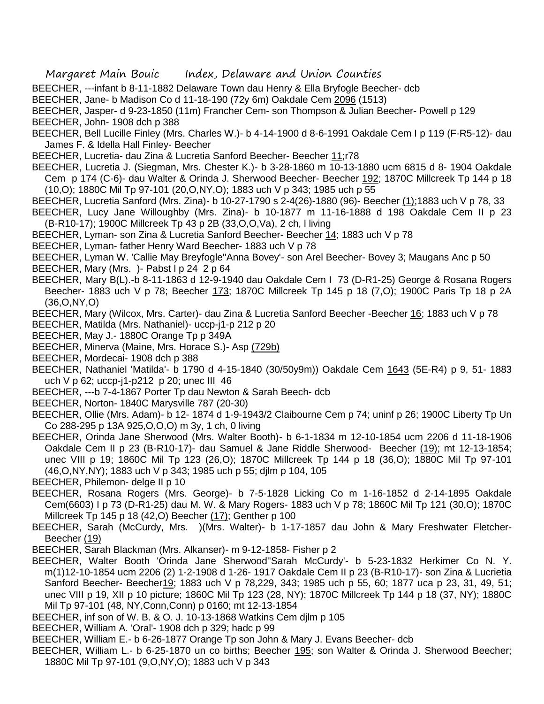- BEECHER, ---infant b 8-11-1882 Delaware Town dau Henry & Ella Bryfogle Beecher- dcb
- BEECHER, Jane- b Madison Co d 11-18-190 (72y 6m) Oakdale Cem 2096 (1513)
- BEECHER, Jasper- d 9-23-1850 (11m) Francher Cem- son Thompson & Julian Beecher- Powell p 129
- BEECHER, John- 1908 dch p 388
- BEECHER, Bell Lucille Finley (Mrs. Charles W.)- b 4-14-1900 d 8-6-1991 Oakdale Cem I p 119 (F-R5-12)- dau James F. & Idella Hall Finley- Beecher
- BEECHER, Lucretia- dau Zina & Lucretia Sanford Beecher- Beecher 11;r78
- BEECHER, Lucretia J. (Siegman, Mrs. Chester K.)- b 3-28-1860 m 10-13-1880 ucm 6815 d 8- 1904 Oakdale Cem p 174 (C-6)- dau Walter & Orinda J. Sherwood Beecher- Beecher 192; 1870C Millcreek Tp 144 p 18 (10,O); 1880C Mil Tp 97-101 (20,O,NY,O); 1883 uch V p 343; 1985 uch p 55
- BEECHER, Lucretia Sanford (Mrs. Zina)- b 10-27-1790 s 2-4(26)-1880 (96)- Beecher (1);1883 uch V p 78, 33
- BEECHER, Lucy Jane Willoughby (Mrs. Zina)- b 10-1877 m 11-16-1888 d 198 Oakdale Cem II p 23 (B-R10-17); 1900C Millcreek Tp 43 p 2B (33,O,O,Va), 2 ch, l living
- BEECHER, Lyman- son Zina & Lucretia Sanford Beecher- Beecher 14; 1883 uch V p 78
- BEECHER, Lyman- father Henry Ward Beecher- 1883 uch V p 78
- BEECHER, Lyman W. 'Callie May Breyfogle''Anna Bovey'- son Arel Beecher- Bovey 3; Maugans Anc p 50
- BEECHER, Mary (Mrs.) Pabst I p 24 2 p 64
- BEECHER, Mary B(L).-b 8-11-1863 d 12-9-1940 dau Oakdale Cem I 73 (D-R1-25) George & Rosana Rogers Beecher- 1883 uch V p 78; Beecher 173; 1870C Millcreek Tp 145 p 18 (7,0); 1900C Paris Tp 18 p 2A (36,O,NY,O)
- BEECHER, Mary (Wilcox, Mrs. Carter)- dau Zina & Lucretia Sanford Beecher -Beecher 16; 1883 uch V p 78
- BEECHER, Matilda (Mrs. Nathaniel)- uccp-j1-p 212 p 20
- BEECHER, May J.- 1880C Orange Tp p 349A
- BEECHER, Minerva (Maine, Mrs. Horace S.)- Asp (729b)
- BEECHER, Mordecai- 1908 dch p 388
- BEECHER, Nathaniel 'Matilda'- b 1790 d 4-15-1840 (30/50y9m)) Oakdale Cem 1643 (5E-R4) p 9, 51- 1883 uch V p 62; uccp-j1-p212 p 20; unec III 46
- BEECHER, ---b 7-4-1867 Porter Tp dau Newton & Sarah Beech- dcb
- BEECHER, Norton- 1840C Marysville 787 (20-30)
- BEECHER, Ollie (Mrs. Adam)- b 12- 1874 d 1-9-1943/2 Claibourne Cem p 74; uninf p 26; 1900C Liberty Tp Un Co 288-295 p 13A 925,O,O,O) m 3y, 1 ch, 0 living
- BEECHER, Orinda Jane Sherwood (Mrs. Walter Booth)- b 6-1-1834 m 12-10-1854 ucm 2206 d 11-18-1906 Oakdale Cem II p 23 (B-R10-17)- dau Samuel & Jane Riddle Sherwood- Beecher (19); mt 12-13-1854; unec VIII p 19; 1860C Mil Tp 123 (26,O); 1870C Millcreek Tp 144 p 18 (36,O); 1880C Mil Tp 97-101 (46,O,NY,NY); 1883 uch V p 343; 1985 uch p 55; djlm p 104, 105
- BEECHER, Philemon- delge II p 10
- BEECHER, Rosana Rogers (Mrs. George)- b 7-5-1828 Licking Co m 1-16-1852 d 2-14-1895 Oakdale Cem(6603) I p 73 (D-R1-25) dau M. W. & Mary Rogers- 1883 uch V p 78; 1860C Mil Tp 121 (30,O); 1870C Millcreek Tp 145 p 18 (42,O) Beecher (17); Genther p 100
- BEECHER, Sarah (McCurdy, Mrs. )(Mrs. Walter)- b 1-17-1857 dau John & Mary Freshwater Fletcher-Beecher (19)
- BEECHER, Sarah Blackman (Mrs. Alkanser)- m 9-12-1858- Fisher p 2
- BEECHER, Walter Booth 'Orinda Jane Sherwood''Sarah McCurdy'- b 5-23-1832 Herkimer Co N. Y. m(1)12-10-1854 ucm 2206 (2) 1-2-1908 d 1-26- 1917 Oakdale Cem II p 23 (B-R10-17)- son Zina & Lucrietia Sanford Beecher- Beecher19; 1883 uch V p 78,229, 343; 1985 uch p 55, 60; 1877 uca p 23, 31, 49, 51; unec VIII p 19, XII p 10 picture; 1860C Mil Tp 123 (28, NY); 1870C Millcreek Tp 144 p 18 (37, NY); 1880C Mil Tp 97-101 (48, NY,Conn,Conn) p 0160; mt 12-13-1854
- BEECHER, inf son of W. B. & O. J. 10-13-1868 Watkins Cem djlm p 105
- BEECHER, William A. 'Oral'- 1908 dch p 329; hadc p 99
- BEECHER, William E.- b 6-26-1877 Orange Tp son John & Mary J. Evans Beecher- dcb
- BEECHER, William L.- b 6-25-1870 un co births; Beecher 195; son Walter & Orinda J. Sherwood Beecher; 1880C Mil Tp 97-101 (9,O,NY,O); 1883 uch V p 343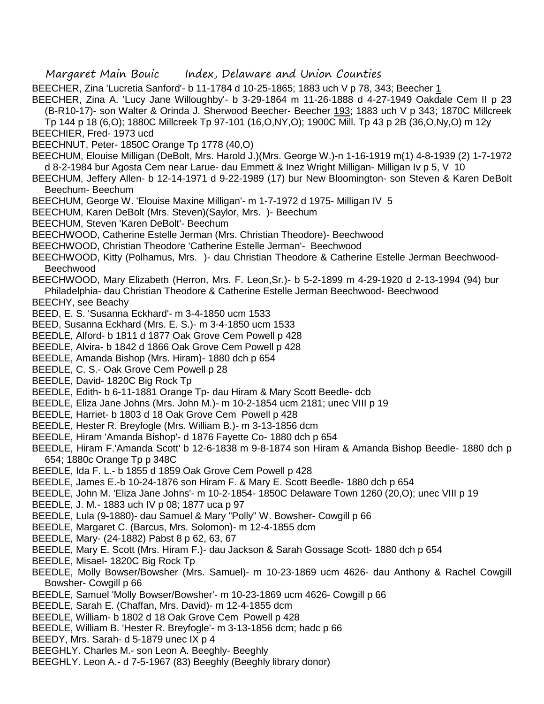BEECHER, Zina 'Lucretia Sanford'- b 11-1784 d 10-25-1865; 1883 uch V p 78, 343; Beecher 1 BEECHER, Zina A. 'Lucy Jane Willoughby'- b 3-29-1864 m 11-26-1888 d 4-27-1949 Oakdale Cem II p 23

(B-R10-17)- son Walter & Orinda J. Sherwood Beecher- Beecher 193; 1883 uch V p 343; 1870C Millcreek

Tp 144 p 18 (6,O); 1880C Millcreek Tp 97-101 (16,O,NY,O); 1900C Mill. Tp 43 p 2B (36,O,Ny,O) m 12y

- BEECHIER, Fred- 1973 ucd
- BEECHNUT, Peter- 1850C Orange Tp 1778 (40,O)
- BEECHUM, Elouise Milligan (DeBolt, Mrs. Harold J.)(Mrs. George W.)-n 1-16-1919 m(1) 4-8-1939 (2) 1-7-1972 d 8-2-1984 bur Agosta Cem near Larue- dau Emmett & Inez Wright Milligan- Milligan Iv p 5, V 10

BEECHUM, Jeffery Allen- b 12-14-1971 d 9-22-1989 (17) bur New Bloomington- son Steven & Karen DeBolt Beechum- Beechum

- BEECHUM, George W. 'Elouise Maxine Milligan'- m 1-7-1972 d 1975- Milligan IV 5
- BEECHUM, Karen DeBolt (Mrs. Steven)(Saylor, Mrs. )- Beechum
- BEECHUM, Steven 'Karen DeBolt'- Beechum
- BEECHWOOD, Catherine Estelle Jerman (Mrs. Christian Theodore)- Beechwood
- BEECHWOOD, Christian Theodore 'Catherine Estelle Jerman'- Beechwood
- BEECHWOOD, Kitty (Polhamus, Mrs. )- dau Christian Theodore & Catherine Estelle Jerman Beechwood-Beechwood
- BEECHWOOD, Mary Elizabeth (Herron, Mrs. F. Leon,Sr.)- b 5-2-1899 m 4-29-1920 d 2-13-1994 (94) bur Philadelphia- dau Christian Theodore & Catherine Estelle Jerman Beechwood- Beechwood
- BEECHY, see Beachy
- BEED, E. S. 'Susanna Eckhard'- m 3-4-1850 ucm 1533
- BEED, Susanna Eckhard (Mrs. E. S.)- m 3-4-1850 ucm 1533
- BEEDLE, Alford- b 1811 d 1877 Oak Grove Cem Powell p 428
- BEEDLE, Alvira- b 1842 d 1866 Oak Grove Cem Powell p 428
- BEEDLE, Amanda Bishop (Mrs. Hiram)- 1880 dch p 654
- BEEDLE, C. S.- Oak Grove Cem Powell p 28
- BEEDLE, David- 1820C Big Rock Tp
- BEEDLE, Edith- b 6-11-1881 Orange Tp- dau Hiram & Mary Scott Beedle- dcb
- BEEDLE, Eliza Jane Johns (Mrs. John M.)- m 10-2-1854 ucm 2181; unec VIII p 19
- BEEDLE, Harriet- b 1803 d 18 Oak Grove Cem Powell p 428
- BEEDLE, Hester R. Breyfogle (Mrs. William B.)- m 3-13-1856 dcm
- BEEDLE, Hiram 'Amanda Bishop'- d 1876 Fayette Co- 1880 dch p 654
- BEEDLE, Hiram F.'Amanda Scott' b 12-6-1838 m 9-8-1874 son Hiram & Amanda Bishop Beedle- 1880 dch p 654; 1880c Orange Tp p 348C
- BEEDLE, Ida F. L.- b 1855 d 1859 Oak Grove Cem Powell p 428
- BEEDLE, James E.-b 10-24-1876 son Hiram F. & Mary E. Scott Beedle- 1880 dch p 654
- BEEDLE, John M. 'Eliza Jane Johns'- m 10-2-1854- 1850C Delaware Town 1260 (20,O); unec VIII p 19
- BEEDLE, J. M.- 1883 uch IV p 08; 1877 uca p 97
- BEEDLE, Lula (9-1880)- dau Samuel & Mary "Polly" W. Bowsher- Cowgill p 66
- BEEDLE, Margaret C. (Barcus, Mrs. Solomon)- m 12-4-1855 dcm
- BEEDLE, Mary- (24-1882) Pabst 8 p 62, 63, 67
- BEEDLE, Mary E. Scott (Mrs. Hiram F.)- dau Jackson & Sarah Gossage Scott- 1880 dch p 654
- BEEDLE, Misael- 1820C Big Rock Tp
- BEEDLE, Molly Bowser/Bowsher (Mrs. Samuel)- m 10-23-1869 ucm 4626- dau Anthony & Rachel Cowgill Bowsher- Cowgill p 66
- BEEDLE, Samuel 'Molly Bowser/Bowsher'- m 10-23-1869 ucm 4626- Cowgill p 66
- BEEDLE, Sarah E. (Chaffan, Mrs. David)- m 12-4-1855 dcm
- BEEDLE, William- b 1802 d 18 Oak Grove Cem Powell p 428
- BEEDLE, William B. 'Hester R. Breyfogle'- m 3-13-1856 dcm; hadc p 66
- BEEDY, Mrs. Sarah- d 5-1879 unec IX p 4
- BEEGHLY. Charles M.- son Leon A. Beeghly- Beeghly
- BEEGHLY. Leon A.- d 7-5-1967 (83) Beeghly (Beeghly library donor)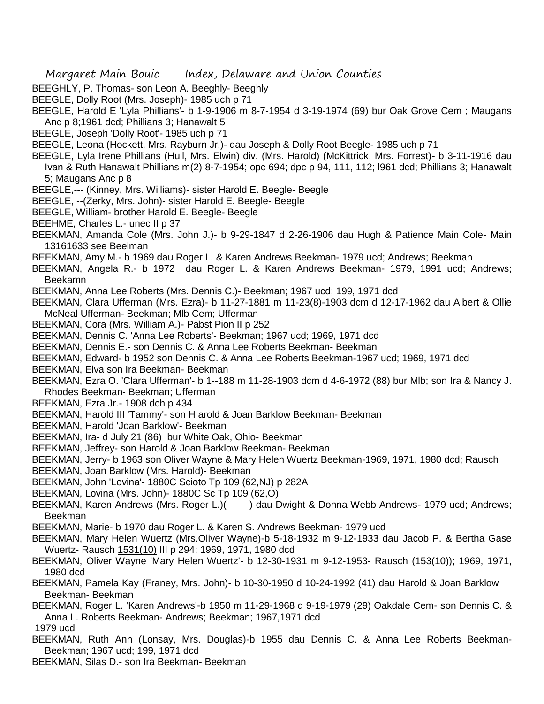- BEEGHLY, P. Thomas- son Leon A. Beeghly- Beeghly
- BEEGLE, Dolly Root (Mrs. Joseph)- 1985 uch p 71
- BEEGLE, Harold E 'Lyla Phillians'- b 1-9-1906 m 8-7-1954 d 3-19-1974 (69) bur Oak Grove Cem ; Maugans Anc p 8;1961 dcd; Phillians 3; Hanawalt 5
- BEEGLE, Joseph 'Dolly Root'- 1985 uch p 71
- BEEGLE, Leona (Hockett, Mrs. Rayburn Jr.)- dau Joseph & Dolly Root Beegle- 1985 uch p 71
- BEEGLE, Lyla Irene Phillians (Hull, Mrs. Elwin) div. (Mrs. Harold) (McKittrick, Mrs. Forrest)- b 3-11-1916 dau Ivan & Ruth Hanawalt Phillians m(2) 8-7-1954; opc 694; dpc p 94, 111, 112; l961 dcd; Phillians 3; Hanawalt 5; Maugans Anc p 8
- BEEGLE,--- (Kinney, Mrs. Williams)- sister Harold E. Beegle- Beegle
- BEEGLE, --(Zerky, Mrs. John)- sister Harold E. Beegle- Beegle
- BEEGLE, William- brother Harold E. Beegle- Beegle
- BEEHME, Charles L.- unec II p 37
- BEEKMAN, Amanda Cole (Mrs. John J.)- b 9-29-1847 d 2-26-1906 dau Hugh & Patience Main Cole- Main 13161633 see Beelman
- BEEKMAN, Amy M.- b 1969 dau Roger L. & Karen Andrews Beekman- 1979 ucd; Andrews; Beekman
- BEEKMAN, Angela R.- b 1972 dau Roger L. & Karen Andrews Beekman- 1979, 1991 ucd; Andrews; Beekamn
- BEEKMAN, Anna Lee Roberts (Mrs. Dennis C.)- Beekman; 1967 ucd; 199, 1971 dcd
- BEEKMAN, Clara Ufferman (Mrs. Ezra)- b 11-27-1881 m 11-23(8)-1903 dcm d 12-17-1962 dau Albert & Ollie McNeal Ufferman- Beekman; Mlb Cem; Ufferman
- BEEKMAN, Cora (Mrs. William A.)- Pabst Pion II p 252
- BEEKMAN, Dennis C. 'Anna Lee Roberts'- Beekman; 1967 ucd; 1969, 1971 dcd
- BEEKMAN, Dennis E.- son Dennis C. & Anna Lee Roberts Beekman- Beekman
- BEEKMAN, Edward- b 1952 son Dennis C. & Anna Lee Roberts Beekman-1967 ucd; 1969, 1971 dcd
- BEEKMAN, Elva son Ira Beekman- Beekman
- BEEKMAN, Ezra O. 'Clara Ufferman'- b 1--188 m 11-28-1903 dcm d 4-6-1972 (88) bur Mlb; son Ira & Nancy J. Rhodes Beekman- Beekman; Ufferman
- BEEKMAN, Ezra Jr.- 1908 dch p 434
- BEEKMAN, Harold III 'Tammy'- son H arold & Joan Barklow Beekman- Beekman
- BEEKMAN, Harold 'Joan Barklow'- Beekman
- BEEKMAN, Ira- d July 21 (86) bur White Oak, Ohio- Beekman
- BEEKMAN, Jeffrey- son Harold & Joan Barklow Beekman- Beekman
- BEEKMAN, Jerry- b 1963 son Oliver Wayne & Mary Helen Wuertz Beekman-1969, 1971, 1980 dcd; Rausch
- BEEKMAN, Joan Barklow (Mrs. Harold)- Beekman
- BEEKMAN, John 'Lovina'- 1880C Scioto Tp 109 (62,NJ) p 282A
- BEEKMAN, Lovina (Mrs. John)- 1880C Sc Tp 109 (62,O)
- BEEKMAN, Karen Andrews (Mrs. Roger L.)() dau Dwight & Donna Webb Andrews- 1979 ucd; Andrews; Beekman
- BEEKMAN, Marie- b 1970 dau Roger L. & Karen S. Andrews Beekman- 1979 ucd
- BEEKMAN, Mary Helen Wuertz (Mrs.Oliver Wayne)-b 5-18-1932 m 9-12-1933 dau Jacob P. & Bertha Gase Wuertz- Rausch 1531(10) III p 294; 1969, 1971, 1980 dcd
- BEEKMAN, Oliver Wayne 'Mary Helen Wuertz'- b 12-30-1931 m 9-12-1953- Rausch (153(10)); 1969, 1971, 1980 dcd
- BEEKMAN, Pamela Kay (Franey, Mrs. John)- b 10-30-1950 d 10-24-1992 (41) dau Harold & Joan Barklow Beekman- Beekman
- BEEKMAN, Roger L. 'Karen Andrews'-b 1950 m 11-29-1968 d 9-19-1979 (29) Oakdale Cem- son Dennis C. & Anna L. Roberts Beekman- Andrews; Beekman; 1967,1971 dcd
- 1979 ucd
- BEEKMAN, Ruth Ann (Lonsay, Mrs. Douglas)-b 1955 dau Dennis C. & Anna Lee Roberts Beekman-Beekman; 1967 ucd; 199, 1971 dcd
- BEEKMAN, Silas D.- son Ira Beekman- Beekman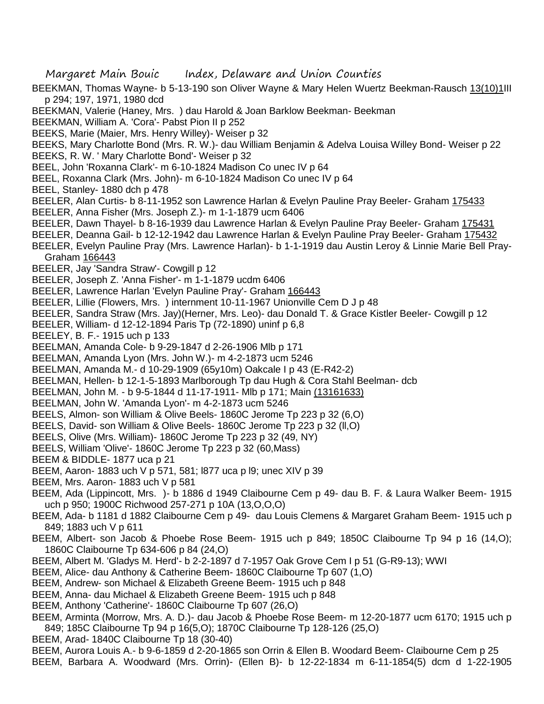- Margaret Main Bouic Index, Delaware and Union Counties
- BEEKMAN, Thomas Wayne- b 5-13-190 son Oliver Wayne & Mary Helen Wuertz Beekman-Rausch 13(10)1III p 294; 197, 1971, 1980 dcd
- BEEKMAN, Valerie (Haney, Mrs. ) dau Harold & Joan Barklow Beekman- Beekman
- BEEKMAN, William A. 'Cora'- Pabst Pion II p 252
- BEEKS, Marie (Maier, Mrs. Henry Willey)- Weiser p 32
- BEEKS, Mary Charlotte Bond (Mrs. R. W.)- dau William Benjamin & Adelva Louisa Willey Bond- Weiser p 22
- BEEKS, R. W. ' Mary Charlotte Bond'- Weiser p 32
- BEEL, John 'Roxanna Clark'- m 6-10-1824 Madison Co unec IV p 64
- BEEL, Roxanna Clark (Mrs. John)- m 6-10-1824 Madison Co unec IV p 64
- BEEL, Stanley- 1880 dch p 478
- BEELER, Alan Curtis- b 8-11-1952 son Lawrence Harlan & Evelyn Pauline Pray Beeler- Graham 175433
- BEELER, Anna Fisher (Mrs. Joseph Z.)- m 1-1-1879 ucm 6406
- BEELER, Dawn Thayel- b 8-16-1939 dau Lawrence Harlan & Evelyn Pauline Pray Beeler- Graham 175431
- BEELER, Deanna Gail- b 12-12-1942 dau Lawrence Harlan & Evelyn Pauline Pray Beeler- Graham 175432
- BEELER, Evelyn Pauline Pray (Mrs. Lawrence Harlan)- b 1-1-1919 dau Austin Leroy & Linnie Marie Bell Pray-Graham 166443
- BEELER, Jay 'Sandra Straw'- Cowgill p 12
- BEELER, Joseph Z. 'Anna Fisher'- m 1-1-1879 ucdm 6406
- BEELER, Lawrence Harlan 'Evelyn Pauline Pray'- Graham 166443
- BEELER, Lillie (Flowers, Mrs. ) internment 10-11-1967 Unionville Cem D J p 48
- BEELER, Sandra Straw (Mrs. Jay)(Herner, Mrs. Leo)- dau Donald T. & Grace Kistler Beeler- Cowgill p 12
- BEELER, William- d 12-12-1894 Paris Tp (72-1890) uninf p 6,8
- BEELEY, B. F.- 1915 uch p 133
- BEELMAN, Amanda Cole- b 9-29-1847 d 2-26-1906 Mlb p 171
- BEELMAN, Amanda Lyon (Mrs. John W.)- m 4-2-1873 ucm 5246
- BEELMAN, Amanda M.- d 10-29-1909 (65y10m) Oakcale I p 43 (E-R42-2)
- BEELMAN, Hellen- b 12-1-5-1893 Marlborough Tp dau Hugh & Cora Stahl Beelman- dcb
- BEELMAN, John M. b 9-5-1844 d 11-17-1911- Mlb p 171; Main (13161633)
- BEELMAN, John W. 'Amanda Lyon'- m 4-2-1873 ucm 5246
- BEELS, Almon- son William & Olive Beels- 1860C Jerome Tp 223 p 32 (6,O)
- BEELS, David- son William & Olive Beels- 1860C Jerome Tp 223 p 32 (ll,O)
- BEELS, Olive (Mrs. William)- 1860C Jerome Tp 223 p 32 (49, NY)
- BEELS, William 'Olive'- 1860C Jerome Tp 223 p 32 (60,Mass)
- BEEM & BIDDLE- 1877 uca p 21
- BEEM, Aaron- 1883 uch V p 571, 581; l877 uca p l9; unec XIV p 39
- BEEM, Mrs. Aaron- 1883 uch V p 581
- BEEM, Ada (Lippincott, Mrs. )- b 1886 d 1949 Claibourne Cem p 49- dau B. F. & Laura Walker Beem- 1915 uch p 950; 1900C Richwood 257-271 p 10A (13,O,O,O)
- BEEM, Ada- b 1181 d 1882 Claibourne Cem p 49- dau Louis Clemens & Margaret Graham Beem- 1915 uch p 849; 1883 uch V p 611
- BEEM, Albert- son Jacob & Phoebe Rose Beem- 1915 uch p 849; 1850C Claibourne Tp 94 p 16 (14,O); 1860C Claibourne Tp 634-606 p 84 (24,O)
- BEEM, Albert M. 'Gladys M. Herd'- b 2-2-1897 d 7-1957 Oak Grove Cem I p 51 (G-R9-13); WWI
- BEEM, Alice- dau Anthony & Catherine Beem- 1860C Claibourne Tp 607 (1,O)
- BEEM, Andrew- son Michael & Elizabeth Greene Beem- 1915 uch p 848
- BEEM, Anna- dau Michael & Elizabeth Greene Beem- 1915 uch p 848
- BEEM, Anthony 'Catherine'- 1860C Claibourne Tp 607 (26,O)
- BEEM, Arminta (Morrow, Mrs. A. D.)- dau Jacob & Phoebe Rose Beem- m 12-20-1877 ucm 6170; 1915 uch p 849; 185C Claibourne Tp 94 p 16(5,O); 1870C Claibourne Tp 128-126 (25,O)
- BEEM, Arad- 1840C Claibourne Tp 18 (30-40)
- BEEM, Aurora Louis A.- b 9-6-1859 d 2-20-1865 son Orrin & Ellen B. Woodard Beem- Claibourne Cem p 25
- BEEM, Barbara A. Woodward (Mrs. Orrin)- (Ellen B)- b 12-22-1834 m 6-11-1854(5) dcm d 1-22-1905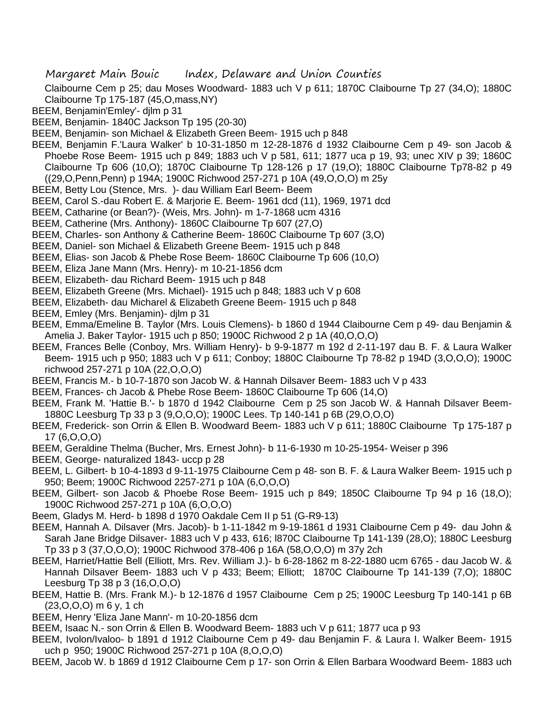Claibourne Cem p 25; dau Moses Woodward- 1883 uch V p 611; 1870C Claibourne Tp 27 (34,O); 1880C Claibourne Tp 175-187 (45,O,mass,NY)

- BEEM, Benjamin'Emley'- djlm p 31
- BEEM, Benjamin- 1840C Jackson Tp 195 (20-30)
- BEEM, Benjamin- son Michael & Elizabeth Green Beem- 1915 uch p 848
- BEEM, Benjamin F.'Laura Walker' b 10-31-1850 m 12-28-1876 d 1932 Claibourne Cem p 49- son Jacob & Phoebe Rose Beem- 1915 uch p 849; 1883 uch V p 581, 611; 1877 uca p 19, 93; unec XIV p 39; 1860C Claibourne Tp 606 (10,O); 1870C Claibourne Tp 128-126 p 17 (19,O); 1880C Claibourne Tp78-82 p 49 ((29,O,Penn,Penn) p 194A; 1900C Richwood 257-271 p 10A (49,O,O,O) m 25y
- BEEM, Betty Lou (Stence, Mrs. )- dau William Earl Beem- Beem
- BEEM, Carol S.-dau Robert E. & Marjorie E. Beem- 1961 dcd (11), 1969, 1971 dcd
- BEEM, Catharine (or Bean?)- (Weis, Mrs. John)- m 1-7-1868 ucm 4316
- BEEM, Catherine (Mrs. Anthony)- 1860C Claibourne Tp 607 (27,O)
- BEEM, Charles- son Anthony & Catherine Beem- 1860C Claibourne Tp 607 (3,O)
- BEEM, Daniel- son Michael & Elizabeth Greene Beem- 1915 uch p 848
- BEEM, Elias- son Jacob & Phebe Rose Beem- 1860C Claibourne Tp 606 (10,O)
- BEEM, Eliza Jane Mann (Mrs. Henry)- m 10-21-1856 dcm
- BEEM, Elizabeth- dau Richard Beem- 1915 uch p 848
- BEEM, Elizabeth Greene (Mrs. Michael)- 1915 uch p 848; 1883 uch V p 608
- BEEM, Elizabeth- dau Micharel & Elizabeth Greene Beem- 1915 uch p 848
- BEEM, Emley (Mrs. Benjamin)- djlm p 31
- BEEM, Emma/Emeline B. Taylor (Mrs. Louis Clemens)- b 1860 d 1944 Claibourne Cem p 49- dau Benjamin & Amelia J. Baker Taylor- 1915 uch p 850; 1900C Richwood 2 p 1A (40,O,O,O)
- BEEM, Frances Belle (Conboy, Mrs. William Henry)- b 9-9-1877 m 192 d 2-11-197 dau B. F. & Laura Walker Beem- 1915 uch p 950; 1883 uch V p 611; Conboy; 1880C Claibourne Tp 78-82 p 194D (3,O,O,O); 1900C richwood 257-271 p 10A (22,O,O,O)
- BEEM, Francis M.- b 10-7-1870 son Jacob W. & Hannah Dilsaver Beem- 1883 uch V p 433
- BEEM, Frances- ch Jacob & Phebe Rose Beem- 1860C Claibourne Tp 606 (14,O)
- BEEM, Frank M. 'Hattie B.'- b 1870 d 1942 Claibourne Cem p 25 son Jacob W. & Hannah Dilsaver Beem-1880C Leesburg Tp 33 p 3 (9,O,O,O); 1900C Lees. Tp 140-141 p 6B (29,O,O,O)
- BEEM, Frederick- son Orrin & Ellen B. Woodward Beem- 1883 uch V p 611; 1880C Claibourne Tp 175-187 p 17 (6,O,O,O)
- BEEM, Geraldine Thelma (Bucher, Mrs. Ernest John)- b 11-6-1930 m 10-25-1954- Weiser p 396
- BEEM, George- naturalized 1843- uccp p 28
- BEEM, L. Gilbert- b 10-4-1893 d 9-11-1975 Claibourne Cem p 48- son B. F. & Laura Walker Beem- 1915 uch p 950; Beem; 1900C Richwood 2257-271 p 10A (6,O,O,O)
- BEEM, Gilbert- son Jacob & Phoebe Rose Beem- 1915 uch p 849; 1850C Claibourne Tp 94 p 16 (18,O); 1900C Richwood 257-271 p 10A (6,O,O,O)
- Beem, Gladys M. Herd- b 1898 d 1970 Oakdale Cem II p 51 (G-R9-13)
- BEEM, Hannah A. Dilsaver (Mrs. Jacob)- b 1-11-1842 m 9-19-1861 d 1931 Claibourne Cem p 49- dau John & Sarah Jane Bridge Dilsaver- 1883 uch V p 433, 616; l870C Claibourne Tp 141-139 (28,O); 1880C Leesburg Tp 33 p 3 (37,O,O,O); 1900C Richwood 378-406 p 16A (58,O,O,O) m 37y 2ch
- BEEM, Harriet/Hattie Bell (Elliott, Mrs. Rev. William J.)- b 6-28-1862 m 8-22-1880 ucm 6765 dau Jacob W. & Hannah Dilsaver Beem- 1883 uch V p 433; Beem; Elliott; 1870C Claibourne Tp 141-139 (7,0); 1880C Leesburg Tp 38 p 3 (16,O,O,O)
- BEEM, Hattie B. (Mrs. Frank M.)- b 12-1876 d 1957 Claibourne Cem p 25; 1900C Leesburg Tp 140-141 p 6B (23,O,O,O) m 6 y, 1 ch
- BEEM, Henry 'Eliza Jane Mann'- m 10-20-1856 dcm
- BEEM, Isaac N.- son Orrin & Ellen B. Woodward Beem- 1883 uch V p 611; 1877 uca p 93
- BEEM, Ivolon/Ivaloo- b 1891 d 1912 Claibourne Cem p 49- dau Benjamin F. & Laura I. Walker Beem- 1915 uch p 950; 1900C Richwood 257-271 p 10A (8,O,O,O)
- BEEM, Jacob W. b 1869 d 1912 Claibourne Cem p 17- son Orrin & Ellen Barbara Woodward Beem- 1883 uch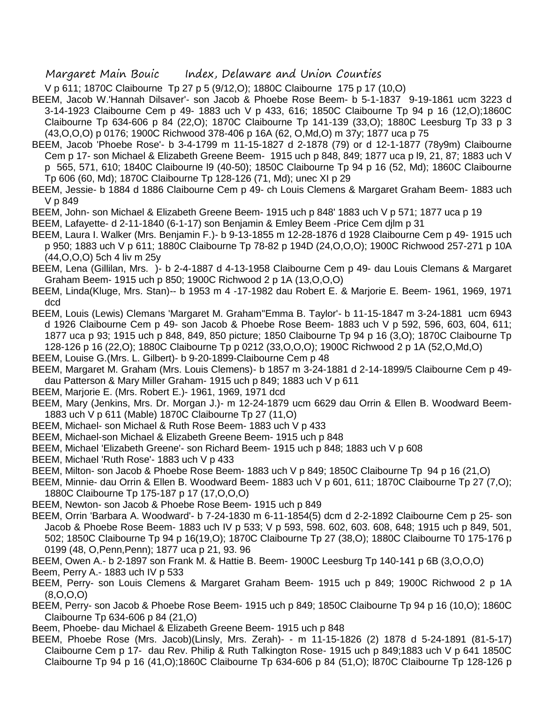V p 611; 1870C Claibourne Tp 27 p 5 (9/12,O); 1880C Claibourne 175 p 17 (10,O)

- BEEM, Jacob W.'Hannah Dilsaver'- son Jacob & Phoebe Rose Beem- b 5-1-1837 9-19-1861 ucm 3223 d 3-14-1923 Claibourne Cem p 49- 1883 uch V p 433, 616; 1850C Claibourne Tp 94 p 16 (12,O);1860C Claibourne Tp 634-606 p 84 (22,O); 1870C Claibourne Tp 141-139 (33,O); 1880C Leesburg Tp 33 p 3 (43,O,O,O) p 0176; 1900C Richwood 378-406 p 16A (62, O,Md,O) m 37y; 1877 uca p 75
- BEEM, Jacob 'Phoebe Rose'- b 3-4-1799 m 11-15-1827 d 2-1878 (79) or d 12-1-1877 (78y9m) Claibourne Cem p 17- son Michael & Elizabeth Greene Beem- 1915 uch p 848, 849; 1877 uca p l9, 21, 87; 1883 uch V p 565, 571, 610; 1840C Claibourne l9 (40-50); 1850C Claibourne Tp 94 p 16 (52, Md); 1860C Claibourne Tp 606 (60, Md); 1870C Claibourne Tp 128-126 (71, Md); unec XI p 29
- BEEM, Jessie- b 1884 d 1886 Claibourne Cem p 49- ch Louis Clemens & Margaret Graham Beem- 1883 uch V p 849
- BEEM, John- son Michael & Elizabeth Greene Beem- 1915 uch p 848' 1883 uch V p 571; 1877 uca p 19
- BEEM, Lafayette- d 2-11-1840 (6-1-17) son Benjamin & Emley Beem -Price Cem djlm p 31
- BEEM, Laura I. Walker (Mrs. Benjamin F.)- b 9-13-1855 m 12-28-1876 d 1928 Claibourne Cem p 49- 1915 uch p 950; 1883 uch V p 611; 1880C Claibourne Tp 78-82 p 194D (24,O,O,O); 1900C Richwood 257-271 p 10A (44,O,O,O) 5ch 4 liv m 25y
- BEEM, Lena (Gillilan, Mrs. )- b 2-4-1887 d 4-13-1958 Claibourne Cem p 49- dau Louis Clemans & Margaret Graham Beem- 1915 uch p 850; 1900C Richwood 2 p 1A (13,O,O,O)
- BEEM, Linda(Kluge, Mrs. Stan)-- b 1953 m 4 -17-1982 dau Robert E. & Marjorie E. Beem- 1961, 1969, 1971 dcd
- BEEM, Louis (Lewis) Clemans 'Margaret M. Graham''Emma B. Taylor'- b 11-15-1847 m 3-24-1881 ucm 6943 d 1926 Claibourne Cem p 49- son Jacob & Phoebe Rose Beem- 1883 uch V p 592, 596, 603, 604, 611; 1877 uca p 93; 1915 uch p 848, 849, 850 picture; 1850 Claibourne Tp 94 p 16 (3,O); 1870C Claibourne Tp 128-126 p 16 (22,O); 1880C Claibourne Tp p 0212 (33,O,O,O); 1900C Richwood 2 p 1A (52,O,Md,O)
- BEEM, Louise G.(Mrs. L. Gilbert)- b 9-20-1899-Claibourne Cem p 48
- BEEM, Margaret M. Graham (Mrs. Louis Clemens)- b 1857 m 3-24-1881 d 2-14-1899/5 Claibourne Cem p 49 dau Patterson & Mary Miller Graham- 1915 uch p 849; 1883 uch V p 611
- BEEM, Marjorie E. (Mrs. Robert E.)- 1961, 1969, 1971 dcd
- BEEM, Mary (Jenkins, Mrs. Dr. Morgan J.)- m 12-24-1879 ucm 6629 dau Orrin & Ellen B. Woodward Beem-1883 uch V p 611 (Mable) 1870C Claibourne Tp 27 (11,O)
- BEEM, Michael- son Michael & Ruth Rose Beem- 1883 uch V p 433
- BEEM, Michael-son Michael & Elizabeth Greene Beem- 1915 uch p 848
- BEEM, Michael 'Elizabeth Greene'- son Richard Beem- 1915 uch p 848; 1883 uch V p 608
- BEEM, Michael 'Ruth Rose'- 1883 uch V p 433
- BEEM, Milton- son Jacob & Phoebe Rose Beem- 1883 uch V p 849; 1850C Claibourne Tp 94 p 16 (21,O)
- BEEM, Minnie- dau Orrin & Ellen B. Woodward Beem- 1883 uch V p 601, 611; 1870C Claibourne Tp 27 (7,O); 1880C Claibourne Tp 175-187 p 17 (17,O,O,O)
- BEEM, Newton- son Jacob & Phoebe Rose Beem- 1915 uch p 849
- BEEM, Orrin 'Barbara A. Woodward'- b 7-24-1830 m 6-11-1854(5) dcm d 2-2-1892 Claibourne Cem p 25- son Jacob & Phoebe Rose Beem- 1883 uch IV p 533; V p 593, 598. 602, 603. 608, 648; 1915 uch p 849, 501, 502; 1850C Claibourne Tp 94 p 16(19,O); 1870C Claibourne Tp 27 (38,O); 1880C Claibourne T0 175-176 p 0199 (48, O,Penn,Penn); 1877 uca p 21, 93. 96
- BEEM, Owen A.- b 2-1897 son Frank M. & Hattie B. Beem- 1900C Leesburg Tp 140-141 p 6B (3,O,O,O)
- Beem, Perry A.- 1883 uch IV p 533
- BEEM, Perry- son Louis Clemens & Margaret Graham Beem- 1915 uch p 849; 1900C Richwood 2 p 1A (8,O,O,O)
- BEEM, Perry- son Jacob & Phoebe Rose Beem- 1915 uch p 849; 1850C Claibourne Tp 94 p 16 (10,O); 1860C Claibourne Tp 634-606 p 84 (21,O)
- Beem, Phoebe- dau Michael & Elizabeth Greene Beem- 1915 uch p 848
- BEEM, Phoebe Rose (Mrs. Jacob)(Linsly, Mrs. Zerah)- m 11-15-1826 (2) 1878 d 5-24-1891 (81-5-17) Claibourne Cem p 17- dau Rev. Philip & Ruth Talkington Rose- 1915 uch p 849;1883 uch V p 641 1850C Claibourne Tp 94 p 16 (41,O);1860C Claibourne Tp 634-606 p 84 (51,O); l870C Claibourne Tp 128-126 p